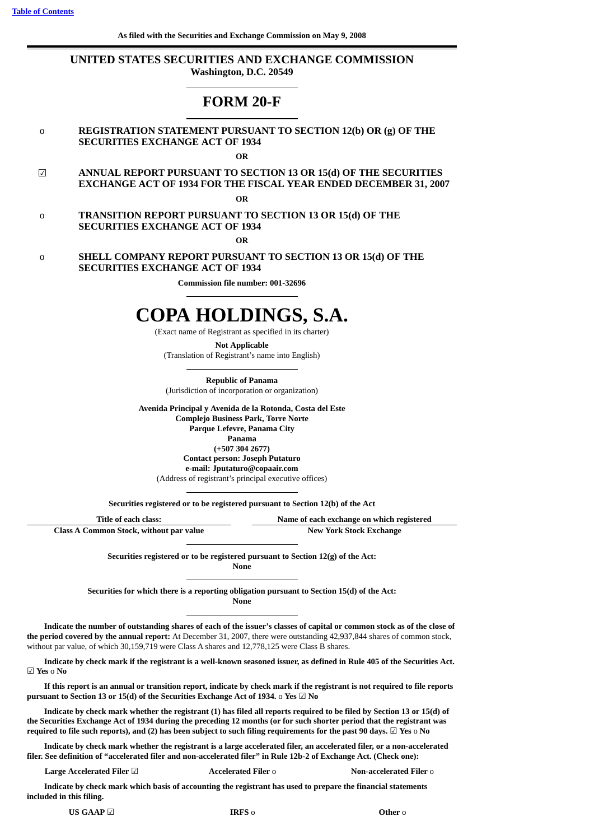# **UNITED STATES SECURITIES AND EXCHANGE COMMISSION Washington, D.C. 20549**

# **FORM 20-F**

# o **REGISTRATION STATEMENT PURSUANT TO SECTION 12(b) OR (g) OF THE SECURITIES EXCHANGE ACT OF 1934**

**OR**

☑ **ANNUAL REPORT PURSUANT TO SECTION 13 OR 15(d) OF THE SECURITIES EXCHANGE ACT OF 1934 FOR THE FISCAL YEAR ENDED DECEMBER 31, 2007**

**OR**

o **TRANSITION REPORT PURSUANT TO SECTION 13 OR 15(d) OF THE SECURITIES EXCHANGE ACT OF 1934**

**OR**

o **SHELL COMPANY REPORT PURSUANT TO SECTION 13 OR 15(d) OF THE SECURITIES EXCHANGE ACT OF 1934**

**Commission file number: 001-32696**

# **COPA HOLDINGS, S.A.**

(Exact name of Registrant as specified in its charter)

**Not Applicable** (Translation of Registrant's name into English)

**Republic of Panama** (Jurisdiction of incorporation or organization)

**Avenida Principal y Avenida de la Rotonda, Costa del Este**

**Complejo Business Park, Torre Norte Parque Lefevre, Panama City**

**Panama**

**(+507 304 2677) Contact person: Joseph Putaturo**

**e-mail: Jputaturo@copaair.com**

(Address of registrant's principal executive offices)

**Securities registered or to be registered pursuant to Section 12(b) of the Act**

**Title of each class: Name of each exchange on which registered**

| <b>Class A Common Stock, without par value</b> | <b>New York Stock Exchange</b> |  |  |  |
|------------------------------------------------|--------------------------------|--|--|--|
|                                                |                                |  |  |  |

**Securities registered or to be registered pursuant to Section 12(g) of the Act: None**

**Securities for which there is a reporting obligation pursuant to Section 15(d) of the Act: None**

Indicate the number of outstanding shares of each of the issuer's classes of capital or common stock as of the close of **the period covered by the annual report:** At December 31, 2007, there were outstanding 42,937,844 shares of common stock, without par value, of which 30,159,719 were Class A shares and 12,778,125 were Class B shares.

Indicate by check mark if the registrant is a well-known seasoned issuer, as defined in Rule 405 of the Securities Act. ☑ **Yes** o **No**

If this report is an annual or transition report, indicate by check mark if the registrant is not required to file reports **pursuant to Section 13 or 15(d) of the Securities Exchange Act of 1934.** o **Yes** ☑ **No**

Indicate by check mark whether the registrant (1) has filed all reports required to be filed by Section 13 or 15(d) of the Securities Exchange Act of 1934 during the preceding 12 months (or for such shorter period that the registrant was required to file such reports), and (2) has been subject to such filing requirements for the past 90 days.  $\Box$  Yes o No

Indicate by check mark whether the registrant is a large accelerated filer, an accelerated filer, or a non-accelerated filer. See definition of "accelerated filer and non-accelerated filer" in Rule 12b-2 of Exchange Act. (Check one):

**Large Accelerated Filer** ☑ **Accelerated Filer** o **Non-accelerated Filer** o

Indicate by check mark which basis of accounting the registrant has used to prepare the financial statements **included in this filing.**

**US GAAP** ☑ **IRFS** o **Other** o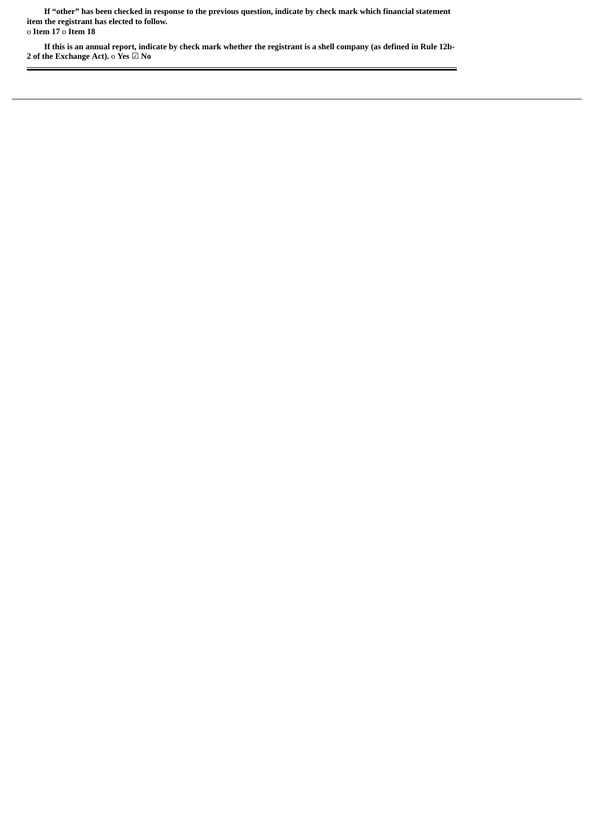If "other" has been checked in response to the previous question, indicate by check mark which financial statement **item the registrant has elected to follow.** o **Item 17** o **Item 18**

If this is an annual report, indicate by check mark whether the registrant is a shell company (as defined in Rule 12b-**2 of the Exchange Act).** o **Yes** ☑ **No**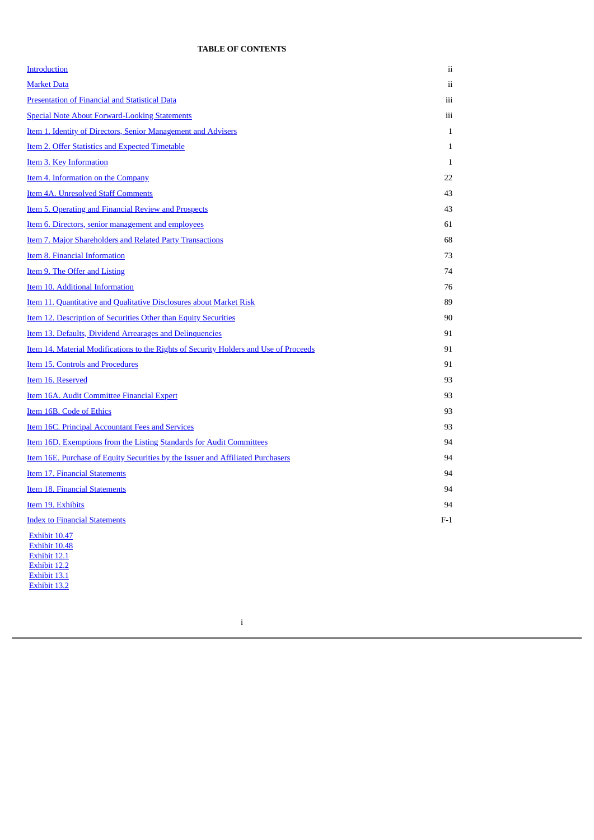# **TABLE OF CONTENTS**

<span id="page-3-0"></span>

| <b>Introduction</b>                                                                          | ii           |
|----------------------------------------------------------------------------------------------|--------------|
| <b>Market Data</b>                                                                           | ii           |
| <b>Presentation of Financial and Statistical Data</b>                                        | iii          |
| <b>Special Note About Forward-Looking Statements</b>                                         | iii          |
| Item 1. Identity of Directors, Senior Management and Advisers                                | $\mathbf{1}$ |
| <b>Item 2. Offer Statistics and Expected Timetable</b>                                       | $\mathbf{1}$ |
| <b>Item 3. Key Information</b>                                                               | $\mathbf{1}$ |
| Item 4. Information on the Company                                                           | 22           |
| <b>Item 4A. Unresolved Staff Comments</b>                                                    | 43           |
| <b>Item 5. Operating and Financial Review and Prospects</b>                                  | 43           |
| <u>Item 6. Directors, senior management and employees</u>                                    | 61           |
| Item 7. Major Shareholders and Related Party Transactions                                    | 68           |
| Item 8. Financial Information                                                                | 73           |
| <b>Item 9. The Offer and Listing</b>                                                         | 74           |
| Item 10. Additional Information                                                              | 76           |
| Item 11. Quantitative and Qualitative Disclosures about Market Risk                          | 89           |
| Item 12. Description of Securities Other than Equity Securities                              | 90           |
| Item 13. Defaults, Dividend Arrearages and Delinquencies                                     | 91           |
| <u>Item 14. Material Modifications to the Rights of Security Holders and Use of Proceeds</u> | 91           |
| Item 15. Controls and Procedures                                                             | 91           |
| Item 16. Reserved                                                                            | 93           |
| Item 16A. Audit Committee Financial Expert                                                   | 93           |
| Item 16B. Code of Ethics                                                                     | 93           |
| <b>Item 16C. Principal Accountant Fees and Services</b>                                      | 93           |
| Item 16D. Exemptions from the Listing Standards for Audit Committees                         | 94           |
| <u>Item 16E. Purchase of Equity Securities by the Issuer and Affiliated Purchasers</u>       | 94           |
| Item 17. Financial Statements                                                                | 94           |
| Item 18. Financial Statements                                                                | 94           |
| Item 19. Exhibits                                                                            | 94           |
| <b>Index to Financial Statements</b>                                                         | $F-1$        |
| Exhibit 10.47<br>Exhibit 10.48                                                               |              |

Exhibit 12.1 Exhibit 12.2 Exhibit 13.1 Exhibit 13.2

i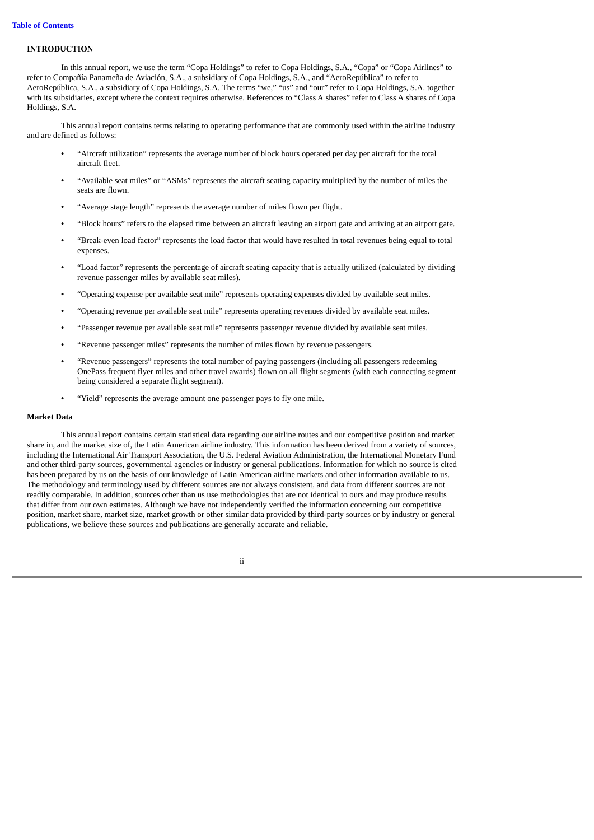## <span id="page-4-0"></span>**INTRODUCTION**

In this annual report, we use the term "Copa Holdings" to refer to Copa Holdings, S.A., "Copa" or "Copa Airlines" to refer to Compañía Panameña de Aviación, S.A., a subsidiary of Copa Holdings, S.A., and "AeroRepública" to refer to AeroRepública, S.A., a subsidiary of Copa Holdings, S.A. The terms "we," "us" and "our" refer to Copa Holdings, S.A. together with its subsidiaries, except where the context requires otherwise. References to "Class A shares" refer to Class A shares of Copa Holdings, S.A.

This annual report contains terms relating to operating performance that are commonly used within the airline industry and are defined as follows:

- **•** "Aircraft utilization" represents the average number of block hours operated per day per aircraft for the total aircraft fleet.
- **•** "Available seat miles" or "ASMs" represents the aircraft seating capacity multiplied by the number of miles the seats are flown.
- **•** "Average stage length" represents the average number of miles flown per flight.
- **•** "Block hours" refers to the elapsed time between an aircraft leaving an airport gate and arriving at an airport gate.
- **•** "Break-even load factor" represents the load factor that would have resulted in total revenues being equal to total expenses.
- **•** "Load factor" represents the percentage of aircraft seating capacity that is actually utilized (calculated by dividing revenue passenger miles by available seat miles).
- **•** "Operating expense per available seat mile" represents operating expenses divided by available seat miles.
- **•** "Operating revenue per available seat mile" represents operating revenues divided by available seat miles.
- **•** "Passenger revenue per available seat mile" represents passenger revenue divided by available seat miles.
- **•** "Revenue passenger miles" represents the number of miles flown by revenue passengers.
- **•** "Revenue passengers" represents the total number of paying passengers (including all passengers redeeming OnePass frequent flyer miles and other travel awards) flown on all flight segments (with each connecting segment being considered a separate flight segment).
- **•** "Yield" represents the average amount one passenger pays to fly one mile.

## <span id="page-4-1"></span>**Market Data**

This annual report contains certain statistical data regarding our airline routes and our competitive position and market share in, and the market size of, the Latin American airline industry. This information has been derived from a variety of sources, including the International Air Transport Association, the U.S. Federal Aviation Administration, the International Monetary Fund and other third-party sources, governmental agencies or industry or general publications. Information for which no source is cited has been prepared by us on the basis of our knowledge of Latin American airline markets and other information available to us. The methodology and terminology used by different sources are not always consistent, and data from different sources are not readily comparable. In addition, sources other than us use methodologies that are not identical to ours and may produce results that differ from our own estimates. Although we have not independently verified the information concerning our competitive position, market share, market size, market growth or other similar data provided by third-party sources or by industry or general publications, we believe these sources and publications are generally accurate and reliable.

ii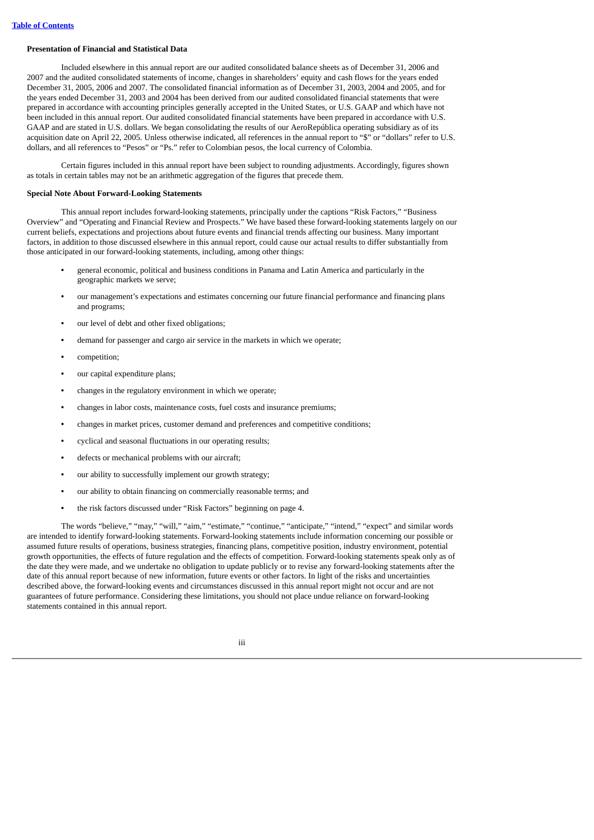## <span id="page-5-0"></span>**Presentation of Financial and Statistical Data**

Included elsewhere in this annual report are our audited consolidated balance sheets as of December 31, 2006 and 2007 and the audited consolidated statements of income, changes in shareholders' equity and cash flows for the years ended December 31, 2005, 2006 and 2007. The consolidated financial information as of December 31, 2003, 2004 and 2005, and for the years ended December 31, 2003 and 2004 has been derived from our audited consolidated financial statements that were prepared in accordance with accounting principles generally accepted in the United States, or U.S. GAAP and which have not been included in this annual report. Our audited consolidated financial statements have been prepared in accordance with U.S. GAAP and are stated in U.S. dollars. We began consolidating the results of our AeroRepública operating subsidiary as of its acquisition date on April 22, 2005. Unless otherwise indicated, all references in the annual report to "\$" or "dollars" refer to U.S. dollars, and all references to "Pesos" or "Ps." refer to Colombian pesos, the local currency of Colombia.

Certain figures included in this annual report have been subject to rounding adjustments. Accordingly, figures shown as totals in certain tables may not be an arithmetic aggregation of the figures that precede them.

## <span id="page-5-1"></span>**Special Note About Forward-Looking Statements**

This annual report includes forward-looking statements, principally under the captions "Risk Factors," "Business Overview" and "Operating and Financial Review and Prospects." We have based these forward-looking statements largely on our current beliefs, expectations and projections about future events and financial trends affecting our business. Many important factors, in addition to those discussed elsewhere in this annual report, could cause our actual results to differ substantially from those anticipated in our forward-looking statements, including, among other things:

- **•** general economic, political and business conditions in Panama and Latin America and particularly in the geographic markets we serve;
- **•** our management's expectations and estimates concerning our future financial performance and financing plans and programs;
- **•** our level of debt and other fixed obligations;
- **•** demand for passenger and cargo air service in the markets in which we operate;
- **•** competition;
- **•** our capital expenditure plans;
- **•** changes in the regulatory environment in which we operate;
- **•** changes in labor costs, maintenance costs, fuel costs and insurance premiums;
- **•** changes in market prices, customer demand and preferences and competitive conditions;
- **•** cyclical and seasonal fluctuations in our operating results;
- **•** defects or mechanical problems with our aircraft;
- **•** our ability to successfully implement our growth strategy;
- **•** our ability to obtain financing on commercially reasonable terms; and
- **•** the risk factors discussed under "Risk Factors" beginning on page 4.

The words "believe," "may," "will," "aim," "estimate," "continue," "anticipate," "intend," "expect" and similar words are intended to identify forward-looking statements. Forward-looking statements include information concerning our possible or assumed future results of operations, business strategies, financing plans, competitive position, industry environment, potential growth opportunities, the effects of future regulation and the effects of competition. Forward-looking statements speak only as of the date they were made, and we undertake no obligation to update publicly or to revise any forward-looking statements after the date of this annual report because of new information, future events or other factors. In light of the risks and uncertainties described above, the forward-looking events and circumstances discussed in this annual report might not occur and are not guarantees of future performance. Considering these limitations, you should not place undue reliance on forward-looking statements contained in this annual report.

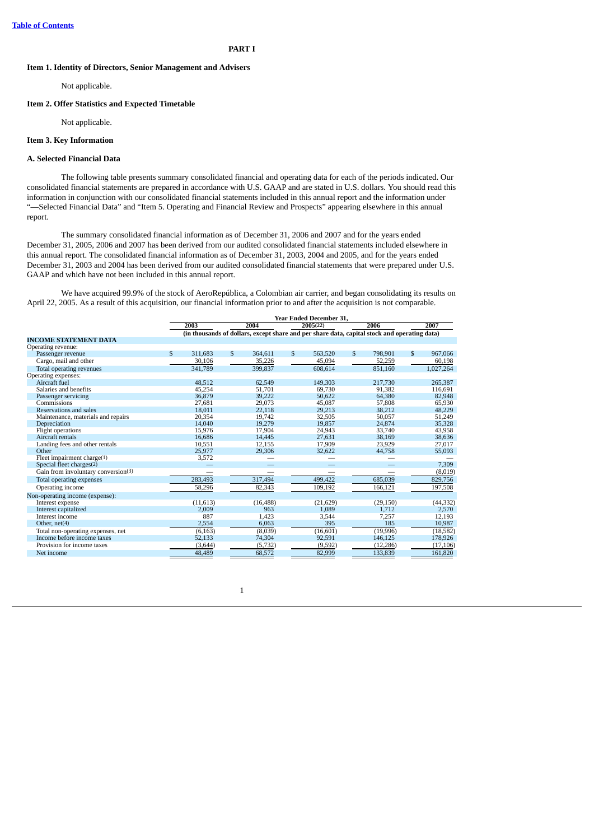## **PART I**

## <span id="page-6-0"></span>**Item 1. Identity of Directors, Senior Management and Advisers**

Not applicable.

## <span id="page-6-1"></span>**Item 2. Offer Statistics and Expected Timetable**

Not applicable.

## <span id="page-6-2"></span>**Item 3. Key Information**

## **A. Selected Financial Data**

The following table presents summary consolidated financial and operating data for each of the periods indicated. Our consolidated financial statements are prepared in accordance with U.S. GAAP and are stated in U.S. dollars. You should read this information in conjunction with our consolidated financial statements included in this annual report and the information under "—Selected Financial Data" and "Item 5. Operating and Financial Review and Prospects" appearing elsewhere in this annual report.

The summary consolidated financial information as of December 31, 2006 and 2007 and for the years ended December 31, 2005, 2006 and 2007 has been derived from our audited consolidated financial statements included elsewhere in this annual report. The consolidated financial information as of December 31, 2003, 2004 and 2005, and for the years ended December 31, 2003 and 2004 has been derived from our audited consolidated financial statements that were prepared under U.S. GAAP and which have not been included in this annual report.

We have acquired 99.9% of the stock of AeroRepública, a Colombian air carrier, and began consolidating its results on April 22, 2005. As a result of this acquisition, our financial information prior to and after the acquisition is not comparable.

|                                     |               |           |               |                                                                                              | <b>Year Ended December 31,</b> |              |           |              |           |
|-------------------------------------|---------------|-----------|---------------|----------------------------------------------------------------------------------------------|--------------------------------|--------------|-----------|--------------|-----------|
|                                     |               | 2003      |               | 2004                                                                                         | 2005(22)                       |              | 2006      |              | 2007      |
|                                     |               |           |               | (in thousands of dollars, except share and per share data, capital stock and operating data) |                                |              |           |              |           |
| <b>INCOME STATEMENT DATA</b>        |               |           |               |                                                                                              |                                |              |           |              |           |
| Operating revenue:                  |               |           |               |                                                                                              |                                |              |           |              |           |
| Passenger revenue                   | $\mathcal{S}$ | 311,683   | $\mathcal{S}$ | 364,611                                                                                      | \$<br>563.520                  | $\mathbf{s}$ | 798.901   | $\mathbf{s}$ | 967,066   |
| Cargo, mail and other               |               | 30,106    |               | 35,226                                                                                       | 45,094                         |              | 52,259    |              | 60,198    |
| Total operating revenues            |               | 341,789   |               | 399,837                                                                                      | 608,614                        |              | 851,160   |              | 1,027,264 |
| Operating expenses:                 |               |           |               |                                                                                              |                                |              |           |              |           |
| Aircraft fuel                       |               | 48,512    |               | 62,549                                                                                       | 149,303                        |              | 217,730   |              | 265,387   |
| Salaries and benefits               |               | 45,254    |               | 51,701                                                                                       | 69.730                         |              | 91,382    |              | 116,691   |
| Passenger servicing                 |               | 36,879    |               | 39,222                                                                                       | 50,622                         |              | 64,380    |              | 82,948    |
| Commissions                         |               | 27,681    |               | 29,073                                                                                       | 45,087                         |              | 57,808    |              | 65,930    |
| Reservations and sales              |               | 18.011    |               | 22,118                                                                                       | 29,213                         |              | 38,212    |              | 48,229    |
| Maintenance, materials and repairs  |               | 20,354    |               | 19,742                                                                                       | 32,505                         |              | 50,057    |              | 51,249    |
| Depreciation                        |               | 14,040    |               | 19,279                                                                                       | 19,857                         |              | 24,874    |              | 35,328    |
| Flight operations                   |               | 15,976    |               | 17,904                                                                                       | 24,943                         |              | 33,740    |              | 43,958    |
| Aircraft rentals                    |               | 16,686    |               | 14,445                                                                                       | 27,631                         |              | 38,169    |              | 38,636    |
| Landing fees and other rentals      |               | 10,551    |               | 12,155                                                                                       | 17,909                         |              | 23,929    |              | 27,017    |
| Other                               |               | 25,977    |               | 29,306                                                                                       | 32,622                         |              | 44,758    |              | 55,093    |
| Fleet impairment charge(1)          |               | 3,572     |               |                                                                                              |                                |              |           |              |           |
| Special fleet charges(2)            |               |           |               |                                                                                              |                                |              |           |              | 7,309     |
| Gain from involuntary conversion(3) |               |           |               |                                                                                              |                                |              |           |              | (8,019)   |
| Total operating expenses            |               | 283,493   |               | 317,494                                                                                      | 499,422                        |              | 685,039   |              | 829,756   |
| Operating income                    |               | 58,296    |               | 82,343                                                                                       | 109,192                        |              | 166,121   |              | 197,508   |
| Non-operating income (expense):     |               |           |               |                                                                                              |                                |              |           |              |           |
| Interest expense                    |               | (11, 613) |               | (16, 488)                                                                                    | (21, 629)                      |              | (29, 150) |              | (44, 332) |
| Interest capitalized                |               | 2,009     |               | 963                                                                                          | 1,089                          |              | 1.712     |              | 2,570     |
| Interest income                     |               | 887       |               | 1,423                                                                                        | 3,544                          |              | 7,257     |              | 12,193    |
| Other, $net(4)$                     |               | 2,554     |               | 6,063                                                                                        | 395                            |              | 185       |              | 10,987    |
| Total non-operating expenses, net   |               | (6, 163)  |               | (8,039)                                                                                      | (16, 601)                      |              | (19,996)  |              | (18, 582) |
| Income before income taxes          |               | 52,133    |               | 74,304                                                                                       | 92,591                         |              | 146,125   |              | 178,926   |
| Provision for income taxes          |               | (3, 644)  |               | (5, 732)                                                                                     | (9,592)                        |              | (12, 286) |              | (17, 106) |
| Net income                          |               | 48,489    |               | 68,572                                                                                       | 82,999                         |              | 133,839   |              | 161,820   |

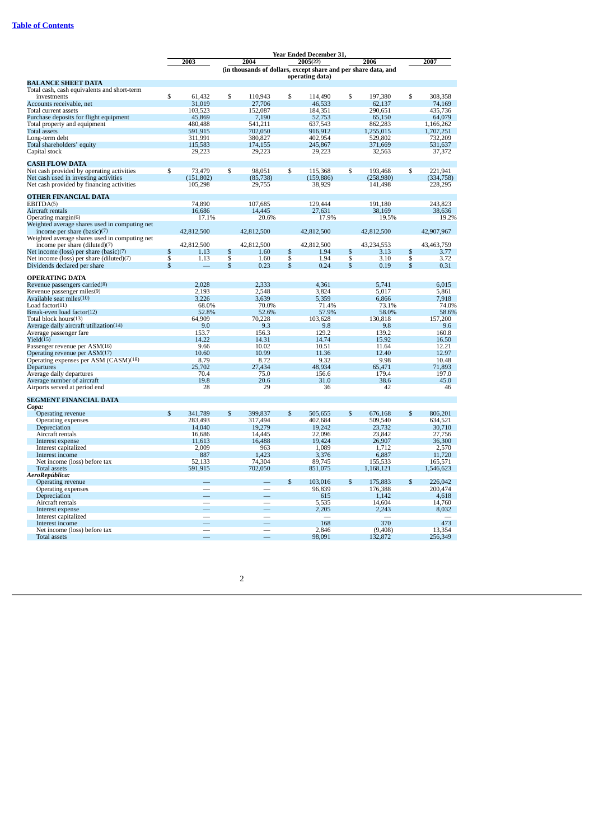|                                                  | Year Ended December 31, |                          |              |                                                                |               |                  |                         |                  |               |                  |
|--------------------------------------------------|-------------------------|--------------------------|--------------|----------------------------------------------------------------|---------------|------------------|-------------------------|------------------|---------------|------------------|
|                                                  |                         | 2003                     |              | 2004                                                           |               | 2005(22)         |                         | 2006             |               | 2007             |
|                                                  |                         |                          |              | (in thousands of dollars, except share and per share data, and |               |                  |                         |                  |               |                  |
|                                                  |                         |                          |              |                                                                |               | operating data)  |                         |                  |               |                  |
| <b>BALANCE SHEET DATA</b>                        |                         |                          |              |                                                                |               |                  |                         |                  |               |                  |
| Total cash, cash equivalents and short-term      |                         |                          |              |                                                                |               |                  |                         |                  |               |                  |
| investments                                      | \$                      | 61,432                   | \$           | 110,943                                                        | \$            | 114,490          | \$                      | 197,380          | \$            | 308,358          |
| Accounts receivable, net                         |                         | 31,019                   |              | 27,706                                                         |               | 46,533           |                         | 62,137           |               | 74,169           |
| Total current assets                             |                         | 103,523                  |              | 152,087                                                        |               | 184,351          |                         | 290,651          |               | 435,736          |
| Purchase deposits for flight equipment           |                         | 45,869                   |              | 7,190                                                          |               | 52,753           |                         | 65,150           |               | 64,079           |
| Total property and equipment                     |                         | 480,488                  |              | 541,211                                                        |               | 637,543          |                         | 862,283          |               | 1,166,262        |
| <b>Total assets</b>                              |                         | 591,915                  |              | 702,050                                                        |               | 916,912          |                         | 1,255,015        |               | 1,707,251        |
| Long-term debt                                   |                         | 311,991                  |              | 380,827                                                        |               | 402,954          |                         | 529,802          |               | 732,209          |
| Total shareholders' equity                       |                         | 115,583                  |              | 174,155                                                        |               | 245,867          |                         | 371,669          |               | 531,637          |
| Capital stock                                    |                         | 29,223                   |              | 29,223                                                         |               | 29,223           |                         | 32,563           |               | 37,372           |
| <b>CASH FLOW DATA</b>                            |                         |                          |              |                                                                |               |                  |                         |                  |               |                  |
| Net cash provided by operating activities        | \$                      | 73,479                   | \$           | 98,051                                                         | \$            | 115,368          | \$                      | 193,468          | \$            | 221,941          |
| Net cash used in investing activities            |                         | (151, 802)               |              | (85, 738)                                                      |               | (159, 886)       |                         | (258, 980)       |               | (334,758)        |
| Net cash provided by financing activities        |                         | 105,298                  |              | 29,755                                                         |               | 38,929           |                         | 141,498          |               | 228,295          |
| <b>OTHER FINANCIAL DATA</b>                      |                         |                          |              |                                                                |               |                  |                         |                  |               |                  |
| EBITDA(5)                                        |                         | 74,890                   |              | 107,685                                                        |               | 129,444          |                         | 191,180          |               | 243,823          |
| Aircraft rentals                                 |                         | 16,686                   |              | 14,445                                                         |               | 27,631           |                         | 38.169           |               | 38,636           |
| Operating margin(6)                              |                         | 17.1%                    |              | 20.6%                                                          |               | 17.9%            |                         | 19.5%            |               | 19.2%            |
| Weighted average shares used in computing net    |                         |                          |              |                                                                |               |                  |                         |                  |               |                  |
| income per share (basic)(7)                      |                         | 42,812,500               |              | 42,812,500                                                     |               | 42,812,500       |                         | 42,812,500       |               | 42,907,967       |
| Weighted average shares used in computing net    |                         |                          |              |                                                                |               |                  |                         |                  |               |                  |
| income per share (diluted)(7)                    |                         | 42,812,500               |              | 42,812,500                                                     |               | 42,812,500       |                         | 43,234,553       |               | 43.463.759       |
| Net income (loss) per share (basic)(7)           | \$                      | 1.13                     | \$           | 1.60                                                           | $\mathbb{S}$  | 1.94             | \$                      | 3.13             | $\mathbb{S}$  | 3.77             |
| Net income (loss) per share (diluted)(7)         | $\overline{\mathbb{S}}$ | 1.13                     | $\mathbb{S}$ | 1.60                                                           | \$            | 1.94             | $\overline{\mathbb{S}}$ | 3.10             | $\mathbb{S}$  | 3.72             |
| Dividends declared per share                     | $\mathbf S$             |                          | $\mathbb{S}$ | 0.23                                                           | $\mathbb{S}$  | 0.24             | \$                      | 0.19             | $\mathbf S$   | 0.31             |
|                                                  |                         |                          |              |                                                                |               |                  |                         |                  |               |                  |
| <b>OPERATING DATA</b>                            |                         |                          |              |                                                                |               |                  |                         |                  |               |                  |
| Revenue passengers carried(8)                    |                         | 2,028<br>2,193           |              | 2,333                                                          |               | 4,361            |                         | 5,741            |               | 6,015            |
| Revenue passenger miles(9)                       |                         |                          |              | 2,548                                                          |               | 3,824<br>5,359   |                         | 5,017            |               | 5,861            |
| Available seat miles(10)                         |                         | 3,226                    |              | 3,639<br>70.0%                                                 |               | 71.4%            |                         | 6,866            |               | 7,918<br>74.0%   |
| Load factor $(11)$<br>Break-even load factor(12) |                         | 68.0%<br>52.8%           |              | 52.6%                                                          |               | 57.9%            |                         | 73.1%<br>58.0%   |               | 58.6%            |
| Total block hours(13)                            |                         | 64,909                   |              | 70,228                                                         |               |                  |                         | 130,818          |               | 157,200          |
| Average daily aircraft utilization(14)           |                         | 9.0                      |              | 9.3                                                            |               | 103,628<br>9.8   |                         | 9.8              |               | 9.6              |
| Average passenger fare                           |                         | 153.7                    |              | 156.3                                                          |               | 129.2            |                         | 139.2            |               | 160.8            |
| Yield(15)                                        |                         | 14.22                    |              | 14.31                                                          |               | 14.74            |                         | 15.92            |               | 16.50            |
| Passenger revenue per ASM(16)                    |                         | 9.66                     |              | 10.02                                                          |               | 10.51            |                         | 11.64            |               | 12.21            |
| Operating revenue per ASM(17)                    |                         | 10.60                    |              | 10.99                                                          |               | 11.36            |                         | 12.40            |               | 12.97            |
| Operating expenses per ASM (CASM)(18)            |                         | 8.79                     |              | 8.72                                                           |               | 9.32             |                         | 9.98             |               | 10.48            |
| <b>Departures</b>                                |                         | 25,702                   |              | 27,434                                                         |               | 48,934           |                         | 65,471           |               | 71,893           |
| Average daily departures                         |                         | 70.4                     |              | 75.0                                                           |               | 156.6            |                         | 179.4            |               | 197.0            |
| Average number of aircraft                       |                         | 19.8                     |              | 20.6                                                           |               | 31.0             |                         | 38.6             |               | 45.0             |
| Airports served at period end                    |                         | 28                       |              | 29                                                             |               | 36               |                         | 42               |               | 46               |
|                                                  |                         |                          |              |                                                                |               |                  |                         |                  |               |                  |
| <b>SEGMENT FINANCIAL DATA</b>                    |                         |                          |              |                                                                |               |                  |                         |                  |               |                  |
| Copa:                                            |                         |                          |              |                                                                |               |                  |                         |                  |               |                  |
| Operating revenue                                | \$                      | 341,789                  | \$           | 399,837                                                        | \$            | 505,655          | \$                      | 676,168          | \$            | 806,201          |
| Operating expenses                               |                         | 283,493                  |              | 317,494                                                        |               | 402,684          |                         | 509,540          |               | 634,521          |
| Depreciation                                     |                         | 14,040                   |              | 19,279                                                         |               | 19.242           |                         | 23,732           |               | 30.710           |
| Aircraft rentals                                 |                         | 16,686<br>11,613         |              | 14,445<br>16,488                                               |               | 22,096<br>19,424 |                         | 23,842<br>26,907 |               | 27,756<br>36,300 |
| Interest expense<br>Interest capitalized         |                         | 2,009                    |              | 963                                                            |               | 1,089            |                         | 1,712            |               | 2,570            |
| Interest income                                  |                         | 887                      |              | 1,423                                                          |               | 3,376            |                         | 6,887            |               | 11,720           |
| Net income (loss) before tax                     |                         | 52,133                   |              | 74,304                                                         |               | 89,745           |                         | 155,533          |               | 165,571          |
| <b>Total assets</b>                              |                         | 591,915                  |              | 702,050                                                        |               | 851,075          |                         | 1,168,121        |               | 1,546,623        |
| AeroRepública:                                   |                         |                          |              |                                                                |               |                  |                         |                  |               |                  |
| Operating revenue                                |                         |                          |              |                                                                | $\mathcal{S}$ | 103,016          | $\mathbf{s}$            | 175,883          | $\mathcal{S}$ | 226,042          |
| Operating expenses                               |                         | $\overline{\phantom{m}}$ |              | $\qquad \qquad$                                                |               | 96,839           |                         | 176,388          |               | 200,474          |
| Depreciation                                     |                         |                          |              |                                                                |               | 615              |                         | 1,142            |               | 4,618            |
| Aircraft rentals                                 |                         |                          |              |                                                                |               | 5,535            |                         | 14.604           |               | 14.760           |
| Interest expense                                 |                         |                          |              |                                                                |               | 2,205            |                         | 2,243            |               | 8,032            |
| Interest capitalized                             |                         |                          |              |                                                                |               |                  |                         |                  |               |                  |
| Interest income                                  |                         |                          |              |                                                                |               | 168              |                         | 370              |               | 473              |
| Net income (loss) before tax                     |                         |                          |              |                                                                |               | 2,846            |                         | (9, 408)         |               | 13,354           |
| <b>Total assets</b>                              |                         |                          |              |                                                                |               | 98.091           |                         | 132,872          |               | 256,349          |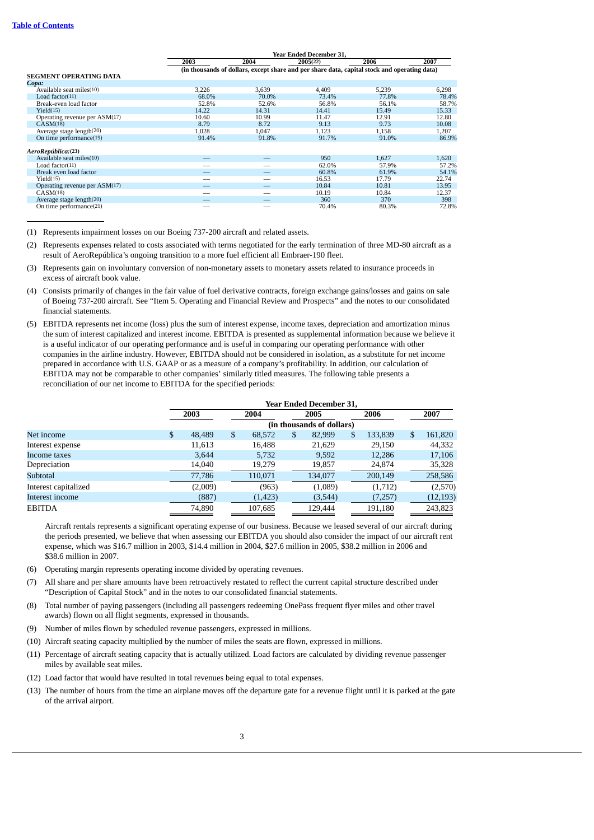|                                 |       |                                                                                              | <b>Year Ended December 31.</b> |       |       |  |  |
|---------------------------------|-------|----------------------------------------------------------------------------------------------|--------------------------------|-------|-------|--|--|
|                                 | 2003  | 2004                                                                                         | 2005(22)                       | 2006  | 2007  |  |  |
|                                 |       | (in thousands of dollars, except share and per share data, capital stock and operating data) |                                |       |       |  |  |
| <b>SEGMENT OPERATING DATA</b>   |       |                                                                                              |                                |       |       |  |  |
| Copa:                           |       |                                                                                              |                                |       |       |  |  |
| Available seat miles(10)        | 3.226 | 3.639                                                                                        | 4.409                          | 5.239 | 6,298 |  |  |
| Load factor $(11)$              | 68.0% | 70.0%                                                                                        | 73.4%                          | 77.8% | 78.4% |  |  |
| Break-even load factor          | 52.8% | 52.6%                                                                                        | 56.8%                          | 56.1% | 58.7% |  |  |
| Yield(15)                       | 14.22 | 14.31                                                                                        | 14.41                          | 15.49 | 15.33 |  |  |
| Operating revenue per ASM(17)   | 10.60 | 10.99                                                                                        | 11.47                          | 12.91 | 12.80 |  |  |
| CASM(18)                        | 8.79  | 8.72                                                                                         | 9.13                           | 9.73  | 10.08 |  |  |
| Average stage length(20)        | 1,028 | 1.047                                                                                        | 1,123                          | 1,158 | 1,207 |  |  |
| On time performance(19)         | 91.4% | 91.8%                                                                                        | 91.7%                          | 91.0% | 86.9% |  |  |
| AeroRepública:(23)              |       |                                                                                              |                                |       |       |  |  |
| Available seat miles(10)        |       |                                                                                              | 950                            | 1,627 | 1,620 |  |  |
| Load factor(11)                 |       |                                                                                              | 62.0%                          | 57.9% | 57.2% |  |  |
| Break even load factor          |       |                                                                                              | 60.8%                          | 61.9% | 54.1% |  |  |
| Yield(15)                       |       |                                                                                              | 16.53                          | 17.79 | 22.74 |  |  |
| Operating revenue per $ASM(17)$ |       |                                                                                              | 10.84                          | 10.81 | 13.95 |  |  |
| CASM(18)                        |       |                                                                                              | 10.19                          | 10.84 | 12.37 |  |  |
| Average stage length(20)        |       |                                                                                              | 360                            | 370   | 398   |  |  |
| On time performance(21)         |       |                                                                                              | 70.4%                          | 80.3% | 72.8% |  |  |

(1) Represents impairment losses on our Boeing 737-200 aircraft and related assets.

- (2) Represents expenses related to costs associated with terms negotiated for the early termination of three MD-80 aircraft as a result of AeroRepública's ongoing transition to a more fuel efficient all Embraer-190 fleet.
- (3) Represents gain on involuntary conversion of non-monetary assets to monetary assets related to insurance proceeds in excess of aircraft book value.
- (4) Consists primarily of changes in the fair value of fuel derivative contracts, foreign exchange gains/losses and gains on sale of Boeing 737-200 aircraft. See "Item 5. Operating and Financial Review and Prospects" and the notes to our consolidated financial statements.
- (5) EBITDA represents net income (loss) plus the sum of interest expense, income taxes, depreciation and amortization minus the sum of interest capitalized and interest income. EBITDA is presented as supplemental information because we believe it is a useful indicator of our operating performance and is useful in comparing our operating performance with other companies in the airline industry. However, EBITDA should not be considered in isolation, as a substitute for net income prepared in accordance with U.S. GAAP or as a measure of a company's profitability. In addition, our calculation of EBITDA may not be comparable to other companies' similarly titled measures. The following table presents a reconciliation of our net income to EBITDA for the specified periods:

|                      |              | <b>Year Ended December 31,</b> |    |          |    |                           |    |         |   |           |
|----------------------|--------------|--------------------------------|----|----------|----|---------------------------|----|---------|---|-----------|
|                      |              | 2003                           |    | 2004     |    | 2005                      |    | 2006    |   | 2007      |
|                      |              |                                |    |          |    | (in thousands of dollars) |    |         |   |           |
| Net income           | $\mathbb{S}$ | 48,489                         | \$ | 68,572   | \$ | 82,999                    | \$ | 133,839 | S | 161,820   |
| Interest expense     |              | 11,613                         |    | 16,488   |    | 21,629                    |    | 29,150  |   | 44,332    |
| Income taxes         |              | 3,644                          |    | 5,732    |    | 9,592                     |    | 12,286  |   | 17,106    |
| Depreciation         |              | 14,040                         |    | 19,279   |    | 19,857                    |    | 24,874  |   | 35,328    |
| Subtotal             |              | 77,786                         |    | 110.071  |    | 134,077                   |    | 200,149 |   | 258,586   |
| Interest capitalized |              | (2,009)                        |    | (963)    |    | (1,089)                   |    | (1,712) |   | (2,570)   |
| Interest income      |              | (887)                          |    | (1, 423) |    | (3,544)                   |    | (7,257) |   | (12, 193) |
| <b>EBITDA</b>        |              | 74.890                         |    | 107.685  |    | 129.444                   |    | 191,180 |   | 243,823   |

Aircraft rentals represents a significant operating expense of our business. Because we leased several of our aircraft during the periods presented, we believe that when assessing our EBITDA you should also consider the impact of our aircraft rent expense, which was \$16.7 million in 2003, \$14.4 million in 2004, \$27.6 million in 2005, \$38.2 million in 2006 and \$38.6 million in 2007.

- (6) Operating margin represents operating income divided by operating revenues.
- (7) All share and per share amounts have been retroactively restated to reflect the current capital structure described under "Description of Capital Stock" and in the notes to our consolidated financial statements.
- (8) Total number of paying passengers (including all passengers redeeming OnePass frequent flyer miles and other travel awards) flown on all flight segments, expressed in thousands.
- (9) Number of miles flown by scheduled revenue passengers, expressed in millions.
- (10) Aircraft seating capacity multiplied by the number of miles the seats are flown, expressed in millions.
- (11) Percentage of aircraft seating capacity that is actually utilized. Load factors are calculated by dividing revenue passenger miles by available seat miles.
- (12) Load factor that would have resulted in total revenues being equal to total expenses.
- (13) The number of hours from the time an airplane moves off the departure gate for a revenue flight until it is parked at the gate of the arrival airport.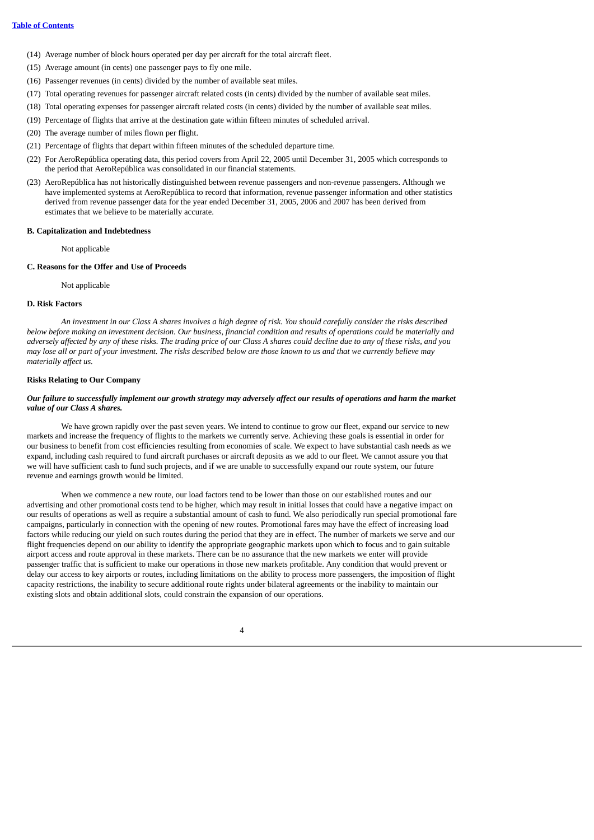- (14) Average number of block hours operated per day per aircraft for the total aircraft fleet.
- (15) Average amount (in cents) one passenger pays to fly one mile.
- (16) Passenger revenues (in cents) divided by the number of available seat miles.
- (17) Total operating revenues for passenger aircraft related costs (in cents) divided by the number of available seat miles.
- (18) Total operating expenses for passenger aircraft related costs (in cents) divided by the number of available seat miles.
- (19) Percentage of flights that arrive at the destination gate within fifteen minutes of scheduled arrival.
- (20) The average number of miles flown per flight.
- (21) Percentage of flights that depart within fifteen minutes of the scheduled departure time.
- (22) For AeroRepública operating data, this period covers from April 22, 2005 until December 31, 2005 which corresponds to the period that AeroRepública was consolidated in our financial statements.
- (23) AeroRepública has not historically distinguished between revenue passengers and non-revenue passengers. Although we have implemented systems at AeroRepública to record that information, revenue passenger information and other statistics derived from revenue passenger data for the year ended December 31, 2005, 2006 and 2007 has been derived from estimates that we believe to be materially accurate.

## **B. Capitalization and Indebtedness**

Not applicable

## **C. Reasons for the Offer and Use of Proceeds**

Not applicable

#### **D. Risk Factors**

An investment in our Class A shares involves a high degree of risk. You should carefully consider the risks described below before making an investment decision. Our business, financial condition and results of operations could be materially and adversely affected by any of these risks. The trading price of our Class A shares could decline due to any of these risks, and you may lose all or part of your investment. The risks described below are those known to us and that we currently believe may *materially affect us.*

#### **Risks Relating to Our Company**

## Our failure to successfully implement our growth strategy may adversely affect our results of operations and harm the market *value of our Class A shares.*

We have grown rapidly over the past seven years. We intend to continue to grow our fleet, expand our service to new markets and increase the frequency of flights to the markets we currently serve. Achieving these goals is essential in order for our business to benefit from cost efficiencies resulting from economies of scale. We expect to have substantial cash needs as we expand, including cash required to fund aircraft purchases or aircraft deposits as we add to our fleet. We cannot assure you that we will have sufficient cash to fund such projects, and if we are unable to successfully expand our route system, our future revenue and earnings growth would be limited.

When we commence a new route, our load factors tend to be lower than those on our established routes and our advertising and other promotional costs tend to be higher, which may result in initial losses that could have a negative impact on our results of operations as well as require a substantial amount of cash to fund. We also periodically run special promotional fare campaigns, particularly in connection with the opening of new routes. Promotional fares may have the effect of increasing load factors while reducing our yield on such routes during the period that they are in effect. The number of markets we serve and our flight frequencies depend on our ability to identify the appropriate geographic markets upon which to focus and to gain suitable airport access and route approval in these markets. There can be no assurance that the new markets we enter will provide passenger traffic that is sufficient to make our operations in those new markets profitable. Any condition that would prevent or delay our access to key airports or routes, including limitations on the ability to process more passengers, the imposition of flight capacity restrictions, the inability to secure additional route rights under bilateral agreements or the inability to maintain our existing slots and obtain additional slots, could constrain the expansion of our operations.

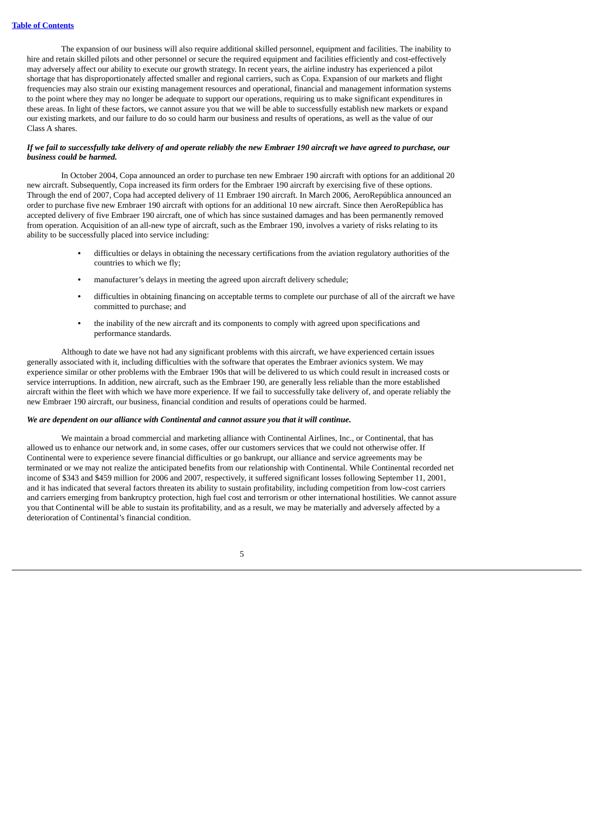The expansion of our business will also require additional skilled personnel, equipment and facilities. The inability to hire and retain skilled pilots and other personnel or secure the required equipment and facilities efficiently and cost-effectively may adversely affect our ability to execute our growth strategy. In recent years, the airline industry has experienced a pilot shortage that has disproportionately affected smaller and regional carriers, such as Copa. Expansion of our markets and flight frequencies may also strain our existing management resources and operational, financial and management information systems to the point where they may no longer be adequate to support our operations, requiring us to make significant expenditures in these areas. In light of these factors, we cannot assure you that we will be able to successfully establish new markets or expand our existing markets, and our failure to do so could harm our business and results of operations, as well as the value of our Class A shares.

## If we fail to successfully take delivery of and operate reliably the new Embraer 190 aircraft we have agreed to purchase, our *business could be harmed.*

In October 2004, Copa announced an order to purchase ten new Embraer 190 aircraft with options for an additional 20 new aircraft. Subsequently, Copa increased its firm orders for the Embraer 190 aircraft by exercising five of these options. Through the end of 2007, Copa had accepted delivery of 11 Embraer 190 aircraft. In March 2006, AeroRepública announced an order to purchase five new Embraer 190 aircraft with options for an additional 10 new aircraft. Since then AeroRepública has accepted delivery of five Embraer 190 aircraft, one of which has since sustained damages and has been permanently removed from operation. Acquisition of an all-new type of aircraft, such as the Embraer 190, involves a variety of risks relating to its ability to be successfully placed into service including:

- **•** difficulties or delays in obtaining the necessary certifications from the aviation regulatory authorities of the countries to which we fly;
- **•** manufacturer's delays in meeting the agreed upon aircraft delivery schedule;
- **•** difficulties in obtaining financing on acceptable terms to complete our purchase of all of the aircraft we have committed to purchase; and
- **•** the inability of the new aircraft and its components to comply with agreed upon specifications and performance standards.

Although to date we have not had any significant problems with this aircraft, we have experienced certain issues generally associated with it, including difficulties with the software that operates the Embraer avionics system. We may experience similar or other problems with the Embraer 190s that will be delivered to us which could result in increased costs or service interruptions. In addition, new aircraft, such as the Embraer 190, are generally less reliable than the more established aircraft within the fleet with which we have more experience. If we fail to successfully take delivery of, and operate reliably the new Embraer 190 aircraft, our business, financial condition and results of operations could be harmed.

## *We are dependent on our alliance with Continental and cannot assure you that it will continue.*

We maintain a broad commercial and marketing alliance with Continental Airlines, Inc., or Continental, that has allowed us to enhance our network and, in some cases, offer our customers services that we could not otherwise offer. If Continental were to experience severe financial difficulties or go bankrupt, our alliance and service agreements may be terminated or we may not realize the anticipated benefits from our relationship with Continental. While Continental recorded net income of \$343 and \$459 million for 2006 and 2007, respectively, it suffered significant losses following September 11, 2001, and it has indicated that several factors threaten its ability to sustain profitability, including competition from low-cost carriers and carriers emerging from bankruptcy protection, high fuel cost and terrorism or other international hostilities. We cannot assure you that Continental will be able to sustain its profitability, and as a result, we may be materially and adversely affected by a deterioration of Continental's financial condition.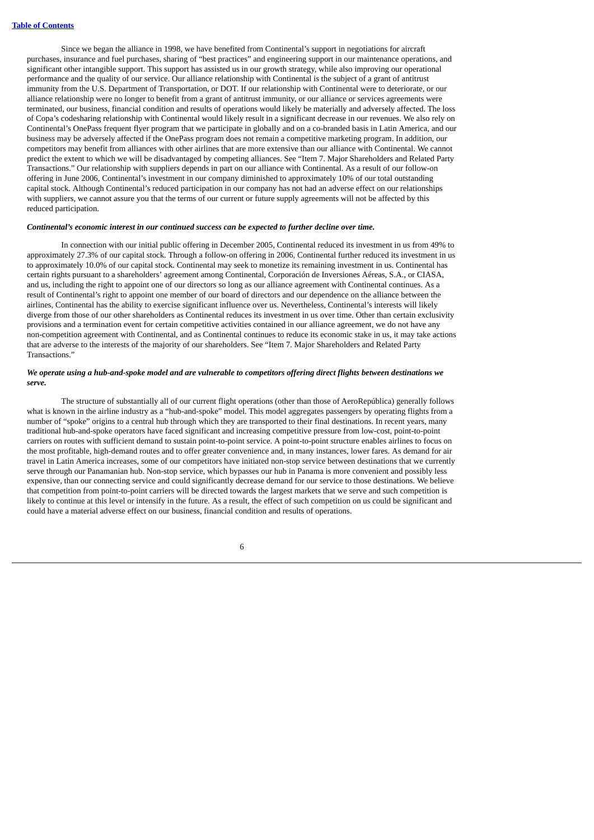Since we began the alliance in 1998, we have benefited from Continental's support in negotiations for aircraft purchases, insurance and fuel purchases, sharing of "best practices" and engineering support in our maintenance operations, and significant other intangible support. This support has assisted us in our growth strategy, while also improving our operational performance and the quality of our service. Our alliance relationship with Continental is the subject of a grant of antitrust immunity from the U.S. Department of Transportation, or DOT. If our relationship with Continental were to deteriorate, or our alliance relationship were no longer to benefit from a grant of antitrust immunity, or our alliance or services agreements were terminated, our business, financial condition and results of operations would likely be materially and adversely affected. The loss of Copa's codesharing relationship with Continental would likely result in a significant decrease in our revenues. We also rely on Continental's OnePass frequent flyer program that we participate in globally and on a co-branded basis in Latin America, and our business may be adversely affected if the OnePass program does not remain a competitive marketing program. In addition, our competitors may benefit from alliances with other airlines that are more extensive than our alliance with Continental. We cannot predict the extent to which we will be disadvantaged by competing alliances. See "Item 7. Major Shareholders and Related Party Transactions." Our relationship with suppliers depends in part on our alliance with Continental. As a result of our follow-on offering in June 2006, Continental's investment in our company diminished to approximately 10% of our total outstanding capital stock. Although Continental's reduced participation in our company has not had an adverse effect on our relationships with suppliers, we cannot assure you that the terms of our current or future supply agreements will not be affected by this reduced participation.

## *Continental's economic interest in our continued success can be expected to further decline over time.*

In connection with our initial public offering in December 2005, Continental reduced its investment in us from 49% to approximately 27.3% of our capital stock. Through a follow-on offering in 2006, Continental further reduced its investment in us to approximately 10.0% of our capital stock. Continental may seek to monetize its remaining investment in us. Continental has certain rights pursuant to a shareholders' agreement among Continental, Corporación de Inversiones Aéreas, S.A., or CIASA, and us, including the right to appoint one of our directors so long as our alliance agreement with Continental continues. As a result of Continental's right to appoint one member of our board of directors and our dependence on the alliance between the airlines, Continental has the ability to exercise significant influence over us. Nevertheless, Continental's interests will likely diverge from those of our other shareholders as Continental reduces its investment in us over time. Other than certain exclusivity provisions and a termination event for certain competitive activities contained in our alliance agreement, we do not have any non-competition agreement with Continental, and as Continental continues to reduce its economic stake in us, it may take actions that are adverse to the interests of the majority of our shareholders. See "Item 7. Major Shareholders and Related Party Transactions."

## We operate using a hub-and-spoke model and are vulnerable to competitors offering direct flights between destinations we *serve.*

The structure of substantially all of our current flight operations (other than those of AeroRepública) generally follows what is known in the airline industry as a "hub-and-spoke" model. This model aggregates passengers by operating flights from a number of "spoke" origins to a central hub through which they are transported to their final destinations. In recent years, many traditional hub-and-spoke operators have faced significant and increasing competitive pressure from low-cost, point-to-point carriers on routes with sufficient demand to sustain point-to-point service. A point-to-point structure enables airlines to focus on the most profitable, high-demand routes and to offer greater convenience and, in many instances, lower fares. As demand for air travel in Latin America increases, some of our competitors have initiated non-stop service between destinations that we currently serve through our Panamanian hub. Non-stop service, which bypasses our hub in Panama is more convenient and possibly less expensive, than our connecting service and could significantly decrease demand for our service to those destinations. We believe that competition from point-to-point carriers will be directed towards the largest markets that we serve and such competition is likely to continue at this level or intensify in the future. As a result, the effect of such competition on us could be significant and could have a material adverse effect on our business, financial condition and results of operations.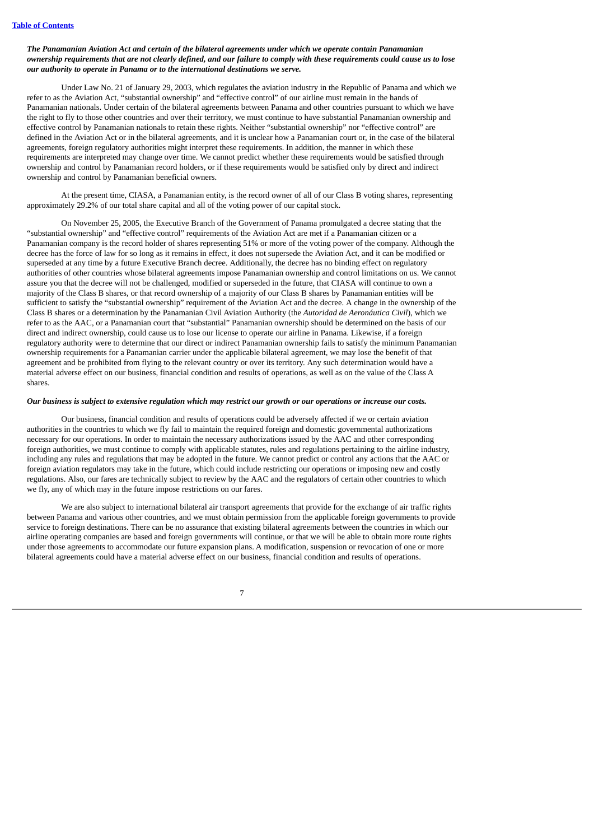## *The Panamanian Aviation Act and certain of the bilateral agreements under which we operate contain Panamanian* ownership requirements that are not clearly defined, and our failure to comply with these requirements could cause us to lose *our authority to operate in Panama or to the international destinations we serve.*

Under Law No. 21 of January 29, 2003, which regulates the aviation industry in the Republic of Panama and which we refer to as the Aviation Act, "substantial ownership" and "effective control" of our airline must remain in the hands of Panamanian nationals. Under certain of the bilateral agreements between Panama and other countries pursuant to which we have the right to fly to those other countries and over their territory, we must continue to have substantial Panamanian ownership and effective control by Panamanian nationals to retain these rights. Neither "substantial ownership" nor "effective control" are defined in the Aviation Act or in the bilateral agreements, and it is unclear how a Panamanian court or, in the case of the bilateral agreements, foreign regulatory authorities might interpret these requirements. In addition, the manner in which these requirements are interpreted may change over time. We cannot predict whether these requirements would be satisfied through ownership and control by Panamanian record holders, or if these requirements would be satisfied only by direct and indirect ownership and control by Panamanian beneficial owners.

At the present time, CIASA, a Panamanian entity, is the record owner of all of our Class B voting shares, representing approximately 29.2% of our total share capital and all of the voting power of our capital stock.

On November 25, 2005, the Executive Branch of the Government of Panama promulgated a decree stating that the "substantial ownership" and "effective control" requirements of the Aviation Act are met if a Panamanian citizen or a Panamanian company is the record holder of shares representing 51% or more of the voting power of the company. Although the decree has the force of law for so long as it remains in effect, it does not supersede the Aviation Act, and it can be modified or superseded at any time by a future Executive Branch decree. Additionally, the decree has no binding effect on regulatory authorities of other countries whose bilateral agreements impose Panamanian ownership and control limitations on us. We cannot assure you that the decree will not be challenged, modified or superseded in the future, that CIASA will continue to own a majority of the Class B shares, or that record ownership of a majority of our Class B shares by Panamanian entities will be sufficient to satisfy the "substantial ownership" requirement of the Aviation Act and the decree. A change in the ownership of the Class B shares or a determination by the Panamanian Civil Aviation Authority (the *Autoridad de Aeronáutica Civil*), which we refer to as the AAC, or a Panamanian court that "substantial" Panamanian ownership should be determined on the basis of our direct and indirect ownership, could cause us to lose our license to operate our airline in Panama. Likewise, if a foreign regulatory authority were to determine that our direct or indirect Panamanian ownership fails to satisfy the minimum Panamanian ownership requirements for a Panamanian carrier under the applicable bilateral agreement, we may lose the benefit of that agreement and be prohibited from flying to the relevant country or over its territory. Any such determination would have a material adverse effect on our business, financial condition and results of operations, as well as on the value of the Class A shares.

#### Our business is subject to extensive regulation which may restrict our growth or our operations or increase our costs.

Our business, financial condition and results of operations could be adversely affected if we or certain aviation authorities in the countries to which we fly fail to maintain the required foreign and domestic governmental authorizations necessary for our operations. In order to maintain the necessary authorizations issued by the AAC and other corresponding foreign authorities, we must continue to comply with applicable statutes, rules and regulations pertaining to the airline industry, including any rules and regulations that may be adopted in the future. We cannot predict or control any actions that the AAC or foreign aviation regulators may take in the future, which could include restricting our operations or imposing new and costly regulations. Also, our fares are technically subject to review by the AAC and the regulators of certain other countries to which we fly, any of which may in the future impose restrictions on our fares.

We are also subject to international bilateral air transport agreements that provide for the exchange of air traffic rights between Panama and various other countries, and we must obtain permission from the applicable foreign governments to provide service to foreign destinations. There can be no assurance that existing bilateral agreements between the countries in which our airline operating companies are based and foreign governments will continue, or that we will be able to obtain more route rights under those agreements to accommodate our future expansion plans. A modification, suspension or revocation of one or more bilateral agreements could have a material adverse effect on our business, financial condition and results of operations.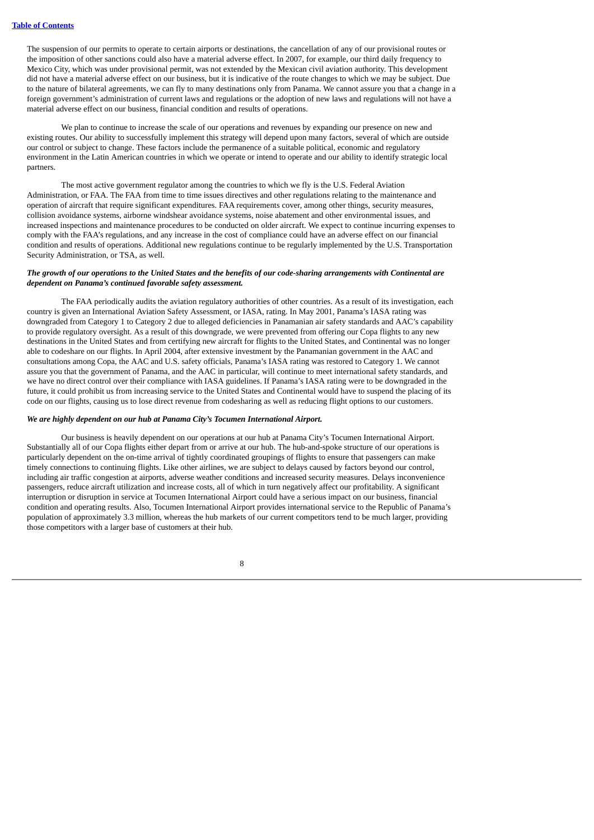The suspension of our permits to operate to certain airports or destinations, the cancellation of any of our provisional routes or the imposition of other sanctions could also have a material adverse effect. In 2007, for example, our third daily frequency to Mexico City, which was under provisional permit, was not extended by the Mexican civil aviation authority. This development did not have a material adverse effect on our business, but it is indicative of the route changes to which we may be subject. Due to the nature of bilateral agreements, we can fly to many destinations only from Panama. We cannot assure you that a change in a foreign government's administration of current laws and regulations or the adoption of new laws and regulations will not have a material adverse effect on our business, financial condition and results of operations.

We plan to continue to increase the scale of our operations and revenues by expanding our presence on new and existing routes. Our ability to successfully implement this strategy will depend upon many factors, several of which are outside our control or subject to change. These factors include the permanence of a suitable political, economic and regulatory environment in the Latin American countries in which we operate or intend to operate and our ability to identify strategic local partners.

The most active government regulator among the countries to which we fly is the U.S. Federal Aviation Administration, or FAA. The FAA from time to time issues directives and other regulations relating to the maintenance and operation of aircraft that require significant expenditures. FAA requirements cover, among other things, security measures, collision avoidance systems, airborne windshear avoidance systems, noise abatement and other environmental issues, and increased inspections and maintenance procedures to be conducted on older aircraft. We expect to continue incurring expenses to comply with the FAA's regulations, and any increase in the cost of compliance could have an adverse effect on our financial condition and results of operations. Additional new regulations continue to be regularly implemented by the U.S. Transportation Security Administration, or TSA, as well.

## The growth of our operations to the United States and the benefits of our code-sharing arrangements with Continental are *dependent on Panama's continued favorable safety assessment.*

The FAA periodically audits the aviation regulatory authorities of other countries. As a result of its investigation, each country is given an International Aviation Safety Assessment, or IASA, rating. In May 2001, Panama's IASA rating was downgraded from Category 1 to Category 2 due to alleged deficiencies in Panamanian air safety standards and AAC's capability to provide regulatory oversight. As a result of this downgrade, we were prevented from offering our Copa flights to any new destinations in the United States and from certifying new aircraft for flights to the United States, and Continental was no longer able to codeshare on our flights. In April 2004, after extensive investment by the Panamanian government in the AAC and consultations among Copa, the AAC and U.S. safety officials, Panama's IASA rating was restored to Category 1. We cannot assure you that the government of Panama, and the AAC in particular, will continue to meet international safety standards, and we have no direct control over their compliance with IASA guidelines. If Panama's IASA rating were to be downgraded in the future, it could prohibit us from increasing service to the United States and Continental would have to suspend the placing of its code on our flights, causing us to lose direct revenue from codesharing as well as reducing flight options to our customers.

## *We are highly dependent on our hub at Panama City's Tocumen International Airport.*

Our business is heavily dependent on our operations at our hub at Panama City's Tocumen International Airport. Substantially all of our Copa flights either depart from or arrive at our hub. The hub-and-spoke structure of our operations is particularly dependent on the on-time arrival of tightly coordinated groupings of flights to ensure that passengers can make timely connections to continuing flights. Like other airlines, we are subject to delays caused by factors beyond our control, including air traffic congestion at airports, adverse weather conditions and increased security measures. Delays inconvenience passengers, reduce aircraft utilization and increase costs, all of which in turn negatively affect our profitability. A significant interruption or disruption in service at Tocumen International Airport could have a serious impact on our business, financial condition and operating results. Also, Tocumen International Airport provides international service to the Republic of Panama's population of approximately 3.3 million, whereas the hub markets of our current competitors tend to be much larger, providing those competitors with a larger base of customers at their hub.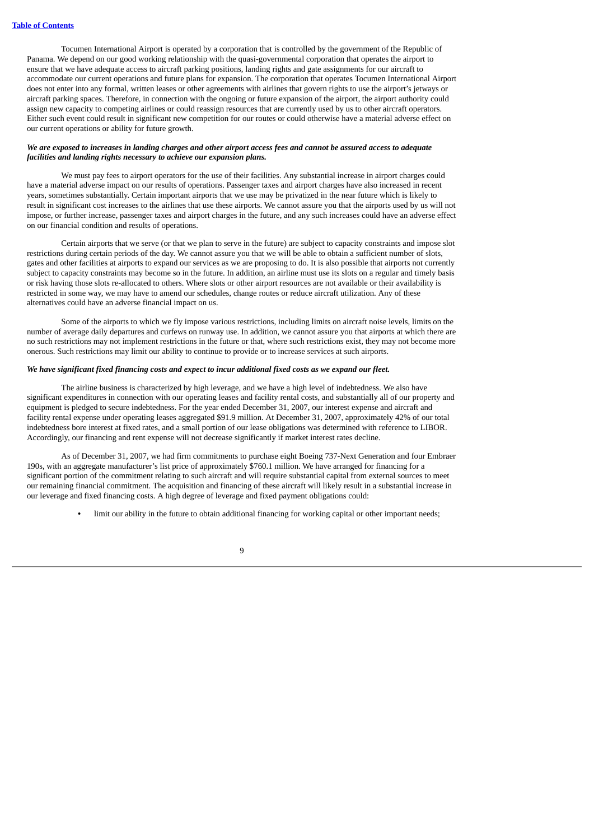Tocumen International Airport is operated by a corporation that is controlled by the government of the Republic of Panama. We depend on our good working relationship with the quasi-governmental corporation that operates the airport to ensure that we have adequate access to aircraft parking positions, landing rights and gate assignments for our aircraft to accommodate our current operations and future plans for expansion. The corporation that operates Tocumen International Airport does not enter into any formal, written leases or other agreements with airlines that govern rights to use the airport's jetways or aircraft parking spaces. Therefore, in connection with the ongoing or future expansion of the airport, the airport authority could assign new capacity to competing airlines or could reassign resources that are currently used by us to other aircraft operators. Either such event could result in significant new competition for our routes or could otherwise have a material adverse effect on our current operations or ability for future growth.

## We are exposed to increases in landing charges and other airport access fees and cannot be assured access to adequate *facilities and landing rights necessary to achieve our expansion plans.*

We must pay fees to airport operators for the use of their facilities. Any substantial increase in airport charges could have a material adverse impact on our results of operations. Passenger taxes and airport charges have also increased in recent years, sometimes substantially. Certain important airports that we use may be privatized in the near future which is likely to result in significant cost increases to the airlines that use these airports. We cannot assure you that the airports used by us will not impose, or further increase, passenger taxes and airport charges in the future, and any such increases could have an adverse effect on our financial condition and results of operations.

Certain airports that we serve (or that we plan to serve in the future) are subject to capacity constraints and impose slot restrictions during certain periods of the day. We cannot assure you that we will be able to obtain a sufficient number of slots, gates and other facilities at airports to expand our services as we are proposing to do. It is also possible that airports not currently subject to capacity constraints may become so in the future. In addition, an airline must use its slots on a regular and timely basis or risk having those slots re-allocated to others. Where slots or other airport resources are not available or their availability is restricted in some way, we may have to amend our schedules, change routes or reduce aircraft utilization. Any of these alternatives could have an adverse financial impact on us.

Some of the airports to which we fly impose various restrictions, including limits on aircraft noise levels, limits on the number of average daily departures and curfews on runway use. In addition, we cannot assure you that airports at which there are no such restrictions may not implement restrictions in the future or that, where such restrictions exist, they may not become more onerous. Such restrictions may limit our ability to continue to provide or to increase services at such airports.

## We have significant fixed financing costs and expect to incur additional fixed costs as we expand our fleet.

The airline business is characterized by high leverage, and we have a high level of indebtedness. We also have significant expenditures in connection with our operating leases and facility rental costs, and substantially all of our property and equipment is pledged to secure indebtedness. For the year ended December 31, 2007, our interest expense and aircraft and facility rental expense under operating leases aggregated \$91.9 million. At December 31, 2007, approximately 42% of our total indebtedness bore interest at fixed rates, and a small portion of our lease obligations was determined with reference to LIBOR. Accordingly, our financing and rent expense will not decrease significantly if market interest rates decline.

As of December 31, 2007, we had firm commitments to purchase eight Boeing 737-Next Generation and four Embraer 190s, with an aggregate manufacturer's list price of approximately \$760.1 million. We have arranged for financing for a significant portion of the commitment relating to such aircraft and will require substantial capital from external sources to meet our remaining financial commitment. The acquisition and financing of these aircraft will likely result in a substantial increase in our leverage and fixed financing costs. A high degree of leverage and fixed payment obligations could:

**•** limit our ability in the future to obtain additional financing for working capital or other important needs;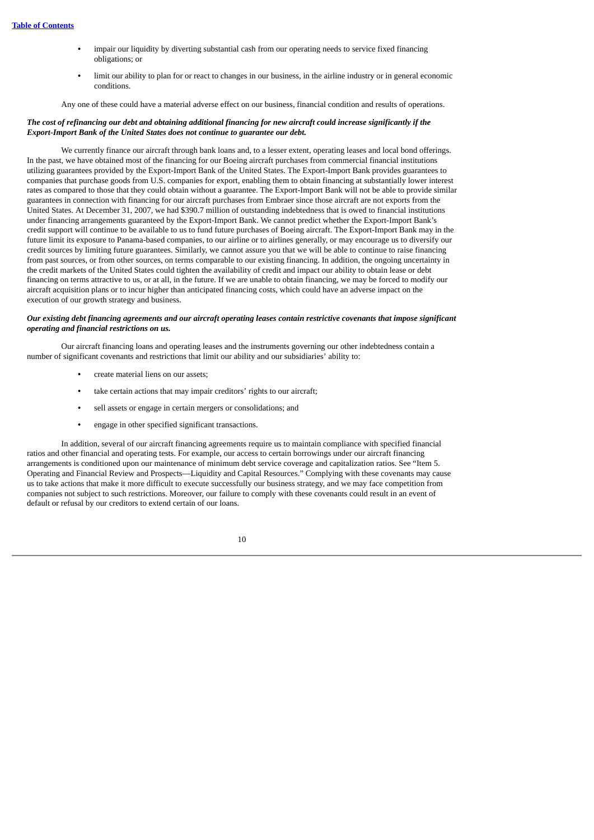- **•** impair our liquidity by diverting substantial cash from our operating needs to service fixed financing obligations; or
- **•** limit our ability to plan for or react to changes in our business, in the airline industry or in general economic conditions.

Any one of these could have a material adverse effect on our business, financial condition and results of operations.

## The cost of refinancing our debt and obtaining additional financing for new aircraft could increase significantly if the *Export-Import Bank of the United States does not continue to guarantee our debt.*

We currently finance our aircraft through bank loans and, to a lesser extent, operating leases and local bond offerings. In the past, we have obtained most of the financing for our Boeing aircraft purchases from commercial financial institutions utilizing guarantees provided by the Export-Import Bank of the United States. The Export-Import Bank provides guarantees to companies that purchase goods from U.S. companies for export, enabling them to obtain financing at substantially lower interest rates as compared to those that they could obtain without a guarantee. The Export-Import Bank will not be able to provide similar guarantees in connection with financing for our aircraft purchases from Embraer since those aircraft are not exports from the United States. At December 31, 2007, we had \$390.7 million of outstanding indebtedness that is owed to financial institutions under financing arrangements guaranteed by the Export-Import Bank. We cannot predict whether the Export-Import Bank's credit support will continue to be available to us to fund future purchases of Boeing aircraft. The Export-Import Bank may in the future limit its exposure to Panama-based companies, to our airline or to airlines generally, or may encourage us to diversify our credit sources by limiting future guarantees. Similarly, we cannot assure you that we will be able to continue to raise financing from past sources, or from other sources, on terms comparable to our existing financing. In addition, the ongoing uncertainty in the credit markets of the United States could tighten the availability of credit and impact our ability to obtain lease or debt financing on terms attractive to us, or at all, in the future. If we are unable to obtain financing, we may be forced to modify our aircraft acquisition plans or to incur higher than anticipated financing costs, which could have an adverse impact on the execution of our growth strategy and business.

#### Our existing debt financing agreements and our aircraft operating leases contain restrictive covenants that impose significant *operating and financial restrictions on us.*

Our aircraft financing loans and operating leases and the instruments governing our other indebtedness contain a number of significant covenants and restrictions that limit our ability and our subsidiaries' ability to:

- **•** create material liens on our assets;
- **•** take certain actions that may impair creditors' rights to our aircraft;
- **•** sell assets or engage in certain mergers or consolidations; and
- **•** engage in other specified significant transactions.

In addition, several of our aircraft financing agreements require us to maintain compliance with specified financial ratios and other financial and operating tests. For example, our access to certain borrowings under our aircraft financing arrangements is conditioned upon our maintenance of minimum debt service coverage and capitalization ratios. See "Item 5. Operating and Financial Review and Prospects—Liquidity and Capital Resources." Complying with these covenants may cause us to take actions that make it more difficult to execute successfully our business strategy, and we may face competition from companies not subject to such restrictions. Moreover, our failure to comply with these covenants could result in an event of default or refusal by our creditors to extend certain of our loans.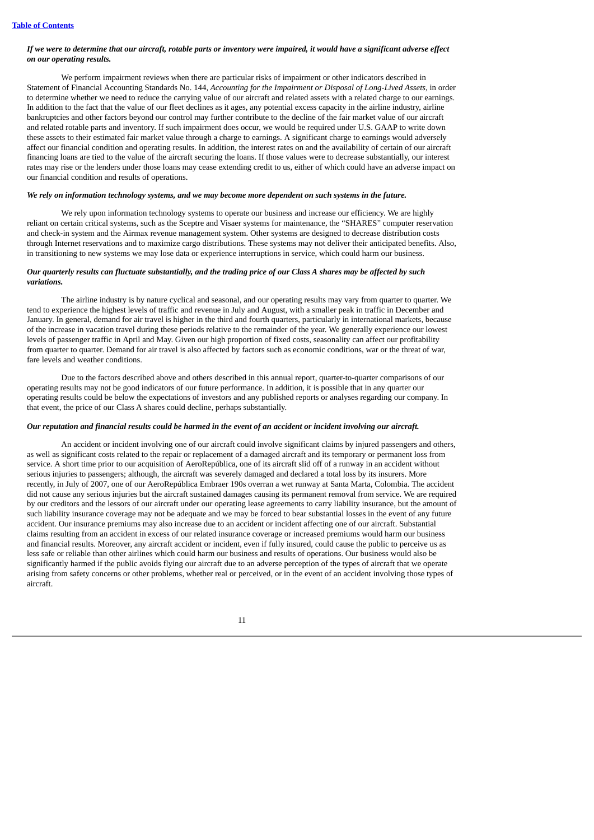## If we were to determine that our aircraft, rotable parts or inventory were impaired, it would have a significant adverse effect *on our operating results.*

We perform impairment reviews when there are particular risks of impairment or other indicators described in Statement of Financial Accounting Standards No. 144, *Accounting for the Impairment or Disposal of Long-Lived Assets*, in order to determine whether we need to reduce the carrying value of our aircraft and related assets with a related charge to our earnings. In addition to the fact that the value of our fleet declines as it ages, any potential excess capacity in the airline industry, airline bankruptcies and other factors beyond our control may further contribute to the decline of the fair market value of our aircraft and related rotable parts and inventory. If such impairment does occur, we would be required under U.S. GAAP to write down these assets to their estimated fair market value through a charge to earnings. A significant charge to earnings would adversely affect our financial condition and operating results. In addition, the interest rates on and the availability of certain of our aircraft financing loans are tied to the value of the aircraft securing the loans. If those values were to decrease substantially, our interest rates may rise or the lenders under those loans may cease extending credit to us, either of which could have an adverse impact on our financial condition and results of operations.

#### We rely on information technology systems, and we may become more dependent on such systems in the future.

We rely upon information technology systems to operate our business and increase our efficiency. We are highly reliant on certain critical systems, such as the Sceptre and Visaer systems for maintenance, the "SHARES" computer reservation and check-in system and the Airmax revenue management system. Other systems are designed to decrease distribution costs through Internet reservations and to maximize cargo distributions. These systems may not deliver their anticipated benefits. Also, in transitioning to new systems we may lose data or experience interruptions in service, which could harm our business.

## Our quarterly results can fluctuate substantially, and the trading price of our Class A shares may be affected by such *variations.*

The airline industry is by nature cyclical and seasonal, and our operating results may vary from quarter to quarter. We tend to experience the highest levels of traffic and revenue in July and August, with a smaller peak in traffic in December and January. In general, demand for air travel is higher in the third and fourth quarters, particularly in international markets, because of the increase in vacation travel during these periods relative to the remainder of the year. We generally experience our lowest levels of passenger traffic in April and May. Given our high proportion of fixed costs, seasonality can affect our profitability from quarter to quarter. Demand for air travel is also affected by factors such as economic conditions, war or the threat of war, fare levels and weather conditions.

Due to the factors described above and others described in this annual report, quarter-to-quarter comparisons of our operating results may not be good indicators of our future performance. In addition, it is possible that in any quarter our operating results could be below the expectations of investors and any published reports or analyses regarding our company. In that event, the price of our Class A shares could decline, perhaps substantially.

## Our reputation and financial results could be harmed in the event of an accident or incident involving our aircraft.

An accident or incident involving one of our aircraft could involve significant claims by injured passengers and others, as well as significant costs related to the repair or replacement of a damaged aircraft and its temporary or permanent loss from service. A short time prior to our acquisition of AeroRepública, one of its aircraft slid off of a runway in an accident without serious injuries to passengers; although, the aircraft was severely damaged and declared a total loss by its insurers. More recently, in July of 2007, one of our AeroRepública Embraer 190s overran a wet runway at Santa Marta, Colombia. The accident did not cause any serious injuries but the aircraft sustained damages causing its permanent removal from service. We are required by our creditors and the lessors of our aircraft under our operating lease agreements to carry liability insurance, but the amount of such liability insurance coverage may not be adequate and we may be forced to bear substantial losses in the event of any future accident. Our insurance premiums may also increase due to an accident or incident affecting one of our aircraft. Substantial claims resulting from an accident in excess of our related insurance coverage or increased premiums would harm our business and financial results. Moreover, any aircraft accident or incident, even if fully insured, could cause the public to perceive us as less safe or reliable than other airlines which could harm our business and results of operations. Our business would also be significantly harmed if the public avoids flying our aircraft due to an adverse perception of the types of aircraft that we operate arising from safety concerns or other problems, whether real or perceived, or in the event of an accident involving those types of aircraft.

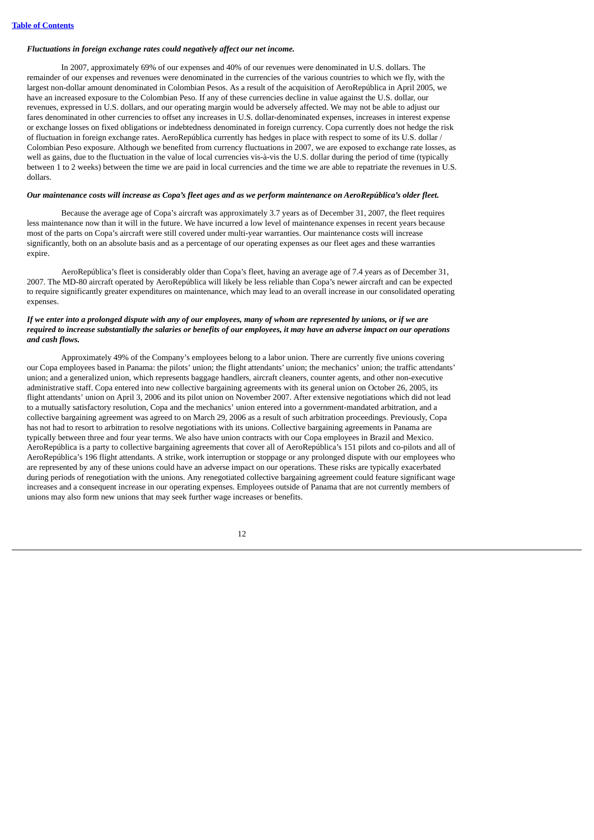## *Fluctuations in foreign exchange rates could negatively affect our net income.*

In 2007, approximately 69% of our expenses and 40% of our revenues were denominated in U.S. dollars. The remainder of our expenses and revenues were denominated in the currencies of the various countries to which we fly, with the largest non-dollar amount denominated in Colombian Pesos. As a result of the acquisition of AeroRepública in April 2005, we have an increased exposure to the Colombian Peso. If any of these currencies decline in value against the U.S. dollar, our revenues, expressed in U.S. dollars, and our operating margin would be adversely affected. We may not be able to adjust our fares denominated in other currencies to offset any increases in U.S. dollar-denominated expenses, increases in interest expense or exchange losses on fixed obligations or indebtedness denominated in foreign currency. Copa currently does not hedge the risk of fluctuation in foreign exchange rates. AeroRepública currently has hedges in place with respect to some of its U.S. dollar / Colombian Peso exposure. Although we benefited from currency fluctuations in 2007, we are exposed to exchange rate losses, as well as gains, due to the fluctuation in the value of local currencies vis-à-vis the U.S. dollar during the period of time (typically between 1 to 2 weeks) between the time we are paid in local currencies and the time we are able to repatriate the revenues in U.S. dollars.

## Our maintenance costs will increase as Copa's fleet ages and as we perform maintenance on AeroRepública's older fleet.

Because the average age of Copa's aircraft was approximately 3.7 years as of December 31, 2007, the fleet requires less maintenance now than it will in the future. We have incurred a low level of maintenance expenses in recent years because most of the parts on Copa's aircraft were still covered under multi-year warranties. Our maintenance costs will increase significantly, both on an absolute basis and as a percentage of our operating expenses as our fleet ages and these warranties expire.

AeroRepública's fleet is considerably older than Copa's fleet, having an average age of 7.4 years as of December 31, 2007. The MD-80 aircraft operated by AeroRepública will likely be less reliable than Copa's newer aircraft and can be expected to require significantly greater expenditures on maintenance, which may lead to an overall increase in our consolidated operating expenses.

## If we enter into a prolonged dispute with any of our employees, many of whom are represented by unions, or if we are required to increase substantially the salaries or benefits of our employees, it may have an adverse impact on our operations *and cash flows.*

Approximately 49% of the Company's employees belong to a labor union. There are currently five unions covering our Copa employees based in Panama: the pilots' union; the flight attendants' union; the mechanics' union; the traffic attendants' union; and a generalized union, which represents baggage handlers, aircraft cleaners, counter agents, and other non-executive administrative staff. Copa entered into new collective bargaining agreements with its general union on October 26, 2005, its flight attendants' union on April 3, 2006 and its pilot union on November 2007. After extensive negotiations which did not lead to a mutually satisfactory resolution, Copa and the mechanics' union entered into a government-mandated arbitration, and a collective bargaining agreement was agreed to on March 29, 2006 as a result of such arbitration proceedings. Previously, Copa has not had to resort to arbitration to resolve negotiations with its unions. Collective bargaining agreements in Panama are typically between three and four year terms. We also have union contracts with our Copa employees in Brazil and Mexico. AeroRepública is a party to collective bargaining agreements that cover all of AeroRepública's 151 pilots and co-pilots and all of AeroRepública's 196 flight attendants. A strike, work interruption or stoppage or any prolonged dispute with our employees who are represented by any of these unions could have an adverse impact on our operations. These risks are typically exacerbated during periods of renegotiation with the unions. Any renegotiated collective bargaining agreement could feature significant wage increases and a consequent increase in our operating expenses. Employees outside of Panama that are not currently members of unions may also form new unions that may seek further wage increases or benefits.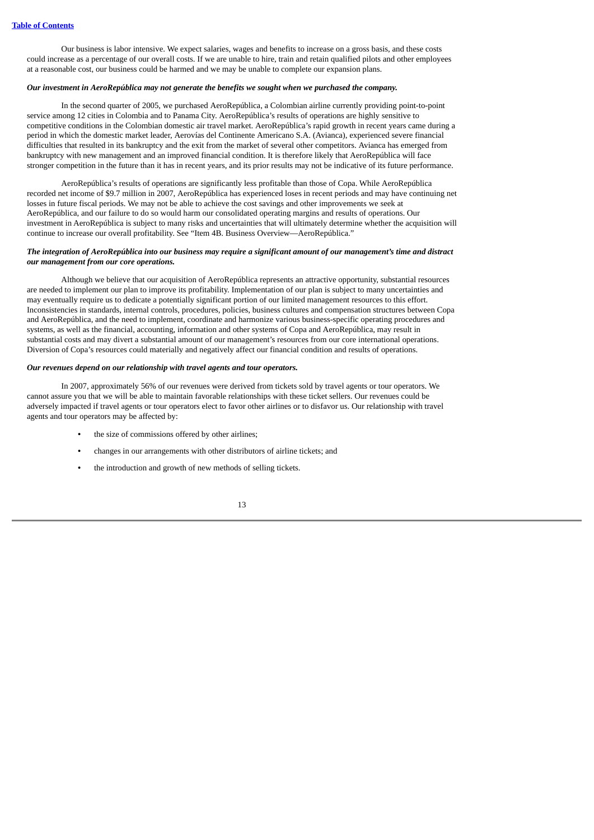Our business is labor intensive. We expect salaries, wages and benefits to increase on a gross basis, and these costs could increase as a percentage of our overall costs. If we are unable to hire, train and retain qualified pilots and other employees at a reasonable cost, our business could be harmed and we may be unable to complete our expansion plans.

## *Our investment in AeroRepública may not generate the benefits we sought when we purchased the company.*

In the second quarter of 2005, we purchased AeroRepública, a Colombian airline currently providing point-to-point service among 12 cities in Colombia and to Panama City. AeroRepública's results of operations are highly sensitive to competitive conditions in the Colombian domestic air travel market. AeroRepública's rapid growth in recent years came during a period in which the domestic market leader, Aerovías del Continente Americano S.A. (Avianca), experienced severe financial difficulties that resulted in its bankruptcy and the exit from the market of several other competitors. Avianca has emerged from bankruptcy with new management and an improved financial condition. It is therefore likely that AeroRepública will face stronger competition in the future than it has in recent years, and its prior results may not be indicative of its future performance.

AeroRepública's results of operations are significantly less profitable than those of Copa. While AeroRepública recorded net income of \$9.7 million in 2007, AeroRepública has experienced loses in recent periods and may have continuing net losses in future fiscal periods. We may not be able to achieve the cost savings and other improvements we seek at AeroRepública, and our failure to do so would harm our consolidated operating margins and results of operations. Our investment in AeroRepública is subject to many risks and uncertainties that will ultimately determine whether the acquisition will continue to increase our overall profitability. See "Item 4B. Business Overview—AeroRepública."

## The integration of AeroRepública into our business may require a significant amount of our management's time and distract *our management from our core operations.*

Although we believe that our acquisition of AeroRepública represents an attractive opportunity, substantial resources are needed to implement our plan to improve its profitability. Implementation of our plan is subject to many uncertainties and may eventually require us to dedicate a potentially significant portion of our limited management resources to this effort. Inconsistencies in standards, internal controls, procedures, policies, business cultures and compensation structures between Copa and AeroRepública, and the need to implement, coordinate and harmonize various business-specific operating procedures and systems, as well as the financial, accounting, information and other systems of Copa and AeroRepública, may result in substantial costs and may divert a substantial amount of our management's resources from our core international operations. Diversion of Copa's resources could materially and negatively affect our financial condition and results of operations.

## *Our revenues depend on our relationship with travel agents and tour operators.*

In 2007, approximately 56% of our revenues were derived from tickets sold by travel agents or tour operators. We cannot assure you that we will be able to maintain favorable relationships with these ticket sellers. Our revenues could be adversely impacted if travel agents or tour operators elect to favor other airlines or to disfavor us. Our relationship with travel agents and tour operators may be affected by:

- **•** the size of commissions offered by other airlines;
- **•** changes in our arrangements with other distributors of airline tickets; and
- **•** the introduction and growth of new methods of selling tickets.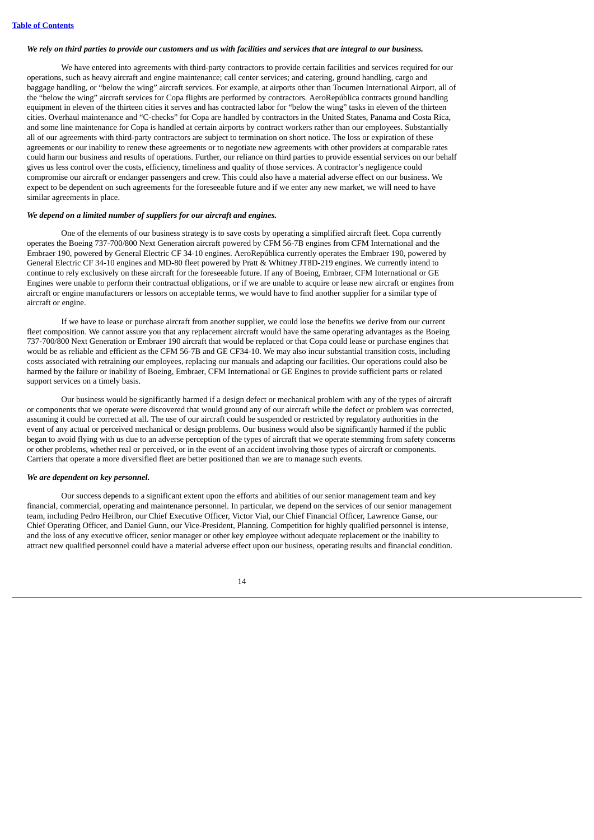## We rely on third parties to provide our customers and us with facilities and services that are integral to our business.

We have entered into agreements with third-party contractors to provide certain facilities and services required for our operations, such as heavy aircraft and engine maintenance; call center services; and catering, ground handling, cargo and baggage handling, or "below the wing" aircraft services. For example, at airports other than Tocumen International Airport, all of the "below the wing" aircraft services for Copa flights are performed by contractors. AeroRepública contracts ground handling equipment in eleven of the thirteen cities it serves and has contracted labor for "below the wing" tasks in eleven of the thirteen cities. Overhaul maintenance and "C-checks" for Copa are handled by contractors in the United States, Panama and Costa Rica, and some line maintenance for Copa is handled at certain airports by contract workers rather than our employees. Substantially all of our agreements with third-party contractors are subject to termination on short notice. The loss or expiration of these agreements or our inability to renew these agreements or to negotiate new agreements with other providers at comparable rates could harm our business and results of operations. Further, our reliance on third parties to provide essential services on our behalf gives us less control over the costs, efficiency, timeliness and quality of those services. A contractor's negligence could compromise our aircraft or endanger passengers and crew. This could also have a material adverse effect on our business. We expect to be dependent on such agreements for the foreseeable future and if we enter any new market, we will need to have similar agreements in place.

## *We depend on a limited number of suppliers for our aircraft and engines.*

One of the elements of our business strategy is to save costs by operating a simplified aircraft fleet. Copa currently operates the Boeing 737-700/800 Next Generation aircraft powered by CFM 56-7B engines from CFM International and the Embraer 190, powered by General Electric CF 34-10 engines. AeroRepública currently operates the Embraer 190, powered by General Electric CF 34-10 engines and MD-80 fleet powered by Pratt & Whitney JT8D-219 engines. We currently intend to continue to rely exclusively on these aircraft for the foreseeable future. If any of Boeing, Embraer, CFM International or GE Engines were unable to perform their contractual obligations, or if we are unable to acquire or lease new aircraft or engines from aircraft or engine manufacturers or lessors on acceptable terms, we would have to find another supplier for a similar type of aircraft or engine.

If we have to lease or purchase aircraft from another supplier, we could lose the benefits we derive from our current fleet composition. We cannot assure you that any replacement aircraft would have the same operating advantages as the Boeing 737-700/800 Next Generation or Embraer 190 aircraft that would be replaced or that Copa could lease or purchase engines that would be as reliable and efficient as the CFM 56-7B and GE CF34-10. We may also incur substantial transition costs, including costs associated with retraining our employees, replacing our manuals and adapting our facilities. Our operations could also be harmed by the failure or inability of Boeing, Embraer, CFM International or GE Engines to provide sufficient parts or related support services on a timely basis.

Our business would be significantly harmed if a design defect or mechanical problem with any of the types of aircraft or components that we operate were discovered that would ground any of our aircraft while the defect or problem was corrected, assuming it could be corrected at all. The use of our aircraft could be suspended or restricted by regulatory authorities in the event of any actual or perceived mechanical or design problems. Our business would also be significantly harmed if the public began to avoid flying with us due to an adverse perception of the types of aircraft that we operate stemming from safety concerns or other problems, whether real or perceived, or in the event of an accident involving those types of aircraft or components. Carriers that operate a more diversified fleet are better positioned than we are to manage such events.

## *We are dependent on key personnel.*

Our success depends to a significant extent upon the efforts and abilities of our senior management team and key financial, commercial, operating and maintenance personnel. In particular, we depend on the services of our senior management team, including Pedro Heilbron, our Chief Executive Officer, Victor Vial, our Chief Financial Officer, Lawrence Ganse, our Chief Operating Officer, and Daniel Gunn, our Vice-President, Planning. Competition for highly qualified personnel is intense, and the loss of any executive officer, senior manager or other key employee without adequate replacement or the inability to attract new qualified personnel could have a material adverse effect upon our business, operating results and financial condition.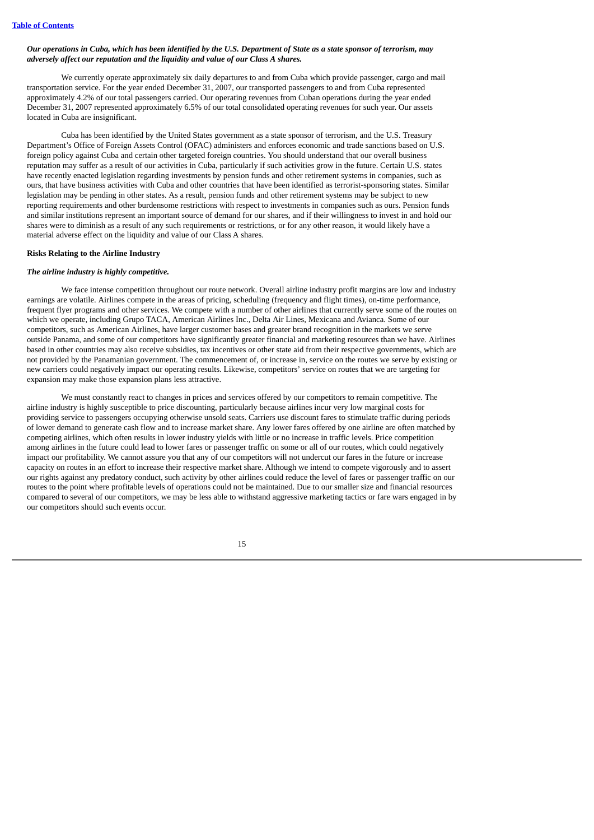## Our operations in Cuba, which has been identified by the U.S. Department of State as a state sponsor of terrorism, may *adversely affect our reputation and the liquidity and value of our Class A shares.*

We currently operate approximately six daily departures to and from Cuba which provide passenger, cargo and mail transportation service. For the year ended December 31, 2007, our transported passengers to and from Cuba represented approximately 4.2% of our total passengers carried. Our operating revenues from Cuban operations during the year ended December 31, 2007 represented approximately 6.5% of our total consolidated operating revenues for such year. Our assets located in Cuba are insignificant.

Cuba has been identified by the United States government as a state sponsor of terrorism, and the U.S. Treasury Department's Office of Foreign Assets Control (OFAC) administers and enforces economic and trade sanctions based on U.S. foreign policy against Cuba and certain other targeted foreign countries. You should understand that our overall business reputation may suffer as a result of our activities in Cuba, particularly if such activities grow in the future. Certain U.S. states have recently enacted legislation regarding investments by pension funds and other retirement systems in companies, such as ours, that have business activities with Cuba and other countries that have been identified as terrorist-sponsoring states. Similar legislation may be pending in other states. As a result, pension funds and other retirement systems may be subject to new reporting requirements and other burdensome restrictions with respect to investments in companies such as ours. Pension funds and similar institutions represent an important source of demand for our shares, and if their willingness to invest in and hold our shares were to diminish as a result of any such requirements or restrictions, or for any other reason, it would likely have a material adverse effect on the liquidity and value of our Class A shares.

# **Risks Relating to the Airline Industry**

## *The airline industry is highly competitive.*

We face intense competition throughout our route network. Overall airline industry profit margins are low and industry earnings are volatile. Airlines compete in the areas of pricing, scheduling (frequency and flight times), on-time performance, frequent flyer programs and other services. We compete with a number of other airlines that currently serve some of the routes on which we operate, including Grupo TACA, American Airlines Inc., Delta Air Lines, Mexicana and Avianca. Some of our competitors, such as American Airlines, have larger customer bases and greater brand recognition in the markets we serve outside Panama, and some of our competitors have significantly greater financial and marketing resources than we have. Airlines based in other countries may also receive subsidies, tax incentives or other state aid from their respective governments, which are not provided by the Panamanian government. The commencement of, or increase in, service on the routes we serve by existing or new carriers could negatively impact our operating results. Likewise, competitors' service on routes that we are targeting for expansion may make those expansion plans less attractive.

We must constantly react to changes in prices and services offered by our competitors to remain competitive. The airline industry is highly susceptible to price discounting, particularly because airlines incur very low marginal costs for providing service to passengers occupying otherwise unsold seats. Carriers use discount fares to stimulate traffic during periods of lower demand to generate cash flow and to increase market share. Any lower fares offered by one airline are often matched by competing airlines, which often results in lower industry yields with little or no increase in traffic levels. Price competition among airlines in the future could lead to lower fares or passenger traffic on some or all of our routes, which could negatively impact our profitability. We cannot assure you that any of our competitors will not undercut our fares in the future or increase capacity on routes in an effort to increase their respective market share. Although we intend to compete vigorously and to assert our rights against any predatory conduct, such activity by other airlines could reduce the level of fares or passenger traffic on our routes to the point where profitable levels of operations could not be maintained. Due to our smaller size and financial resources compared to several of our competitors, we may be less able to withstand aggressive marketing tactics or fare wars engaged in by our competitors should such events occur.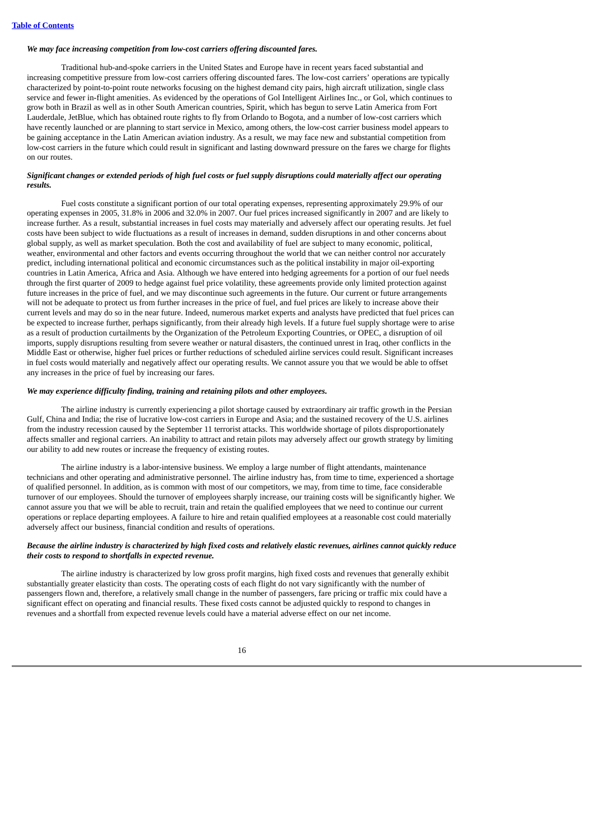## *We may face increasing competition from low-cost carriers offering discounted fares.*

Traditional hub-and-spoke carriers in the United States and Europe have in recent years faced substantial and increasing competitive pressure from low-cost carriers offering discounted fares. The low-cost carriers' operations are typically characterized by point-to-point route networks focusing on the highest demand city pairs, high aircraft utilization, single class service and fewer in-flight amenities. As evidenced by the operations of Gol Intelligent Airlines Inc., or Gol, which continues to grow both in Brazil as well as in other South American countries, Spirit, which has begun to serve Latin America from Fort Lauderdale, JetBlue, which has obtained route rights to fly from Orlando to Bogota, and a number of low-cost carriers which have recently launched or are planning to start service in Mexico, among others, the low-cost carrier business model appears to be gaining acceptance in the Latin American aviation industry. As a result, we may face new and substantial competition from low-cost carriers in the future which could result in significant and lasting downward pressure on the fares we charge for flights on our routes.

## Significant changes or extended periods of high fuel costs or fuel supply disruptions could materially affect our operating *results.*

Fuel costs constitute a significant portion of our total operating expenses, representing approximately 29.9% of our operating expenses in 2005, 31.8% in 2006 and 32.0% in 2007. Our fuel prices increased significantly in 2007 and are likely to increase further. As a result, substantial increases in fuel costs may materially and adversely affect our operating results. Jet fuel costs have been subject to wide fluctuations as a result of increases in demand, sudden disruptions in and other concerns about global supply, as well as market speculation. Both the cost and availability of fuel are subject to many economic, political, weather, environmental and other factors and events occurring throughout the world that we can neither control nor accurately predict, including international political and economic circumstances such as the political instability in major oil-exporting countries in Latin America, Africa and Asia. Although we have entered into hedging agreements for a portion of our fuel needs through the first quarter of 2009 to hedge against fuel price volatility, these agreements provide only limited protection against future increases in the price of fuel, and we may discontinue such agreements in the future. Our current or future arrangements will not be adequate to protect us from further increases in the price of fuel, and fuel prices are likely to increase above their current levels and may do so in the near future. Indeed, numerous market experts and analysts have predicted that fuel prices can be expected to increase further, perhaps significantly, from their already high levels. If a future fuel supply shortage were to arise as a result of production curtailments by the Organization of the Petroleum Exporting Countries, or OPEC, a disruption of oil imports, supply disruptions resulting from severe weather or natural disasters, the continued unrest in Iraq, other conflicts in the Middle East or otherwise, higher fuel prices or further reductions of scheduled airline services could result. Significant increases in fuel costs would materially and negatively affect our operating results. We cannot assure you that we would be able to offset any increases in the price of fuel by increasing our fares.

## *We may experience difficulty finding, training and retaining pilots and other employees.*

The airline industry is currently experiencing a pilot shortage caused by extraordinary air traffic growth in the Persian Gulf, China and India; the rise of lucrative low-cost carriers in Europe and Asia; and the sustained recovery of the U.S. airlines from the industry recession caused by the September 11 terrorist attacks. This worldwide shortage of pilots disproportionately affects smaller and regional carriers. An inability to attract and retain pilots may adversely affect our growth strategy by limiting our ability to add new routes or increase the frequency of existing routes.

The airline industry is a labor-intensive business. We employ a large number of flight attendants, maintenance technicians and other operating and administrative personnel. The airline industry has, from time to time, experienced a shortage of qualified personnel. In addition, as is common with most of our competitors, we may, from time to time, face considerable turnover of our employees. Should the turnover of employees sharply increase, our training costs will be significantly higher. We cannot assure you that we will be able to recruit, train and retain the qualified employees that we need to continue our current operations or replace departing employees. A failure to hire and retain qualified employees at a reasonable cost could materially adversely affect our business, financial condition and results of operations.

## Because the airline industry is characterized by high fixed costs and relatively elastic revenues, airlines cannot quickly reduce *their costs to respond to shortfalls in expected revenue.*

The airline industry is characterized by low gross profit margins, high fixed costs and revenues that generally exhibit substantially greater elasticity than costs. The operating costs of each flight do not vary significantly with the number of passengers flown and, therefore, a relatively small change in the number of passengers, fare pricing or traffic mix could have a significant effect on operating and financial results. These fixed costs cannot be adjusted quickly to respond to changes in revenues and a shortfall from expected revenue levels could have a material adverse effect on our net income.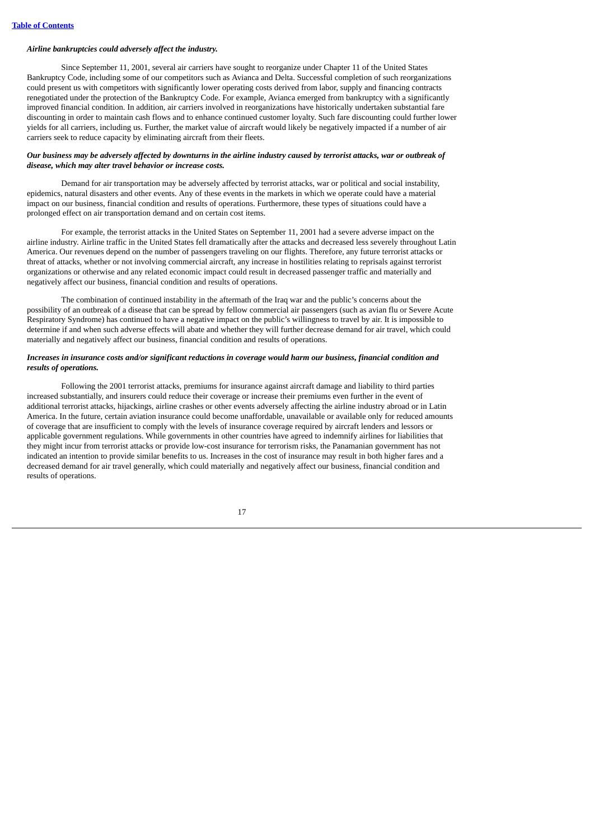## *Airline bankruptcies could adversely affect the industry.*

Since September 11, 2001, several air carriers have sought to reorganize under Chapter 11 of the United States Bankruptcy Code, including some of our competitors such as Avianca and Delta. Successful completion of such reorganizations could present us with competitors with significantly lower operating costs derived from labor, supply and financing contracts renegotiated under the protection of the Bankruptcy Code. For example, Avianca emerged from bankruptcy with a significantly improved financial condition. In addition, air carriers involved in reorganizations have historically undertaken substantial fare discounting in order to maintain cash flows and to enhance continued customer loyalty. Such fare discounting could further lower yields for all carriers, including us. Further, the market value of aircraft would likely be negatively impacted if a number of air carriers seek to reduce capacity by eliminating aircraft from their fleets.

## Our business may be adversely affected by downturns in the airline industry caused by terrorist attacks, war or outbreak of *disease, which may alter travel behavior or increase costs.*

Demand for air transportation may be adversely affected by terrorist attacks, war or political and social instability, epidemics, natural disasters and other events. Any of these events in the markets in which we operate could have a material impact on our business, financial condition and results of operations. Furthermore, these types of situations could have a prolonged effect on air transportation demand and on certain cost items.

For example, the terrorist attacks in the United States on September 11, 2001 had a severe adverse impact on the airline industry. Airline traffic in the United States fell dramatically after the attacks and decreased less severely throughout Latin America. Our revenues depend on the number of passengers traveling on our flights. Therefore, any future terrorist attacks or threat of attacks, whether or not involving commercial aircraft, any increase in hostilities relating to reprisals against terrorist organizations or otherwise and any related economic impact could result in decreased passenger traffic and materially and negatively affect our business, financial condition and results of operations.

The combination of continued instability in the aftermath of the Iraq war and the public's concerns about the possibility of an outbreak of a disease that can be spread by fellow commercial air passengers (such as avian flu or Severe Acute Respiratory Syndrome) has continued to have a negative impact on the public's willingness to travel by air. It is impossible to determine if and when such adverse effects will abate and whether they will further decrease demand for air travel, which could materially and negatively affect our business, financial condition and results of operations.

#### Increases in insurance costs and/or significant reductions in coverage would harm our business, financial condition and *results of operations.*

Following the 2001 terrorist attacks, premiums for insurance against aircraft damage and liability to third parties increased substantially, and insurers could reduce their coverage or increase their premiums even further in the event of additional terrorist attacks, hijackings, airline crashes or other events adversely affecting the airline industry abroad or in Latin America. In the future, certain aviation insurance could become unaffordable, unavailable or available only for reduced amounts of coverage that are insufficient to comply with the levels of insurance coverage required by aircraft lenders and lessors or applicable government regulations. While governments in other countries have agreed to indemnify airlines for liabilities that they might incur from terrorist attacks or provide low-cost insurance for terrorism risks, the Panamanian government has not indicated an intention to provide similar benefits to us. Increases in the cost of insurance may result in both higher fares and a decreased demand for air travel generally, which could materially and negatively affect our business, financial condition and results of operations.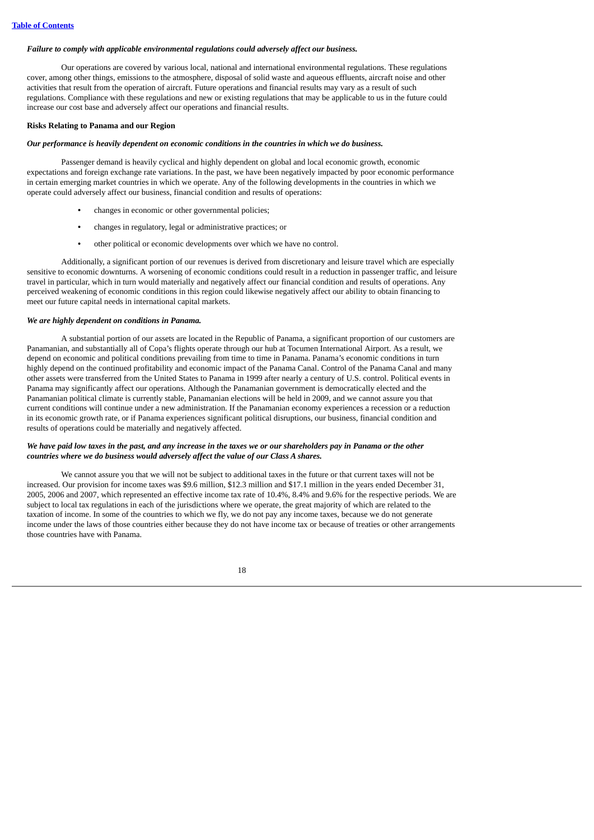## *Failure to comply with applicable environmental regulations could adversely affect our business.*

Our operations are covered by various local, national and international environmental regulations. These regulations cover, among other things, emissions to the atmosphere, disposal of solid waste and aqueous effluents, aircraft noise and other activities that result from the operation of aircraft. Future operations and financial results may vary as a result of such regulations. Compliance with these regulations and new or existing regulations that may be applicable to us in the future could increase our cost base and adversely affect our operations and financial results.

## **Risks Relating to Panama and our Region**

#### *Our performance is heavily dependent on economic conditions in the countries in which we do business.*

Passenger demand is heavily cyclical and highly dependent on global and local economic growth, economic expectations and foreign exchange rate variations. In the past, we have been negatively impacted by poor economic performance in certain emerging market countries in which we operate. Any of the following developments in the countries in which we operate could adversely affect our business, financial condition and results of operations:

- **•** changes in economic or other governmental policies;
- **•** changes in regulatory, legal or administrative practices; or
- **•** other political or economic developments over which we have no control.

Additionally, a significant portion of our revenues is derived from discretionary and leisure travel which are especially sensitive to economic downturns. A worsening of economic conditions could result in a reduction in passenger traffic, and leisure travel in particular, which in turn would materially and negatively affect our financial condition and results of operations. Any perceived weakening of economic conditions in this region could likewise negatively affect our ability to obtain financing to meet our future capital needs in international capital markets.

## *We are highly dependent on conditions in Panama.*

A substantial portion of our assets are located in the Republic of Panama, a significant proportion of our customers are Panamanian, and substantially all of Copa's flights operate through our hub at Tocumen International Airport. As a result, we depend on economic and political conditions prevailing from time to time in Panama. Panama's economic conditions in turn highly depend on the continued profitability and economic impact of the Panama Canal. Control of the Panama Canal and many other assets were transferred from the United States to Panama in 1999 after nearly a century of U.S. control. Political events in Panama may significantly affect our operations. Although the Panamanian government is democratically elected and the Panamanian political climate is currently stable, Panamanian elections will be held in 2009, and we cannot assure you that current conditions will continue under a new administration. If the Panamanian economy experiences a recession or a reduction in its economic growth rate, or if Panama experiences significant political disruptions, our business, financial condition and results of operations could be materially and negatively affected.

## We have paid low taxes in the past, and any increase in the taxes we or our shareholders pay in Panama or the other *countries where we do business would adversely affect the value of our Class A shares.*

We cannot assure you that we will not be subject to additional taxes in the future or that current taxes will not be increased. Our provision for income taxes was \$9.6 million, \$12.3 million and \$17.1 million in the years ended December 31, 2005, 2006 and 2007, which represented an effective income tax rate of 10.4%, 8.4% and 9.6% for the respective periods. We are subject to local tax regulations in each of the jurisdictions where we operate, the great majority of which are related to the taxation of income. In some of the countries to which we fly, we do not pay any income taxes, because we do not generate income under the laws of those countries either because they do not have income tax or because of treaties or other arrangements those countries have with Panama.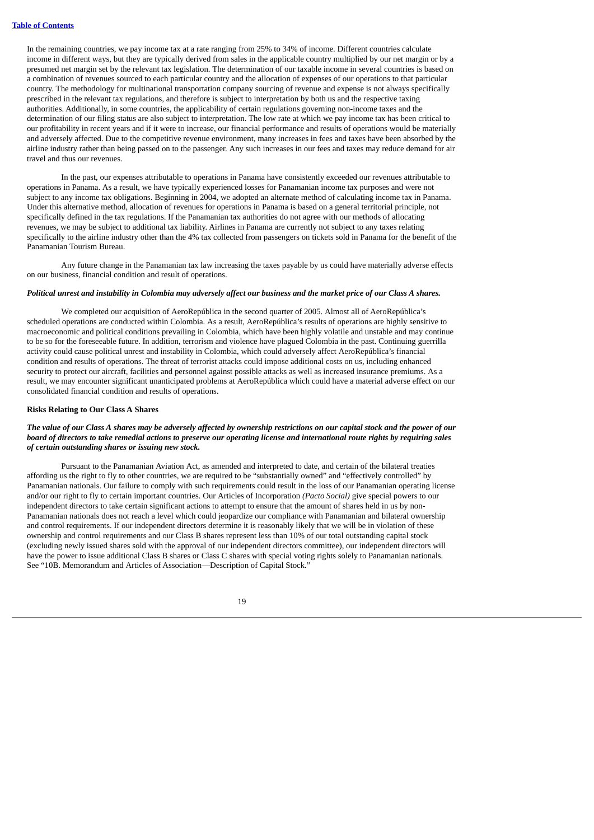In the remaining countries, we pay income tax at a rate ranging from 25% to 34% of income. Different countries calculate income in different ways, but they are typically derived from sales in the applicable country multiplied by our net margin or by a presumed net margin set by the relevant tax legislation. The determination of our taxable income in several countries is based on a combination of revenues sourced to each particular country and the allocation of expenses of our operations to that particular country. The methodology for multinational transportation company sourcing of revenue and expense is not always specifically prescribed in the relevant tax regulations, and therefore is subject to interpretation by both us and the respective taxing authorities. Additionally, in some countries, the applicability of certain regulations governing non-income taxes and the determination of our filing status are also subject to interpretation. The low rate at which we pay income tax has been critical to our profitability in recent years and if it were to increase, our financial performance and results of operations would be materially and adversely affected. Due to the competitive revenue environment, many increases in fees and taxes have been absorbed by the airline industry rather than being passed on to the passenger. Any such increases in our fees and taxes may reduce demand for air travel and thus our revenues.

In the past, our expenses attributable to operations in Panama have consistently exceeded our revenues attributable to operations in Panama. As a result, we have typically experienced losses for Panamanian income tax purposes and were not subject to any income tax obligations. Beginning in 2004, we adopted an alternate method of calculating income tax in Panama. Under this alternative method, allocation of revenues for operations in Panama is based on a general territorial principle, not specifically defined in the tax regulations. If the Panamanian tax authorities do not agree with our methods of allocating revenues, we may be subject to additional tax liability. Airlines in Panama are currently not subject to any taxes relating specifically to the airline industry other than the 4% tax collected from passengers on tickets sold in Panama for the benefit of the Panamanian Tourism Bureau.

Any future change in the Panamanian tax law increasing the taxes payable by us could have materially adverse effects on our business, financial condition and result of operations.

# Political unrest and instability in Colombia may adversely affect our business and the market price of our Class A shares.

We completed our acquisition of AeroRepública in the second quarter of 2005. Almost all of AeroRepública's scheduled operations are conducted within Colombia. As a result, AeroRepública's results of operations are highly sensitive to macroeconomic and political conditions prevailing in Colombia, which have been highly volatile and unstable and may continue to be so for the foreseeable future. In addition, terrorism and violence have plagued Colombia in the past. Continuing guerrilla activity could cause political unrest and instability in Colombia, which could adversely affect AeroRepública's financial condition and results of operations. The threat of terrorist attacks could impose additional costs on us, including enhanced security to protect our aircraft, facilities and personnel against possible attacks as well as increased insurance premiums. As a result, we may encounter significant unanticipated problems at AeroRepública which could have a material adverse effect on our consolidated financial condition and results of operations.

## **Risks Relating to Our Class A Shares**

## The value of our Class A shares may be adversely affected by ownership restrictions on our capital stock and the power of our board of directors to take remedial actions to preserve our operating license and international route rights by requiring sales *of certain outstanding shares or issuing new stock.*

Pursuant to the Panamanian Aviation Act, as amended and interpreted to date, and certain of the bilateral treaties affording us the right to fly to other countries, we are required to be "substantially owned" and "effectively controlled" by Panamanian nationals. Our failure to comply with such requirements could result in the loss of our Panamanian operating license and/or our right to fly to certain important countries. Our Articles of Incorporation *(Pacto Social)* give special powers to our independent directors to take certain significant actions to attempt to ensure that the amount of shares held in us by non-Panamanian nationals does not reach a level which could jeopardize our compliance with Panamanian and bilateral ownership and control requirements. If our independent directors determine it is reasonably likely that we will be in violation of these ownership and control requirements and our Class B shares represent less than 10% of our total outstanding capital stock (excluding newly issued shares sold with the approval of our independent directors committee), our independent directors will have the power to issue additional Class B shares or Class C shares with special voting rights solely to Panamanian nationals. See "10B. Memorandum and Articles of Association—Description of Capital Stock."

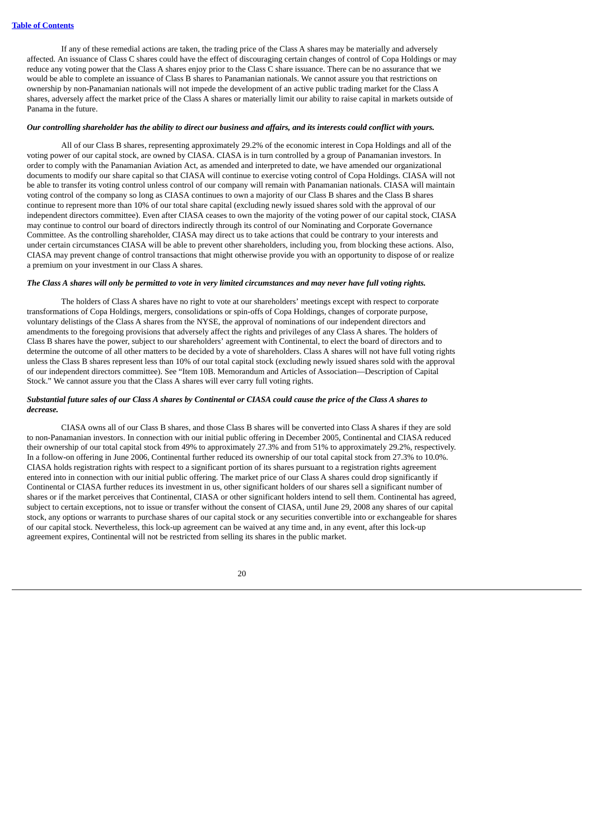If any of these remedial actions are taken, the trading price of the Class A shares may be materially and adversely affected. An issuance of Class C shares could have the effect of discouraging certain changes of control of Copa Holdings or may reduce any voting power that the Class A shares enjoy prior to the Class C share issuance. There can be no assurance that we would be able to complete an issuance of Class B shares to Panamanian nationals. We cannot assure you that restrictions on ownership by non-Panamanian nationals will not impede the development of an active public trading market for the Class A shares, adversely affect the market price of the Class A shares or materially limit our ability to raise capital in markets outside of Panama in the future.

## Our controlling shareholder has the ability to direct our business and affairs, and its interests could conflict with yours.

All of our Class B shares, representing approximately 29.2% of the economic interest in Copa Holdings and all of the voting power of our capital stock, are owned by CIASA. CIASA is in turn controlled by a group of Panamanian investors. In order to comply with the Panamanian Aviation Act, as amended and interpreted to date, we have amended our organizational documents to modify our share capital so that CIASA will continue to exercise voting control of Copa Holdings. CIASA will not be able to transfer its voting control unless control of our company will remain with Panamanian nationals. CIASA will maintain voting control of the company so long as CIASA continues to own a majority of our Class B shares and the Class B shares continue to represent more than 10% of our total share capital (excluding newly issued shares sold with the approval of our independent directors committee). Even after CIASA ceases to own the majority of the voting power of our capital stock, CIASA may continue to control our board of directors indirectly through its control of our Nominating and Corporate Governance Committee. As the controlling shareholder, CIASA may direct us to take actions that could be contrary to your interests and under certain circumstances CIASA will be able to prevent other shareholders, including you, from blocking these actions. Also, CIASA may prevent change of control transactions that might otherwise provide you with an opportunity to dispose of or realize a premium on your investment in our Class A shares.

## The Class A shares will only be permitted to vote in very limited circumstances and may never have full voting rights.

The holders of Class A shares have no right to vote at our shareholders' meetings except with respect to corporate transformations of Copa Holdings, mergers, consolidations or spin-offs of Copa Holdings, changes of corporate purpose, voluntary delistings of the Class A shares from the NYSE, the approval of nominations of our independent directors and amendments to the foregoing provisions that adversely affect the rights and privileges of any Class A shares. The holders of Class B shares have the power, subject to our shareholders' agreement with Continental, to elect the board of directors and to determine the outcome of all other matters to be decided by a vote of shareholders. Class A shares will not have full voting rights unless the Class B shares represent less than 10% of our total capital stock (excluding newly issued shares sold with the approval of our independent directors committee). See "Item 10B. Memorandum and Articles of Association—Description of Capital Stock." We cannot assure you that the Class A shares will ever carry full voting rights.

## Substantial future sales of our Class A shares by Continental or CIASA could cause the price of the Class A shares to *decrease.*

CIASA owns all of our Class B shares, and those Class B shares will be converted into Class A shares if they are sold to non-Panamanian investors. In connection with our initial public offering in December 2005, Continental and CIASA reduced their ownership of our total capital stock from 49% to approximately 27.3% and from 51% to approximately 29.2%, respectively. In a follow-on offering in June 2006, Continental further reduced its ownership of our total capital stock from 27.3% to 10.0%. CIASA holds registration rights with respect to a significant portion of its shares pursuant to a registration rights agreement entered into in connection with our initial public offering. The market price of our Class A shares could drop significantly if Continental or CIASA further reduces its investment in us, other significant holders of our shares sell a significant number of shares or if the market perceives that Continental, CIASA or other significant holders intend to sell them. Continental has agreed, subject to certain exceptions, not to issue or transfer without the consent of CIASA, until June 29, 2008 any shares of our capital stock, any options or warrants to purchase shares of our capital stock or any securities convertible into or exchangeable for shares of our capital stock. Nevertheless, this lock-up agreement can be waived at any time and, in any event, after this lock-up agreement expires, Continental will not be restricted from selling its shares in the public market.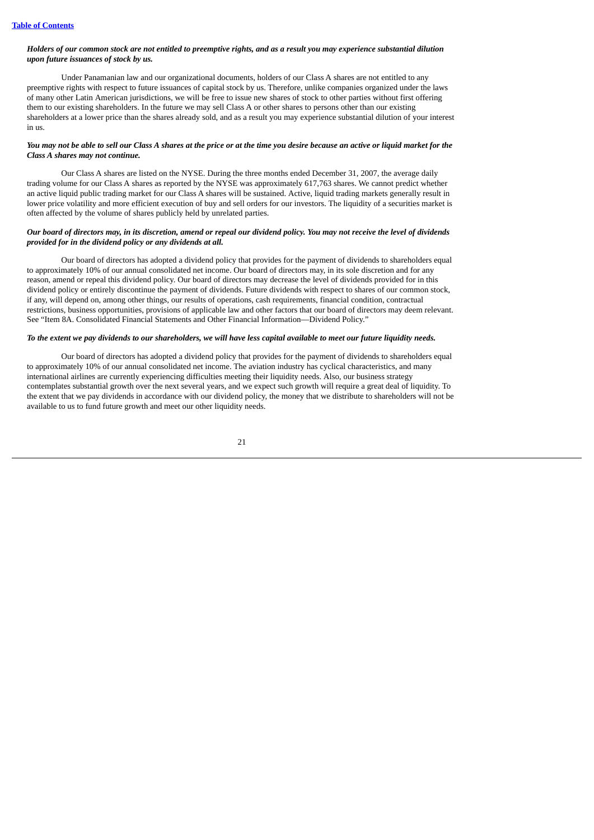## Holders of our common stock are not entitled to preemptive rights, and as a result you may experience substantial dilution *upon future issuances of stock by us.*

Under Panamanian law and our organizational documents, holders of our Class A shares are not entitled to any preemptive rights with respect to future issuances of capital stock by us. Therefore, unlike companies organized under the laws of many other Latin American jurisdictions, we will be free to issue new shares of stock to other parties without first offering them to our existing shareholders. In the future we may sell Class A or other shares to persons other than our existing shareholders at a lower price than the shares already sold, and as a result you may experience substantial dilution of your interest in us.

## You may not be able to sell our Class A shares at the price or at the time you desire because an active or liquid market for the *Class A shares may not continue.*

Our Class A shares are listed on the NYSE. During the three months ended December 31, 2007, the average daily trading volume for our Class A shares as reported by the NYSE was approximately 617,763 shares. We cannot predict whether an active liquid public trading market for our Class A shares will be sustained. Active, liquid trading markets generally result in lower price volatility and more efficient execution of buy and sell orders for our investors. The liquidity of a securities market is often affected by the volume of shares publicly held by unrelated parties.

#### Our board of directors may, in its discretion, amend or repeal our dividend policy. You may not receive the level of dividends *provided for in the dividend policy or any dividends at all.*

Our board of directors has adopted a dividend policy that provides for the payment of dividends to shareholders equal to approximately 10% of our annual consolidated net income. Our board of directors may, in its sole discretion and for any reason, amend or repeal this dividend policy. Our board of directors may decrease the level of dividends provided for in this dividend policy or entirely discontinue the payment of dividends. Future dividends with respect to shares of our common stock, if any, will depend on, among other things, our results of operations, cash requirements, financial condition, contractual restrictions, business opportunities, provisions of applicable law and other factors that our board of directors may deem relevant. See "Item 8A. Consolidated Financial Statements and Other Financial Information—Dividend Policy."

## To the extent we pay dividends to our shareholders, we will have less capital available to meet our future liquidity needs.

Our board of directors has adopted a dividend policy that provides for the payment of dividends to shareholders equal to approximately 10% of our annual consolidated net income. The aviation industry has cyclical characteristics, and many international airlines are currently experiencing difficulties meeting their liquidity needs. Also, our business strategy contemplates substantial growth over the next several years, and we expect such growth will require a great deal of liquidity. To the extent that we pay dividends in accordance with our dividend policy, the money that we distribute to shareholders will not be available to us to fund future growth and meet our other liquidity needs.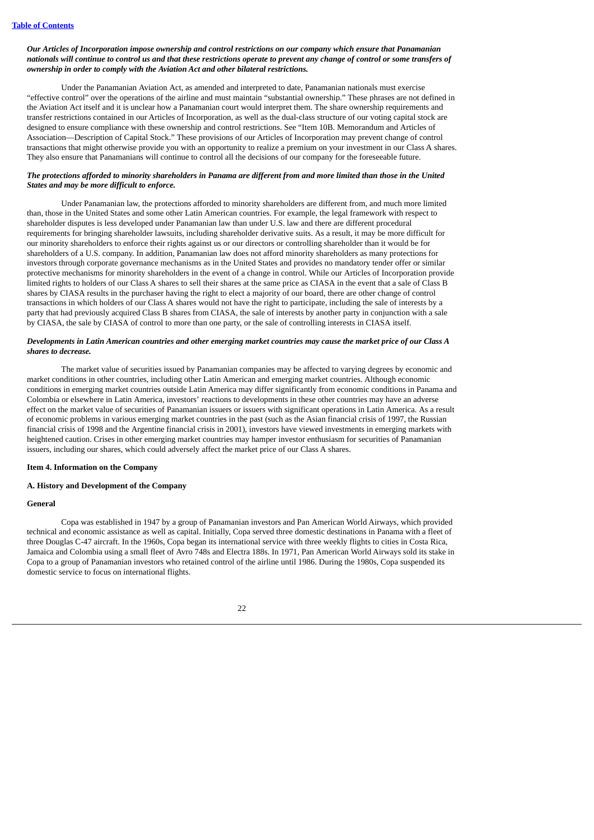## Our Articles of Incorporation impose ownership and control restrictions on our company which ensure that Panamanian nationals will continue to control us and that these restrictions operate to prevent any change of control or some transfers of *ownership in order to comply with the Aviation Act and other bilateral restrictions.*

Under the Panamanian Aviation Act, as amended and interpreted to date, Panamanian nationals must exercise "effective control" over the operations of the airline and must maintain "substantial ownership." These phrases are not defined in the Aviation Act itself and it is unclear how a Panamanian court would interpret them. The share ownership requirements and transfer restrictions contained in our Articles of Incorporation, as well as the dual-class structure of our voting capital stock are designed to ensure compliance with these ownership and control restrictions. See "Item 10B. Memorandum and Articles of Association—Description of Capital Stock." These provisions of our Articles of Incorporation may prevent change of control transactions that might otherwise provide you with an opportunity to realize a premium on your investment in our Class A shares. They also ensure that Panamanians will continue to control all the decisions of our company for the foreseeable future.

## The protections afforded to minority shareholders in Panama are different from and more limited than those in the United *States and may be more difficult to enforce.*

Under Panamanian law, the protections afforded to minority shareholders are different from, and much more limited than, those in the United States and some other Latin American countries. For example, the legal framework with respect to shareholder disputes is less developed under Panamanian law than under U.S. law and there are different procedural requirements for bringing shareholder lawsuits, including shareholder derivative suits. As a result, it may be more difficult for our minority shareholders to enforce their rights against us or our directors or controlling shareholder than it would be for shareholders of a U.S. company. In addition, Panamanian law does not afford minority shareholders as many protections for investors through corporate governance mechanisms as in the United States and provides no mandatory tender offer or similar protective mechanisms for minority shareholders in the event of a change in control. While our Articles of Incorporation provide limited rights to holders of our Class A shares to sell their shares at the same price as CIASA in the event that a sale of Class B shares by CIASA results in the purchaser having the right to elect a majority of our board, there are other change of control transactions in which holders of our Class A shares would not have the right to participate, including the sale of interests by a party that had previously acquired Class B shares from CIASA, the sale of interests by another party in conjunction with a sale by CIASA, the sale by CIASA of control to more than one party, or the sale of controlling interests in CIASA itself.

## Developments in Latin American countries and other emerging market countries may cause the market price of our Class A *shares to decrease.*

The market value of securities issued by Panamanian companies may be affected to varying degrees by economic and market conditions in other countries, including other Latin American and emerging market countries. Although economic conditions in emerging market countries outside Latin America may differ significantly from economic conditions in Panama and Colombia or elsewhere in Latin America, investors' reactions to developments in these other countries may have an adverse effect on the market value of securities of Panamanian issuers or issuers with significant operations in Latin America. As a result of economic problems in various emerging market countries in the past (such as the Asian financial crisis of 1997, the Russian financial crisis of 1998 and the Argentine financial crisis in 2001), investors have viewed investments in emerging markets with heightened caution. Crises in other emerging market countries may hamper investor enthusiasm for securities of Panamanian issuers, including our shares, which could adversely affect the market price of our Class A shares.

## <span id="page-27-0"></span>**Item 4. Information on the Company**

## **A. History and Development of the Company**

## **General**

Copa was established in 1947 by a group of Panamanian investors and Pan American World Airways, which provided technical and economic assistance as well as capital. Initially, Copa served three domestic destinations in Panama with a fleet of three Douglas C-47 aircraft. In the 1960s, Copa began its international service with three weekly flights to cities in Costa Rica, Jamaica and Colombia using a small fleet of Avro 748s and Electra 188s. In 1971, Pan American World Airways sold its stake in Copa to a group of Panamanian investors who retained control of the airline until 1986. During the 1980s, Copa suspended its domestic service to focus on international flights.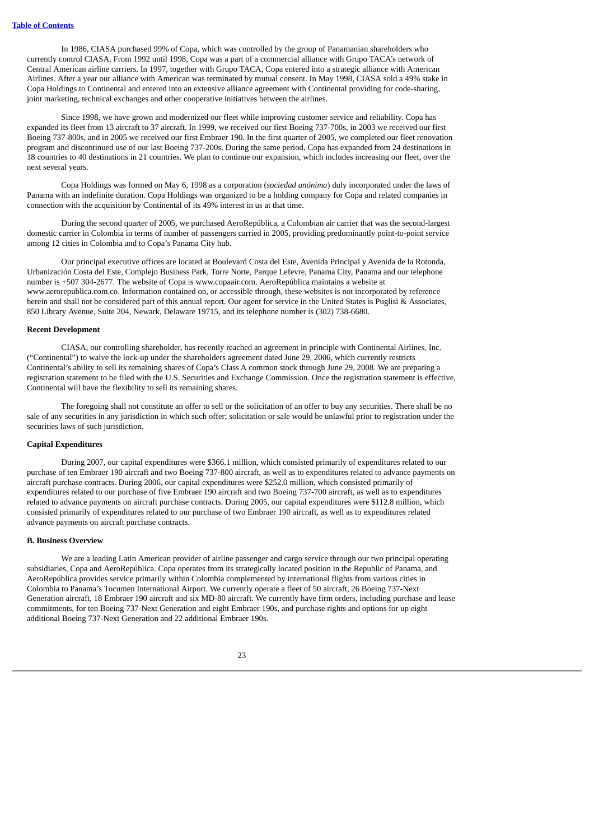In 1986, CIASA purchased 99% of Copa, which was controlled by the group of Panamanian shareholders who currently control CIASA. From 1992 until 1998, Copa was a part of a commercial alliance with Grupo TACA's network of Central American airline carriers. In 1997, together with Grupo TACA, Copa entered into a strategic alliance with American Airlines. After a year our alliance with American was terminated by mutual consent. In May 1998, CIASA sold a 49% stake in Copa Holdings to Continental and entered into an extensive alliance agreement with Continental providing for code-sharing, joint marketing, technical exchanges and other cooperative initiatives between the airlines.

Since 1998, we have grown and modernized our fleet while improving customer service and reliability. Copa has expanded its fleet from 13 aircraft to 37 aircraft. In 1999, we received our first Boeing 737-700s, in 2003 we received our first Boeing 737-800s, and in 2005 we received our first Embraer 190. In the first quarter of 2005, we completed our fleet renovation program and discontinued use of our last Boeing 737-200s. During the same period, Copa has expanded from 24 destinations in 18 countries to 40 destinations in 21 countries. We plan to continue our expansion, which includes increasing our fleet, over the next several years.

Copa Holdings was formed on May 6, 1998 as a corporation (*sociedad anónima*) duly incorporated under the laws of Panama with an indefinite duration. Copa Holdings was organized to be a holding company for Copa and related companies in connection with the acquisition by Continental of its 49% interest in us at that time.

During the second quarter of 2005, we purchased AeroRepública, a Colombian air carrier that was the second-largest domestic carrier in Colombia in terms of number of passengers carried in 2005, providing predominantly point-to-point service among 12 cities in Colombia and to Copa's Panama City hub.

Our principal executive offices are located at Boulevard Costa del Este, Avenida Principal y Avenida de la Rotonda, Urbanización Costa del Este, Complejo Business Park, Torre Norte, Parque Lefevre, Panama City, Panama and our telephone number is +507 304-2677. The website of Copa is www.copaair.com. AeroRepública maintains a website at www.aerorepublica.com.co. Information contained on, or accessible through, these websites is not incorporated by reference herein and shall not be considered part of this annual report. Our agent for service in the United States is Puglisi & Associates, 850 Library Avenue, Suite 204, Newark, Delaware 19715, and its telephone number is (302) 738-6680.

#### **Recent Development**

CIASA, our controlling shareholder, has recently reached an agreement in principle with Continental Airlines, Inc. ("Continental") to waive the lock-up under the shareholders agreement dated June 29, 2006, which currently restricts Continental's ability to sell its remaining shares of Copa's Class A common stock through June 29, 2008. We are preparing a registration statement to be filed with the U.S. Securities and Exchange Commission. Once the registration statement is effective, Continental will have the flexibility to sell its remaining shares.

The foregoing shall not constitute an offer to sell or the solicitation of an offer to buy any securities. There shall be no sale of any securities in any jurisdiction in which such offer; solicitation or sale would be unlawful prior to registration under the securities laws of such jurisdiction.

## **Capital Expenditures**

During 2007, our capital expenditures were \$366.1 million, which consisted primarily of expenditures related to our purchase of ten Embraer 190 aircraft and two Boeing 737-800 aircraft, as well as to expenditures related to advance payments on aircraft purchase contracts. During 2006, our capital expenditures were \$252.0 million, which consisted primarily of expenditures related to our purchase of five Embraer 190 aircraft and two Boeing 737-700 aircraft, as well as to expenditures related to advance payments on aircraft purchase contracts. During 2005, our capital expenditures were \$112.8 million, which consisted primarily of expenditures related to our purchase of two Embraer 190 aircraft, as well as to expenditures related advance payments on aircraft purchase contracts.

## **B. Business Overview**

We are a leading Latin American provider of airline passenger and cargo service through our two principal operating subsidiaries, Copa and AeroRepública. Copa operates from its strategically located position in the Republic of Panama, and AeroRepública provides service primarily within Colombia complemented by international flights from various cities in Colombia to Panama's Tocumen International Airport. We currently operate a fleet of 50 aircraft, 26 Boeing 737-Next Generation aircraft, 18 Embraer 190 aircraft and six MD-80 aircraft. We currently have firm orders, including purchase and lease commitments, for ten Boeing 737-Next Generation and eight Embraer 190s, and purchase rights and options for up eight additional Boeing 737-Next Generation and 22 additional Embraer 190s.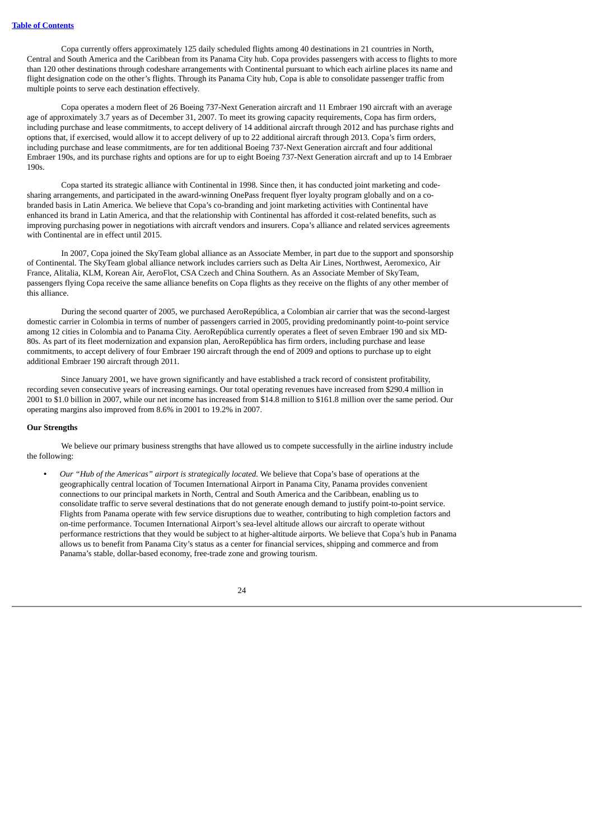Copa currently offers approximately 125 daily scheduled flights among 40 destinations in 21 countries in North, Central and South America and the Caribbean from its Panama City hub. Copa provides passengers with access to flights to more than 120 other destinations through codeshare arrangements with Continental pursuant to which each airline places its name and flight designation code on the other's flights. Through its Panama City hub, Copa is able to consolidate passenger traffic from multiple points to serve each destination effectively.

Copa operates a modern fleet of 26 Boeing 737-Next Generation aircraft and 11 Embraer 190 aircraft with an average age of approximately 3.7 years as of December 31, 2007. To meet its growing capacity requirements, Copa has firm orders, including purchase and lease commitments, to accept delivery of 14 additional aircraft through 2012 and has purchase rights and options that, if exercised, would allow it to accept delivery of up to 22 additional aircraft through 2013. Copa's firm orders, including purchase and lease commitments, are for ten additional Boeing 737-Next Generation aircraft and four additional Embraer 190s, and its purchase rights and options are for up to eight Boeing 737-Next Generation aircraft and up to 14 Embraer 190s.

Copa started its strategic alliance with Continental in 1998. Since then, it has conducted joint marketing and codesharing arrangements, and participated in the award-winning OnePass frequent flyer loyalty program globally and on a cobranded basis in Latin America. We believe that Copa's co-branding and joint marketing activities with Continental have enhanced its brand in Latin America, and that the relationship with Continental has afforded it cost-related benefits, such as improving purchasing power in negotiations with aircraft vendors and insurers. Copa's alliance and related services agreements with Continental are in effect until 2015.

In 2007, Copa joined the SkyTeam global alliance as an Associate Member, in part due to the support and sponsorship of Continental. The SkyTeam global alliance network includes carriers such as Delta Air Lines, Northwest, Aeromexico, Air France, Alitalia, KLM, Korean Air, AeroFlot, CSA Czech and China Southern. As an Associate Member of SkyTeam, passengers flying Copa receive the same alliance benefits on Copa flights as they receive on the flights of any other member of this alliance.

During the second quarter of 2005, we purchased AeroRepública, a Colombian air carrier that was the second-largest domestic carrier in Colombia in terms of number of passengers carried in 2005, providing predominantly point-to-point service among 12 cities in Colombia and to Panama City. AeroRepública currently operates a fleet of seven Embraer 190 and six MD-80s. As part of its fleet modernization and expansion plan, AeroRepública has firm orders, including purchase and lease commitments, to accept delivery of four Embraer 190 aircraft through the end of 2009 and options to purchase up to eight additional Embraer 190 aircraft through 2011.

Since January 2001, we have grown significantly and have established a track record of consistent profitability, recording seven consecutive years of increasing earnings. Our total operating revenues have increased from \$290.4 million in 2001 to \$1.0 billion in 2007, while our net income has increased from \$14.8 million to \$161.8 million over the same period. Our operating margins also improved from 8.6% in 2001 to 19.2% in 2007.

#### **Our Strengths**

We believe our primary business strengths that have allowed us to compete successfully in the airline industry include the following:

**•** *Our "Hub of the Americas" airport is strategically located.* We believe that Copa's base of operations at the geographically central location of Tocumen International Airport in Panama City, Panama provides convenient connections to our principal markets in North, Central and South America and the Caribbean, enabling us to consolidate traffic to serve several destinations that do not generate enough demand to justify point-to-point service. Flights from Panama operate with few service disruptions due to weather, contributing to high completion factors and on-time performance. Tocumen International Airport's sea-level altitude allows our aircraft to operate without performance restrictions that they would be subject to at higher-altitude airports. We believe that Copa's hub in Panama allows us to benefit from Panama City's status as a center for financial services, shipping and commerce and from Panama's stable, dollar-based economy, free-trade zone and growing tourism.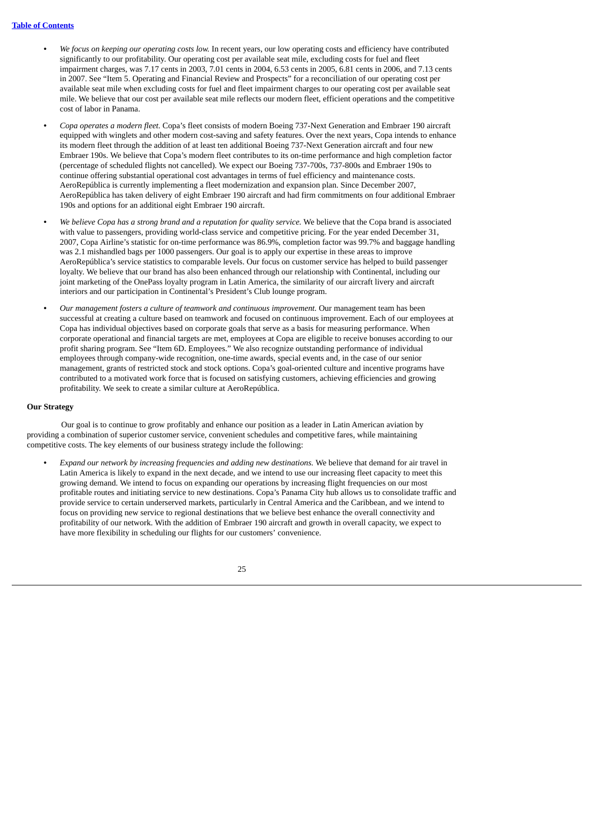- **•** *We focus on keeping our operating costs low.* In recent years, our low operating costs and efficiency have contributed significantly to our profitability. Our operating cost per available seat mile, excluding costs for fuel and fleet impairment charges, was 7.17 cents in 2003, 7.01 cents in 2004, 6.53 cents in 2005, 6.81 cents in 2006, and 7.13 cents in 2007. See "Item 5. Operating and Financial Review and Prospects" for a reconciliation of our operating cost per available seat mile when excluding costs for fuel and fleet impairment charges to our operating cost per available seat mile. We believe that our cost per available seat mile reflects our modern fleet, efficient operations and the competitive cost of labor in Panama.
- **•** *Copa operates a modern fleet.* Copa's fleet consists of modern Boeing 737-Next Generation and Embraer 190 aircraft equipped with winglets and other modern cost-saving and safety features. Over the next years, Copa intends to enhance its modern fleet through the addition of at least ten additional Boeing 737-Next Generation aircraft and four new Embraer 190s. We believe that Copa's modern fleet contributes to its on-time performance and high completion factor (percentage of scheduled flights not cancelled). We expect our Boeing 737-700s, 737-800s and Embraer 190s to continue offering substantial operational cost advantages in terms of fuel efficiency and maintenance costs. AeroRepública is currently implementing a fleet modernization and expansion plan. Since December 2007, AeroRepública has taken delivery of eight Embraer 190 aircraft and had firm commitments on four additional Embraer 190s and options for an additional eight Embraer 190 aircraft.
- **•** *We believe Copa has a strong brand and a reputation for quality service.* We believe that the Copa brand is associated with value to passengers, providing world-class service and competitive pricing. For the year ended December 31, 2007, Copa Airline's statistic for on-time performance was 86.9%, completion factor was 99.7% and baggage handling was 2.1 mishandled bags per 1000 passengers. Our goal is to apply our expertise in these areas to improve AeroRepública's service statistics to comparable levels. Our focus on customer service has helped to build passenger loyalty. We believe that our brand has also been enhanced through our relationship with Continental, including our joint marketing of the OnePass loyalty program in Latin America, the similarity of our aircraft livery and aircraft interiors and our participation in Continental's President's Club lounge program.
- **•** *Our management fosters a culture of teamwork and continuous improvement.* Our management team has been successful at creating a culture based on teamwork and focused on continuous improvement. Each of our employees at Copa has individual objectives based on corporate goals that serve as a basis for measuring performance. When corporate operational and financial targets are met, employees at Copa are eligible to receive bonuses according to our profit sharing program. See "Item 6D. Employees." We also recognize outstanding performance of individual employees through company-wide recognition, one-time awards, special events and, in the case of our senior management, grants of restricted stock and stock options. Copa's goal-oriented culture and incentive programs have contributed to a motivated work force that is focused on satisfying customers, achieving efficiencies and growing profitability. We seek to create a similar culture at AeroRepública.

#### **Our Strategy**

Our goal is to continue to grow profitably and enhance our position as a leader in Latin American aviation by providing a combination of superior customer service, convenient schedules and competitive fares, while maintaining competitive costs. The key elements of our business strategy include the following:

**•** *Expand our network by increasing frequencies and adding new destinations.* We believe that demand for air travel in Latin America is likely to expand in the next decade, and we intend to use our increasing fleet capacity to meet this growing demand. We intend to focus on expanding our operations by increasing flight frequencies on our most profitable routes and initiating service to new destinations. Copa's Panama City hub allows us to consolidate traffic and provide service to certain underserved markets, particularly in Central America and the Caribbean, and we intend to focus on providing new service to regional destinations that we believe best enhance the overall connectivity and profitability of our network. With the addition of Embraer 190 aircraft and growth in overall capacity, we expect to have more flexibility in scheduling our flights for our customers' convenience.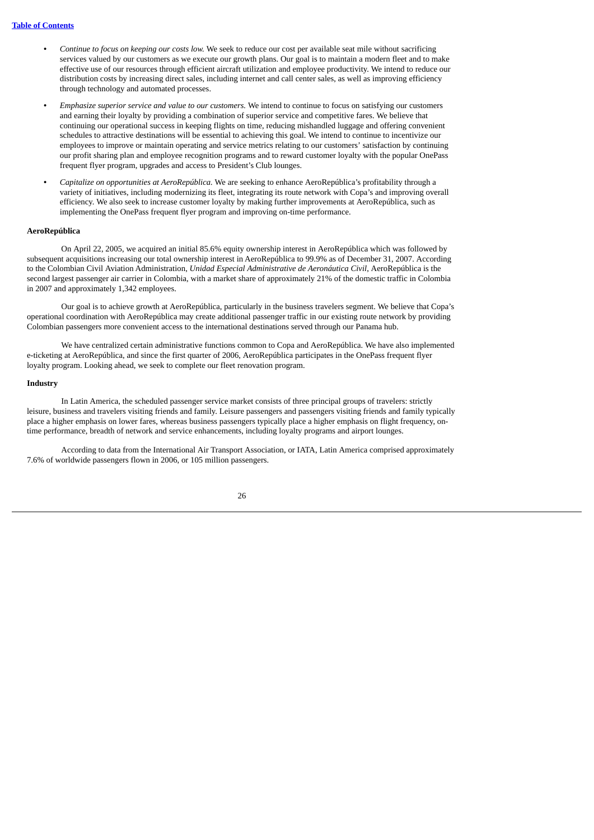- **•** *Continue to focus on keeping our costs low.* We seek to reduce our cost per available seat mile without sacrificing services valued by our customers as we execute our growth plans. Our goal is to maintain a modern fleet and to make effective use of our resources through efficient aircraft utilization and employee productivity. We intend to reduce our distribution costs by increasing direct sales, including internet and call center sales, as well as improving efficiency through technology and automated processes.
- **•** *Emphasize superior service and value to our customers.* We intend to continue to focus on satisfying our customers and earning their loyalty by providing a combination of superior service and competitive fares. We believe that continuing our operational success in keeping flights on time, reducing mishandled luggage and offering convenient schedules to attractive destinations will be essential to achieving this goal. We intend to continue to incentivize our employees to improve or maintain operating and service metrics relating to our customers' satisfaction by continuing our profit sharing plan and employee recognition programs and to reward customer loyalty with the popular OnePass frequent flyer program, upgrades and access to President's Club lounges.
- **•** *Capitalize on opportunities at AeroRepública.* We are seeking to enhance AeroRepública's profitability through a variety of initiatives, including modernizing its fleet, integrating its route network with Copa's and improving overall efficiency. We also seek to increase customer loyalty by making further improvements at AeroRepública, such as implementing the OnePass frequent flyer program and improving on-time performance.

## **AeroRepública**

On April 22, 2005, we acquired an initial 85.6% equity ownership interest in AeroRepública which was followed by subsequent acquisitions increasing our total ownership interest in AeroRepública to 99.9% as of December 31, 2007. According to the Colombian Civil Aviation Administration, *Unidad Especial Administrative de Aeronáutica Civil*, AeroRepública is the second largest passenger air carrier in Colombia, with a market share of approximately 21% of the domestic traffic in Colombia in 2007 and approximately 1,342 employees.

Our goal is to achieve growth at AeroRepública, particularly in the business travelers segment. We believe that Copa's operational coordination with AeroRepública may create additional passenger traffic in our existing route network by providing Colombian passengers more convenient access to the international destinations served through our Panama hub.

We have centralized certain administrative functions common to Copa and AeroRepública. We have also implemented e-ticketing at AeroRepública, and since the first quarter of 2006, AeroRepública participates in the OnePass frequent flyer loyalty program. Looking ahead, we seek to complete our fleet renovation program.

#### **Industry**

In Latin America, the scheduled passenger service market consists of three principal groups of travelers: strictly leisure, business and travelers visiting friends and family. Leisure passengers and passengers visiting friends and family typically place a higher emphasis on lower fares, whereas business passengers typically place a higher emphasis on flight frequency, ontime performance, breadth of network and service enhancements, including loyalty programs and airport lounges.

According to data from the International Air Transport Association, or IATA, Latin America comprised approximately 7.6% of worldwide passengers flown in 2006, or 105 million passengers.

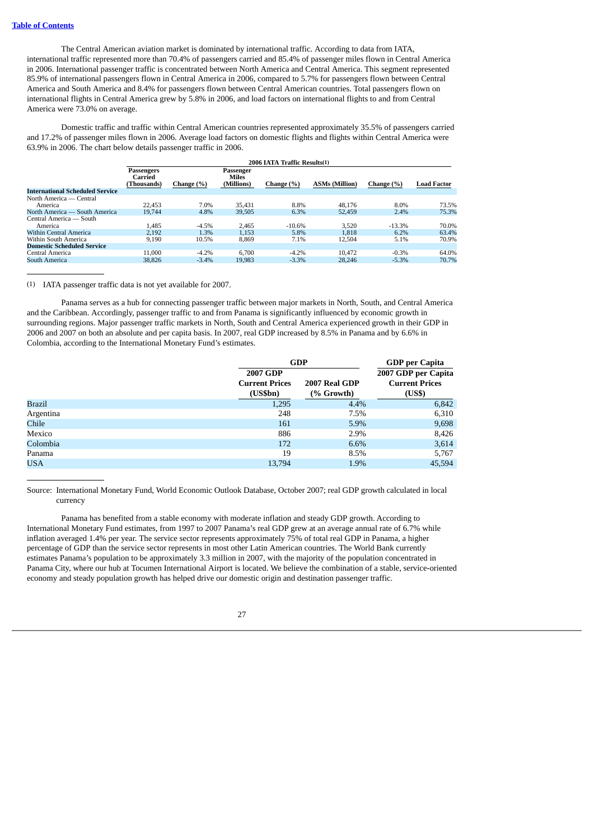The Central American aviation market is dominated by international traffic. According to data from IATA, international traffic represented more than 70.4% of passengers carried and 85.4% of passenger miles flown in Central America in 2006. International passenger traffic is concentrated between North America and Central America. This segment represented 85.9% of international passengers flown in Central America in 2006, compared to 5.7% for passengers flown between Central America and South America and 8.4% for passengers flown between Central American countries. Total passengers flown on international flights in Central America grew by 5.8% in 2006, and load factors on international flights to and from Central America were 73.0% on average.

Domestic traffic and traffic within Central American countries represented approximately 35.5% of passengers carried and 17.2% of passenger miles flown in 2006. Average load factors on domestic flights and flights within Central America were 63.9% in 2006. The chart below details passenger traffic in 2006.

|                                        | 2006 IATA Traffic Results(1)         |            |                                         |            |                       |            |                    |
|----------------------------------------|--------------------------------------|------------|-----------------------------------------|------------|-----------------------|------------|--------------------|
|                                        | Passengers<br>Carried<br>(Thousands) | Change (%) | Passenger<br><b>Miles</b><br>(Millions) | Change (%) | <b>ASMs (Million)</b> | Change (%) | <b>Load Factor</b> |
| <b>International Scheduled Service</b> |                                      |            |                                         |            |                       |            |                    |
| North America — Central                |                                      |            |                                         |            |                       |            |                    |
| America                                | 22.453                               | 7.0%       | 35.431                                  | 8.8%       | 48.176                | 8.0%       | 73.5%              |
| North America — South America          | 19.744                               | 4.8%       | 39,505                                  | 6.3%       | 52,459                | 2.4%       | 75.3%              |
| Central America — South                |                                      |            |                                         |            |                       |            |                    |
| America                                | 1.485                                | $-4.5%$    | 2.465                                   | $-10.6%$   | 3.520                 | $-13.3%$   | 70.0%              |
| Within Central America                 | 2.192                                | 1.3%       | 1.153                                   | 5.8%       | 1.818                 | 6.2%       | 63.4%              |
| Within South America                   | 9.190                                | 10.5%      | 8.869                                   | 7.1%       | 12.504                | 5.1%       | 70.9%              |
| <b>Domestic Scheduled Service</b>      |                                      |            |                                         |            |                       |            |                    |
| Central America                        | 11.000                               | $-4.2%$    | 6.700                                   | $-4.2%$    | 10.472                | $-0.3%$    | 64.0%              |
| South America                          | 38.826                               | $-3.4%$    | 19.983                                  | $-3.3%$    | 28,246                | $-5.3%$    | 70.7%              |

(1) IATA passenger traffic data is not yet available for 2007.

Panama serves as a hub for connecting passenger traffic between major markets in North, South, and Central America and the Caribbean. Accordingly, passenger traffic to and from Panama is significantly influenced by economic growth in surrounding regions. Major passenger traffic markets in North, South and Central America experienced growth in their GDP in 2006 and 2007 on both an absolute and per capita basis. In 2007, real GDP increased by 8.5% in Panama and by 6.6% in Colombia, according to the International Monetary Fund's estimates.

|               |                       | <b>GDP</b>    |                       |  |
|---------------|-----------------------|---------------|-----------------------|--|
|               | 2007 GDP              |               | 2007 GDP per Capita   |  |
|               | <b>Current Prices</b> | 2007 Real GDP | <b>Current Prices</b> |  |
|               | (US5bn)               | (% Growth)    | (US\$)                |  |
| <b>Brazil</b> | 1,295                 | 4.4%          | 6,842                 |  |
| Argentina     | 248                   | 7.5%          | 6,310                 |  |
| Chile         | 161                   | 5.9%          | 9,698                 |  |
| Mexico        | 886                   | 2.9%          | 8,426                 |  |
| Colombia      | 172                   | 6.6%          | 3,614                 |  |
| Panama        | 19                    | 8.5%          | 5,767                 |  |
| USA           | 13,794                | 1.9%          | 45,594                |  |
|               |                       |               |                       |  |

Source: International Monetary Fund, World Economic Outlook Database, October 2007; real GDP growth calculated in local currency

Panama has benefited from a stable economy with moderate inflation and steady GDP growth. According to International Monetary Fund estimates, from 1997 to 2007 Panama's real GDP grew at an average annual rate of 6.7% while inflation averaged 1.4% per year. The service sector represents approximately 75% of total real GDP in Panama, a higher percentage of GDP than the service sector represents in most other Latin American countries. The World Bank currently estimates Panama's population to be approximately 3.3 million in 2007, with the majority of the population concentrated in Panama City, where our hub at Tocumen International Airport is located. We believe the combination of a stable, service-oriented economy and steady population growth has helped drive our domestic origin and destination passenger traffic.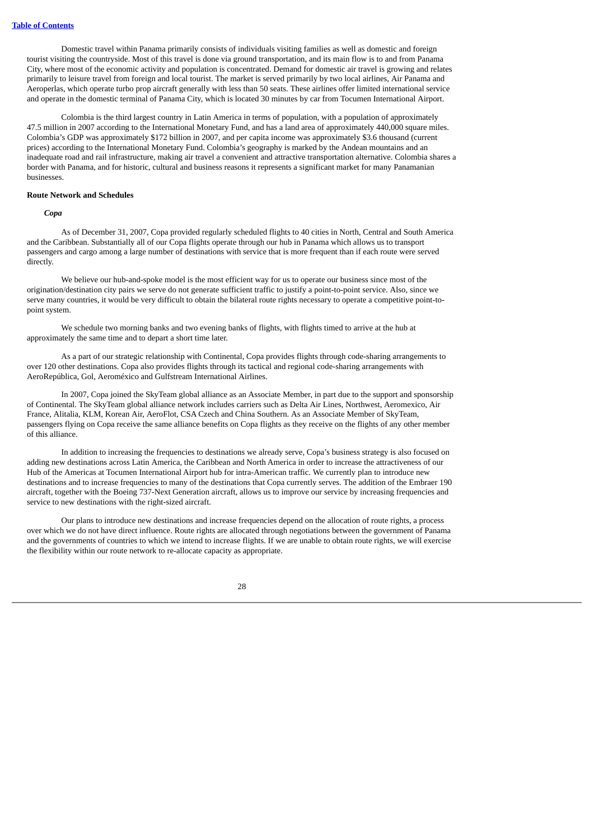Domestic travel within Panama primarily consists of individuals visiting families as well as domestic and foreign tourist visiting the countryside. Most of this travel is done via ground transportation, and its main flow is to and from Panama City, where most of the economic activity and population is concentrated. Demand for domestic air travel is growing and relates primarily to leisure travel from foreign and local tourist. The market is served primarily by two local airlines, Air Panama and Aeroperlas, which operate turbo prop aircraft generally with less than 50 seats. These airlines offer limited international service and operate in the domestic terminal of Panama City, which is located 30 minutes by car from Tocumen International Airport.

Colombia is the third largest country in Latin America in terms of population, with a population of approximately 47.5 million in 2007 according to the International Monetary Fund, and has a land area of approximately 440,000 square miles. Colombia's GDP was approximately \$172 billion in 2007, and per capita income was approximately \$3.6 thousand (current prices) according to the International Monetary Fund. Colombia's geography is marked by the Andean mountains and an inadequate road and rail infrastructure, making air travel a convenient and attractive transportation alternative. Colombia shares a border with Panama, and for historic, cultural and business reasons it represents a significant market for many Panamanian businesses.

#### **Route Network and Schedules**

#### *Copa*

As of December 31, 2007, Copa provided regularly scheduled flights to 40 cities in North, Central and South America and the Caribbean. Substantially all of our Copa flights operate through our hub in Panama which allows us to transport passengers and cargo among a large number of destinations with service that is more frequent than if each route were served directly.

We believe our hub-and-spoke model is the most efficient way for us to operate our business since most of the origination/destination city pairs we serve do not generate sufficient traffic to justify a point-to-point service. Also, since we serve many countries, it would be very difficult to obtain the bilateral route rights necessary to operate a competitive point-topoint system.

We schedule two morning banks and two evening banks of flights, with flights timed to arrive at the hub at approximately the same time and to depart a short time later.

As a part of our strategic relationship with Continental, Copa provides flights through code-sharing arrangements to over 120 other destinations. Copa also provides flights through its tactical and regional code-sharing arrangements with AeroRepública, Gol, Aeroméxico and Gulfstream International Airlines.

In 2007, Copa joined the SkyTeam global alliance as an Associate Member, in part due to the support and sponsorship of Continental. The SkyTeam global alliance network includes carriers such as Delta Air Lines, Northwest, Aeromexico, Air France, Alitalia, KLM, Korean Air, AeroFlot, CSA Czech and China Southern. As an Associate Member of SkyTeam, passengers flying on Copa receive the same alliance benefits on Copa flights as they receive on the flights of any other member of this alliance.

In addition to increasing the frequencies to destinations we already serve, Copa's business strategy is also focused on adding new destinations across Latin America, the Caribbean and North America in order to increase the attractiveness of our Hub of the Americas at Tocumen International Airport hub for intra-American traffic. We currently plan to introduce new destinations and to increase frequencies to many of the destinations that Copa currently serves. The addition of the Embraer 190 aircraft, together with the Boeing 737-Next Generation aircraft, allows us to improve our service by increasing frequencies and service to new destinations with the right-sized aircraft.

Our plans to introduce new destinations and increase frequencies depend on the allocation of route rights, a process over which we do not have direct influence. Route rights are allocated through negotiations between the government of Panama and the governments of countries to which we intend to increase flights. If we are unable to obtain route rights, we will exercise the flexibility within our route network to re-allocate capacity as appropriate.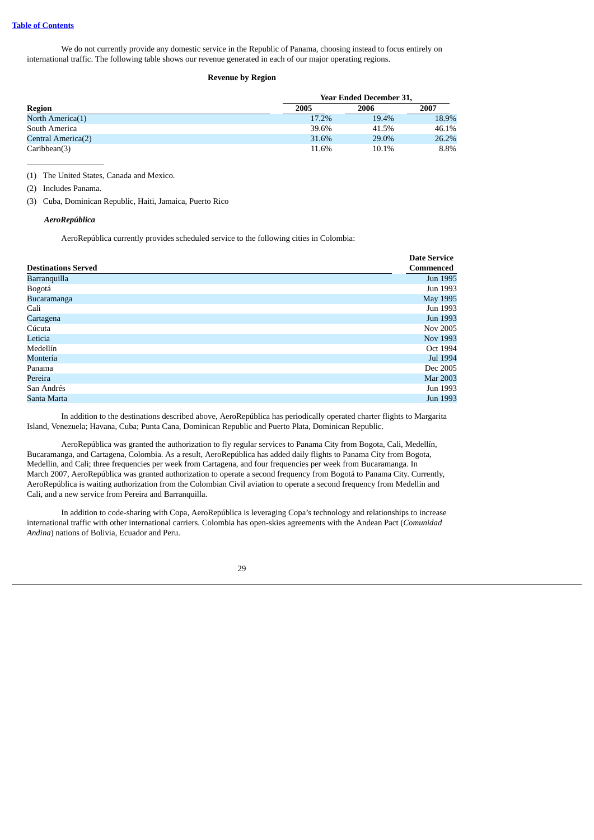We do not currently provide any domestic service in the Republic of Panama, choosing instead to focus entirely on international traffic. The following table shows our revenue generated in each of our major operating regions.

#### **Revenue by Region**

|                    |       | <b>Year Ended December 31,</b> |       |  |  |  |  |  |
|--------------------|-------|--------------------------------|-------|--|--|--|--|--|
| <b>Region</b>      | 2005  | 2006                           | 2007  |  |  |  |  |  |
| North America(1)   | 17.2% | 19.4%                          | 18.9% |  |  |  |  |  |
| South America      | 39.6% | 41.5%                          | 46.1% |  |  |  |  |  |
| Central America(2) | 31.6% | 29.0%                          | 26.2% |  |  |  |  |  |
| Caribbean(3)       | 11.6% | 10.1%                          | 8.8%  |  |  |  |  |  |

(1) The United States, Canada and Mexico.

(3) Cuba, Dominican Republic, Haiti, Jamaica, Puerto Rico

## *AeroRepública*

AeroRepública currently provides scheduled service to the following cities in Colombia:

|                            | <b>Date Service</b> |
|----------------------------|---------------------|
| <b>Destinations Served</b> | Commenced           |
| Barranquilla               | Jun 1995            |
| Bogotá                     | Jun 1993            |
| Bucaramanga                | May 1995            |
| Cali                       | Jun 1993            |
| Cartagena                  | Jun 1993            |
| Cúcuta                     | Nov 2005            |
| Leticia                    | Nov 1993            |
| Medellín                   | Oct 1994            |
| Montería                   | Jul 1994            |
| Panama                     | Dec 2005            |
| Pereira                    | <b>Mar 2003</b>     |
| San Andrés                 | Jun 1993            |
| Santa Marta                | Jun 1993            |

In addition to the destinations described above, AeroRepública has periodically operated charter flights to Margarita Island, Venezuela; Havana, Cuba; Punta Cana, Dominican Republic and Puerto Plata, Dominican Republic.

AeroRepública was granted the authorization to fly regular services to Panama City from Bogota, Cali, Medellín, Bucaramanga, and Cartagena, Colombia. As a result, AeroRepública has added daily flights to Panama City from Bogota, Medellin, and Cali; three frequencies per week from Cartagena, and four frequencies per week from Bucaramanga. In March 2007, AeroRepública was granted authorization to operate a second frequency from Bogotá to Panama City. Currently, AeroRepública is waiting authorization from the Colombian Civil aviation to operate a second frequency from Medellin and Cali, and a new service from Pereira and Barranquilla.

In addition to code-sharing with Copa, AeroRepública is leveraging Copa's technology and relationships to increase international traffic with other international carriers. Colombia has open-skies agreements with the Andean Pact (*Comunidad Andina*) nations of Bolivia, Ecuador and Peru.

<sup>(2)</sup> Includes Panama.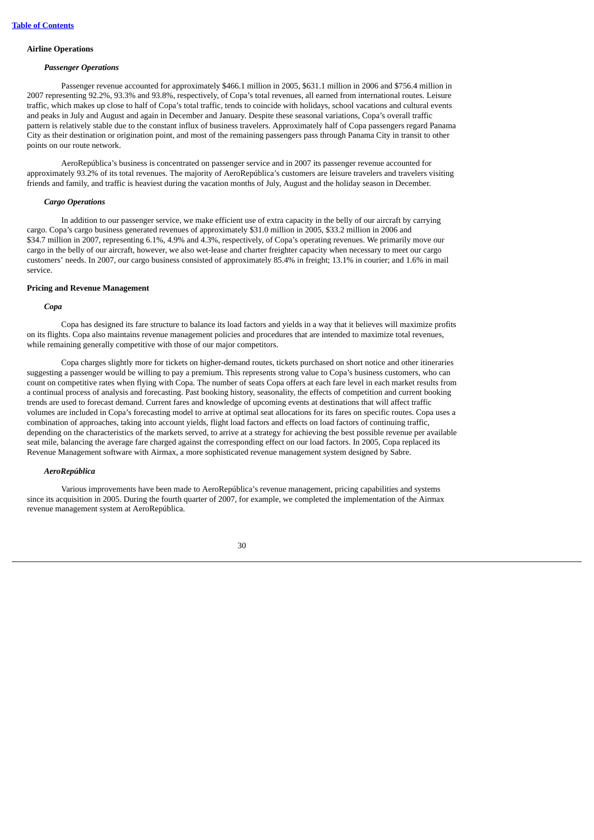## **Airline Operations**

#### *Passenger Operations*

Passenger revenue accounted for approximately \$466.1 million in 2005, \$631.1 million in 2006 and \$756.4 million in 2007 representing 92.2%, 93.3% and 93.8%, respectively, of Copa's total revenues, all earned from international routes. Leisure traffic, which makes up close to half of Copa's total traffic, tends to coincide with holidays, school vacations and cultural events and peaks in July and August and again in December and January. Despite these seasonal variations, Copa's overall traffic pattern is relatively stable due to the constant influx of business travelers. Approximately half of Copa passengers regard Panama City as their destination or origination point, and most of the remaining passengers pass through Panama City in transit to other points on our route network.

AeroRepública's business is concentrated on passenger service and in 2007 its passenger revenue accounted for approximately 93.2% of its total revenues. The majority of AeroRepública's customers are leisure travelers and travelers visiting friends and family, and traffic is heaviest during the vacation months of July, August and the holiday season in December.

## *Cargo Operations*

In addition to our passenger service, we make efficient use of extra capacity in the belly of our aircraft by carrying cargo. Copa's cargo business generated revenues of approximately \$31.0 million in 2005, \$33.2 million in 2006 and \$34.7 million in 2007, representing 6.1%, 4.9% and 4.3%, respectively, of Copa's operating revenues. We primarily move our cargo in the belly of our aircraft, however, we also wet-lease and charter freighter capacity when necessary to meet our cargo customers' needs. In 2007, our cargo business consisted of approximately 85.4% in freight; 13.1% in courier; and 1.6% in mail service.

## **Pricing and Revenue Management**

#### *Copa*

Copa has designed its fare structure to balance its load factors and yields in a way that it believes will maximize profits on its flights. Copa also maintains revenue management policies and procedures that are intended to maximize total revenues, while remaining generally competitive with those of our major competitors.

Copa charges slightly more for tickets on higher-demand routes, tickets purchased on short notice and other itineraries suggesting a passenger would be willing to pay a premium. This represents strong value to Copa's business customers, who can count on competitive rates when flying with Copa. The number of seats Copa offers at each fare level in each market results from a continual process of analysis and forecasting. Past booking history, seasonality, the effects of competition and current booking trends are used to forecast demand. Current fares and knowledge of upcoming events at destinations that will affect traffic volumes are included in Copa's forecasting model to arrive at optimal seat allocations for its fares on specific routes. Copa uses a combination of approaches, taking into account yields, flight load factors and effects on load factors of continuing traffic, depending on the characteristics of the markets served, to arrive at a strategy for achieving the best possible revenue per available seat mile, balancing the average fare charged against the corresponding effect on our load factors. In 2005, Copa replaced its Revenue Management software with Airmax, a more sophisticated revenue management system designed by Sabre.

#### *AeroRepública*

Various improvements have been made to AeroRepública's revenue management, pricing capabilities and systems since its acquisition in 2005. During the fourth quarter of 2007, for example, we completed the implementation of the Airmax revenue management system at AeroRepública.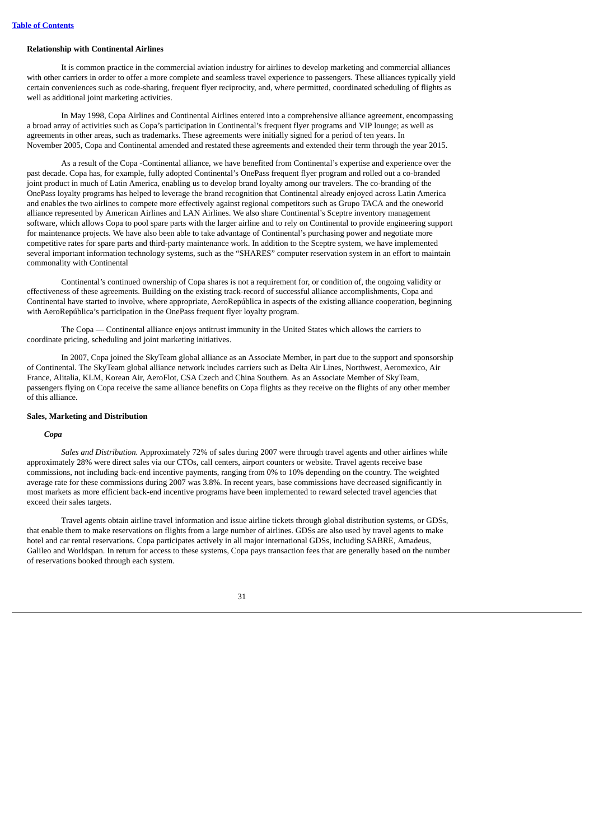### **Relationship with Continental Airlines**

It is common practice in the commercial aviation industry for airlines to develop marketing and commercial alliances with other carriers in order to offer a more complete and seamless travel experience to passengers. These alliances typically yield certain conveniences such as code-sharing, frequent flyer reciprocity, and, where permitted, coordinated scheduling of flights as well as additional joint marketing activities.

In May 1998, Copa Airlines and Continental Airlines entered into a comprehensive alliance agreement, encompassing a broad array of activities such as Copa's participation in Continental's frequent flyer programs and VIP lounge; as well as agreements in other areas, such as trademarks. These agreements were initially signed for a period of ten years. In November 2005, Copa and Continental amended and restated these agreements and extended their term through the year 2015.

As a result of the Copa -Continental alliance, we have benefited from Continental's expertise and experience over the past decade. Copa has, for example, fully adopted Continental's OnePass frequent flyer program and rolled out a co-branded joint product in much of Latin America, enabling us to develop brand loyalty among our travelers. The co-branding of the OnePass loyalty programs has helped to leverage the brand recognition that Continental already enjoyed across Latin America and enables the two airlines to compete more effectively against regional competitors such as Grupo TACA and the oneworld alliance represented by American Airlines and LAN Airlines. We also share Continental's Sceptre inventory management software, which allows Copa to pool spare parts with the larger airline and to rely on Continental to provide engineering support for maintenance projects. We have also been able to take advantage of Continental's purchasing power and negotiate more competitive rates for spare parts and third-party maintenance work. In addition to the Sceptre system, we have implemented several important information technology systems, such as the "SHARES" computer reservation system in an effort to maintain commonality with Continental

Continental's continued ownership of Copa shares is not a requirement for, or condition of, the ongoing validity or effectiveness of these agreements. Building on the existing track-record of successful alliance accomplishments, Copa and Continental have started to involve, where appropriate, AeroRepública in aspects of the existing alliance cooperation, beginning with AeroRepública's participation in the OnePass frequent flyer loyalty program.

The Copa — Continental alliance enjoys antitrust immunity in the United States which allows the carriers to coordinate pricing, scheduling and joint marketing initiatives.

In 2007, Copa joined the SkyTeam global alliance as an Associate Member, in part due to the support and sponsorship of Continental. The SkyTeam global alliance network includes carriers such as Delta Air Lines, Northwest, Aeromexico, Air France, Alitalia, KLM, Korean Air, AeroFlot, CSA Czech and China Southern. As an Associate Member of SkyTeam, passengers flying on Copa receive the same alliance benefits on Copa flights as they receive on the flights of any other member of this alliance.

#### **Sales, Marketing and Distribution**

# *Copa*

*Sales and Distribution.* Approximately 72% of sales during 2007 were through travel agents and other airlines while approximately 28% were direct sales via our CTOs, call centers, airport counters or website. Travel agents receive base commissions, not including back-end incentive payments, ranging from 0% to 10% depending on the country. The weighted average rate for these commissions during 2007 was 3.8%. In recent years, base commissions have decreased significantly in most markets as more efficient back-end incentive programs have been implemented to reward selected travel agencies that exceed their sales targets.

Travel agents obtain airline travel information and issue airline tickets through global distribution systems, or GDSs, that enable them to make reservations on flights from a large number of airlines. GDSs are also used by travel agents to make hotel and car rental reservations. Copa participates actively in all major international GDSs, including SABRE, Amadeus, Galileo and Worldspan. In return for access to these systems, Copa pays transaction fees that are generally based on the number of reservations booked through each system.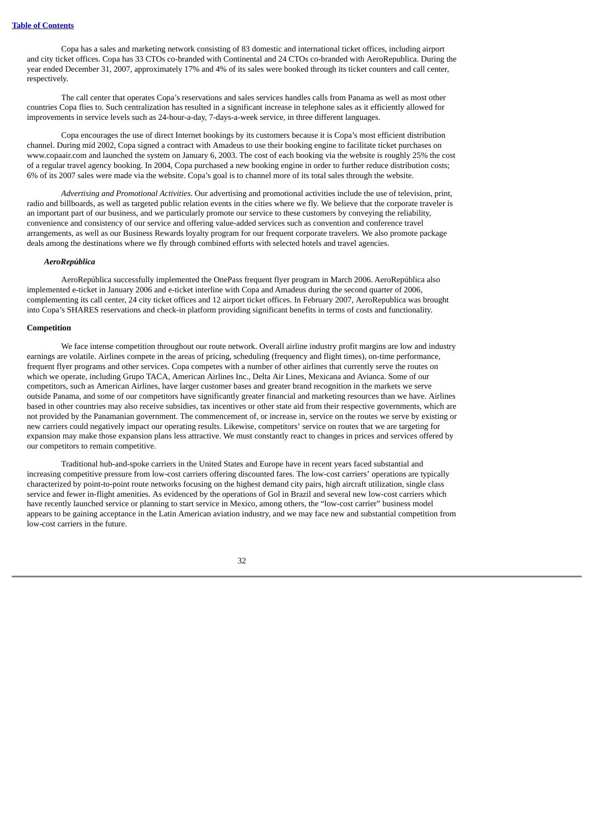Copa has a sales and marketing network consisting of 83 domestic and international ticket offices, including airport and city ticket offices. Copa has 33 CTOs co-branded with Continental and 24 CTOs co-branded with AeroRepublica. During the year ended December 31, 2007, approximately 17% and 4% of its sales were booked through its ticket counters and call center, respectively.

The call center that operates Copa's reservations and sales services handles calls from Panama as well as most other countries Copa flies to. Such centralization has resulted in a significant increase in telephone sales as it efficiently allowed for improvements in service levels such as 24-hour-a-day, 7-days-a-week service, in three different languages.

Copa encourages the use of direct Internet bookings by its customers because it is Copa's most efficient distribution channel. During mid 2002, Copa signed a contract with Amadeus to use their booking engine to facilitate ticket purchases on www.copaair.com and launched the system on January 6, 2003. The cost of each booking via the website is roughly 25% the cost of a regular travel agency booking. In 2004, Copa purchased a new booking engine in order to further reduce distribution costs; 6% of its 2007 sales were made via the website. Copa's goal is to channel more of its total sales through the website.

*Advertising and Promotional Activities.* Our advertising and promotional activities include the use of television, print, radio and billboards, as well as targeted public relation events in the cities where we fly. We believe that the corporate traveler is an important part of our business, and we particularly promote our service to these customers by conveying the reliability, convenience and consistency of our service and offering value-added services such as convention and conference travel arrangements, as well as our Business Rewards loyalty program for our frequent corporate travelers. We also promote package deals among the destinations where we fly through combined efforts with selected hotels and travel agencies.

#### *AeroRepública*

AeroRepública successfully implemented the OnePass frequent flyer program in March 2006. AeroRepública also implemented e-ticket in January 2006 and e-ticket interline with Copa and Amadeus during the second quarter of 2006, complementing its call center, 24 city ticket offices and 12 airport ticket offices. In February 2007, AeroRepublica was brought into Copa's SHARES reservations and check-in platform providing significant benefits in terms of costs and functionality.

#### **Competition**

We face intense competition throughout our route network. Overall airline industry profit margins are low and industry earnings are volatile. Airlines compete in the areas of pricing, scheduling (frequency and flight times), on-time performance, frequent flyer programs and other services. Copa competes with a number of other airlines that currently serve the routes on which we operate, including Grupo TACA, American Airlines Inc., Delta Air Lines, Mexicana and Avianca. Some of our competitors, such as American Airlines, have larger customer bases and greater brand recognition in the markets we serve outside Panama, and some of our competitors have significantly greater financial and marketing resources than we have. Airlines based in other countries may also receive subsidies, tax incentives or other state aid from their respective governments, which are not provided by the Panamanian government. The commencement of, or increase in, service on the routes we serve by existing or new carriers could negatively impact our operating results. Likewise, competitors' service on routes that we are targeting for expansion may make those expansion plans less attractive. We must constantly react to changes in prices and services offered by our competitors to remain competitive.

Traditional hub-and-spoke carriers in the United States and Europe have in recent years faced substantial and increasing competitive pressure from low-cost carriers offering discounted fares. The low-cost carriers' operations are typically characterized by point-to-point route networks focusing on the highest demand city pairs, high aircraft utilization, single class service and fewer in-flight amenities. As evidenced by the operations of Gol in Brazil and several new low-cost carriers which have recently launched service or planning to start service in Mexico, among others, the "low-cost carrier" business model appears to be gaining acceptance in the Latin American aviation industry, and we may face new and substantial competition from low-cost carriers in the future.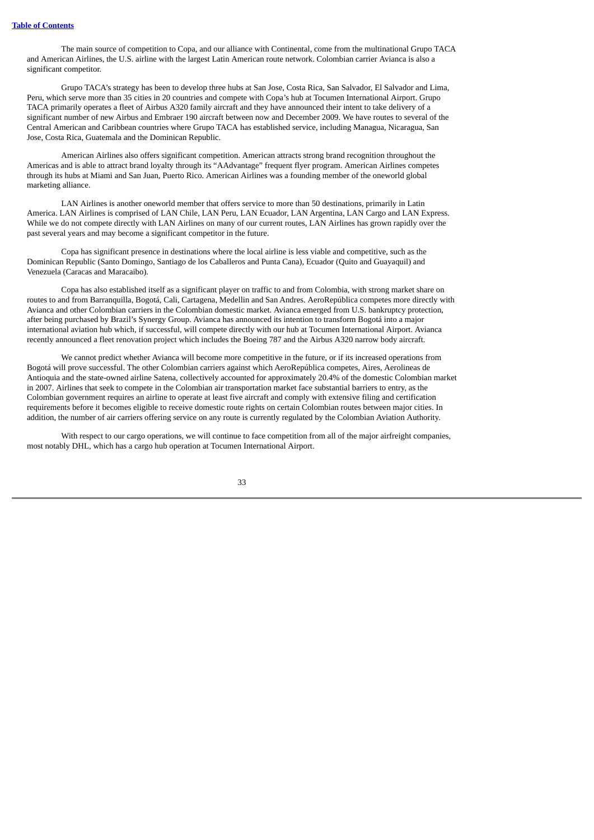The main source of competition to Copa, and our alliance with Continental, come from the multinational Grupo TACA and American Airlines, the U.S. airline with the largest Latin American route network. Colombian carrier Avianca is also a significant competitor.

Grupo TACA's strategy has been to develop three hubs at San Jose, Costa Rica, San Salvador, El Salvador and Lima, Peru, which serve more than 35 cities in 20 countries and compete with Copa's hub at Tocumen International Airport. Grupo TACA primarily operates a fleet of Airbus A320 family aircraft and they have announced their intent to take delivery of a significant number of new Airbus and Embraer 190 aircraft between now and December 2009. We have routes to several of the Central American and Caribbean countries where Grupo TACA has established service, including Managua, Nicaragua, San Jose, Costa Rica, Guatemala and the Dominican Republic.

American Airlines also offers significant competition. American attracts strong brand recognition throughout the Americas and is able to attract brand loyalty through its "AAdvantage" frequent flyer program. American Airlines competes through its hubs at Miami and San Juan, Puerto Rico. American Airlines was a founding member of the oneworld global marketing alliance.

LAN Airlines is another oneworld member that offers service to more than 50 destinations, primarily in Latin America. LAN Airlines is comprised of LAN Chile, LAN Peru, LAN Ecuador, LAN Argentina, LAN Cargo and LAN Express. While we do not compete directly with LAN Airlines on many of our current routes, LAN Airlines has grown rapidly over the past several years and may become a significant competitor in the future.

Copa has significant presence in destinations where the local airline is less viable and competitive, such as the Dominican Republic (Santo Domingo, Santiago de los Caballeros and Punta Cana), Ecuador (Quito and Guayaquil) and Venezuela (Caracas and Maracaibo).

Copa has also established itself as a significant player on traffic to and from Colombia, with strong market share on routes to and from Barranquilla, Bogotá, Cali, Cartagena, Medellin and San Andres. AeroRepública competes more directly with Avianca and other Colombian carriers in the Colombian domestic market. Avianca emerged from U.S. bankruptcy protection, after being purchased by Brazil's Synergy Group. Avianca has announced its intention to transform Bogotá into a major international aviation hub which, if successful, will compete directly with our hub at Tocumen International Airport. Avianca recently announced a fleet renovation project which includes the Boeing 787 and the Airbus A320 narrow body aircraft.

We cannot predict whether Avianca will become more competitive in the future, or if its increased operations from Bogotá will prove successful. The other Colombian carriers against which AeroRepública competes, Aires, Aerolineas de Antioquia and the state-owned airline Satena, collectively accounted for approximately 20.4% of the domestic Colombian market in 2007. Airlines that seek to compete in the Colombian air transportation market face substantial barriers to entry, as the Colombian government requires an airline to operate at least five aircraft and comply with extensive filing and certification requirements before it becomes eligible to receive domestic route rights on certain Colombian routes between major cities. In addition, the number of air carriers offering service on any route is currently regulated by the Colombian Aviation Authority.

With respect to our cargo operations, we will continue to face competition from all of the major airfreight companies, most notably DHL, which has a cargo hub operation at Tocumen International Airport.

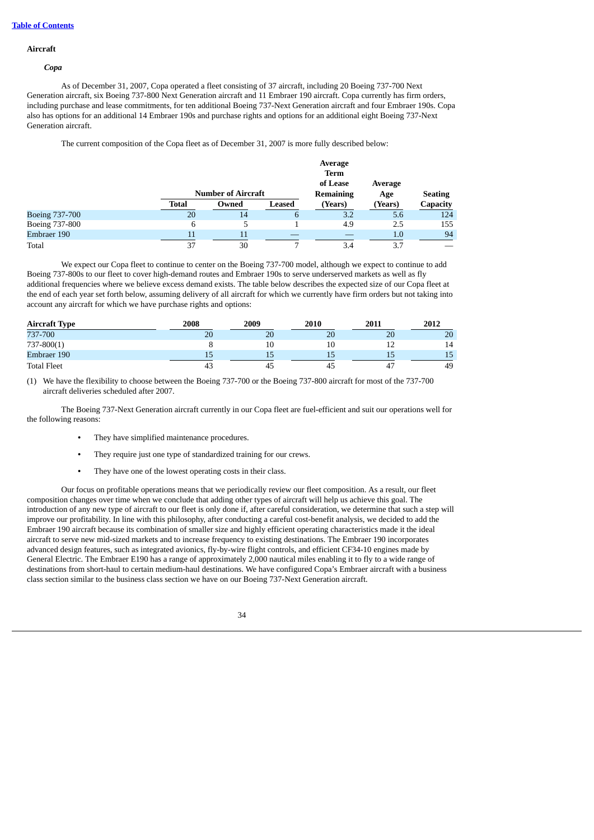#### **Aircraft**

#### *Copa*

As of December 31, 2007, Copa operated a fleet consisting of 37 aircraft, including 20 Boeing 737-700 Next Generation aircraft, six Boeing 737-800 Next Generation aircraft and 11 Embraer 190 aircraft. Copa currently has firm orders, including purchase and lease commitments, for ten additional Boeing 737-Next Generation aircraft and four Embraer 190s. Copa also has options for an additional 14 Embraer 190s and purchase rights and options for an additional eight Boeing 737-Next Generation aircraft.

The current composition of the Copa fleet as of December 31, 2007 is more fully described below:

|                       |       |                           |                | Average                 |         |                 |
|-----------------------|-------|---------------------------|----------------|-------------------------|---------|-----------------|
|                       |       |                           |                | <b>Term</b><br>of Lease | Average |                 |
|                       |       | <b>Number of Aircraft</b> |                |                         | Age     | <b>Seating</b>  |
|                       | Total | Owned                     | Leased         | (Years)                 | (Years) | <b>Capacity</b> |
| <b>Boeing 737-700</b> | 20    | 14                        | $\mathfrak{h}$ | 3.2                     | 5.6     | 124             |
| Boeing 737-800        | 6     |                           |                | 4.9                     | 2.5     | 155             |
| Embraer 190           | 11    | 11                        |                |                         | 1.0     | 94              |
| Total                 | 37    | 30                        |                | 3.4                     | 3.7     |                 |

We expect our Copa fleet to continue to center on the Boeing 737-700 model, although we expect to continue to add Boeing 737-800s to our fleet to cover high-demand routes and Embraer 190s to serve underserved markets as well as fly additional frequencies where we believe excess demand exists. The table below describes the expected size of our Copa fleet at the end of each year set forth below, assuming delivery of all aircraft for which we currently have firm orders but not taking into account any aircraft for which we have purchase rights and options:

| <b>Aircraft Type</b> | 2008 | 2009 | 2010 | 2011 | 2012 |
|----------------------|------|------|------|------|------|
| 737-700              | 20   | 20   | 20   | 20   | 20   |
| $737 - 800(1)$       |      | 10   |      |      | 14   |
| Embraer 190          | כ ב  | 15   | 49   | 15   | 15   |
| <b>Total Fleet</b>   | 43   | 45   | 45   |      | 49   |

(1) We have the flexibility to choose between the Boeing 737-700 or the Boeing 737-800 aircraft for most of the 737-700 aircraft deliveries scheduled after 2007.

The Boeing 737-Next Generation aircraft currently in our Copa fleet are fuel-efficient and suit our operations well for the following reasons:

- **•** They have simplified maintenance procedures.
- **•** They require just one type of standardized training for our crews.
- **•** They have one of the lowest operating costs in their class.

Our focus on profitable operations means that we periodically review our fleet composition. As a result, our fleet composition changes over time when we conclude that adding other types of aircraft will help us achieve this goal. The introduction of any new type of aircraft to our fleet is only done if, after careful consideration, we determine that such a step will improve our profitability. In line with this philosophy, after conducting a careful cost-benefit analysis, we decided to add the Embraer 190 aircraft because its combination of smaller size and highly efficient operating characteristics made it the ideal aircraft to serve new mid-sized markets and to increase frequency to existing destinations. The Embraer 190 incorporates advanced design features, such as integrated avionics, fly-by-wire flight controls, and efficient CF34-10 engines made by General Electric. The Embraer E190 has a range of approximately 2,000 nautical miles enabling it to fly to a wide range of destinations from short-haul to certain medium-haul destinations. We have configured Copa's Embraer aircraft with a business class section similar to the business class section we have on our Boeing 737-Next Generation aircraft.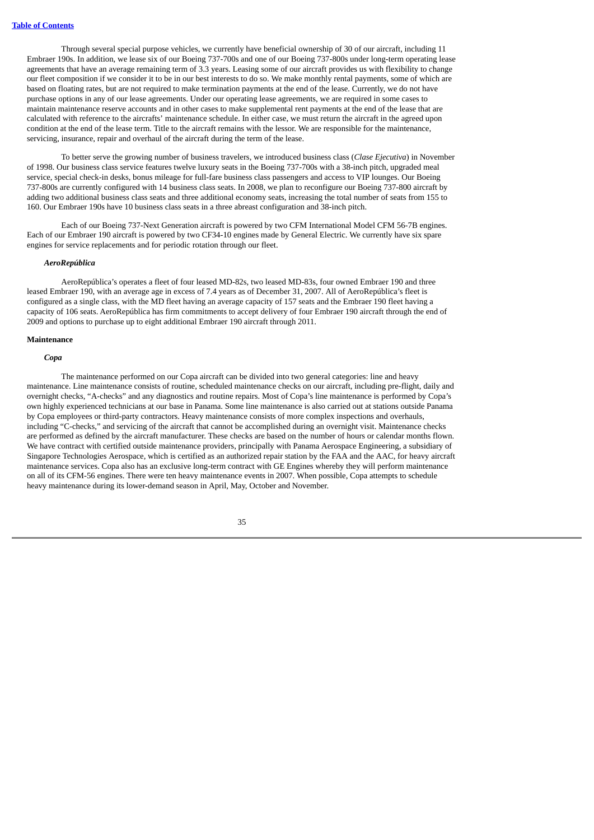Through several special purpose vehicles, we currently have beneficial ownership of 30 of our aircraft, including 11 Embraer 190s. In addition, we lease six of our Boeing 737-700s and one of our Boeing 737-800s under long-term operating lease agreements that have an average remaining term of 3.3 years. Leasing some of our aircraft provides us with flexibility to change our fleet composition if we consider it to be in our best interests to do so. We make monthly rental payments, some of which are based on floating rates, but are not required to make termination payments at the end of the lease. Currently, we do not have purchase options in any of our lease agreements. Under our operating lease agreements, we are required in some cases to maintain maintenance reserve accounts and in other cases to make supplemental rent payments at the end of the lease that are calculated with reference to the aircrafts' maintenance schedule. In either case, we must return the aircraft in the agreed upon condition at the end of the lease term. Title to the aircraft remains with the lessor. We are responsible for the maintenance, servicing, insurance, repair and overhaul of the aircraft during the term of the lease.

To better serve the growing number of business travelers, we introduced business class (*Clase Ejecutiva*) in November of 1998. Our business class service features twelve luxury seats in the Boeing 737-700s with a 38-inch pitch, upgraded meal service, special check-in desks, bonus mileage for full-fare business class passengers and access to VIP lounges. Our Boeing 737-800s are currently configured with 14 business class seats. In 2008, we plan to reconfigure our Boeing 737-800 aircraft by adding two additional business class seats and three additional economy seats, increasing the total number of seats from 155 to 160. Our Embraer 190s have 10 business class seats in a three abreast configuration and 38-inch pitch.

Each of our Boeing 737-Next Generation aircraft is powered by two CFM International Model CFM 56-7B engines. Each of our Embraer 190 aircraft is powered by two CF34-10 engines made by General Electric. We currently have six spare engines for service replacements and for periodic rotation through our fleet.

#### *AeroRepública*

AeroRepública's operates a fleet of four leased MD-82s, two leased MD-83s, four owned Embraer 190 and three leased Embraer 190, with an average age in excess of 7.4 years as of December 31, 2007. All of AeroRepública's fleet is configured as a single class, with the MD fleet having an average capacity of 157 seats and the Embraer 190 fleet having a capacity of 106 seats. AeroRepública has firm commitments to accept delivery of four Embraer 190 aircraft through the end of 2009 and options to purchase up to eight additional Embraer 190 aircraft through 2011.

#### **Maintenance**

#### *Copa*

The maintenance performed on our Copa aircraft can be divided into two general categories: line and heavy maintenance. Line maintenance consists of routine, scheduled maintenance checks on our aircraft, including pre-flight, daily and overnight checks, "A-checks" and any diagnostics and routine repairs. Most of Copa's line maintenance is performed by Copa's own highly experienced technicians at our base in Panama. Some line maintenance is also carried out at stations outside Panama by Copa employees or third-party contractors. Heavy maintenance consists of more complex inspections and overhauls, including "C-checks," and servicing of the aircraft that cannot be accomplished during an overnight visit. Maintenance checks are performed as defined by the aircraft manufacturer. These checks are based on the number of hours or calendar months flown. We have contract with certified outside maintenance providers, principally with Panama Aerospace Engineering, a subsidiary of Singapore Technologies Aerospace, which is certified as an authorized repair station by the FAA and the AAC, for heavy aircraft maintenance services. Copa also has an exclusive long-term contract with GE Engines whereby they will perform maintenance on all of its CFM-56 engines. There were ten heavy maintenance events in 2007. When possible, Copa attempts to schedule heavy maintenance during its lower-demand season in April, May, October and November.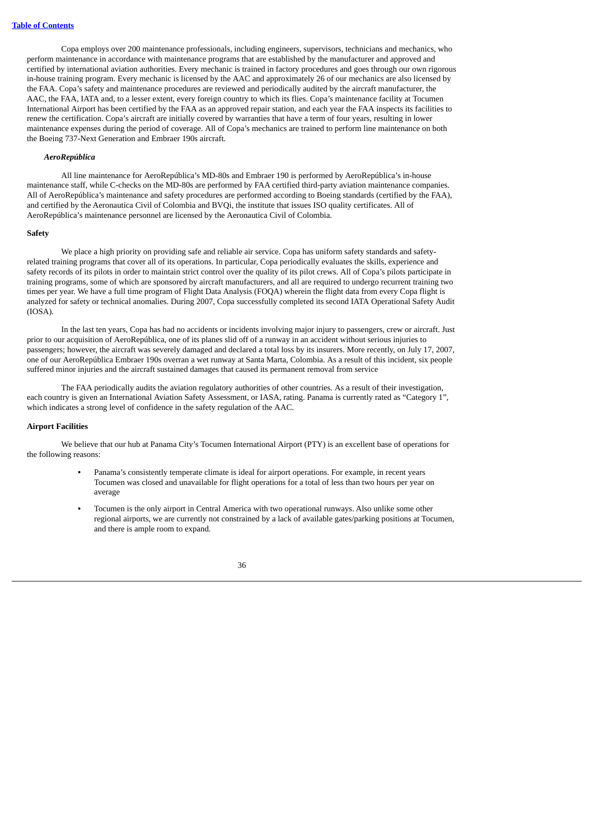Copa employs over 200 maintenance professionals, including engineers, supervisors, technicians and mechanics, who perform maintenance in accordance with maintenance programs that are established by the manufacturer and approved and certified by international aviation authorities. Every mechanic is trained in factory procedures and goes through our own rigorous in-house training program. Every mechanic is licensed by the AAC and approximately 26 of our mechanics are also licensed by the FAA. Copa's safety and maintenance procedures are reviewed and periodically audited by the aircraft manufacturer, the AAC, the FAA, IATA and, to a lesser extent, every foreign country to which its flies. Copa's maintenance facility at Tocumen International Airport has been certified by the FAA as an approved repair station, and each year the FAA inspects its facilities to renew the certification. Copa's aircraft are initially covered by warranties that have a term of four years, resulting in lower maintenance expenses during the period of coverage. All of Copa's mechanics are trained to perform line maintenance on both the Boeing 737-Next Generation and Embraer 190s aircraft.

### *AeroRepública*

All line maintenance for AeroRepública's MD-80s and Embraer 190 is performed by AeroRepública's in-house maintenance staff, while C-checks on the MD-80s are performed by FAA certified third-party aviation maintenance companies. All of AeroRepública's maintenance and safety procedures are performed according to Boeing standards (certified by the FAA), and certified by the Aeronautica Civil of Colombia and BVQi, the institute that issues ISO quality certificates. All of AeroRepública's maintenance personnel are licensed by the Aeronautica Civil of Colombia.

#### **Safety**

We place a high priority on providing safe and reliable air service. Copa has uniform safety standards and safetyrelated training programs that cover all of its operations. In particular, Copa periodically evaluates the skills, experience and safety records of its pilots in order to maintain strict control over the quality of its pilot crews. All of Copa's pilots participate in training programs, some of which are sponsored by aircraft manufacturers, and all are required to undergo recurrent training two times per year. We have a full time program of Flight Data Analysis (FOQA) wherein the flight data from every Copa flight is analyzed for safety or technical anomalies. During 2007, Copa successfully completed its second IATA Operational Safety Audit (IOSA).

In the last ten years, Copa has had no accidents or incidents involving major injury to passengers, crew or aircraft. Just prior to our acquisition of AeroRepública, one of its planes slid off of a runway in an accident without serious injuries to passengers; however, the aircraft was severely damaged and declared a total loss by its insurers. More recently, on July 17, 2007, one of our AeroRepública Embraer 190s overran a wet runway at Santa Marta, Colombia. As a result of this incident, six people suffered minor injuries and the aircraft sustained damages that caused its permanent removal from service

The FAA periodically audits the aviation regulatory authorities of other countries. As a result of their investigation, each country is given an International Aviation Safety Assessment, or IASA, rating. Panama is currently rated as "Category 1", which indicates a strong level of confidence in the safety regulation of the AAC.

#### **Airport Facilities**

We believe that our hub at Panama City's Tocumen International Airport (PTY) is an excellent base of operations for the following reasons:

- **•** Panama's consistently temperate climate is ideal for airport operations. For example, in recent years Tocumen was closed and unavailable for flight operations for a total of less than two hours per year on average
- **•** Tocumen is the only airport in Central America with two operational runways. Also unlike some other regional airports, we are currently not constrained by a lack of available gates/parking positions at Tocumen, and there is ample room to expand.

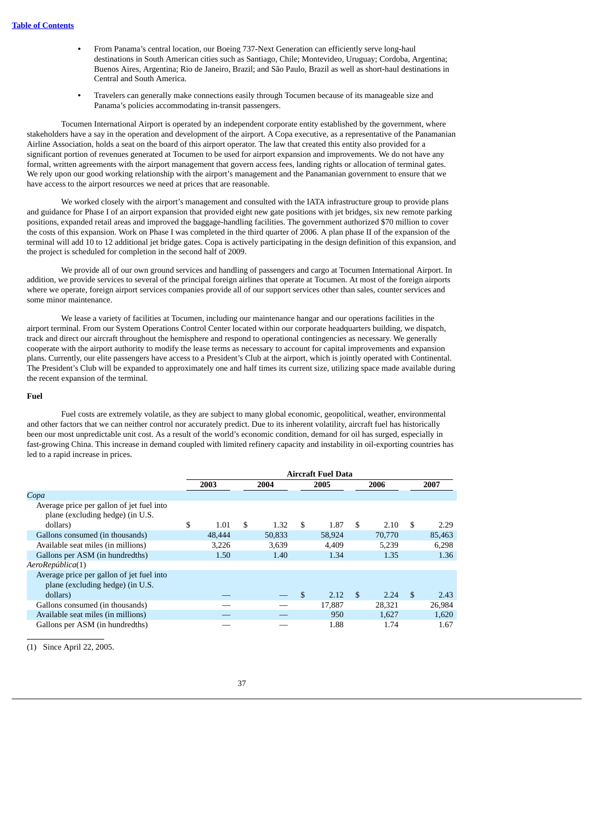- **•** From Panama's central location, our Boeing 737-Next Generation can efficiently serve long-haul destinations in South American cities such as Santiago, Chile; Montevideo, Uruguay; Cordoba, Argentina; Buenos Aires, Argentina; Rio de Janeiro, Brazil; and São Paulo, Brazil as well as short-haul destinations in Central and South America.
- **•** Travelers can generally make connections easily through Tocumen because of its manageable size and Panama's policies accommodating in-transit passengers.

Tocumen International Airport is operated by an independent corporate entity established by the government, where stakeholders have a say in the operation and development of the airport. A Copa executive, as a representative of the Panamanian Airline Association, holds a seat on the board of this airport operator. The law that created this entity also provided for a significant portion of revenues generated at Tocumen to be used for airport expansion and improvements. We do not have any formal, written agreements with the airport management that govern access fees, landing rights or allocation of terminal gates. We rely upon our good working relationship with the airport's management and the Panamanian government to ensure that we have access to the airport resources we need at prices that are reasonable.

We worked closely with the airport's management and consulted with the IATA infrastructure group to provide plans and guidance for Phase I of an airport expansion that provided eight new gate positions with jet bridges, six new remote parking positions, expanded retail areas and improved the baggage-handling facilities. The government authorized \$70 million to cover the costs of this expansion. Work on Phase I was completed in the third quarter of 2006. A plan phase II of the expansion of the terminal will add 10 to 12 additional jet bridge gates. Copa is actively participating in the design definition of this expansion, and the project is scheduled for completion in the second half of 2009.

We provide all of our own ground services and handling of passengers and cargo at Tocumen International Airport. In addition, we provide services to several of the principal foreign airlines that operate at Tocumen. At most of the foreign airports where we operate, foreign airport services companies provide all of our support services other than sales, counter services and some minor maintenance.

We lease a variety of facilities at Tocumen, including our maintenance hangar and our operations facilities in the airport terminal. From our System Operations Control Center located within our corporate headquarters building, we dispatch, track and direct our aircraft throughout the hemisphere and respond to operational contingencies as necessary. We generally cooperate with the airport authority to modify the lease terms as necessary to account for capital improvements and expansion plans. Currently, our elite passengers have access to a President's Club at the airport, which is jointly operated with Continental. The President's Club will be expanded to approximately one and half times its current size, utilizing space made available during the recent expansion of the terminal.

#### **Fuel**

Fuel costs are extremely volatile, as they are subject to many global economic, geopolitical, weather, environmental and other factors that we can neither control nor accurately predict. Due to its inherent volatility, aircraft fuel has historically been our most unpredictable unit cost. As a result of the world's economic condition, demand for oil has surged, especially in fast-growing China. This increase in demand coupled with limited refinery capacity and instability in oil-exporting countries has led to a rapid increase in prices.

|                                                                               | <b>Aircraft Fuel Data</b> |        |    |        |    |        |                |        |     |        |
|-------------------------------------------------------------------------------|---------------------------|--------|----|--------|----|--------|----------------|--------|-----|--------|
|                                                                               |                           | 2003   |    | 2004   |    | 2005   |                | 2006   |     | 2007   |
| Copa                                                                          |                           |        |    |        |    |        |                |        |     |        |
| Average price per gallon of jet fuel into<br>plane (excluding hedge) (in U.S. |                           |        |    |        |    |        |                |        |     |        |
| dollars)                                                                      | \$                        | 1.01   | \$ | 1.32   | \$ | 1.87   | \$             | 2.10   | \$  | 2.29   |
| Gallons consumed (in thousands)                                               |                           | 48,444 |    | 50,833 |    | 58,924 |                | 70,770 |     | 85,463 |
| Available seat miles (in millions)                                            |                           | 3,226  |    | 3.639  |    | 4.409  |                | 5,239  |     | 6.298  |
| Gallons per ASM (in hundredths)                                               |                           | 1.50   |    | 1.40   |    | 1.34   |                | 1.35   |     | 1.36   |
| AeroRepública(1)                                                              |                           |        |    |        |    |        |                |        |     |        |
| Average price per gallon of jet fuel into<br>plane (excluding hedge) (in U.S. |                           |        |    |        |    |        |                |        |     |        |
| dollars)                                                                      |                           |        |    |        | \$ | 2.12   | $\mathfrak{F}$ | 2.24   | \$. | 2.43   |
| Gallons consumed (in thousands)                                               |                           |        |    |        |    | 17,887 |                | 28,321 |     | 26,984 |
| Available seat miles (in millions)                                            |                           |        |    |        |    | 950    |                | 1,627  |     | 1,620  |
| Gallons per ASM (in hundredths)                                               |                           |        |    |        |    | 1.88   |                | 1.74   |     | 1.67   |

(1) Since April 22, 2005.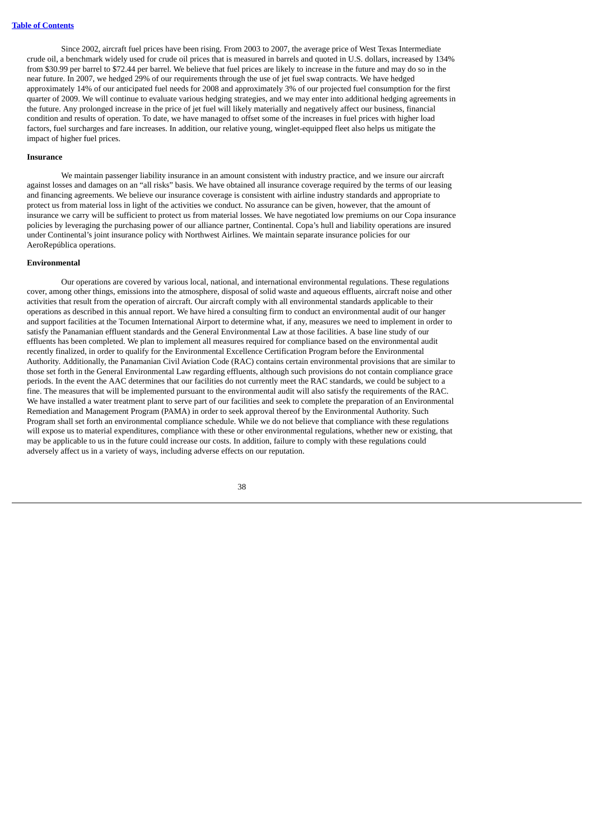Since 2002, aircraft fuel prices have been rising. From 2003 to 2007, the average price of West Texas Intermediate crude oil, a benchmark widely used for crude oil prices that is measured in barrels and quoted in U.S. dollars, increased by 134% from \$30.99 per barrel to \$72.44 per barrel. We believe that fuel prices are likely to increase in the future and may do so in the near future. In 2007, we hedged 29% of our requirements through the use of jet fuel swap contracts. We have hedged approximately 14% of our anticipated fuel needs for 2008 and approximately 3% of our projected fuel consumption for the first quarter of 2009. We will continue to evaluate various hedging strategies, and we may enter into additional hedging agreements in the future. Any prolonged increase in the price of jet fuel will likely materially and negatively affect our business, financial condition and results of operation. To date, we have managed to offset some of the increases in fuel prices with higher load factors, fuel surcharges and fare increases. In addition, our relative young, winglet-equipped fleet also helps us mitigate the impact of higher fuel prices.

# **Insurance**

We maintain passenger liability insurance in an amount consistent with industry practice, and we insure our aircraft against losses and damages on an "all risks" basis. We have obtained all insurance coverage required by the terms of our leasing and financing agreements. We believe our insurance coverage is consistent with airline industry standards and appropriate to protect us from material loss in light of the activities we conduct. No assurance can be given, however, that the amount of insurance we carry will be sufficient to protect us from material losses. We have negotiated low premiums on our Copa insurance policies by leveraging the purchasing power of our alliance partner, Continental. Copa's hull and liability operations are insured under Continental's joint insurance policy with Northwest Airlines. We maintain separate insurance policies for our AeroRepública operations.

#### **Environmental**

Our operations are covered by various local, national, and international environmental regulations. These regulations cover, among other things, emissions into the atmosphere, disposal of solid waste and aqueous effluents, aircraft noise and other activities that result from the operation of aircraft. Our aircraft comply with all environmental standards applicable to their operations as described in this annual report. We have hired a consulting firm to conduct an environmental audit of our hanger and support facilities at the Tocumen International Airport to determine what, if any, measures we need to implement in order to satisfy the Panamanian effluent standards and the General Environmental Law at those facilities. A base line study of our effluents has been completed. We plan to implement all measures required for compliance based on the environmental audit recently finalized, in order to qualify for the Environmental Excellence Certification Program before the Environmental Authority. Additionally, the Panamanian Civil Aviation Code (RAC) contains certain environmental provisions that are similar to those set forth in the General Environmental Law regarding effluents, although such provisions do not contain compliance grace periods. In the event the AAC determines that our facilities do not currently meet the RAC standards, we could be subject to a fine. The measures that will be implemented pursuant to the environmental audit will also satisfy the requirements of the RAC. We have installed a water treatment plant to serve part of our facilities and seek to complete the preparation of an Environmental Remediation and Management Program (PAMA) in order to seek approval thereof by the Environmental Authority. Such Program shall set forth an environmental compliance schedule. While we do not believe that compliance with these regulations will expose us to material expenditures, compliance with these or other environmental regulations, whether new or existing, that may be applicable to us in the future could increase our costs. In addition, failure to comply with these regulations could adversely affect us in a variety of ways, including adverse effects on our reputation.

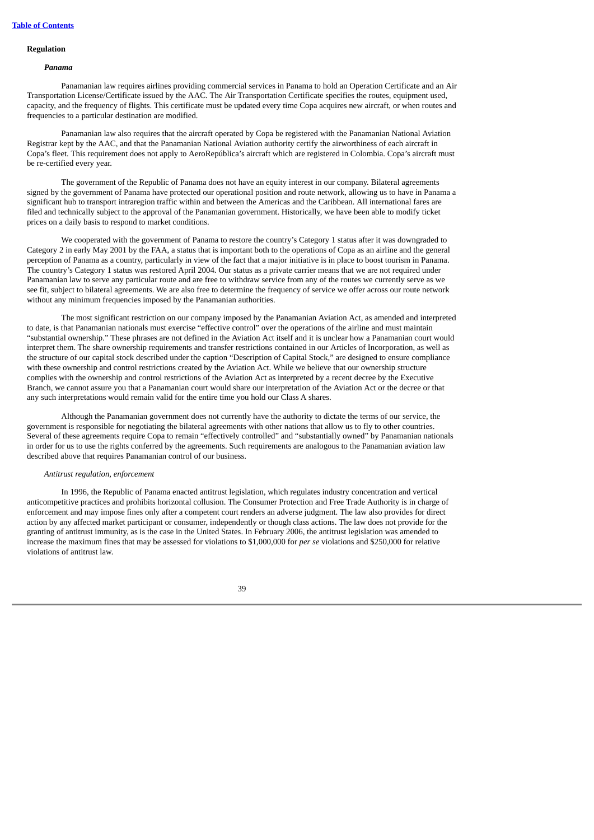# **Regulation**

#### *Panama*

Panamanian law requires airlines providing commercial services in Panama to hold an Operation Certificate and an Air Transportation License/Certificate issued by the AAC. The Air Transportation Certificate specifies the routes, equipment used, capacity, and the frequency of flights. This certificate must be updated every time Copa acquires new aircraft, or when routes and frequencies to a particular destination are modified.

Panamanian law also requires that the aircraft operated by Copa be registered with the Panamanian National Aviation Registrar kept by the AAC, and that the Panamanian National Aviation authority certify the airworthiness of each aircraft in Copa's fleet. This requirement does not apply to AeroRepública's aircraft which are registered in Colombia. Copa's aircraft must be re-certified every year.

The government of the Republic of Panama does not have an equity interest in our company. Bilateral agreements signed by the government of Panama have protected our operational position and route network, allowing us to have in Panama a significant hub to transport intraregion traffic within and between the Americas and the Caribbean. All international fares are filed and technically subject to the approval of the Panamanian government. Historically, we have been able to modify ticket prices on a daily basis to respond to market conditions.

We cooperated with the government of Panama to restore the country's Category 1 status after it was downgraded to Category 2 in early May 2001 by the FAA, a status that is important both to the operations of Copa as an airline and the general perception of Panama as a country, particularly in view of the fact that a major initiative is in place to boost tourism in Panama. The country's Category 1 status was restored April 2004. Our status as a private carrier means that we are not required under Panamanian law to serve any particular route and are free to withdraw service from any of the routes we currently serve as we see fit, subject to bilateral agreements. We are also free to determine the frequency of service we offer across our route network without any minimum frequencies imposed by the Panamanian authorities.

The most significant restriction on our company imposed by the Panamanian Aviation Act, as amended and interpreted to date, is that Panamanian nationals must exercise "effective control" over the operations of the airline and must maintain "substantial ownership." These phrases are not defined in the Aviation Act itself and it is unclear how a Panamanian court would interpret them. The share ownership requirements and transfer restrictions contained in our Articles of Incorporation, as well as the structure of our capital stock described under the caption "Description of Capital Stock," are designed to ensure compliance with these ownership and control restrictions created by the Aviation Act. While we believe that our ownership structure complies with the ownership and control restrictions of the Aviation Act as interpreted by a recent decree by the Executive Branch, we cannot assure you that a Panamanian court would share our interpretation of the Aviation Act or the decree or that any such interpretations would remain valid for the entire time you hold our Class A shares.

Although the Panamanian government does not currently have the authority to dictate the terms of our service, the government is responsible for negotiating the bilateral agreements with other nations that allow us to fly to other countries. Several of these agreements require Copa to remain "effectively controlled" and "substantially owned" by Panamanian nationals in order for us to use the rights conferred by the agreements. Such requirements are analogous to the Panamanian aviation law described above that requires Panamanian control of our business.

### *Antitrust regulation, enforcement*

In 1996, the Republic of Panama enacted antitrust legislation, which regulates industry concentration and vertical anticompetitive practices and prohibits horizontal collusion. The Consumer Protection and Free Trade Authority is in charge of enforcement and may impose fines only after a competent court renders an adverse judgment. The law also provides for direct action by any affected market participant or consumer, independently or though class actions. The law does not provide for the granting of antitrust immunity, as is the case in the United States. In February 2006, the antitrust legislation was amended to increase the maximum fines that may be assessed for violations to \$1,000,000 for *per se* violations and \$250,000 for relative violations of antitrust law.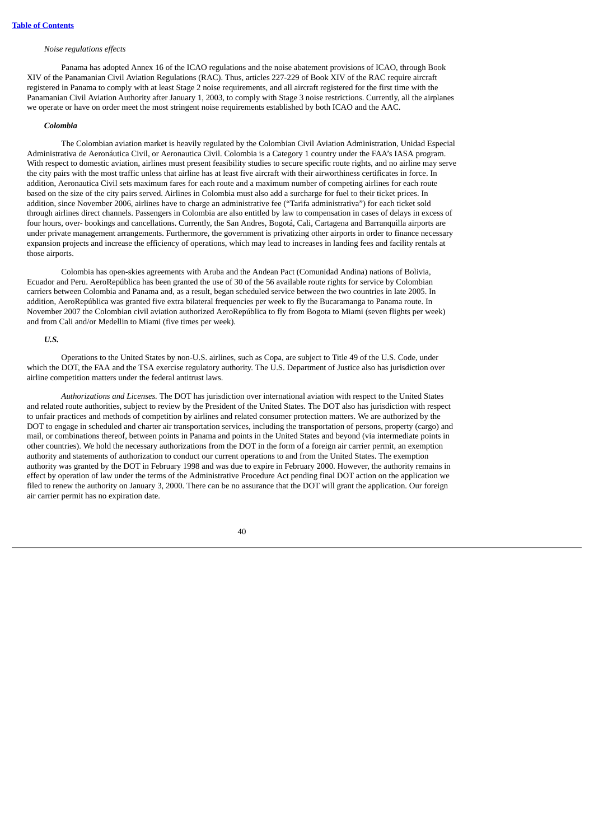### *Noise regulations effects*

Panama has adopted Annex 16 of the ICAO regulations and the noise abatement provisions of ICAO, through Book XIV of the Panamanian Civil Aviation Regulations (RAC). Thus, articles 227-229 of Book XIV of the RAC require aircraft registered in Panama to comply with at least Stage 2 noise requirements, and all aircraft registered for the first time with the Panamanian Civil Aviation Authority after January 1, 2003, to comply with Stage 3 noise restrictions. Currently, all the airplanes we operate or have on order meet the most stringent noise requirements established by both ICAO and the AAC.

### *Colombia*

The Colombian aviation market is heavily regulated by the Colombian Civil Aviation Administration, Unidad Especial Administrativa de Aeronáutica Civil, or Aeronautica Civil. Colombia is a Category 1 country under the FAA's IASA program. With respect to domestic aviation, airlines must present feasibility studies to secure specific route rights, and no airline may serve the city pairs with the most traffic unless that airline has at least five aircraft with their airworthiness certificates in force. In addition, Aeronautica Civil sets maximum fares for each route and a maximum number of competing airlines for each route based on the size of the city pairs served. Airlines in Colombia must also add a surcharge for fuel to their ticket prices. In addition, since November 2006, airlines have to charge an administrative fee ("Tarifa administrativa") for each ticket sold through airlines direct channels. Passengers in Colombia are also entitled by law to compensation in cases of delays in excess of four hours, over- bookings and cancellations. Currently, the San Andres, Bogotá, Cali, Cartagena and Barranquilla airports are under private management arrangements. Furthermore, the government is privatizing other airports in order to finance necessary expansion projects and increase the efficiency of operations, which may lead to increases in landing fees and facility rentals at those airports.

Colombia has open-skies agreements with Aruba and the Andean Pact (Comunidad Andina) nations of Bolivia, Ecuador and Peru. AeroRepública has been granted the use of 30 of the 56 available route rights for service by Colombian carriers between Colombia and Panama and, as a result, began scheduled service between the two countries in late 2005. In addition, AeroRepública was granted five extra bilateral frequencies per week to fly the Bucaramanga to Panama route. In November 2007 the Colombian civil aviation authorized AeroRepública to fly from Bogota to Miami (seven flights per week) and from Cali and/or Medellin to Miami (five times per week).

### *U.S.*

Operations to the United States by non-U.S. airlines, such as Copa, are subject to Title 49 of the U.S. Code, under which the DOT, the FAA and the TSA exercise regulatory authority. The U.S. Department of Justice also has jurisdiction over airline competition matters under the federal antitrust laws.

*Authorizations and Licenses.* The DOT has jurisdiction over international aviation with respect to the United States and related route authorities, subject to review by the President of the United States. The DOT also has jurisdiction with respect to unfair practices and methods of competition by airlines and related consumer protection matters. We are authorized by the DOT to engage in scheduled and charter air transportation services, including the transportation of persons, property (cargo) and mail, or combinations thereof, between points in Panama and points in the United States and beyond (via intermediate points in other countries). We hold the necessary authorizations from the DOT in the form of a foreign air carrier permit, an exemption authority and statements of authorization to conduct our current operations to and from the United States. The exemption authority was granted by the DOT in February 1998 and was due to expire in February 2000. However, the authority remains in effect by operation of law under the terms of the Administrative Procedure Act pending final DOT action on the application we filed to renew the authority on January 3, 2000. There can be no assurance that the DOT will grant the application. Our foreign air carrier permit has no expiration date.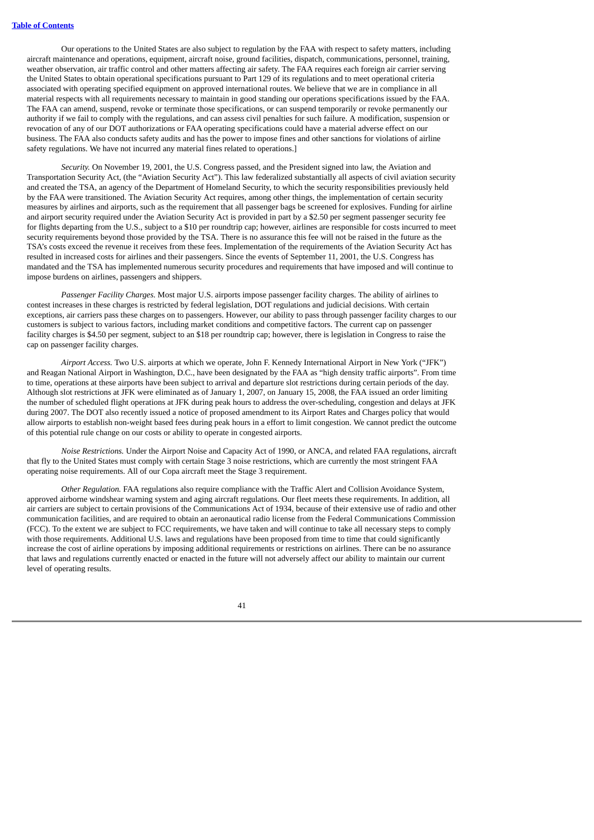Our operations to the United States are also subject to regulation by the FAA with respect to safety matters, including aircraft maintenance and operations, equipment, aircraft noise, ground facilities, dispatch, communications, personnel, training, weather observation, air traffic control and other matters affecting air safety. The FAA requires each foreign air carrier serving the United States to obtain operational specifications pursuant to Part 129 of its regulations and to meet operational criteria associated with operating specified equipment on approved international routes. We believe that we are in compliance in all material respects with all requirements necessary to maintain in good standing our operations specifications issued by the FAA. The FAA can amend, suspend, revoke or terminate those specifications, or can suspend temporarily or revoke permanently our authority if we fail to comply with the regulations, and can assess civil penalties for such failure. A modification, suspension or revocation of any of our DOT authorizations or FAA operating specifications could have a material adverse effect on our business. The FAA also conducts safety audits and has the power to impose fines and other sanctions for violations of airline safety regulations. We have not incurred any material fines related to operations.]

*Security.* On November 19, 2001, the U.S. Congress passed, and the President signed into law, the Aviation and Transportation Security Act, (the "Aviation Security Act"). This law federalized substantially all aspects of civil aviation security and created the TSA, an agency of the Department of Homeland Security, to which the security responsibilities previously held by the FAA were transitioned. The Aviation Security Act requires, among other things, the implementation of certain security measures by airlines and airports, such as the requirement that all passenger bags be screened for explosives. Funding for airline and airport security required under the Aviation Security Act is provided in part by a \$2.50 per segment passenger security fee for flights departing from the U.S., subject to a \$10 per roundtrip cap; however, airlines are responsible for costs incurred to meet security requirements beyond those provided by the TSA. There is no assurance this fee will not be raised in the future as the TSA's costs exceed the revenue it receives from these fees. Implementation of the requirements of the Aviation Security Act has resulted in increased costs for airlines and their passengers. Since the events of September 11, 2001, the U.S. Congress has mandated and the TSA has implemented numerous security procedures and requirements that have imposed and will continue to impose burdens on airlines, passengers and shippers.

*Passenger Facility Charges.* Most major U.S. airports impose passenger facility charges. The ability of airlines to contest increases in these charges is restricted by federal legislation, DOT regulations and judicial decisions. With certain exceptions, air carriers pass these charges on to passengers. However, our ability to pass through passenger facility charges to our customers is subject to various factors, including market conditions and competitive factors. The current cap on passenger facility charges is \$4.50 per segment, subject to an \$18 per roundtrip cap; however, there is legislation in Congress to raise the cap on passenger facility charges.

*Airport Access.* Two U.S. airports at which we operate, John F. Kennedy International Airport in New York ("JFK") and Reagan National Airport in Washington, D.C., have been designated by the FAA as "high density traffic airports". From time to time, operations at these airports have been subject to arrival and departure slot restrictions during certain periods of the day. Although slot restrictions at JFK were eliminated as of January 1, 2007, on January 15, 2008, the FAA issued an order limiting the number of scheduled flight operations at JFK during peak hours to address the over-scheduling, congestion and delays at JFK during 2007. The DOT also recently issued a notice of proposed amendment to its Airport Rates and Charges policy that would allow airports to establish non-weight based fees during peak hours in a effort to limit congestion. We cannot predict the outcome of this potential rule change on our costs or ability to operate in congested airports.

*Noise Restrictions.* Under the Airport Noise and Capacity Act of 1990, or ANCA, and related FAA regulations, aircraft that fly to the United States must comply with certain Stage 3 noise restrictions, which are currently the most stringent FAA operating noise requirements. All of our Copa aircraft meet the Stage 3 requirement.

*Other Regulation.* FAA regulations also require compliance with the Traffic Alert and Collision Avoidance System, approved airborne windshear warning system and aging aircraft regulations. Our fleet meets these requirements. In addition, all air carriers are subject to certain provisions of the Communications Act of 1934, because of their extensive use of radio and other communication facilities, and are required to obtain an aeronautical radio license from the Federal Communications Commission (FCC). To the extent we are subject to FCC requirements, we have taken and will continue to take all necessary steps to comply with those requirements. Additional U.S. laws and regulations have been proposed from time to time that could significantly increase the cost of airline operations by imposing additional requirements or restrictions on airlines. There can be no assurance that laws and regulations currently enacted or enacted in the future will not adversely affect our ability to maintain our current level of operating results.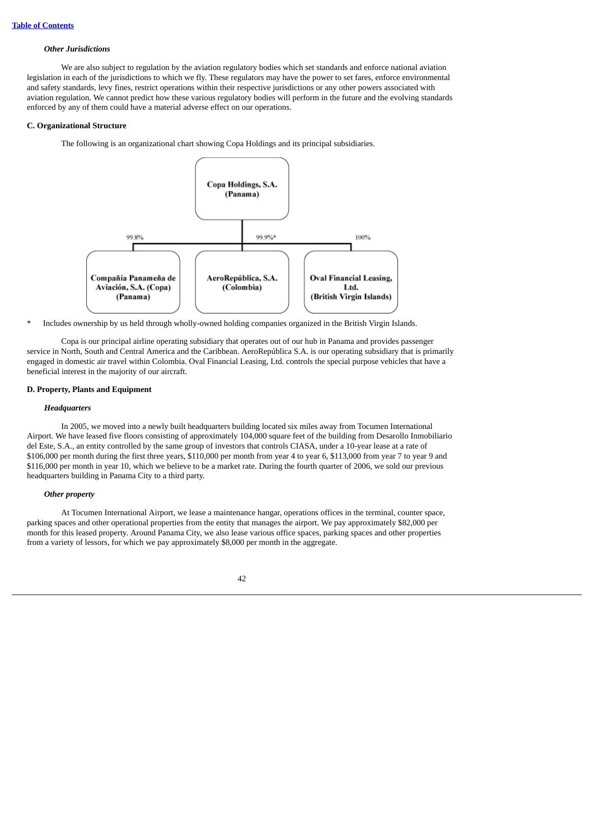### *Other Jurisdictions*

We are also subject to regulation by the aviation regulatory bodies which set standards and enforce national aviation legislation in each of the jurisdictions to which we fly. These regulators may have the power to set fares, enforce environmental and safety standards, levy fines, restrict operations within their respective jurisdictions or any other powers associated with aviation regulation. We cannot predict how these various regulatory bodies will perform in the future and the evolving standards enforced by any of them could have a material adverse effect on our operations.

# **C. Organizational Structure**

The following is an organizational chart showing Copa Holdings and its principal subsidiaries.



\* Includes ownership by us held through wholly-owned holding companies organized in the British Virgin Islands.

Copa is our principal airline operating subsidiary that operates out of our hub in Panama and provides passenger service in North, South and Central America and the Caribbean. AeroRepública S.A. is our operating subsidiary that is primarily engaged in domestic air travel within Colombia. Oval Financial Leasing, Ltd. controls the special purpose vehicles that have a beneficial interest in the majority of our aircraft.

# **D. Property, Plants and Equipment**

# *Headquarters*

In 2005, we moved into a newly built headquarters building located six miles away from Tocumen International Airport. We have leased five floors consisting of approximately 104,000 square feet of the building from Desarollo Inmobiliario del Este, S.A., an entity controlled by the same group of investors that controls CIASA, under a 10-year lease at a rate of \$106,000 per month during the first three years, \$110,000 per month from year 4 to year 6, \$113,000 from year 7 to year 9 and \$116,000 per month in year 10, which we believe to be a market rate. During the fourth quarter of 2006, we sold our previous headquarters building in Panama City to a third party.

### *Other property*

At Tocumen International Airport, we lease a maintenance hangar, operations offices in the terminal, counter space, parking spaces and other operational properties from the entity that manages the airport. We pay approximately \$82,000 per month for this leased property. Around Panama City, we also lease various office spaces, parking spaces and other properties from a variety of lessors, for which we pay approximately \$8,000 per month in the aggregate.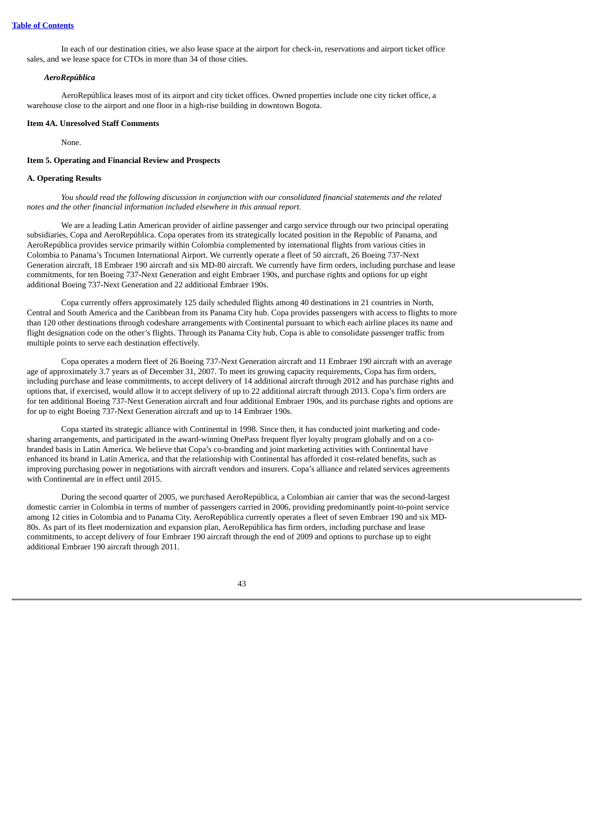In each of our destination cities, we also lease space at the airport for check-in, reservations and airport ticket office sales, and we lease space for CTOs in more than 34 of those cities.

#### *AeroRepública*

AeroRepública leases most of its airport and city ticket offices. Owned properties include one city ticket office, a warehouse close to the airport and one floor in a high-rise building in downtown Bogota.

#### **Item 4A. Unresolved Staff Comments**

None.

# **Item 5. Operating and Financial Review and Prospects**

# **A. Operating Results**

You should read the following discussion in conjunction with our consolidated financial statements and the related *notes and the other financial information included elsewhere in this annual report.*

We are a leading Latin American provider of airline passenger and cargo service through our two principal operating subsidiaries, Copa and AeroRepública. Copa operates from its strategically located position in the Republic of Panama, and AeroRepública provides service primarily within Colombia complemented by international flights from various cities in Colombia to Panama's Tocumen International Airport. We currently operate a fleet of 50 aircraft, 26 Boeing 737-Next Generation aircraft, 18 Embraer 190 aircraft and six MD-80 aircraft. We currently have firm orders, including purchase and lease commitments, for ten Boeing 737-Next Generation and eight Embraer 190s, and purchase rights and options for up eight additional Boeing 737-Next Generation and 22 additional Embraer 190s.

Copa currently offers approximately 125 daily scheduled flights among 40 destinations in 21 countries in North, Central and South America and the Caribbean from its Panama City hub. Copa provides passengers with access to flights to more than 120 other destinations through codeshare arrangements with Continental pursuant to which each airline places its name and flight designation code on the other's flights. Through its Panama City hub, Copa is able to consolidate passenger traffic from multiple points to serve each destination effectively.

Copa operates a modern fleet of 26 Boeing 737-Next Generation aircraft and 11 Embraer 190 aircraft with an average age of approximately 3.7 years as of December 31, 2007. To meet its growing capacity requirements, Copa has firm orders, including purchase and lease commitments, to accept delivery of 14 additional aircraft through 2012 and has purchase rights and options that, if exercised, would allow it to accept delivery of up to 22 additional aircraft through 2013. Copa's firm orders are for ten additional Boeing 737-Next Generation aircraft and four additional Embraer 190s, and its purchase rights and options are for up to eight Boeing 737-Next Generation aircraft and up to 14 Embraer 190s.

Copa started its strategic alliance with Continental in 1998. Since then, it has conducted joint marketing and codesharing arrangements, and participated in the award-winning OnePass frequent flyer loyalty program globally and on a cobranded basis in Latin America. We believe that Copa's co-branding and joint marketing activities with Continental have enhanced its brand in Latin America, and that the relationship with Continental has afforded it cost-related benefits, such as improving purchasing power in negotiations with aircraft vendors and insurers. Copa's alliance and related services agreements with Continental are in effect until 2015.

During the second quarter of 2005, we purchased AeroRepública, a Colombian air carrier that was the second-largest domestic carrier in Colombia in terms of number of passengers carried in 2006, providing predominantly point-to-point service among 12 cities in Colombia and to Panama City. AeroRepública currently operates a fleet of seven Embraer 190 and six MD-80s. As part of its fleet modernization and expansion plan, AeroRepública has firm orders, including purchase and lease commitments, to accept delivery of four Embraer 190 aircraft through the end of 2009 and options to purchase up to eight additional Embraer 190 aircraft through 2011.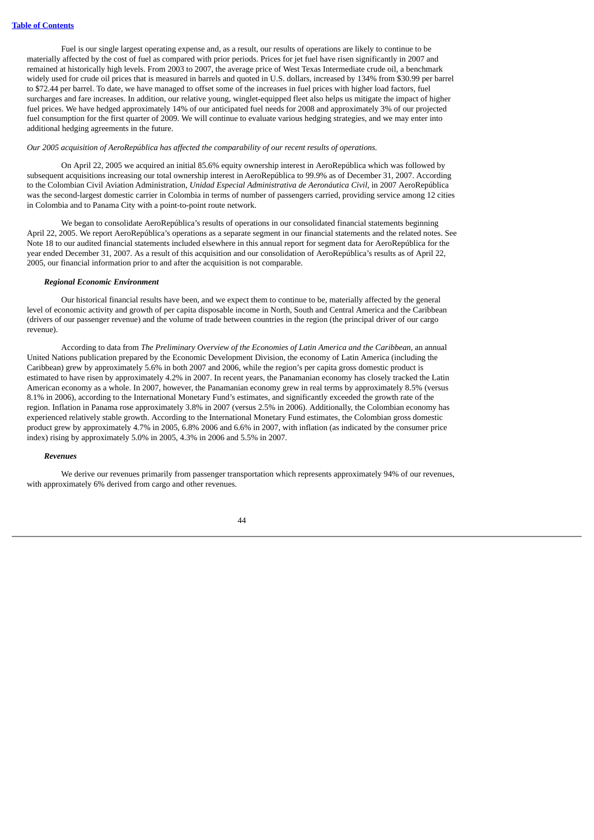Fuel is our single largest operating expense and, as a result, our results of operations are likely to continue to be materially affected by the cost of fuel as compared with prior periods. Prices for jet fuel have risen significantly in 2007 and remained at historically high levels. From 2003 to 2007, the average price of West Texas Intermediate crude oil, a benchmark widely used for crude oil prices that is measured in barrels and quoted in U.S. dollars, increased by 134% from \$30.99 per barrel to \$72.44 per barrel. To date, we have managed to offset some of the increases in fuel prices with higher load factors, fuel surcharges and fare increases. In addition, our relative young, winglet-equipped fleet also helps us mitigate the impact of higher fuel prices. We have hedged approximately 14% of our anticipated fuel needs for 2008 and approximately 3% of our projected fuel consumption for the first quarter of 2009. We will continue to evaluate various hedging strategies, and we may enter into additional hedging agreements in the future.

*Our 2005 acquisition of AeroRepública has affected the comparability of our recent results of operations.*

On April 22, 2005 we acquired an initial 85.6% equity ownership interest in AeroRepública which was followed by subsequent acquisitions increasing our total ownership interest in AeroRepública to 99.9% as of December 31, 2007. According to the Colombian Civil Aviation Administration, *Unidad Especial Administrativa de Aeronáutica Civil*, in 2007 AeroRepública was the second-largest domestic carrier in Colombia in terms of number of passengers carried, providing service among 12 cities in Colombia and to Panama City with a point-to-point route network.

We began to consolidate AeroRepública's results of operations in our consolidated financial statements beginning April 22, 2005. We report AeroRepública's operations as a separate segment in our financial statements and the related notes. See Note 18 to our audited financial statements included elsewhere in this annual report for segment data for AeroRepública for the year ended December 31, 2007. As a result of this acquisition and our consolidation of AeroRepública's results as of April 22, 2005, our financial information prior to and after the acquisition is not comparable.

#### *Regional Economic Environment*

Our historical financial results have been, and we expect them to continue to be, materially affected by the general level of economic activity and growth of per capita disposable income in North, South and Central America and the Caribbean (drivers of our passenger revenue) and the volume of trade between countries in the region (the principal driver of our cargo revenue).

According to data from *The Preliminary Overview of the Economies of Latin America and the Caribbean*, an annual United Nations publication prepared by the Economic Development Division, the economy of Latin America (including the Caribbean) grew by approximately 5.6% in both 2007 and 2006, while the region's per capita gross domestic product is estimated to have risen by approximately 4.2% in 2007. In recent years, the Panamanian economy has closely tracked the Latin American economy as a whole. In 2007, however, the Panamanian economy grew in real terms by approximately 8.5% (versus 8.1% in 2006), according to the International Monetary Fund's estimates, and significantly exceeded the growth rate of the region. Inflation in Panama rose approximately 3.8% in 2007 (versus 2.5% in 2006). Additionally, the Colombian economy has experienced relatively stable growth. According to the International Monetary Fund estimates, the Colombian gross domestic product grew by approximately 4.7% in 2005, 6.8% 2006 and 6.6% in 2007, with inflation (as indicated by the consumer price index) rising by approximately 5.0% in 2005, 4.3% in 2006 and 5.5% in 2007.

#### *Revenues*

We derive our revenues primarily from passenger transportation which represents approximately 94% of our revenues, with approximately 6% derived from cargo and other revenues.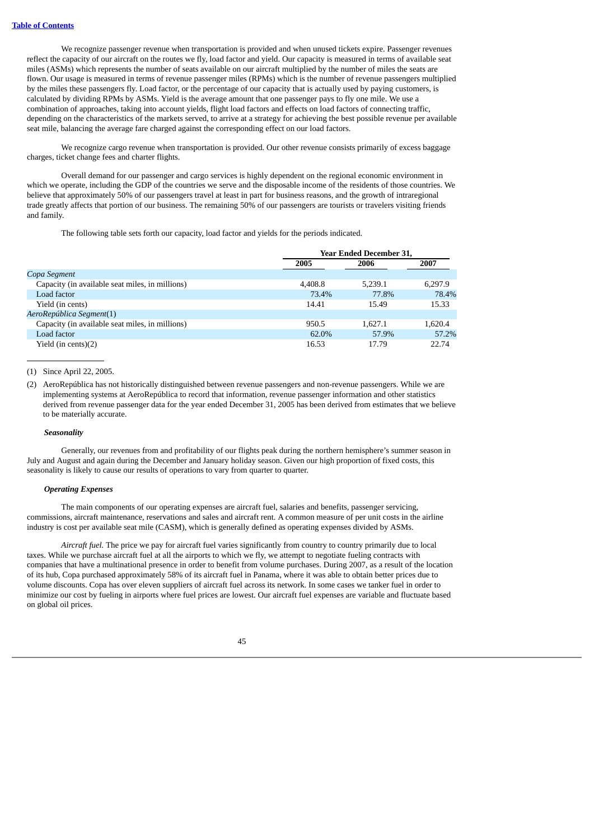We recognize passenger revenue when transportation is provided and when unused tickets expire. Passenger revenues reflect the capacity of our aircraft on the routes we fly, load factor and yield. Our capacity is measured in terms of available seat miles (ASMs) which represents the number of seats available on our aircraft multiplied by the number of miles the seats are flown. Our usage is measured in terms of revenue passenger miles (RPMs) which is the number of revenue passengers multiplied by the miles these passengers fly. Load factor, or the percentage of our capacity that is actually used by paying customers, is calculated by dividing RPMs by ASMs. Yield is the average amount that one passenger pays to fly one mile. We use a combination of approaches, taking into account yields, flight load factors and effects on load factors of connecting traffic, depending on the characteristics of the markets served, to arrive at a strategy for achieving the best possible revenue per available seat mile, balancing the average fare charged against the corresponding effect on our load factors.

We recognize cargo revenue when transportation is provided. Our other revenue consists primarily of excess baggage charges, ticket change fees and charter flights.

Overall demand for our passenger and cargo services is highly dependent on the regional economic environment in which we operate, including the GDP of the countries we serve and the disposable income of the residents of those countries. We believe that approximately 50% of our passengers travel at least in part for business reasons, and the growth of intraregional trade greatly affects that portion of our business. The remaining 50% of our passengers are tourists or travelers visiting friends and family.

The following table sets forth our capacity, load factor and yields for the periods indicated.

|                                                 | <b>Year Ended December 31,</b> |         |         |  |  |
|-------------------------------------------------|--------------------------------|---------|---------|--|--|
|                                                 | 2005                           | 2006    | 2007    |  |  |
| Copa Segment                                    |                                |         |         |  |  |
| Capacity (in available seat miles, in millions) | 4.408.8                        | 5.239.1 | 6.297.9 |  |  |
| Load factor                                     | 73.4%                          | 77.8%   | 78.4%   |  |  |
| Yield (in cents)                                | 14.41                          | 15.49   | 15.33   |  |  |
| AeroRepública Segment(1)                        |                                |         |         |  |  |
| Capacity (in available seat miles, in millions) | 950.5                          | 1.627.1 | 1.620.4 |  |  |
| Load factor                                     | 62.0%                          | 57.9%   | 57.2%   |  |  |
| Yield (in cents) $(2)$                          | 16.53                          | 17.79   | 22.74   |  |  |

#### (1) Since April 22, 2005.

(2) AeroRepública has not historically distinguished between revenue passengers and non-revenue passengers. While we are implementing systems at AeroRepública to record that information, revenue passenger information and other statistics derived from revenue passenger data for the year ended December 31, 2005 has been derived from estimates that we believe to be materially accurate.

# *Seasonality*

Generally, our revenues from and profitability of our flights peak during the northern hemisphere's summer season in July and August and again during the December and January holiday season. Given our high proportion of fixed costs, this seasonality is likely to cause our results of operations to vary from quarter to quarter.

### *Operating Expenses*

The main components of our operating expenses are aircraft fuel, salaries and benefits, passenger servicing, commissions, aircraft maintenance, reservations and sales and aircraft rent. A common measure of per unit costs in the airline industry is cost per available seat mile (CASM), which is generally defined as operating expenses divided by ASMs.

*Aircraft fuel.* The price we pay for aircraft fuel varies significantly from country to country primarily due to local taxes. While we purchase aircraft fuel at all the airports to which we fly, we attempt to negotiate fueling contracts with companies that have a multinational presence in order to benefit from volume purchases. During 2007, as a result of the location of its hub, Copa purchased approximately 58% of its aircraft fuel in Panama, where it was able to obtain better prices due to volume discounts. Copa has over eleven suppliers of aircraft fuel across its network. In some cases we tanker fuel in order to minimize our cost by fueling in airports where fuel prices are lowest. Our aircraft fuel expenses are variable and fluctuate based on global oil prices.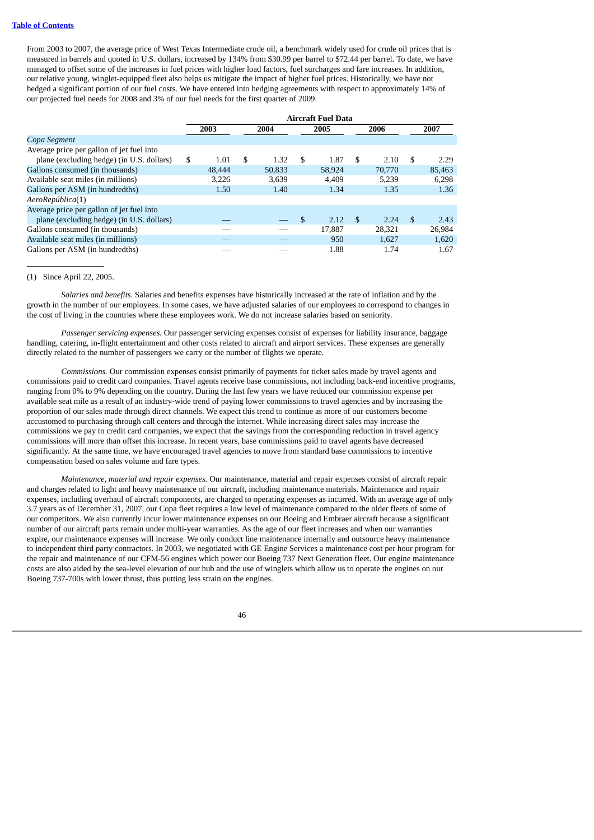From 2003 to 2007, the average price of West Texas Intermediate crude oil, a benchmark widely used for crude oil prices that is measured in barrels and quoted in U.S. dollars, increased by 134% from \$30.99 per barrel to \$72.44 per barrel. To date, we have managed to offset some of the increases in fuel prices with higher load factors, fuel surcharges and fare increases. In addition, our relative young, winglet-equipped fleet also helps us mitigate the impact of higher fuel prices. Historically, we have not hedged a significant portion of our fuel costs. We have entered into hedging agreements with respect to approximately 14% of our projected fuel needs for 2008 and 3% of our fuel needs for the first quarter of 2009.

|                                           | <b>Aircraft Fuel Data</b> |        |    |        |    |        |                |        |               |        |
|-------------------------------------------|---------------------------|--------|----|--------|----|--------|----------------|--------|---------------|--------|
|                                           |                           | 2003   |    | 2004   |    | 2005   |                | 2006   |               | 2007   |
| Copa Segment                              |                           |        |    |        |    |        |                |        |               |        |
| Average price per gallon of jet fuel into |                           |        |    |        |    |        |                |        |               |        |
| plane (excluding hedge) (in U.S. dollars) | \$                        | 1.01   | \$ | 1.32   | \$ | 1.87   | \$             | 2.10   | S             | 2.29   |
| Gallons consumed (in thousands)           |                           | 48,444 |    | 50.833 |    | 58.924 |                | 70,770 |               | 85,463 |
| Available seat miles (in millions)        |                           | 3,226  |    | 3.639  |    | 4.409  |                | 5.239  |               | 6,298  |
| Gallons per ASM (in hundredths)           |                           | 1.50   |    | 1.40   |    | 1.34   |                | 1.35   |               | 1.36   |
| AeroRepública(1)                          |                           |        |    |        |    |        |                |        |               |        |
| Average price per gallon of jet fuel into |                           |        |    |        |    |        |                |        |               |        |
| plane (excluding hedge) (in U.S. dollars) |                           |        |    |        | \$ | 2.12   | $\mathfrak{F}$ | 2.24   | <sup>\$</sup> | 2.43   |
| Gallons consumed (in thousands)           |                           |        |    |        |    | 17.887 |                | 28.321 |               | 26,984 |
| Available seat miles (in millions)        |                           |        |    |        |    | 950    |                | 1.627  |               | 1,620  |
| Gallons per ASM (in hundredths)           |                           |        |    |        |    | 1.88   |                | 1.74   |               | 1.67   |

# (1) Since April 22, 2005.

*Salaries and benefits.* Salaries and benefits expenses have historically increased at the rate of inflation and by the growth in the number of our employees. In some cases, we have adjusted salaries of our employees to correspond to changes in the cost of living in the countries where these employees work. We do not increase salaries based on seniority.

*Passenger servicing expenses.* Our passenger servicing expenses consist of expenses for liability insurance, baggage handling, catering, in-flight entertainment and other costs related to aircraft and airport services. These expenses are generally directly related to the number of passengers we carry or the number of flights we operate.

*Commissions.* Our commission expenses consist primarily of payments for ticket sales made by travel agents and commissions paid to credit card companies. Travel agents receive base commissions, not including back-end incentive programs, ranging from 0% to 9% depending on the country. During the last few years we have reduced our commission expense per available seat mile as a result of an industry-wide trend of paying lower commissions to travel agencies and by increasing the proportion of our sales made through direct channels. We expect this trend to continue as more of our customers become accustomed to purchasing through call centers and through the internet. While increasing direct sales may increase the commissions we pay to credit card companies, we expect that the savings from the corresponding reduction in travel agency commissions will more than offset this increase. In recent years, base commissions paid to travel agents have decreased significantly. At the same time, we have encouraged travel agencies to move from standard base commissions to incentive compensation based on sales volume and fare types.

*Maintenance, material and repair expenses.* Our maintenance, material and repair expenses consist of aircraft repair and charges related to light and heavy maintenance of our aircraft, including maintenance materials. Maintenance and repair expenses, including overhaul of aircraft components, are charged to operating expenses as incurred. With an average age of only 3.7 years as of December 31, 2007, our Copa fleet requires a low level of maintenance compared to the older fleets of some of our competitors. We also currently incur lower maintenance expenses on our Boeing and Embraer aircraft because a significant number of our aircraft parts remain under multi-year warranties. As the age of our fleet increases and when our warranties expire, our maintenance expenses will increase. We only conduct line maintenance internally and outsource heavy maintenance to independent third party contractors. In 2003, we negotiated with GE Engine Services a maintenance cost per hour program for the repair and maintenance of our CFM-56 engines which power our Boeing 737 Next Generation fleet. Our engine maintenance costs are also aided by the sea-level elevation of our hub and the use of winglets which allow us to operate the engines on our Boeing 737-700s with lower thrust, thus putting less strain on the engines.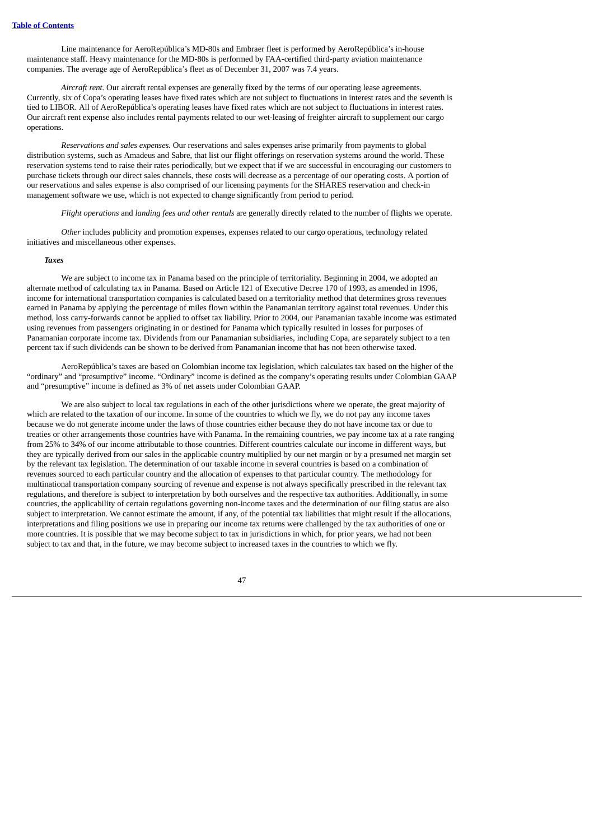Line maintenance for AeroRepública's MD-80s and Embraer fleet is performed by AeroRepública's in-house maintenance staff. Heavy maintenance for the MD-80s is performed by FAA-certified third-party aviation maintenance companies. The average age of AeroRepública's fleet as of December 31, 2007 was 7.4 years.

*Aircraft rent.* Our aircraft rental expenses are generally fixed by the terms of our operating lease agreements. Currently, six of Copa's operating leases have fixed rates which are not subject to fluctuations in interest rates and the seventh is tied to LIBOR. All of AeroRepública's operating leases have fixed rates which are not subject to fluctuations in interest rates. Our aircraft rent expense also includes rental payments related to our wet-leasing of freighter aircraft to supplement our cargo operations.

*Reservations and sales expenses.* Our reservations and sales expenses arise primarily from payments to global distribution systems, such as Amadeus and Sabre, that list our flight offerings on reservation systems around the world. These reservation systems tend to raise their rates periodically, but we expect that if we are successful in encouraging our customers to purchase tickets through our direct sales channels, these costs will decrease as a percentage of our operating costs. A portion of our reservations and sales expense is also comprised of our licensing payments for the SHARES reservation and check-in management software we use, which is not expected to change significantly from period to period.

*Flight operations* and *landing fees and other rentals* are generally directly related to the number of flights we operate.

*Other* includes publicity and promotion expenses, expenses related to our cargo operations, technology related initiatives and miscellaneous other expenses.

#### *Taxes*

We are subject to income tax in Panama based on the principle of territoriality. Beginning in 2004, we adopted an alternate method of calculating tax in Panama. Based on Article 121 of Executive Decree 170 of 1993, as amended in 1996, income for international transportation companies is calculated based on a territoriality method that determines gross revenues earned in Panama by applying the percentage of miles flown within the Panamanian territory against total revenues. Under this method, loss carry-forwards cannot be applied to offset tax liability. Prior to 2004, our Panamanian taxable income was estimated using revenues from passengers originating in or destined for Panama which typically resulted in losses for purposes of Panamanian corporate income tax. Dividends from our Panamanian subsidiaries, including Copa, are separately subject to a ten percent tax if such dividends can be shown to be derived from Panamanian income that has not been otherwise taxed.

AeroRepública's taxes are based on Colombian income tax legislation, which calculates tax based on the higher of the "ordinary" and "presumptive" income. "Ordinary" income is defined as the company's operating results under Colombian GAAP and "presumptive" income is defined as 3% of net assets under Colombian GAAP.

We are also subject to local tax regulations in each of the other jurisdictions where we operate, the great majority of which are related to the taxation of our income. In some of the countries to which we fly, we do not pay any income taxes because we do not generate income under the laws of those countries either because they do not have income tax or due to treaties or other arrangements those countries have with Panama. In the remaining countries, we pay income tax at a rate ranging from 25% to 34% of our income attributable to those countries. Different countries calculate our income in different ways, but they are typically derived from our sales in the applicable country multiplied by our net margin or by a presumed net margin set by the relevant tax legislation. The determination of our taxable income in several countries is based on a combination of revenues sourced to each particular country and the allocation of expenses to that particular country. The methodology for multinational transportation company sourcing of revenue and expense is not always specifically prescribed in the relevant tax regulations, and therefore is subject to interpretation by both ourselves and the respective tax authorities. Additionally, in some countries, the applicability of certain regulations governing non-income taxes and the determination of our filing status are also subject to interpretation. We cannot estimate the amount, if any, of the potential tax liabilities that might result if the allocations, interpretations and filing positions we use in preparing our income tax returns were challenged by the tax authorities of one or more countries. It is possible that we may become subject to tax in jurisdictions in which, for prior years, we had not been subject to tax and that, in the future, we may become subject to increased taxes in the countries to which we fly.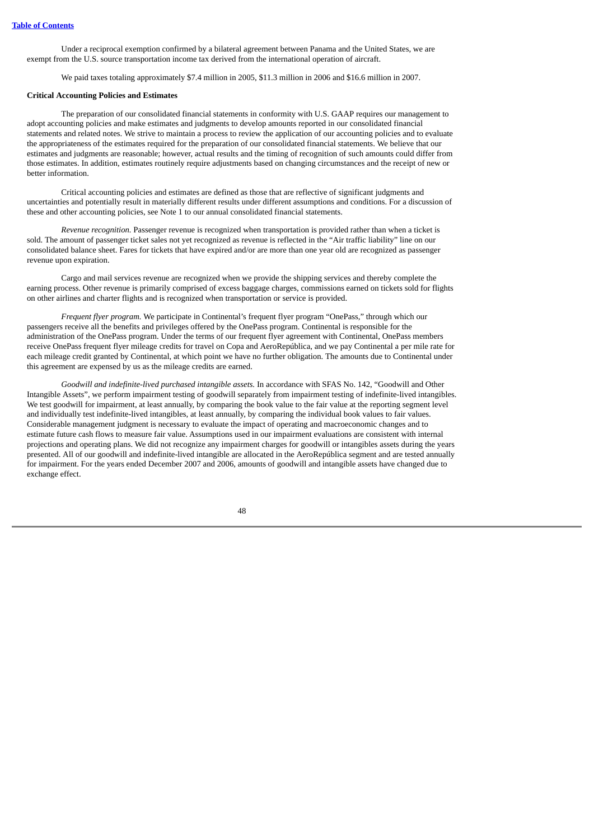Under a reciprocal exemption confirmed by a bilateral agreement between Panama and the United States, we are exempt from the U.S. source transportation income tax derived from the international operation of aircraft.

We paid taxes totaling approximately \$7.4 million in 2005, \$11.3 million in 2006 and \$16.6 million in 2007.

### **Critical Accounting Policies and Estimates**

The preparation of our consolidated financial statements in conformity with U.S. GAAP requires our management to adopt accounting policies and make estimates and judgments to develop amounts reported in our consolidated financial statements and related notes. We strive to maintain a process to review the application of our accounting policies and to evaluate the appropriateness of the estimates required for the preparation of our consolidated financial statements. We believe that our estimates and judgments are reasonable; however, actual results and the timing of recognition of such amounts could differ from those estimates. In addition, estimates routinely require adjustments based on changing circumstances and the receipt of new or better information.

Critical accounting policies and estimates are defined as those that are reflective of significant judgments and uncertainties and potentially result in materially different results under different assumptions and conditions. For a discussion of these and other accounting policies, see Note 1 to our annual consolidated financial statements.

*Revenue recognition.* Passenger revenue is recognized when transportation is provided rather than when a ticket is sold. The amount of passenger ticket sales not yet recognized as revenue is reflected in the "Air traffic liability" line on our consolidated balance sheet. Fares for tickets that have expired and/or are more than one year old are recognized as passenger revenue upon expiration.

Cargo and mail services revenue are recognized when we provide the shipping services and thereby complete the earning process. Other revenue is primarily comprised of excess baggage charges, commissions earned on tickets sold for flights on other airlines and charter flights and is recognized when transportation or service is provided.

*Frequent flyer program.* We participate in Continental's frequent flyer program "OnePass," through which our passengers receive all the benefits and privileges offered by the OnePass program. Continental is responsible for the administration of the OnePass program. Under the terms of our frequent flyer agreement with Continental, OnePass members receive OnePass frequent flyer mileage credits for travel on Copa and AeroRepública, and we pay Continental a per mile rate for each mileage credit granted by Continental, at which point we have no further obligation. The amounts due to Continental under this agreement are expensed by us as the mileage credits are earned.

*Goodwill and indefinite-lived purchased intangible assets.* In accordance with SFAS No. 142, "Goodwill and Other Intangible Assets", we perform impairment testing of goodwill separately from impairment testing of indefinite-lived intangibles. We test goodwill for impairment, at least annually, by comparing the book value to the fair value at the reporting segment level and individually test indefinite-lived intangibles, at least annually, by comparing the individual book values to fair values. Considerable management judgment is necessary to evaluate the impact of operating and macroeconomic changes and to estimate future cash flows to measure fair value. Assumptions used in our impairment evaluations are consistent with internal projections and operating plans. We did not recognize any impairment charges for goodwill or intangibles assets during the years presented. All of our goodwill and indefinite-lived intangible are allocated in the AeroRepública segment and are tested annually for impairment. For the years ended December 2007 and 2006, amounts of goodwill and intangible assets have changed due to exchange effect.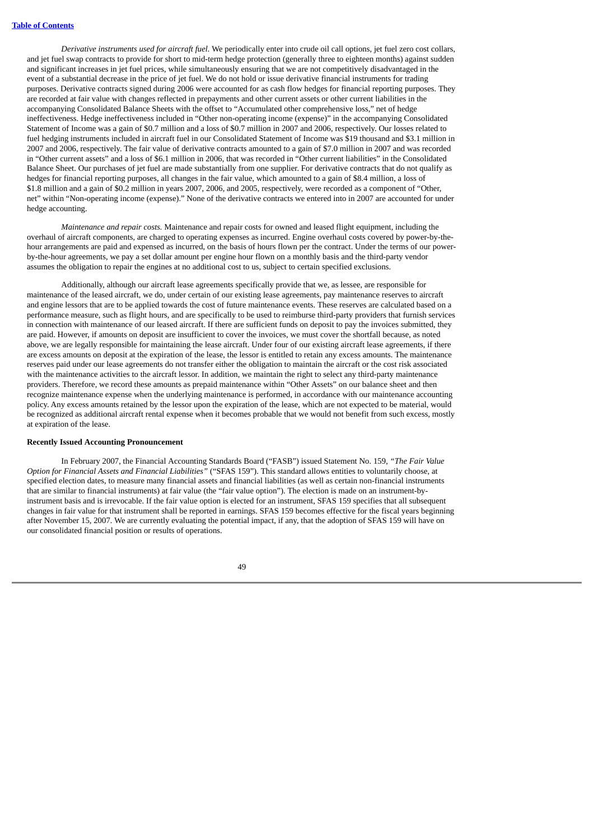*Derivative instruments used for aircraft fuel.* We periodically enter into crude oil call options, jet fuel zero cost collars, and jet fuel swap contracts to provide for short to mid-term hedge protection (generally three to eighteen months) against sudden and significant increases in jet fuel prices, while simultaneously ensuring that we are not competitively disadvantaged in the event of a substantial decrease in the price of jet fuel. We do not hold or issue derivative financial instruments for trading purposes. Derivative contracts signed during 2006 were accounted for as cash flow hedges for financial reporting purposes. They are recorded at fair value with changes reflected in prepayments and other current assets or other current liabilities in the accompanying Consolidated Balance Sheets with the offset to "Accumulated other comprehensive loss," net of hedge ineffectiveness. Hedge ineffectiveness included in "Other non-operating income (expense)" in the accompanying Consolidated Statement of Income was a gain of \$0.7 million and a loss of \$0.7 million in 2007 and 2006, respectively. Our losses related to fuel hedging instruments included in aircraft fuel in our Consolidated Statement of Income was \$19 thousand and \$3.1 million in 2007 and 2006, respectively. The fair value of derivative contracts amounted to a gain of \$7.0 million in 2007 and was recorded in "Other current assets" and a loss of \$6.1 million in 2006, that was recorded in "Other current liabilities" in the Consolidated Balance Sheet. Our purchases of jet fuel are made substantially from one supplier. For derivative contracts that do not qualify as hedges for financial reporting purposes, all changes in the fair value, which amounted to a gain of \$8.4 million, a loss of \$1.8 million and a gain of \$0.2 million in years 2007, 2006, and 2005, respectively, were recorded as a component of "Other, net" within "Non-operating income (expense)." None of the derivative contracts we entered into in 2007 are accounted for under hedge accounting.

*Maintenance and repair costs.* Maintenance and repair costs for owned and leased flight equipment, including the overhaul of aircraft components, are charged to operating expenses as incurred. Engine overhaul costs covered by power-by-thehour arrangements are paid and expensed as incurred, on the basis of hours flown per the contract. Under the terms of our powerby-the-hour agreements, we pay a set dollar amount per engine hour flown on a monthly basis and the third-party vendor assumes the obligation to repair the engines at no additional cost to us, subject to certain specified exclusions.

Additionally, although our aircraft lease agreements specifically provide that we, as lessee, are responsible for maintenance of the leased aircraft, we do, under certain of our existing lease agreements, pay maintenance reserves to aircraft and engine lessors that are to be applied towards the cost of future maintenance events. These reserves are calculated based on a performance measure, such as flight hours, and are specifically to be used to reimburse third-party providers that furnish services in connection with maintenance of our leased aircraft. If there are sufficient funds on deposit to pay the invoices submitted, they are paid. However, if amounts on deposit are insufficient to cover the invoices, we must cover the shortfall because, as noted above, we are legally responsible for maintaining the lease aircraft. Under four of our existing aircraft lease agreements, if there are excess amounts on deposit at the expiration of the lease, the lessor is entitled to retain any excess amounts. The maintenance reserves paid under our lease agreements do not transfer either the obligation to maintain the aircraft or the cost risk associated with the maintenance activities to the aircraft lessor. In addition, we maintain the right to select any third-party maintenance providers. Therefore, we record these amounts as prepaid maintenance within "Other Assets" on our balance sheet and then recognize maintenance expense when the underlying maintenance is performed, in accordance with our maintenance accounting policy. Any excess amounts retained by the lessor upon the expiration of the lease, which are not expected to be material, would be recognized as additional aircraft rental expense when it becomes probable that we would not benefit from such excess, mostly at expiration of the lease.

### **Recently Issued Accounting Pronouncement**

In February 2007, the Financial Accounting Standards Board ("FASB") issued Statement No. 159, *"The Fair Value Option for Financial Assets and Financial Liabilities"* ("SFAS 159"). This standard allows entities to voluntarily choose, at specified election dates, to measure many financial assets and financial liabilities (as well as certain non-financial instruments that are similar to financial instruments) at fair value (the "fair value option"). The election is made on an instrument-byinstrument basis and is irrevocable. If the fair value option is elected for an instrument, SFAS 159 specifies that all subsequent changes in fair value for that instrument shall be reported in earnings. SFAS 159 becomes effective for the fiscal years beginning after November 15, 2007. We are currently evaluating the potential impact, if any, that the adoption of SFAS 159 will have on our consolidated financial position or results of operations.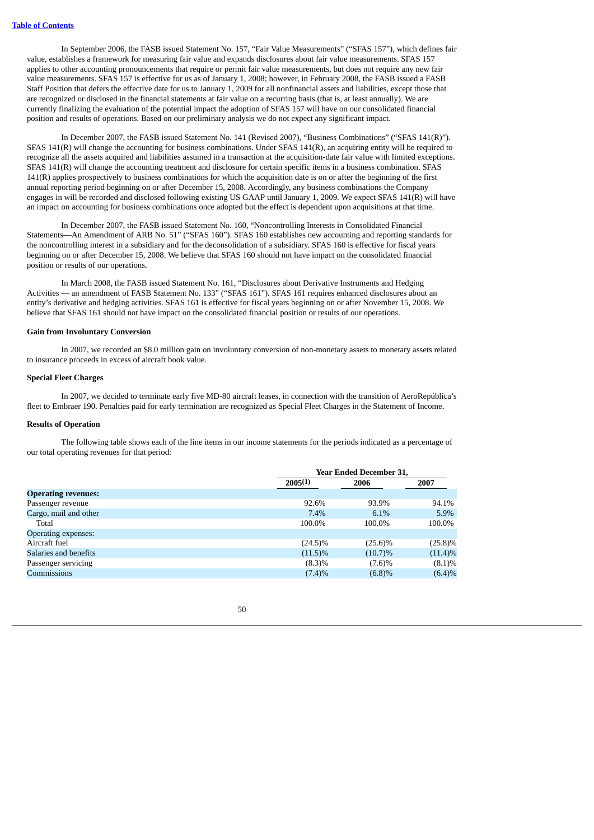In September 2006, the FASB issued Statement No. 157, "Fair Value Measurements" ("SFAS 157"), which defines fair value, establishes a framework for measuring fair value and expands disclosures about fair value measurements. SFAS 157 applies to other accounting pronouncements that require or permit fair value measurements, but does not require any new fair value measurements. SFAS 157 is effective for us as of January 1, 2008; however, in February 2008, the FASB issued a FASB Staff Position that defers the effective date for us to January 1, 2009 for all nonfinancial assets and liabilities, except those that are recognized or disclosed in the financial statements at fair value on a recurring basis (that is, at least annually). We are currently finalizing the evaluation of the potential impact the adoption of SFAS 157 will have on our consolidated financial position and results of operations. Based on our preliminary analysis we do not expect any significant impact.

In December 2007, the FASB issued Statement No. 141 (Revised 2007), "Business Combinations" ("SFAS 141(R)"). SFAS 141(R) will change the accounting for business combinations. Under SFAS 141(R), an acquiring entity will be required to recognize all the assets acquired and liabilities assumed in a transaction at the acquisition-date fair value with limited exceptions. SFAS 141(R) will change the accounting treatment and disclosure for certain specific items in a business combination. SFAS 141(R) applies prospectively to business combinations for which the acquisition date is on or after the beginning of the first annual reporting period beginning on or after December 15, 2008. Accordingly, any business combinations the Company engages in will be recorded and disclosed following existing US GAAP until January 1, 2009. We expect SFAS 141(R) will have an impact on accounting for business combinations once adopted but the effect is dependent upon acquisitions at that time.

In December 2007, the FASB issued Statement No. 160, "Noncontrolling Interests in Consolidated Financial Statements—An Amendment of ARB No. 51" ("SFAS 160"). SFAS 160 establishes new accounting and reporting standards for the noncontrolling interest in a subsidiary and for the deconsolidation of a subsidiary. SFAS 160 is effective for fiscal years beginning on or after December 15, 2008. We believe that SFAS 160 should not have impact on the consolidated financial position or results of our operations.

In March 2008, the FASB issued Statement No. 161, "Disclosures about Derivative Instruments and Hedging Activities — an amendment of FASB Statement No. 133" ("SFAS 161"). SFAS 161 requires enhanced disclosures about an entity's derivative and hedging activities. SFAS 161 is effective for fiscal years beginning on or after November 15, 2008. We believe that SFAS 161 should not have impact on the consolidated financial position or results of our operations.

## **Gain from Involuntary Conversion**

In 2007, we recorded an \$8.0 million gain on involuntary conversion of non-monetary assets to monetary assets related to insurance proceeds in excess of aircraft book value.

### **Special Fleet Charges**

In 2007, we decided to terminate early five MD-80 aircraft leases, in connection with the transition of AeroRepública's fleet to Embraer 190. Penalties paid for early termination are recognized as Special Fleet Charges in the Statement of Income.

#### **Results of Operation**

The following table shows each of the line items in our income statements for the periods indicated as a percentage of our total operating revenues for that period:

|                            |            | <b>Year Ended December 31,</b> |            |  |  |  |
|----------------------------|------------|--------------------------------|------------|--|--|--|
|                            | 2005(1)    | 2006                           | 2007       |  |  |  |
| <b>Operating revenues:</b> |            |                                |            |  |  |  |
| Passenger revenue          | 92.6%      | 93.9%                          | 94.1%      |  |  |  |
| Cargo, mail and other      | 7.4%       | 6.1%                           | 5.9%       |  |  |  |
| Total                      | 100.0%     | 100.0%                         | 100.0%     |  |  |  |
| Operating expenses:        |            |                                |            |  |  |  |
| Aircraft fuel              | $(24.5)\%$ | $(25.6)\%$                     | $(25.8)\%$ |  |  |  |
| Salaries and benefits      | $(11.5)\%$ | $(10.7)\%$                     | $(11.4)\%$ |  |  |  |
| Passenger servicing        | $(8.3)\%$  | (7.6)%                         | (8.1)%     |  |  |  |
| Commissions                | (7.4)%     | (6.8)%                         | (6.4)%     |  |  |  |
|                            |            |                                |            |  |  |  |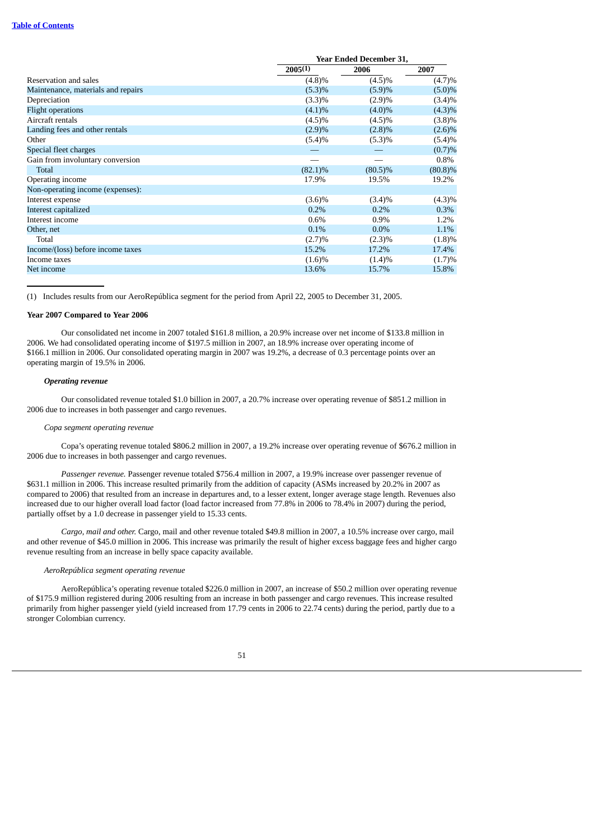#### **Table of [Contents](#page-3-0)**

| <b>Year Ended December 31,</b> |            |            |  |
|--------------------------------|------------|------------|--|
| 2005(1)                        | 2006       | 2007       |  |
| (4.8)%                         | $(4.5)\%$  | (4.7)%     |  |
| (5.3)%                         | (5.9)%     | $(5.0)\%$  |  |
| (3.3)%                         | (2.9)%     | $(3.4)\%$  |  |
| $(4.1)\%$                      | $(4.0)\%$  | $(4.3)\%$  |  |
| $(4.5)\%$                      | $(4.5)\%$  | (3.8)%     |  |
| (2.9)%                         | $(2.8)\%$  | $(2.6)\%$  |  |
| (5.4)%                         | (5.3)%     | (5.4)%     |  |
|                                |            | (0.7)%     |  |
|                                |            | $0.8\%$    |  |
| $(82.1)\%$                     | $(80.5)\%$ | $(80.8)\%$ |  |
| 17.9%                          | 19.5%      | 19.2%      |  |
|                                |            |            |  |
| $(3.6)\%$                      | $(3.4)\%$  | $(4.3)\%$  |  |
| $0.2\%$                        | $0.2\%$    | $0.3\%$    |  |
| 0.6%                           | $0.9\%$    | 1.2%       |  |
| 0.1%                           | $0.0\%$    | 1.1%       |  |
| (2.7)%                         | $(2.3)\%$  | (1.8)%     |  |
| 15.2%                          | 17.2%      | 17.4%      |  |
| (1.6)%                         | $(1.4)\%$  | (1.7)%     |  |
| 13.6%                          | 15.7%      | 15.8%      |  |
|                                |            |            |  |

(1) Includes results from our AeroRepública segment for the period from April 22, 2005 to December 31, 2005.

#### **Year 2007 Compared to Year 2006**

Our consolidated net income in 2007 totaled \$161.8 million, a 20.9% increase over net income of \$133.8 million in 2006. We had consolidated operating income of \$197.5 million in 2007, an 18.9% increase over operating income of \$166.1 million in 2006. Our consolidated operating margin in 2007 was 19.2%, a decrease of 0.3 percentage points over an operating margin of 19.5% in 2006.

### *Operating revenue*

Our consolidated revenue totaled \$1.0 billion in 2007, a 20.7% increase over operating revenue of \$851.2 million in 2006 due to increases in both passenger and cargo revenues.

#### *Copa segment operating revenue*

Copa's operating revenue totaled \$806.2 million in 2007, a 19.2% increase over operating revenue of \$676.2 million in 2006 due to increases in both passenger and cargo revenues.

*Passenger revenue.* Passenger revenue totaled \$756.4 million in 2007, a 19.9% increase over passenger revenue of \$631.1 million in 2006. This increase resulted primarily from the addition of capacity (ASMs increased by 20.2% in 2007 as compared to 2006) that resulted from an increase in departures and, to a lesser extent, longer average stage length. Revenues also increased due to our higher overall load factor (load factor increased from 77.8% in 2006 to 78.4% in 2007) during the period, partially offset by a 1.0 decrease in passenger yield to 15.33 cents.

*Cargo, mail and other.* Cargo, mail and other revenue totaled \$49.8 million in 2007, a 10.5% increase over cargo, mail and other revenue of \$45.0 million in 2006. This increase was primarily the result of higher excess baggage fees and higher cargo revenue resulting from an increase in belly space capacity available.

### *AeroRepública segment operating revenue*

AeroRepública's operating revenue totaled \$226.0 million in 2007, an increase of \$50.2 million over operating revenue of \$175.9 million registered during 2006 resulting from an increase in both passenger and cargo revenues. This increase resulted primarily from higher passenger yield (yield increased from 17.79 cents in 2006 to 22.74 cents) during the period, partly due to a stronger Colombian currency.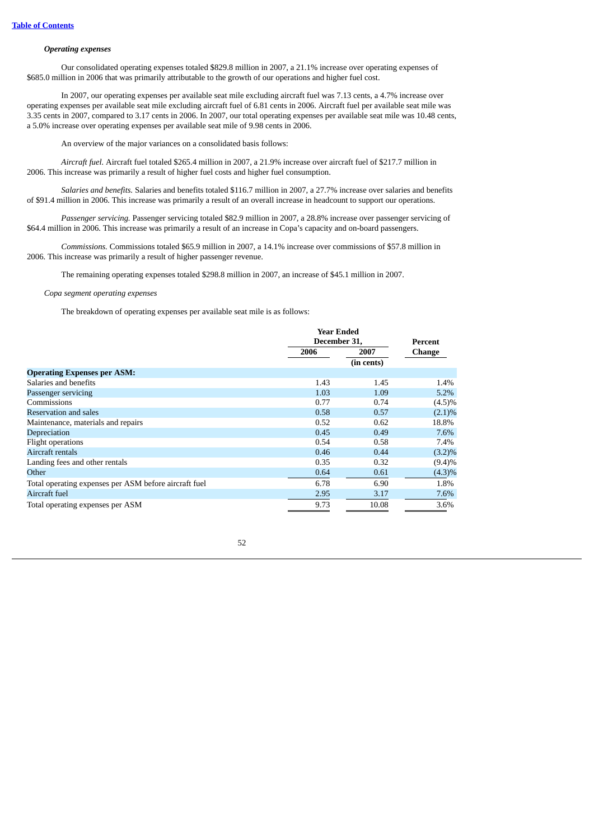# *Operating expenses*

Our consolidated operating expenses totaled \$829.8 million in 2007, a 21.1% increase over operating expenses of \$685.0 million in 2006 that was primarily attributable to the growth of our operations and higher fuel cost.

In 2007, our operating expenses per available seat mile excluding aircraft fuel was 7.13 cents, a 4.7% increase over operating expenses per available seat mile excluding aircraft fuel of 6.81 cents in 2006. Aircraft fuel per available seat mile was 3.35 cents in 2007, compared to 3.17 cents in 2006. In 2007, our total operating expenses per available seat mile was 10.48 cents, a 5.0% increase over operating expenses per available seat mile of 9.98 cents in 2006.

An overview of the major variances on a consolidated basis follows:

*Aircraft fuel.* Aircraft fuel totaled \$265.4 million in 2007, a 21.9% increase over aircraft fuel of \$217.7 million in 2006. This increase was primarily a result of higher fuel costs and higher fuel consumption.

*Salaries and benefits.* Salaries and benefits totaled \$116.7 million in 2007, a 27.7% increase over salaries and benefits of \$91.4 million in 2006. This increase was primarily a result of an overall increase in headcount to support our operations.

*Passenger servicing.* Passenger servicing totaled \$82.9 million in 2007, a 28.8% increase over passenger servicing of \$64.4 million in 2006. This increase was primarily a result of an increase in Copa's capacity and on-board passengers.

*Commissions.* Commissions totaled \$65.9 million in 2007, a 14.1% increase over commissions of \$57.8 million in 2006. This increase was primarily a result of higher passenger revenue.

The remaining operating expenses totaled \$298.8 million in 2007, an increase of \$45.1 million in 2007.

*Copa segment operating expenses*

The breakdown of operating expenses per available seat mile is as follows:

|                                                       |      | <b>Year Ended</b><br>December 31. |               |  |
|-------------------------------------------------------|------|-----------------------------------|---------------|--|
|                                                       |      |                                   |               |  |
|                                                       | 2006 | 2007                              | <b>Change</b> |  |
|                                                       |      | (in cents)                        |               |  |
| <b>Operating Expenses per ASM:</b>                    |      |                                   |               |  |
| Salaries and benefits                                 | 1.43 | 1.45                              | 1.4%          |  |
| Passenger servicing                                   | 1.03 | 1.09                              | 5.2%          |  |
| Commissions                                           | 0.77 | 0.74                              | $(4.5)\%$     |  |
| Reservation and sales                                 | 0.58 | 0.57                              | $(2.1)\%$     |  |
| Maintenance, materials and repairs                    | 0.52 | 0.62                              | 18.8%         |  |
| Depreciation                                          | 0.45 | 0.49                              | 7.6%          |  |
| Flight operations                                     | 0.54 | 0.58                              | 7.4%          |  |
| Aircraft rentals                                      | 0.46 | 0.44                              | $(3.2)\%$     |  |
| Landing fees and other rentals                        | 0.35 | 0.32                              | (9.4)%        |  |
| Other                                                 | 0.64 | 0.61                              | $(4.3)\%$     |  |
| Total operating expenses per ASM before aircraft fuel | 6.78 | 6.90                              | 1.8%          |  |
| Aircraft fuel                                         | 2.95 | 3.17                              | 7.6%          |  |
| Total operating expenses per ASM                      | 9.73 | 10.08                             | 3.6%          |  |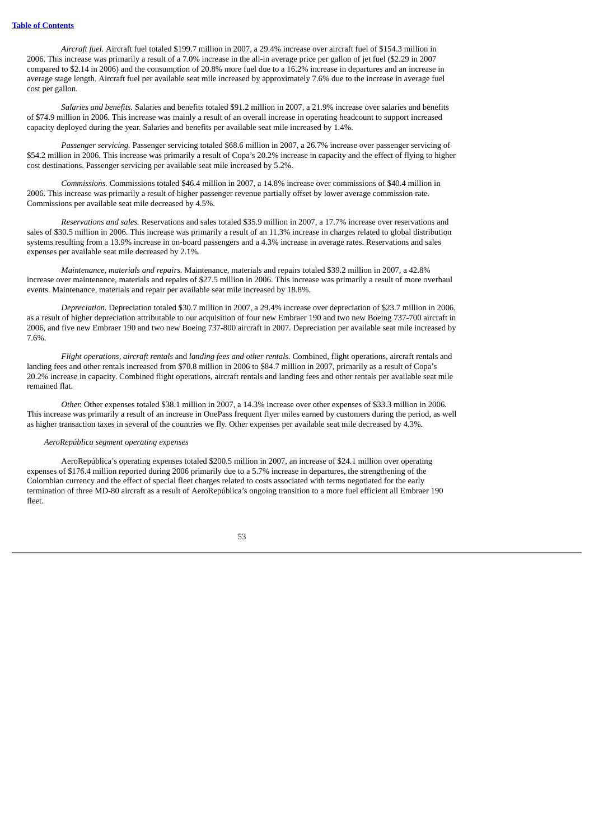*Aircraft fuel.* Aircraft fuel totaled \$199.7 million in 2007, a 29.4% increase over aircraft fuel of \$154.3 million in 2006. This increase was primarily a result of a 7.0% increase in the all-in average price per gallon of jet fuel (\$2.29 in 2007 compared to \$2.14 in 2006) and the consumption of 20.8% more fuel due to a 16.2% increase in departures and an increase in average stage length. Aircraft fuel per available seat mile increased by approximately 7.6% due to the increase in average fuel cost per gallon.

*Salaries and benefits.* Salaries and benefits totaled \$91.2 million in 2007, a 21.9% increase over salaries and benefits of \$74.9 million in 2006. This increase was mainly a result of an overall increase in operating headcount to support increased capacity deployed during the year. Salaries and benefits per available seat mile increased by 1.4%.

*Passenger servicing.* Passenger servicing totaled \$68.6 million in 2007, a 26.7% increase over passenger servicing of \$54.2 million in 2006. This increase was primarily a result of Copa's 20.2% increase in capacity and the effect of flying to higher cost destinations. Passenger servicing per available seat mile increased by 5.2%.

*Commissions.* Commissions totaled \$46.4 million in 2007, a 14.8% increase over commissions of \$40.4 million in 2006. This increase was primarily a result of higher passenger revenue partially offset by lower average commission rate. Commissions per available seat mile decreased by 4.5%.

*Reservations and sales.* Reservations and sales totaled \$35.9 million in 2007, a 17.7% increase over reservations and sales of \$30.5 million in 2006. This increase was primarily a result of an 11.3% increase in charges related to global distribution systems resulting from a 13.9% increase in on-board passengers and a 4.3% increase in average rates. Reservations and sales expenses per available seat mile decreased by 2.1%.

*Maintenance, materials and repairs.* Maintenance, materials and repairs totaled \$39.2 million in 2007, a 42.8% increase over maintenance, materials and repairs of \$27.5 million in 2006. This increase was primarily a result of more overhaul events. Maintenance, materials and repair per available seat mile increased by 18.8%.

*Depreciation.* Depreciation totaled \$30.7 million in 2007, a 29.4% increase over depreciation of \$23.7 million in 2006, as a result of higher depreciation attributable to our acquisition of four new Embraer 190 and two new Boeing 737-700 aircraft in 2006, and five new Embraer 190 and two new Boeing 737-800 aircraft in 2007. Depreciation per available seat mile increased by 7.6%.

*Flight operations, aircraft rentals* and *landing fees and other rentals.* Combined, flight operations, aircraft rentals and landing fees and other rentals increased from \$70.8 million in 2006 to \$84.7 million in 2007, primarily as a result of Copa's 20.2% increase in capacity. Combined flight operations, aircraft rentals and landing fees and other rentals per available seat mile remained flat.

*Other.* Other expenses totaled \$38.1 million in 2007, a 14.3% increase over other expenses of \$33.3 million in 2006. This increase was primarily a result of an increase in OnePass frequent flyer miles earned by customers during the period, as well as higher transaction taxes in several of the countries we fly. Other expenses per available seat mile decreased by 4.3%.

# *AeroRepública segment operating expenses*

AeroRepública's operating expenses totaled \$200.5 million in 2007, an increase of \$24.1 million over operating expenses of \$176.4 million reported during 2006 primarily due to a 5.7% increase in departures, the strengthening of the Colombian currency and the effect of special fleet charges related to costs associated with terms negotiated for the early termination of three MD-80 aircraft as a result of AeroRepública's ongoing transition to a more fuel efficient all Embraer 190 fleet.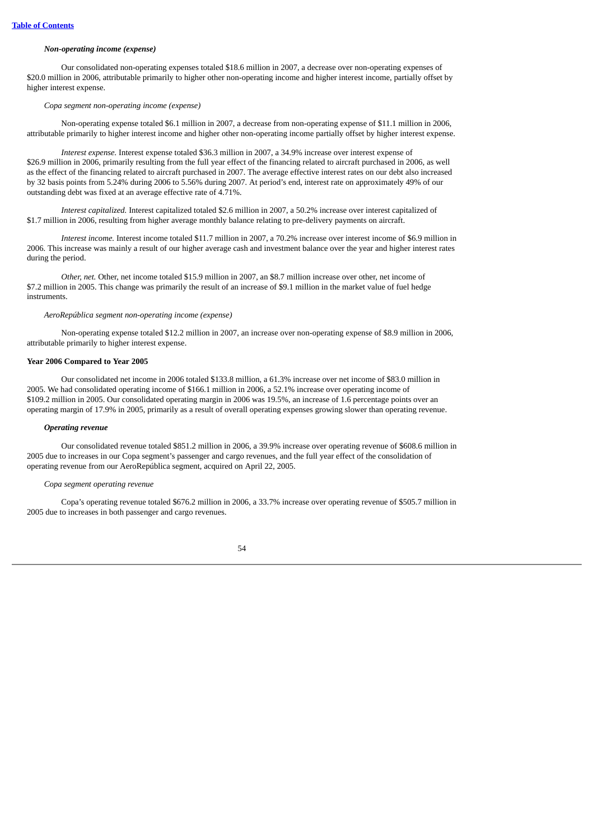# *Non-operating income (expense)*

Our consolidated non-operating expenses totaled \$18.6 million in 2007, a decrease over non-operating expenses of \$20.0 million in 2006, attributable primarily to higher other non-operating income and higher interest income, partially offset by higher interest expense.

# *Copa segment non-operating income (expense)*

Non-operating expense totaled \$6.1 million in 2007, a decrease from non-operating expense of \$11.1 million in 2006, attributable primarily to higher interest income and higher other non-operating income partially offset by higher interest expense.

*Interest expense.* Interest expense totaled \$36.3 million in 2007, a 34.9% increase over interest expense of \$26.9 million in 2006, primarily resulting from the full year effect of the financing related to aircraft purchased in 2006, as well as the effect of the financing related to aircraft purchased in 2007. The average effective interest rates on our debt also increased by 32 basis points from 5.24% during 2006 to 5.56% during 2007. At period's end, interest rate on approximately 49% of our outstanding debt was fixed at an average effective rate of 4.71%.

*Interest capitalized.* Interest capitalized totaled \$2.6 million in 2007, a 50.2% increase over interest capitalized of \$1.7 million in 2006, resulting from higher average monthly balance relating to pre-delivery payments on aircraft.

*Interest income.* Interest income totaled \$11.7 million in 2007, a 70.2% increase over interest income of \$6.9 million in 2006. This increase was mainly a result of our higher average cash and investment balance over the year and higher interest rates during the period.

*Other, net.* Other, net income totaled \$15.9 million in 2007, an \$8.7 million increase over other, net income of \$7.2 million in 2005. This change was primarily the result of an increase of \$9.1 million in the market value of fuel hedge instruments.

#### *AeroRepública segment non-operating income (expense)*

Non-operating expense totaled \$12.2 million in 2007, an increase over non-operating expense of \$8.9 million in 2006, attributable primarily to higher interest expense.

# **Year 2006 Compared to Year 2005**

Our consolidated net income in 2006 totaled \$133.8 million, a 61.3% increase over net income of \$83.0 million in 2005. We had consolidated operating income of \$166.1 million in 2006, a 52.1% increase over operating income of \$109.2 million in 2005. Our consolidated operating margin in 2006 was 19.5%, an increase of 1.6 percentage points over an operating margin of 17.9% in 2005, primarily as a result of overall operating expenses growing slower than operating revenue.

#### *Operating revenue*

Our consolidated revenue totaled \$851.2 million in 2006, a 39.9% increase over operating revenue of \$608.6 million in 2005 due to increases in our Copa segment's passenger and cargo revenues, and the full year effect of the consolidation of operating revenue from our AeroRepública segment, acquired on April 22, 2005.

### *Copa segment operating revenue*

Copa's operating revenue totaled \$676.2 million in 2006, a 33.7% increase over operating revenue of \$505.7 million in 2005 due to increases in both passenger and cargo revenues.

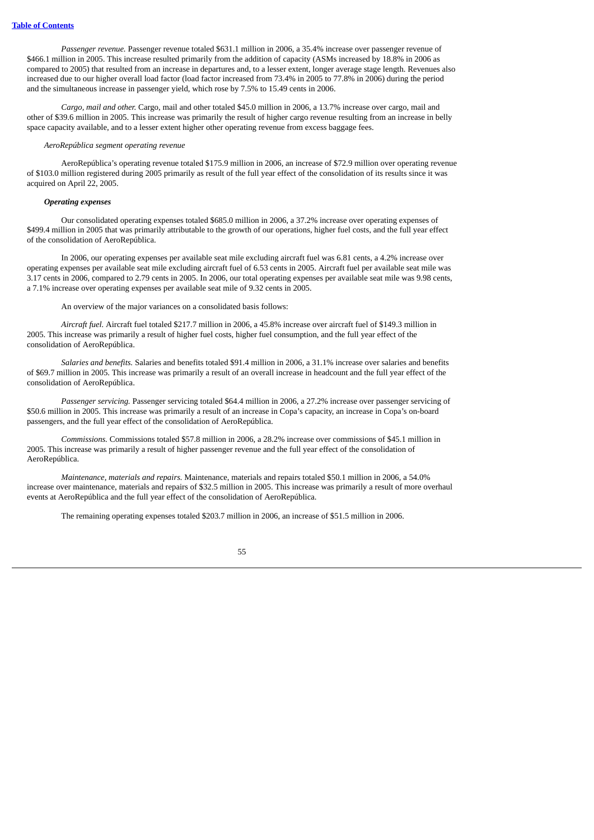*Passenger revenue.* Passenger revenue totaled \$631.1 million in 2006, a 35.4% increase over passenger revenue of \$466.1 million in 2005. This increase resulted primarily from the addition of capacity (ASMs increased by 18.8% in 2006 as compared to 2005) that resulted from an increase in departures and, to a lesser extent, longer average stage length. Revenues also increased due to our higher overall load factor (load factor increased from 73.4% in 2005 to 77.8% in 2006) during the period and the simultaneous increase in passenger yield, which rose by 7.5% to 15.49 cents in 2006.

*Cargo, mail and other.* Cargo, mail and other totaled \$45.0 million in 2006, a 13.7% increase over cargo, mail and other of \$39.6 million in 2005. This increase was primarily the result of higher cargo revenue resulting from an increase in belly space capacity available, and to a lesser extent higher other operating revenue from excess baggage fees.

#### *AeroRepública segment operating revenue*

AeroRepública's operating revenue totaled \$175.9 million in 2006, an increase of \$72.9 million over operating revenue of \$103.0 million registered during 2005 primarily as result of the full year effect of the consolidation of its results since it was acquired on April 22, 2005.

# *Operating expenses*

Our consolidated operating expenses totaled \$685.0 million in 2006, a 37.2% increase over operating expenses of \$499.4 million in 2005 that was primarily attributable to the growth of our operations, higher fuel costs, and the full year effect of the consolidation of AeroRepública.

In 2006, our operating expenses per available seat mile excluding aircraft fuel was 6.81 cents, a 4.2% increase over operating expenses per available seat mile excluding aircraft fuel of 6.53 cents in 2005. Aircraft fuel per available seat mile was 3.17 cents in 2006, compared to 2.79 cents in 2005. In 2006, our total operating expenses per available seat mile was 9.98 cents, a 7.1% increase over operating expenses per available seat mile of 9.32 cents in 2005.

An overview of the major variances on a consolidated basis follows:

*Aircraft fuel.* Aircraft fuel totaled \$217.7 million in 2006, a 45.8% increase over aircraft fuel of \$149.3 million in 2005. This increase was primarily a result of higher fuel costs, higher fuel consumption, and the full year effect of the consolidation of AeroRepública.

*Salaries and benefits.* Salaries and benefits totaled \$91.4 million in 2006, a 31.1% increase over salaries and benefits of \$69.7 million in 2005. This increase was primarily a result of an overall increase in headcount and the full year effect of the consolidation of AeroRepública.

*Passenger servicing.* Passenger servicing totaled \$64.4 million in 2006, a 27.2% increase over passenger servicing of \$50.6 million in 2005. This increase was primarily a result of an increase in Copa's capacity, an increase in Copa's on-board passengers, and the full year effect of the consolidation of AeroRepública.

*Commissions.* Commissions totaled \$57.8 million in 2006, a 28.2% increase over commissions of \$45.1 million in 2005. This increase was primarily a result of higher passenger revenue and the full year effect of the consolidation of AeroRepública.

*Maintenance, materials and repairs.* Maintenance, materials and repairs totaled \$50.1 million in 2006, a 54.0% increase over maintenance, materials and repairs of \$32.5 million in 2005. This increase was primarily a result of more overhaul events at AeroRepública and the full year effect of the consolidation of AeroRepública.

The remaining operating expenses totaled \$203.7 million in 2006, an increase of \$51.5 million in 2006.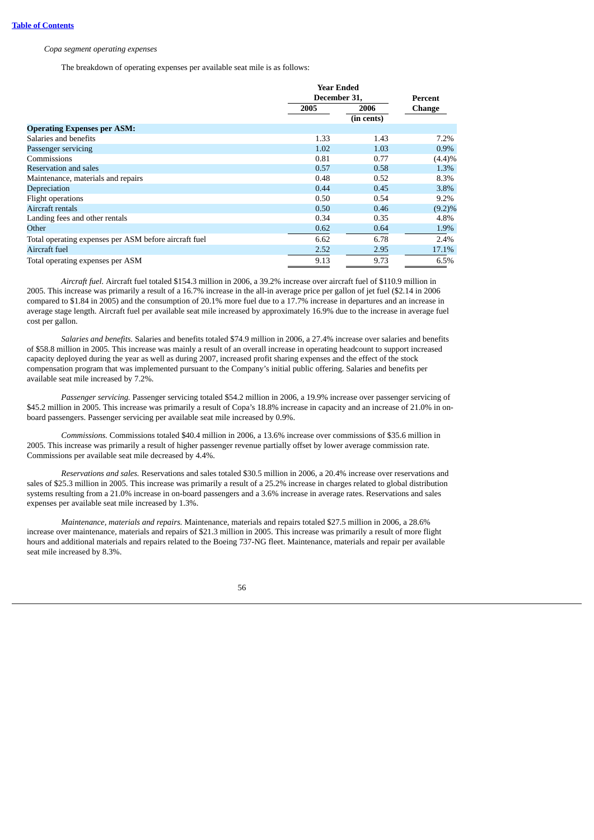### *Copa segment operating expenses*

The breakdown of operating expenses per available seat mile is as follows:

|                                                       |      | <b>Year Ended</b><br>December 31, |               |  |
|-------------------------------------------------------|------|-----------------------------------|---------------|--|
|                                                       |      |                                   |               |  |
|                                                       | 2005 | 2006                              | <b>Change</b> |  |
|                                                       |      | (in cents)                        |               |  |
| <b>Operating Expenses per ASM:</b>                    |      |                                   |               |  |
| Salaries and benefits                                 | 1.33 | 1.43                              | 7.2%          |  |
| Passenger servicing                                   | 1.02 | 1.03                              | $0.9\%$       |  |
| Commissions                                           | 0.81 | 0.77                              | (4.4)%        |  |
| Reservation and sales                                 | 0.57 | 0.58                              | 1.3%          |  |
| Maintenance, materials and repairs                    | 0.48 | 0.52                              | 8.3%          |  |
| Depreciation                                          | 0.44 | 0.45                              | 3.8%          |  |
| Flight operations                                     | 0.50 | 0.54                              | $9.2\%$       |  |
| Aircraft rentals                                      | 0.50 | 0.46                              | $(9.2)\%$     |  |
| Landing fees and other rentals                        | 0.34 | 0.35                              | 4.8%          |  |
| Other                                                 | 0.62 | 0.64                              | 1.9%          |  |
| Total operating expenses per ASM before aircraft fuel | 6.62 | 6.78                              | 2.4%          |  |
| Aircraft fuel                                         | 2.52 | 2.95                              | 17.1%         |  |
| Total operating expenses per ASM                      | 9.13 | 9.73                              | 6.5%          |  |

*Aircraft fuel.* Aircraft fuel totaled \$154.3 million in 2006, a 39.2% increase over aircraft fuel of \$110.9 million in 2005. This increase was primarily a result of a 16.7% increase in the all-in average price per gallon of jet fuel (\$2.14 in 2006 compared to \$1.84 in 2005) and the consumption of 20.1% more fuel due to a 17.7% increase in departures and an increase in average stage length. Aircraft fuel per available seat mile increased by approximately 16.9% due to the increase in average fuel cost per gallon.

*Salaries and benefits.* Salaries and benefits totaled \$74.9 million in 2006, a 27.4% increase over salaries and benefits of \$58.8 million in 2005. This increase was mainly a result of an overall increase in operating headcount to support increased capacity deployed during the year as well as during 2007, increased profit sharing expenses and the effect of the stock compensation program that was implemented pursuant to the Company's initial public offering. Salaries and benefits per available seat mile increased by 7.2%.

*Passenger servicing.* Passenger servicing totaled \$54.2 million in 2006, a 19.9% increase over passenger servicing of \$45.2 million in 2005. This increase was primarily a result of Copa's 18.8% increase in capacity and an increase of 21.0% in onboard passengers. Passenger servicing per available seat mile increased by 0.9%.

*Commissions.* Commissions totaled \$40.4 million in 2006, a 13.6% increase over commissions of \$35.6 million in 2005. This increase was primarily a result of higher passenger revenue partially offset by lower average commission rate. Commissions per available seat mile decreased by 4.4%.

*Reservations and sales.* Reservations and sales totaled \$30.5 million in 2006, a 20.4% increase over reservations and sales of \$25.3 million in 2005. This increase was primarily a result of a 25.2% increase in charges related to global distribution systems resulting from a 21.0% increase in on-board passengers and a 3.6% increase in average rates. Reservations and sales expenses per available seat mile increased by 1.3%.

*Maintenance, materials and repairs.* Maintenance, materials and repairs totaled \$27.5 million in 2006, a 28.6% increase over maintenance, materials and repairs of \$21.3 million in 2005. This increase was primarily a result of more flight hours and additional materials and repairs related to the Boeing 737-NG fleet. Maintenance, materials and repair per available seat mile increased by 8.3%.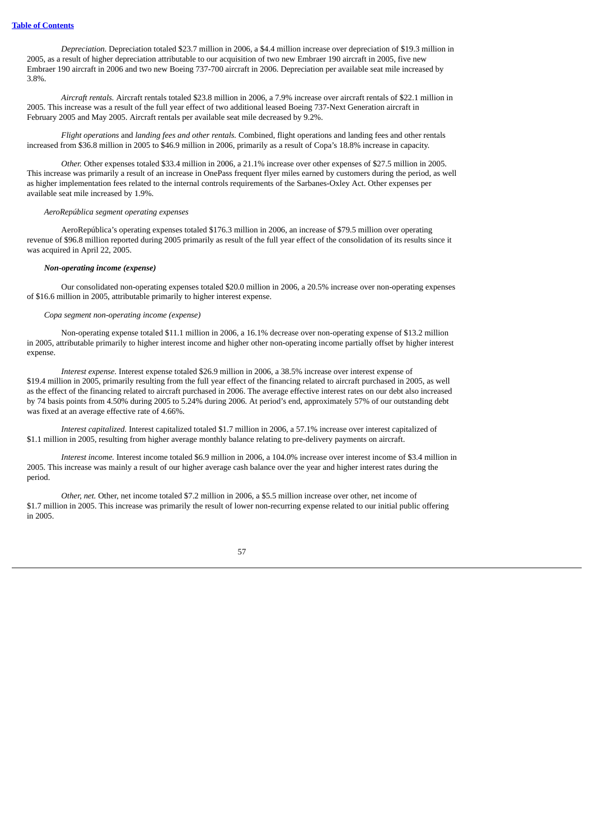*Depreciation.* Depreciation totaled \$23.7 million in 2006, a \$4.4 million increase over depreciation of \$19.3 million in 2005, as a result of higher depreciation attributable to our acquisition of two new Embraer 190 aircraft in 2005, five new Embraer 190 aircraft in 2006 and two new Boeing 737-700 aircraft in 2006. Depreciation per available seat mile increased by 3.8%.

*Aircraft rentals.* Aircraft rentals totaled \$23.8 million in 2006, a 7.9% increase over aircraft rentals of \$22.1 million in 2005. This increase was a result of the full year effect of two additional leased Boeing 737-Next Generation aircraft in February 2005 and May 2005. Aircraft rentals per available seat mile decreased by 9.2%.

*Flight operations* and *landing fees and other rentals.* Combined, flight operations and landing fees and other rentals increased from \$36.8 million in 2005 to \$46.9 million in 2006, primarily as a result of Copa's 18.8% increase in capacity.

*Other.* Other expenses totaled \$33.4 million in 2006, a 21.1% increase over other expenses of \$27.5 million in 2005. This increase was primarily a result of an increase in OnePass frequent flyer miles earned by customers during the period, as well as higher implementation fees related to the internal controls requirements of the Sarbanes-Oxley Act. Other expenses per available seat mile increased by 1.9%.

#### *AeroRepública segment operating expenses*

AeroRepública's operating expenses totaled \$176.3 million in 2006, an increase of \$79.5 million over operating revenue of \$96.8 million reported during 2005 primarily as result of the full year effect of the consolidation of its results since it was acquired in April 22, 2005.

#### *Non-operating income (expense)*

Our consolidated non-operating expenses totaled \$20.0 million in 2006, a 20.5% increase over non-operating expenses of \$16.6 million in 2005, attributable primarily to higher interest expense.

# *Copa segment non-operating income (expense)*

Non-operating expense totaled \$11.1 million in 2006, a 16.1% decrease over non-operating expense of \$13.2 million in 2005, attributable primarily to higher interest income and higher other non-operating income partially offset by higher interest expense.

*Interest expense.* Interest expense totaled \$26.9 million in 2006, a 38.5% increase over interest expense of \$19.4 million in 2005, primarily resulting from the full year effect of the financing related to aircraft purchased in 2005, as well as the effect of the financing related to aircraft purchased in 2006. The average effective interest rates on our debt also increased by 74 basis points from 4.50% during 2005 to 5.24% during 2006. At period's end, approximately 57% of our outstanding debt was fixed at an average effective rate of 4.66%.

*Interest capitalized.* Interest capitalized totaled \$1.7 million in 2006, a 57.1% increase over interest capitalized of \$1.1 million in 2005, resulting from higher average monthly balance relating to pre-delivery payments on aircraft.

*Interest income.* Interest income totaled \$6.9 million in 2006, a 104.0% increase over interest income of \$3.4 million in 2005. This increase was mainly a result of our higher average cash balance over the year and higher interest rates during the period.

*Other, net.* Other, net income totaled \$7.2 million in 2006, a \$5.5 million increase over other, net income of \$1.7 million in 2005. This increase was primarily the result of lower non-recurring expense related to our initial public offering in 2005.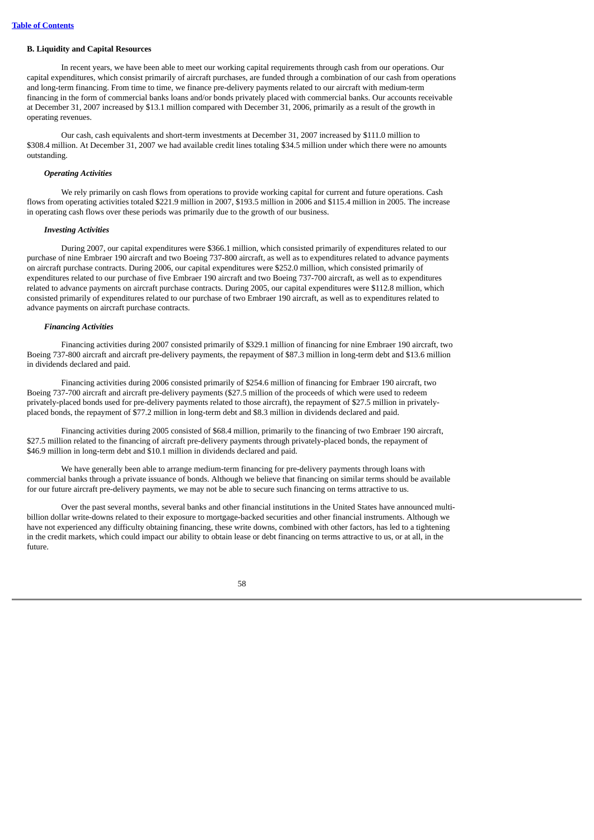### **B. Liquidity and Capital Resources**

In recent years, we have been able to meet our working capital requirements through cash from our operations. Our capital expenditures, which consist primarily of aircraft purchases, are funded through a combination of our cash from operations and long-term financing. From time to time, we finance pre-delivery payments related to our aircraft with medium-term financing in the form of commercial banks loans and/or bonds privately placed with commercial banks. Our accounts receivable at December 31, 2007 increased by \$13.1 million compared with December 31, 2006, primarily as a result of the growth in operating revenues.

Our cash, cash equivalents and short-term investments at December 31, 2007 increased by \$111.0 million to \$308.4 million. At December 31, 2007 we had available credit lines totaling \$34.5 million under which there were no amounts outstanding.

### *Operating Activities*

We rely primarily on cash flows from operations to provide working capital for current and future operations. Cash flows from operating activities totaled \$221.9 million in 2007, \$193.5 million in 2006 and \$115.4 million in 2005. The increase in operating cash flows over these periods was primarily due to the growth of our business.

# *Investing Activities*

During 2007, our capital expenditures were \$366.1 million, which consisted primarily of expenditures related to our purchase of nine Embraer 190 aircraft and two Boeing 737-800 aircraft, as well as to expenditures related to advance payments on aircraft purchase contracts. During 2006, our capital expenditures were \$252.0 million, which consisted primarily of expenditures related to our purchase of five Embraer 190 aircraft and two Boeing 737-700 aircraft, as well as to expenditures related to advance payments on aircraft purchase contracts. During 2005, our capital expenditures were \$112.8 million, which consisted primarily of expenditures related to our purchase of two Embraer 190 aircraft, as well as to expenditures related to advance payments on aircraft purchase contracts.

### *Financing Activities*

Financing activities during 2007 consisted primarily of \$329.1 million of financing for nine Embraer 190 aircraft, two Boeing 737-800 aircraft and aircraft pre-delivery payments, the repayment of \$87.3 million in long-term debt and \$13.6 million in dividends declared and paid.

Financing activities during 2006 consisted primarily of \$254.6 million of financing for Embraer 190 aircraft, two Boeing 737-700 aircraft and aircraft pre-delivery payments (\$27.5 million of the proceeds of which were used to redeem privately-placed bonds used for pre-delivery payments related to those aircraft), the repayment of \$27.5 million in privatelyplaced bonds, the repayment of \$77.2 million in long-term debt and \$8.3 million in dividends declared and paid.

Financing activities during 2005 consisted of \$68.4 million, primarily to the financing of two Embraer 190 aircraft, \$27.5 million related to the financing of aircraft pre-delivery payments through privately-placed bonds, the repayment of \$46.9 million in long-term debt and \$10.1 million in dividends declared and paid.

We have generally been able to arrange medium-term financing for pre-delivery payments through loans with commercial banks through a private issuance of bonds. Although we believe that financing on similar terms should be available for our future aircraft pre-delivery payments, we may not be able to secure such financing on terms attractive to us.

Over the past several months, several banks and other financial institutions in the United States have announced multibillion dollar write-downs related to their exposure to mortgage-backed securities and other financial instruments. Although we have not experienced any difficulty obtaining financing, these write downs, combined with other factors, has led to a tightening in the credit markets, which could impact our ability to obtain lease or debt financing on terms attractive to us, or at all, in the future.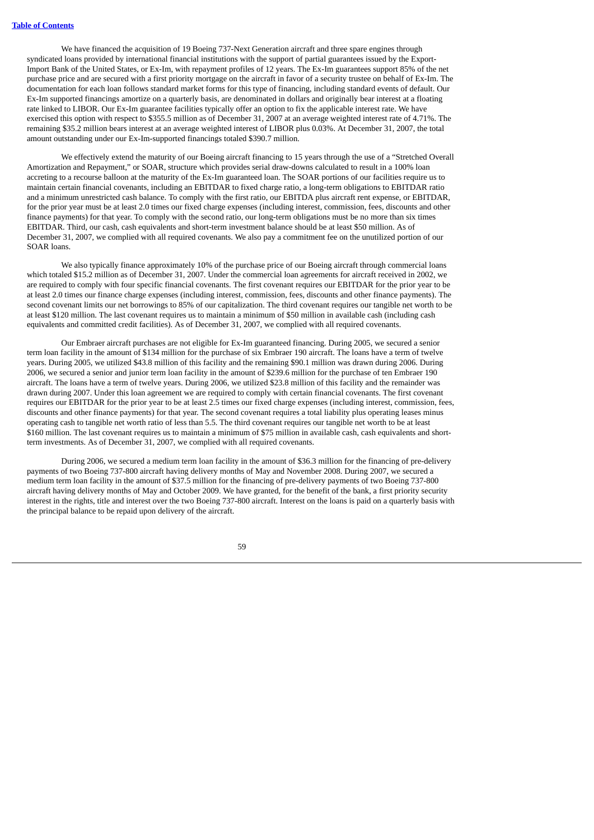We have financed the acquisition of 19 Boeing 737-Next Generation aircraft and three spare engines through syndicated loans provided by international financial institutions with the support of partial guarantees issued by the Export-Import Bank of the United States, or Ex-Im, with repayment profiles of 12 years. The Ex-Im guarantees support 85% of the net purchase price and are secured with a first priority mortgage on the aircraft in favor of a security trustee on behalf of Ex-Im. The documentation for each loan follows standard market forms for this type of financing, including standard events of default. Our Ex-Im supported financings amortize on a quarterly basis, are denominated in dollars and originally bear interest at a floating rate linked to LIBOR. Our Ex-Im guarantee facilities typically offer an option to fix the applicable interest rate. We have exercised this option with respect to \$355.5 million as of December 31, 2007 at an average weighted interest rate of 4.71%. The remaining \$35.2 million bears interest at an average weighted interest of LIBOR plus 0.03%. At December 31, 2007, the total amount outstanding under our Ex-Im-supported financings totaled \$390.7 million.

We effectively extend the maturity of our Boeing aircraft financing to 15 years through the use of a "Stretched Overall Amortization and Repayment," or SOAR, structure which provides serial draw-downs calculated to result in a 100% loan accreting to a recourse balloon at the maturity of the Ex-Im guaranteed loan. The SOAR portions of our facilities require us to maintain certain financial covenants, including an EBITDAR to fixed charge ratio, a long-term obligations to EBITDAR ratio and a minimum unrestricted cash balance. To comply with the first ratio, our EBITDA plus aircraft rent expense, or EBITDAR, for the prior year must be at least 2.0 times our fixed charge expenses (including interest, commission, fees, discounts and other finance payments) for that year. To comply with the second ratio, our long-term obligations must be no more than six times EBITDAR. Third, our cash, cash equivalents and short-term investment balance should be at least \$50 million. As of December 31, 2007, we complied with all required covenants. We also pay a commitment fee on the unutilized portion of our SOAR loans.

We also typically finance approximately 10% of the purchase price of our Boeing aircraft through commercial loans which totaled \$15.2 million as of December 31, 2007. Under the commercial loan agreements for aircraft received in 2002, we are required to comply with four specific financial covenants. The first covenant requires our EBITDAR for the prior year to be at least 2.0 times our finance charge expenses (including interest, commission, fees, discounts and other finance payments). The second covenant limits our net borrowings to 85% of our capitalization. The third covenant requires our tangible net worth to be at least \$120 million. The last covenant requires us to maintain a minimum of \$50 million in available cash (including cash equivalents and committed credit facilities). As of December 31, 2007, we complied with all required covenants.

Our Embraer aircraft purchases are not eligible for Ex-Im guaranteed financing. During 2005, we secured a senior term loan facility in the amount of \$134 million for the purchase of six Embraer 190 aircraft. The loans have a term of twelve years. During 2005, we utilized \$43.8 million of this facility and the remaining \$90.1 million was drawn during 2006. During 2006, we secured a senior and junior term loan facility in the amount of \$239.6 million for the purchase of ten Embraer 190 aircraft. The loans have a term of twelve years. During 2006, we utilized \$23.8 million of this facility and the remainder was drawn during 2007. Under this loan agreement we are required to comply with certain financial covenants. The first covenant requires our EBITDAR for the prior year to be at least 2.5 times our fixed charge expenses (including interest, commission, fees, discounts and other finance payments) for that year. The second covenant requires a total liability plus operating leases minus operating cash to tangible net worth ratio of less than 5.5. The third covenant requires our tangible net worth to be at least \$160 million. The last covenant requires us to maintain a minimum of \$75 million in available cash, cash equivalents and shortterm investments. As of December 31, 2007, we complied with all required covenants.

During 2006, we secured a medium term loan facility in the amount of \$36.3 million for the financing of pre-delivery payments of two Boeing 737-800 aircraft having delivery months of May and November 2008. During 2007, we secured a medium term loan facility in the amount of \$37.5 million for the financing of pre-delivery payments of two Boeing 737-800 aircraft having delivery months of May and October 2009. We have granted, for the benefit of the bank, a first priority security interest in the rights, title and interest over the two Boeing 737-800 aircraft. Interest on the loans is paid on a quarterly basis with the principal balance to be repaid upon delivery of the aircraft.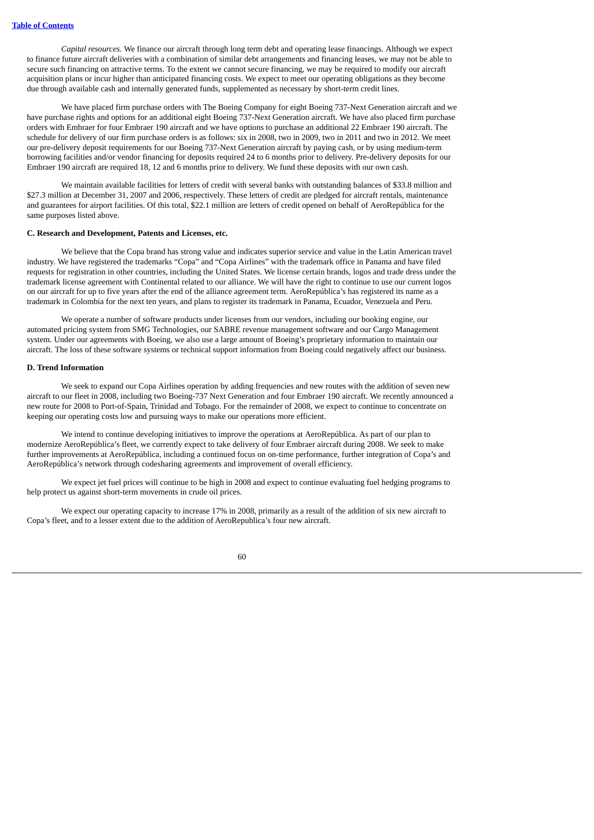*Capital resources.* We finance our aircraft through long term debt and operating lease financings. Although we expect to finance future aircraft deliveries with a combination of similar debt arrangements and financing leases, we may not be able to secure such financing on attractive terms. To the extent we cannot secure financing, we may be required to modify our aircraft acquisition plans or incur higher than anticipated financing costs. We expect to meet our operating obligations as they become due through available cash and internally generated funds, supplemented as necessary by short-term credit lines.

We have placed firm purchase orders with The Boeing Company for eight Boeing 737-Next Generation aircraft and we have purchase rights and options for an additional eight Boeing 737-Next Generation aircraft. We have also placed firm purchase orders with Embraer for four Embraer 190 aircraft and we have options to purchase an additional 22 Embraer 190 aircraft. The schedule for delivery of our firm purchase orders is as follows: six in 2008, two in 2009, two in 2011 and two in 2012. We meet our pre-delivery deposit requirements for our Boeing 737-Next Generation aircraft by paying cash, or by using medium-term borrowing facilities and/or vendor financing for deposits required 24 to 6 months prior to delivery. Pre-delivery deposits for our Embraer 190 aircraft are required 18, 12 and 6 months prior to delivery. We fund these deposits with our own cash.

We maintain available facilities for letters of credit with several banks with outstanding balances of \$33.8 million and \$27.3 million at December 31, 2007 and 2006, respectively. These letters of credit are pledged for aircraft rentals, maintenance and guarantees for airport facilities. Of this total, \$22.1 million are letters of credit opened on behalf of AeroRepública for the same purposes listed above.

# **C. Research and Development, Patents and Licenses, etc.**

We believe that the Copa brand has strong value and indicates superior service and value in the Latin American travel industry. We have registered the trademarks "Copa" and "Copa Airlines" with the trademark office in Panama and have filed requests for registration in other countries, including the United States. We license certain brands, logos and trade dress under the trademark license agreement with Continental related to our alliance. We will have the right to continue to use our current logos on our aircraft for up to five years after the end of the alliance agreement term. AeroRepública's has registered its name as a trademark in Colombia for the next ten years, and plans to register its trademark in Panama, Ecuador, Venezuela and Peru.

We operate a number of software products under licenses from our vendors, including our booking engine, our automated pricing system from SMG Technologies, our SABRE revenue management software and our Cargo Management system. Under our agreements with Boeing, we also use a large amount of Boeing's proprietary information to maintain our aircraft. The loss of these software systems or technical support information from Boeing could negatively affect our business.

# **D. Trend Information**

We seek to expand our Copa Airlines operation by adding frequencies and new routes with the addition of seven new aircraft to our fleet in 2008, including two Boeing-737 Next Generation and four Embraer 190 aircraft. We recently announced a new route for 2008 to Port-of-Spain, Trinidad and Tobago. For the remainder of 2008, we expect to continue to concentrate on keeping our operating costs low and pursuing ways to make our operations more efficient.

We intend to continue developing initiatives to improve the operations at AeroRepública. As part of our plan to modernize AeroRepública's fleet, we currently expect to take delivery of four Embraer aircraft during 2008. We seek to make further improvements at AeroRepública, including a continued focus on on-time performance, further integration of Copa's and AeroRepública's network through codesharing agreements and improvement of overall efficiency.

We expect jet fuel prices will continue to be high in 2008 and expect to continue evaluating fuel hedging programs to help protect us against short-term movements in crude oil prices.

We expect our operating capacity to increase 17% in 2008, primarily as a result of the addition of six new aircraft to Copa's fleet, and to a lesser extent due to the addition of AeroRepublica's four new aircraft.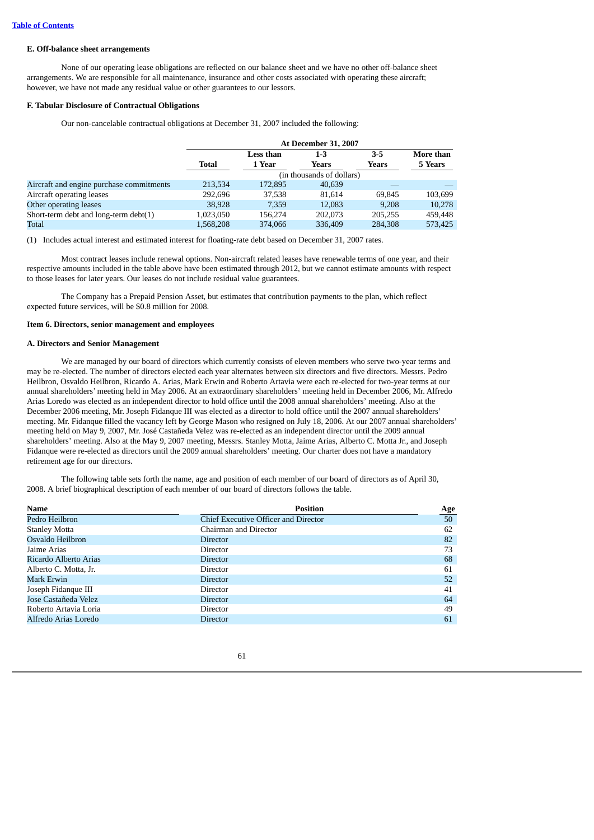### **E. Off-balance sheet arrangements**

None of our operating lease obligations are reflected on our balance sheet and we have no other off-balance sheet arrangements. We are responsible for all maintenance, insurance and other costs associated with operating these aircraft; however, we have not made any residual value or other guarantees to our lessors.

### **F. Tabular Disclosure of Contractual Obligations**

Our non-cancelable contractual obligations at December 31, 2007 included the following:

|                                          | <b>At December 31, 2007</b> |                  |                           |         |           |
|------------------------------------------|-----------------------------|------------------|---------------------------|---------|-----------|
|                                          |                             | <b>Less than</b> | $1 - 3$                   | $3 - 5$ | More than |
|                                          | Total                       | 1 Year           | Years                     | Years   | 5 Years   |
|                                          |                             |                  | (in thousands of dollars) |         |           |
| Aircraft and engine purchase commitments | 213.534                     | 172,895          | 40.639                    |         |           |
| Aircraft operating leases                | 292.696                     | 37.538           | 81.614                    | 69.845  | 103,699   |
| Other operating leases                   | 38,928                      | 7.359            | 12.083                    | 9.208   | 10.278    |
| Short-term debt and long-term debt(1)    | 1,023,050                   | 156,274          | 202,073                   | 205.255 | 459,448   |
| Total                                    | 1.568.208                   | 374,066          | 336,409                   | 284,308 | 573.425   |

(1) Includes actual interest and estimated interest for floating-rate debt based on December 31, 2007 rates.

Most contract leases include renewal options. Non-aircraft related leases have renewable terms of one year, and their respective amounts included in the table above have been estimated through 2012, but we cannot estimate amounts with respect to those leases for later years. Our leases do not include residual value guarantees.

The Company has a Prepaid Pension Asset, but estimates that contribution payments to the plan, which reflect expected future services, will be \$0.8 million for 2008.

# **Item 6. Directors, senior management and employees**

# **A. Directors and Senior Management**

We are managed by our board of directors which currently consists of eleven members who serve two-year terms and may be re-elected. The number of directors elected each year alternates between six directors and five directors. Messrs. Pedro Heilbron, Osvaldo Heilbron, Ricardo A. Arias, Mark Erwin and Roberto Artavia were each re-elected for two-year terms at our annual shareholders' meeting held in May 2006. At an extraordinary shareholders' meeting held in December 2006, Mr. Alfredo Arias Loredo was elected as an independent director to hold office until the 2008 annual shareholders' meeting. Also at the December 2006 meeting, Mr. Joseph Fidanque III was elected as a director to hold office until the 2007 annual shareholders' meeting. Mr. Fidanque filled the vacancy left by George Mason who resigned on July 18, 2006. At our 2007 annual shareholders' meeting held on May 9, 2007, Mr. José Castañeda Velez was re-elected as an independent director until the 2009 annual shareholders' meeting. Also at the May 9, 2007 meeting, Messrs. Stanley Motta, Jaime Arias, Alberto C. Motta Jr., and Joseph Fidanque were re-elected as directors until the 2009 annual shareholders' meeting. Our charter does not have a mandatory retirement age for our directors.

The following table sets forth the name, age and position of each member of our board of directors as of April 30, 2008. A brief biographical description of each member of our board of directors follows the table.

| <b>Name</b>           | <b>Position</b>                      | Age |
|-----------------------|--------------------------------------|-----|
| Pedro Heilbron        | Chief Executive Officer and Director | 50  |
| <b>Stanley Motta</b>  | Chairman and Director                | 62  |
| Osvaldo Heilbron      | Director                             | 82  |
| Jaime Arias           | Director                             | 73  |
| Ricardo Alberto Arias | <b>Director</b>                      | 68  |
| Alberto C. Motta, Jr. | Director                             | 61  |
| Mark Erwin            | <b>Director</b>                      | 52  |
| Joseph Fidanque III   | Director                             | 41  |
| Jose Castañeda Velez  | Director                             | 64  |
| Roberto Artavia Loria | Director                             | 49  |
| Alfredo Arias Loredo  | <b>Director</b>                      | 61  |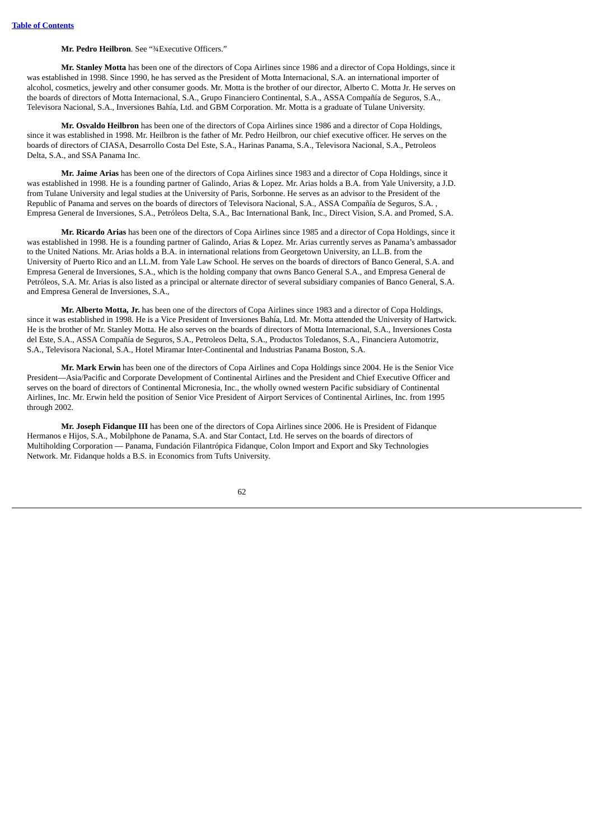### **Mr. Pedro Heilbron**. See "¾Executive Officers."

**Mr. Stanley Motta** has been one of the directors of Copa Airlines since 1986 and a director of Copa Holdings, since it was established in 1998. Since 1990, he has served as the President of Motta Internacional, S.A. an international importer of alcohol, cosmetics, jewelry and other consumer goods. Mr. Motta is the brother of our director, Alberto C. Motta Jr. He serves on the boards of directors of Motta Internacional, S.A., Grupo Financiero Continental, S.A., ASSA Compañía de Seguros, S.A., Televisora Nacional, S.A., Inversiones Bahía, Ltd. and GBM Corporation. Mr. Motta is a graduate of Tulane University.

**Mr. Osvaldo Heilbron** has been one of the directors of Copa Airlines since 1986 and a director of Copa Holdings, since it was established in 1998. Mr. Heilbron is the father of Mr. Pedro Heilbron, our chief executive officer. He serves on the boards of directors of CIASA, Desarrollo Costa Del Este, S.A., Harinas Panama, S.A., Televisora Nacional, S.A., Petroleos Delta, S.A., and SSA Panama Inc.

**Mr. Jaime Arias** has been one of the directors of Copa Airlines since 1983 and a director of Copa Holdings, since it was established in 1998. He is a founding partner of Galindo, Arias & Lopez. Mr. Arias holds a B.A. from Yale University, a J.D. from Tulane University and legal studies at the University of Paris, Sorbonne. He serves as an advisor to the President of the Republic of Panama and serves on the boards of directors of Televisora Nacional, S.A., ASSA Compañía de Seguros, S.A. , Empresa General de Inversiones, S.A., Petróleos Delta, S.A., Bac International Bank, Inc., Direct Vision, S.A. and Promed, S.A.

**Mr. Ricardo Arias** has been one of the directors of Copa Airlines since 1985 and a director of Copa Holdings, since it was established in 1998. He is a founding partner of Galindo, Arias & Lopez. Mr. Arias currently serves as Panama's ambassador to the United Nations. Mr. Arias holds a B.A. in international relations from Georgetown University, an LL.B. from the University of Puerto Rico and an LL.M. from Yale Law School. He serves on the boards of directors of Banco General, S.A. and Empresa General de Inversiones, S.A., which is the holding company that owns Banco General S.A., and Empresa General de Petróleos, S.A. Mr. Arias is also listed as a principal or alternate director of several subsidiary companies of Banco General, S.A. and Empresa General de Inversiones, S.A.,

**Mr. Alberto Motta, Jr.** has been one of the directors of Copa Airlines since 1983 and a director of Copa Holdings, since it was established in 1998. He is a Vice President of Inversiones Bahía, Ltd. Mr. Motta attended the University of Hartwick. He is the brother of Mr. Stanley Motta. He also serves on the boards of directors of Motta Internacional, S.A., Inversiones Costa del Este, S.A., ASSA Compañía de Seguros, S.A., Petroleos Delta, S.A., Productos Toledanos, S.A., Financiera Automotriz, S.A., Televisora Nacional, S.A., Hotel Miramar Inter-Continental and Industrias Panama Boston, S.A.

**Mr. Mark Erwin** has been one of the directors of Copa Airlines and Copa Holdings since 2004. He is the Senior Vice President—Asia/Pacific and Corporate Development of Continental Airlines and the President and Chief Executive Officer and serves on the board of directors of Continental Micronesia, Inc., the wholly owned western Pacific subsidiary of Continental Airlines, Inc. Mr. Erwin held the position of Senior Vice President of Airport Services of Continental Airlines, Inc. from 1995 through 2002.

**Mr. Joseph Fidanque III** has been one of the directors of Copa Airlines since 2006. He is President of Fidanque Hermanos e Hijos, S.A., Mobilphone de Panama, S.A. and Star Contact, Ltd. He serves on the boards of directors of Multiholding Corporation — Panama, Fundación Filantrópica Fidanque, Colon Import and Export and Sky Technologies Network. Mr. Fidanque holds a B.S. in Economics from Tufts University.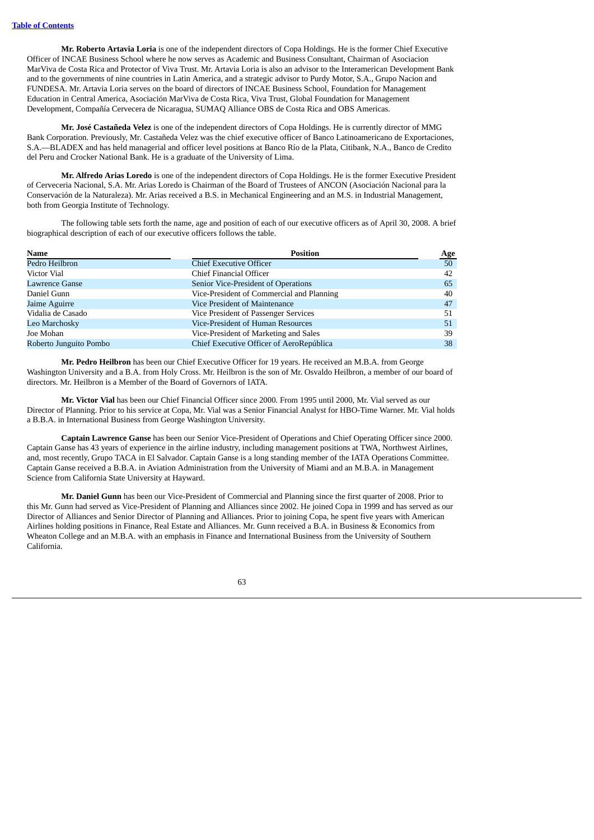**Mr. Roberto Artavia Loria** is one of the independent directors of Copa Holdings. He is the former Chief Executive Officer of INCAE Business School where he now serves as Academic and Business Consultant, Chairman of Asociacion MarViva de Costa Rica and Protector of Viva Trust. Mr. Artavia Loria is also an advisor to the Interamerican Development Bank and to the governments of nine countries in Latin America, and a strategic advisor to Purdy Motor, S.A., Grupo Nacion and FUNDESA. Mr. Artavia Loria serves on the board of directors of INCAE Business School, Foundation for Management Education in Central America, Asociación MarViva de Costa Rica, Viva Trust, Global Foundation for Management Development, Compañía Cervecera de Nicaragua, SUMAQ Alliance OBS de Costa Rica and OBS Americas.

**Mr. José Castañeda Velez** is one of the independent directors of Copa Holdings. He is currently director of MMG Bank Corporation. Previously, Mr. Castañeda Velez was the chief executive officer of Banco Latinoamericano de Exportaciones, S.A.—BLADEX and has held managerial and officer level positions at Banco Río de la Plata, Citibank, N.A., Banco de Credito del Peru and Crocker National Bank. He is a graduate of the University of Lima.

**Mr. Alfredo Arias Loredo** is one of the independent directors of Copa Holdings. He is the former Executive President of Cerveceria Nacional, S.A. Mr. Arias Loredo is Chairman of the Board of Trustees of ANCON (Asociación Nacional para la Conservación de la Naturaleza). Mr. Arias received a B.S. in Mechanical Engineering and an M.S. in Industrial Management, both from Georgia Institute of Technology.

The following table sets forth the name, age and position of each of our executive officers as of April 30, 2008. A brief biographical description of each of our executive officers follows the table.

| <b>Name</b>            | <b>Position</b>                           | <u>Age</u>      |
|------------------------|-------------------------------------------|-----------------|
| Pedro Heilbron         | <b>Chief Executive Officer</b>            | 50 <sub>1</sub> |
| Victor Vial            | Chief Financial Officer                   | 42              |
| Lawrence Ganse         | Senior Vice-President of Operations       | 65              |
| Daniel Gunn            | Vice-President of Commercial and Planning | 40              |
| Jaime Aguirre          | Vice President of Maintenance             | 47              |
| Vidalia de Casado      | Vice President of Passenger Services      | 51              |
| Leo Marchosky          | Vice-President of Human Resources         | 51              |
| Joe Mohan              | Vice-President of Marketing and Sales     | 39              |
| Roberto Junguito Pombo | Chief Executive Officer of AeroRepública  | 38              |

**Mr. Pedro Heilbron** has been our Chief Executive Officer for 19 years. He received an M.B.A. from George Washington University and a B.A. from Holy Cross. Mr. Heilbron is the son of Mr. Osvaldo Heilbron, a member of our board of directors. Mr. Heilbron is a Member of the Board of Governors of IATA.

**Mr. Victor Vial** has been our Chief Financial Officer since 2000. From 1995 until 2000, Mr. Vial served as our Director of Planning. Prior to his service at Copa, Mr. Vial was a Senior Financial Analyst for HBO-Time Warner. Mr. Vial holds a B.B.A. in International Business from George Washington University.

**Captain Lawrence Ganse** has been our Senior Vice-President of Operations and Chief Operating Officer since 2000. Captain Ganse has 43 years of experience in the airline industry, including management positions at TWA, Northwest Airlines, and, most recently, Grupo TACA in El Salvador. Captain Ganse is a long standing member of the IATA Operations Committee. Captain Ganse received a B.B.A. in Aviation Administration from the University of Miami and an M.B.A. in Management Science from California State University at Hayward.

**Mr. Daniel Gunn** has been our Vice-President of Commercial and Planning since the first quarter of 2008. Prior to this Mr. Gunn had served as Vice-President of Planning and Alliances since 2002. He joined Copa in 1999 and has served as our Director of Alliances and Senior Director of Planning and Alliances. Prior to joining Copa, he spent five years with American Airlines holding positions in Finance, Real Estate and Alliances. Mr. Gunn received a B.A. in Business & Economics from Wheaton College and an M.B.A. with an emphasis in Finance and International Business from the University of Southern California.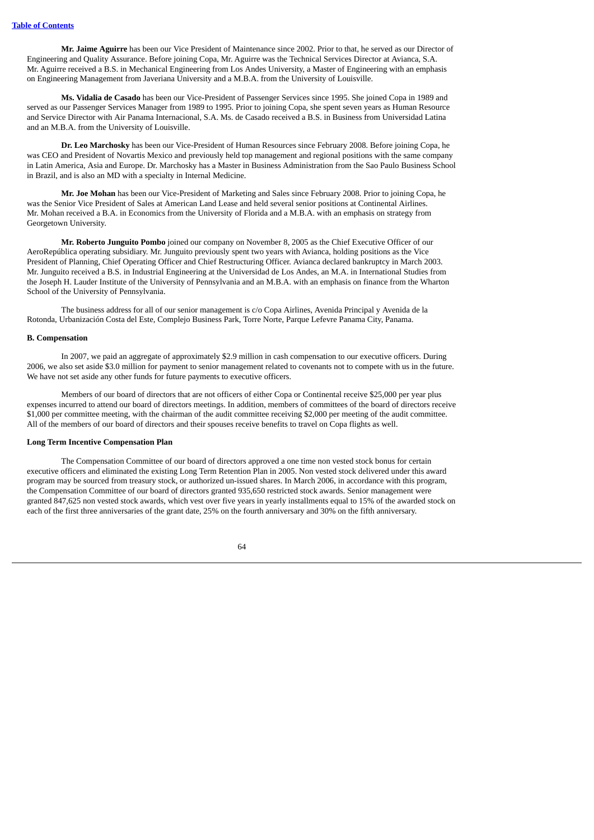**Mr. Jaime Aguirre** has been our Vice President of Maintenance since 2002. Prior to that, he served as our Director of Engineering and Quality Assurance. Before joining Copa, Mr. Aguirre was the Technical Services Director at Avianca, S.A. Mr. Aguirre received a B.S. in Mechanical Engineering from Los Andes University, a Master of Engineering with an emphasis on Engineering Management from Javeriana University and a M.B.A. from the University of Louisville.

**Ms. Vidalia de Casado** has been our Vice-President of Passenger Services since 1995. She joined Copa in 1989 and served as our Passenger Services Manager from 1989 to 1995. Prior to joining Copa, she spent seven years as Human Resource and Service Director with Air Panama Internacional, S.A. Ms. de Casado received a B.S. in Business from Universidad Latina and an M.B.A. from the University of Louisville.

**Dr. Leo Marchosky** has been our Vice-President of Human Resources since February 2008. Before joining Copa, he was CEO and President of Novartis Mexico and previously held top management and regional positions with the same company in Latin America, Asia and Europe. Dr. Marchosky has a Master in Business Administration from the Sao Paulo Business School in Brazil, and is also an MD with a specialty in Internal Medicine.

**Mr. Joe Mohan** has been our Vice-President of Marketing and Sales since February 2008. Prior to joining Copa, he was the Senior Vice President of Sales at American Land Lease and held several senior positions at Continental Airlines. Mr. Mohan received a B.A. in Economics from the University of Florida and a M.B.A. with an emphasis on strategy from Georgetown University.

**Mr. Roberto Junguito Pombo** joined our company on November 8, 2005 as the Chief Executive Officer of our AeroRepública operating subsidiary. Mr. Junguito previously spent two years with Avianca, holding positions as the Vice President of Planning, Chief Operating Officer and Chief Restructuring Officer. Avianca declared bankruptcy in March 2003. Mr. Junguito received a B.S. in Industrial Engineering at the Universidad de Los Andes, an M.A. in International Studies from the Joseph H. Lauder Institute of the University of Pennsylvania and an M.B.A. with an emphasis on finance from the Wharton School of the University of Pennsylvania.

The business address for all of our senior management is c/o Copa Airlines, Avenida Principal y Avenida de la Rotonda, Urbanización Costa del Este, Complejo Business Park, Torre Norte, Parque Lefevre Panama City, Panama.

#### **B. Compensation**

In 2007, we paid an aggregate of approximately \$2.9 million in cash compensation to our executive officers. During 2006, we also set aside \$3.0 million for payment to senior management related to covenants not to compete with us in the future. We have not set aside any other funds for future payments to executive officers.

Members of our board of directors that are not officers of either Copa or Continental receive \$25,000 per year plus expenses incurred to attend our board of directors meetings. In addition, members of committees of the board of directors receive \$1,000 per committee meeting, with the chairman of the audit committee receiving \$2,000 per meeting of the audit committee. All of the members of our board of directors and their spouses receive benefits to travel on Copa flights as well.

# **Long Term Incentive Compensation Plan**

The Compensation Committee of our board of directors approved a one time non vested stock bonus for certain executive officers and eliminated the existing Long Term Retention Plan in 2005. Non vested stock delivered under this award program may be sourced from treasury stock, or authorized un-issued shares. In March 2006, in accordance with this program, the Compensation Committee of our board of directors granted 935,650 restricted stock awards. Senior management were granted 847,625 non vested stock awards, which vest over five years in yearly installments equal to 15% of the awarded stock on each of the first three anniversaries of the grant date, 25% on the fourth anniversary and 30% on the fifth anniversary.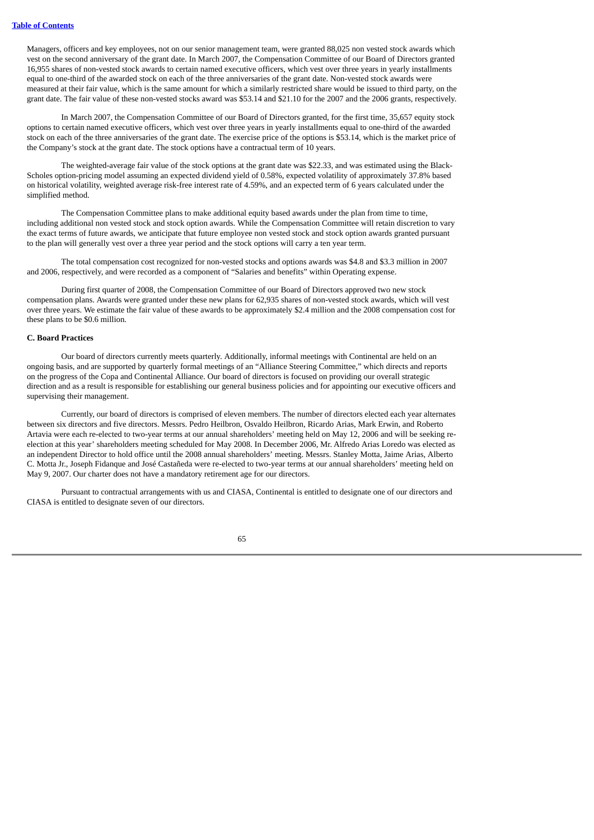Managers, officers and key employees, not on our senior management team, were granted 88,025 non vested stock awards which vest on the second anniversary of the grant date. In March 2007, the Compensation Committee of our Board of Directors granted 16,955 shares of non-vested stock awards to certain named executive officers, which vest over three years in yearly installments equal to one-third of the awarded stock on each of the three anniversaries of the grant date. Non-vested stock awards were measured at their fair value, which is the same amount for which a similarly restricted share would be issued to third party, on the grant date. The fair value of these non-vested stocks award was \$53.14 and \$21.10 for the 2007 and the 2006 grants, respectively.

In March 2007, the Compensation Committee of our Board of Directors granted, for the first time, 35,657 equity stock options to certain named executive officers, which vest over three years in yearly installments equal to one-third of the awarded stock on each of the three anniversaries of the grant date. The exercise price of the options is \$53.14, which is the market price of the Company's stock at the grant date. The stock options have a contractual term of 10 years.

The weighted-average fair value of the stock options at the grant date was \$22.33, and was estimated using the Black-Scholes option-pricing model assuming an expected dividend yield of 0.58%, expected volatility of approximately 37.8% based on historical volatility, weighted average risk-free interest rate of 4.59%, and an expected term of 6 years calculated under the simplified method.

The Compensation Committee plans to make additional equity based awards under the plan from time to time, including additional non vested stock and stock option awards. While the Compensation Committee will retain discretion to vary the exact terms of future awards, we anticipate that future employee non vested stock and stock option awards granted pursuant to the plan will generally vest over a three year period and the stock options will carry a ten year term.

The total compensation cost recognized for non-vested stocks and options awards was \$4.8 and \$3.3 million in 2007 and 2006, respectively, and were recorded as a component of "Salaries and benefits" within Operating expense.

During first quarter of 2008, the Compensation Committee of our Board of Directors approved two new stock compensation plans. Awards were granted under these new plans for 62,935 shares of non-vested stock awards, which will vest over three years. We estimate the fair value of these awards to be approximately \$2.4 million and the 2008 compensation cost for these plans to be \$0.6 million.

# **C. Board Practices**

Our board of directors currently meets quarterly. Additionally, informal meetings with Continental are held on an ongoing basis, and are supported by quarterly formal meetings of an "Alliance Steering Committee," which directs and reports on the progress of the Copa and Continental Alliance. Our board of directors is focused on providing our overall strategic direction and as a result is responsible for establishing our general business policies and for appointing our executive officers and supervising their management.

Currently, our board of directors is comprised of eleven members. The number of directors elected each year alternates between six directors and five directors. Messrs. Pedro Heilbron, Osvaldo Heilbron, Ricardo Arias, Mark Erwin, and Roberto Artavia were each re-elected to two-year terms at our annual shareholders' meeting held on May 12, 2006 and will be seeking reelection at this year' shareholders meeting scheduled for May 2008. In December 2006, Mr. Alfredo Arias Loredo was elected as an independent Director to hold office until the 2008 annual shareholders' meeting. Messrs. Stanley Motta, Jaime Arias, Alberto C. Motta Jr., Joseph Fidanque and José Castañeda were re-elected to two-year terms at our annual shareholders' meeting held on May 9, 2007. Our charter does not have a mandatory retirement age for our directors.

Pursuant to contractual arrangements with us and CIASA, Continental is entitled to designate one of our directors and CIASA is entitled to designate seven of our directors.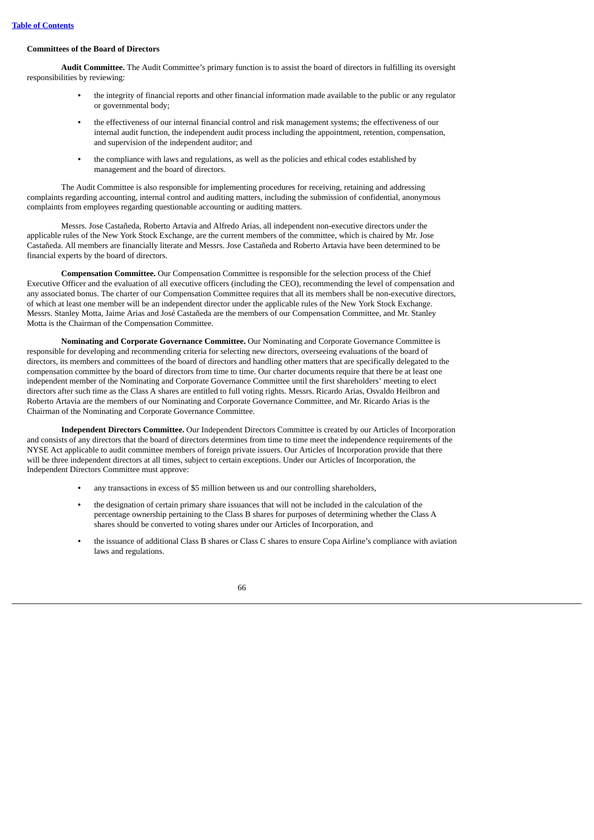# **Committees of the Board of Directors**

**Audit Committee.** The Audit Committee's primary function is to assist the board of directors in fulfilling its oversight responsibilities by reviewing:

- **•** the integrity of financial reports and other financial information made available to the public or any regulator or governmental body;
- **•** the effectiveness of our internal financial control and risk management systems; the effectiveness of our internal audit function, the independent audit process including the appointment, retention, compensation, and supervision of the independent auditor; and
- **•** the compliance with laws and regulations, as well as the policies and ethical codes established by management and the board of directors.

The Audit Committee is also responsible for implementing procedures for receiving, retaining and addressing complaints regarding accounting, internal control and auditing matters, including the submission of confidential, anonymous complaints from employees regarding questionable accounting or auditing matters.

Messrs. Jose Castañeda, Roberto Artavia and Alfredo Arias, all independent non-executive directors under the applicable rules of the New York Stock Exchange, are the current members of the committee, which is chaired by Mr. Jose Castañeda. All members are financially literate and Messrs. Jose Castañeda and Roberto Artavia have been determined to be financial experts by the board of directors.

**Compensation Committee.** Our Compensation Committee is responsible for the selection process of the Chief Executive Officer and the evaluation of all executive officers (including the CEO), recommending the level of compensation and any associated bonus. The charter of our Compensation Committee requires that all its members shall be non-executive directors, of which at least one member will be an independent director under the applicable rules of the New York Stock Exchange. Messrs. Stanley Motta, Jaime Arias and José Castañeda are the members of our Compensation Committee, and Mr. Stanley Motta is the Chairman of the Compensation Committee.

**Nominating and Corporate Governance Committee.** Our Nominating and Corporate Governance Committee is responsible for developing and recommending criteria for selecting new directors, overseeing evaluations of the board of directors, its members and committees of the board of directors and handling other matters that are specifically delegated to the compensation committee by the board of directors from time to time. Our charter documents require that there be at least one independent member of the Nominating and Corporate Governance Committee until the first shareholders' meeting to elect directors after such time as the Class A shares are entitled to full voting rights. Messrs. Ricardo Arias, Osvaldo Heilbron and Roberto Artavia are the members of our Nominating and Corporate Governance Committee, and Mr. Ricardo Arias is the Chairman of the Nominating and Corporate Governance Committee.

**Independent Directors Committee.** Our Independent Directors Committee is created by our Articles of Incorporation and consists of any directors that the board of directors determines from time to time meet the independence requirements of the NYSE Act applicable to audit committee members of foreign private issuers. Our Articles of Incorporation provide that there will be three independent directors at all times, subject to certain exceptions. Under our Articles of Incorporation, the Independent Directors Committee must approve:

- **•** any transactions in excess of \$5 million between us and our controlling shareholders,
- **•** the designation of certain primary share issuances that will not be included in the calculation of the percentage ownership pertaining to the Class B shares for purposes of determining whether the Class A shares should be converted to voting shares under our Articles of Incorporation, and
- **•** the issuance of additional Class B shares or Class C shares to ensure Copa Airline's compliance with aviation laws and regulations.

| ۰ |        | ۰  |        |
|---|--------|----|--------|
| × | I<br>٧ | v. | I<br>٧ |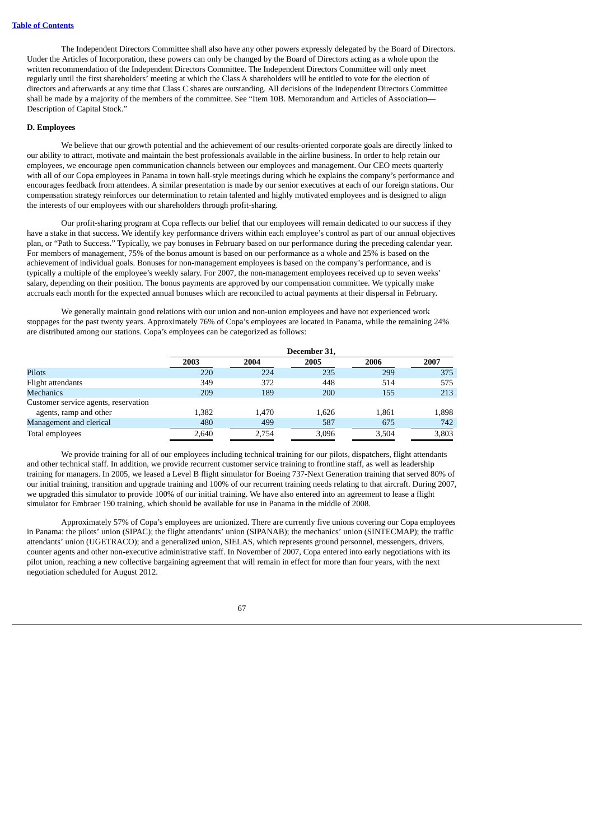The Independent Directors Committee shall also have any other powers expressly delegated by the Board of Directors. Under the Articles of Incorporation, these powers can only be changed by the Board of Directors acting as a whole upon the written recommendation of the Independent Directors Committee. The Independent Directors Committee will only meet regularly until the first shareholders' meeting at which the Class A shareholders will be entitled to vote for the election of directors and afterwards at any time that Class C shares are outstanding. All decisions of the Independent Directors Committee shall be made by a majority of the members of the committee. See "Item 10B. Memorandum and Articles of Association— Description of Capital Stock."

## **D. Employees**

We believe that our growth potential and the achievement of our results-oriented corporate goals are directly linked to our ability to attract, motivate and maintain the best professionals available in the airline business. In order to help retain our employees, we encourage open communication channels between our employees and management. Our CEO meets quarterly with all of our Copa employees in Panama in town hall-style meetings during which he explains the company's performance and encourages feedback from attendees. A similar presentation is made by our senior executives at each of our foreign stations. Our compensation strategy reinforces our determination to retain talented and highly motivated employees and is designed to align the interests of our employees with our shareholders through profit-sharing.

Our profit-sharing program at Copa reflects our belief that our employees will remain dedicated to our success if they have a stake in that success. We identify key performance drivers within each employee's control as part of our annual objectives plan, or "Path to Success." Typically, we pay bonuses in February based on our performance during the preceding calendar year. For members of management, 75% of the bonus amount is based on our performance as a whole and 25% is based on the achievement of individual goals. Bonuses for non-management employees is based on the company's performance, and is typically a multiple of the employee's weekly salary. For 2007, the non-management employees received up to seven weeks' salary, depending on their position. The bonus payments are approved by our compensation committee. We typically make accruals each month for the expected annual bonuses which are reconciled to actual payments at their dispersal in February.

We generally maintain good relations with our union and non-union employees and have not experienced work stoppages for the past twenty years. Approximately 76% of Copa's employees are located in Panama, while the remaining 24% are distributed among our stations. Copa's employees can be categorized as follows:

|                                      | December 31, |       |       |       |       |
|--------------------------------------|--------------|-------|-------|-------|-------|
|                                      | 2003         | 2004  | 2005  | 2006  | 2007  |
| Pilots                               | 220          | 224   | 235   | 299   | 375   |
| Flight attendants                    | 349          | 372   | 448   | 514   | 575   |
| <b>Mechanics</b>                     | 209          | 189   | 200   | 155   | 213   |
| Customer service agents, reservation |              |       |       |       |       |
| agents, ramp and other               | 1,382        | 1.470 | 1,626 | 1.861 | 1,898 |
| Management and clerical              | 480          | 499   | 587   | 675   | 742   |
| Total employees                      | 2,640        | 2,754 | 3,096 | 3,504 | 3,803 |

We provide training for all of our employees including technical training for our pilots, dispatchers, flight attendants and other technical staff. In addition, we provide recurrent customer service training to frontline staff, as well as leadership training for managers. In 2005, we leased a Level B flight simulator for Boeing 737-Next Generation training that served 80% of our initial training, transition and upgrade training and 100% of our recurrent training needs relating to that aircraft. During 2007, we upgraded this simulator to provide 100% of our initial training. We have also entered into an agreement to lease a flight simulator for Embraer 190 training, which should be available for use in Panama in the middle of 2008.

Approximately 57% of Copa's employees are unionized. There are currently five unions covering our Copa employees in Panama: the pilots' union (SIPAC); the flight attendants' union (SIPANAB); the mechanics' union (SINTECMAP); the traffic attendants' union (UGETRACO); and a generalized union, SIELAS, which represents ground personnel, messengers, drivers, counter agents and other non-executive administrative staff. In November of 2007, Copa entered into early negotiations with its pilot union, reaching a new collective bargaining agreement that will remain in effect for more than four years, with the next negotiation scheduled for August 2012.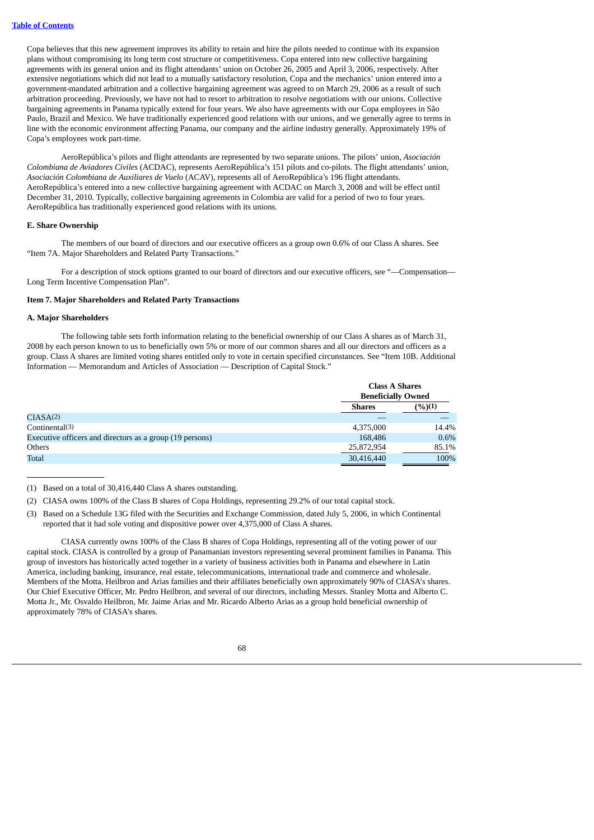Copa believes that this new agreement improves its ability to retain and hire the pilots needed to continue with its expansion plans without compromising its long term cost structure or competitiveness. Copa entered into new collective bargaining agreements with its general union and its flight attendants' union on October 26, 2005 and April 3, 2006, respectively. After extensive negotiations which did not lead to a mutually satisfactory resolution, Copa and the mechanics' union entered into a government-mandated arbitration and a collective bargaining agreement was agreed to on March 29, 2006 as a result of such arbitration proceeding. Previously, we have not had to resort to arbitration to resolve negotiations with our unions. Collective bargaining agreements in Panama typically extend for four years. We also have agreements with our Copa employees in São Paulo, Brazil and Mexico. We have traditionally experienced good relations with our unions, and we generally agree to terms in line with the economic environment affecting Panama, our company and the airline industry generally. Approximately 19% of Copa's employees work part-time.

AeroRepública's pilots and flight attendants are represented by two separate unions. The pilots' union, *Asociación Colombiana de Aviadores Civiles* (ACDAC), represents AeroRepública's 151 pilots and co-pilots. The flight attendants' union, *Asociación Colombiana de Auxiliares de Vuelo* (ACAV), represents all of AeroRepública's 196 flight attendants. AeroRepública's entered into a new collective bargaining agreement with ACDAC on March 3, 2008 and will be effect until December 31, 2010. Typically, collective bargaining agreements in Colombia are valid for a period of two to four years. AeroRepública has traditionally experienced good relations with its unions.

## **E. Share Ownership**

The members of our board of directors and our executive officers as a group own 0.6% of our Class A shares. See "Item 7A. Major Shareholders and Related Party Transactions."

For a description of stock options granted to our board of directors and our executive officers, see "--Compensation--Long Term Incentive Compensation Plan".

## **Item 7. Major Shareholders and Related Party Transactions**

#### **A. Major Shareholders**

The following table sets forth information relating to the beneficial ownership of our Class A shares as of March 31, 2008 by each person known to us to beneficially own 5% or more of our common shares and all our directors and officers as a group. Class A shares are limited voting shares entitled only to vote in certain specified circunstances. See "Item 10B. Additional Information — Memorandum and Articles of Association — Description of Capital Stock."

|                                                          |               | <b>Class A Shares</b><br><b>Beneficially Owned</b> |  |  |
|----------------------------------------------------------|---------------|----------------------------------------------------|--|--|
|                                                          | <b>Shares</b> | (%)(1)                                             |  |  |
| CIASA <sup>(2)</sup>                                     |               |                                                    |  |  |
| Continental(3)                                           | 4,375,000     | 14.4%                                              |  |  |
| Executive officers and directors as a group (19 persons) | 168,486       | $0.6\%$                                            |  |  |
| Others                                                   | 25,872,954    | 85.1%                                              |  |  |
| Total                                                    | 30,416,440    | 100%                                               |  |  |

(1) Based on a total of 30,416,440 Class A shares outstanding.

- (2) CIASA owns 100% of the Class B shares of Copa Holdings, representing 29.2% of our total capital stock.
- (3) Based on a Schedule 13G filed with the Securities and Exchange Commission, dated July 5, 2006, in which Continental reported that it had sole voting and dispositive power over 4,375,000 of Class A shares.

CIASA currently owns 100% of the Class B shares of Copa Holdings, representing all of the voting power of our capital stock. CIASA is controlled by a group of Panamanian investors representing several prominent families in Panama. This group of investors has historically acted together in a variety of business activities both in Panama and elsewhere in Latin America, including banking, insurance, real estate, telecommunications, international trade and commerce and wholesale. Members of the Motta, Heilbron and Arias families and their affiliates beneficially own approximately 90% of CIASA's shares. Our Chief Executive Officer, Mr. Pedro Heilbron, and several of our directors, including Messrs. Stanley Motta and Alberto C. Motta Jr., Mr. Osvaldo Heilbron, Mr. Jaime Arias and Mr. Ricardo Alberto Arias as a group hold beneficial ownership of approximately 78% of CIASA's shares.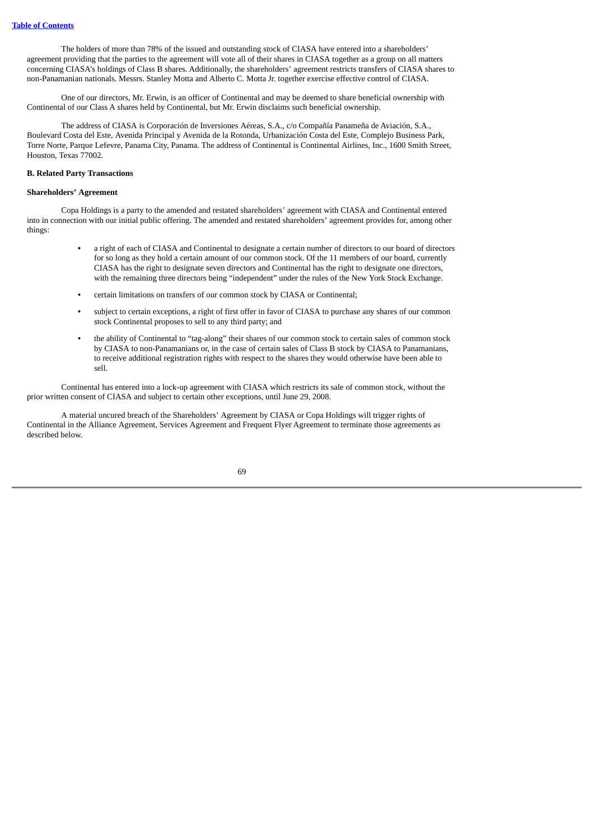The holders of more than 78% of the issued and outstanding stock of CIASA have entered into a shareholders' agreement providing that the parties to the agreement will vote all of their shares in CIASA together as a group on all matters concerning CIASA's holdings of Class B shares. Additionally, the shareholders' agreement restricts transfers of CIASA shares to non-Panamanian nationals. Messrs. Stanley Motta and Alberto C. Motta Jr. together exercise effective control of CIASA.

One of our directors, Mr. Erwin, is an officer of Continental and may be deemed to share beneficial ownership with Continental of our Class A shares held by Continental, but Mr. Erwin disclaims such beneficial ownership.

The address of CIASA is Corporación de Inversiones Aéreas, S.A., c/o Compañía Panameña de Aviación, S.A., Boulevard Costa del Este, Avenida Principal y Avenida de la Rotonda, Urbanización Costa del Este, Complejo Business Park, Torre Norte, Parque Lefevre, Panama City, Panama. The address of Continental is Continental Airlines, Inc., 1600 Smith Street, Houston, Texas 77002.

## **B. Related Party Transactions**

#### **Shareholders' Agreement**

Copa Holdings is a party to the amended and restated shareholders' agreement with CIASA and Continental entered into in connection with our initial public offering. The amended and restated shareholders' agreement provides for, among other things:

- **•** a right of each of CIASA and Continental to designate a certain number of directors to our board of directors for so long as they hold a certain amount of our common stock. Of the 11 members of our board, currently CIASA has the right to designate seven directors and Continental has the right to designate one directors, with the remaining three directors being "independent" under the rules of the New York Stock Exchange.
- **•** certain limitations on transfers of our common stock by CIASA or Continental;
- **•** subject to certain exceptions, a right of first offer in favor of CIASA to purchase any shares of our common stock Continental proposes to sell to any third party; and
- **•** the ability of Continental to "tag-along" their shares of our common stock to certain sales of common stock by CIASA to non-Panamanians or, in the case of certain sales of Class B stock by CIASA to Panamanians, to receive additional registration rights with respect to the shares they would otherwise have been able to sell.

Continental has entered into a lock-up agreement with CIASA which restricts its sale of common stock, without the prior written consent of CIASA and subject to certain other exceptions, until June 29, 2008.

A material uncured breach of the Shareholders' Agreement by CIASA or Copa Holdings will trigger rights of Continental in the Alliance Agreement, Services Agreement and Frequent Flyer Agreement to terminate those agreements as described below.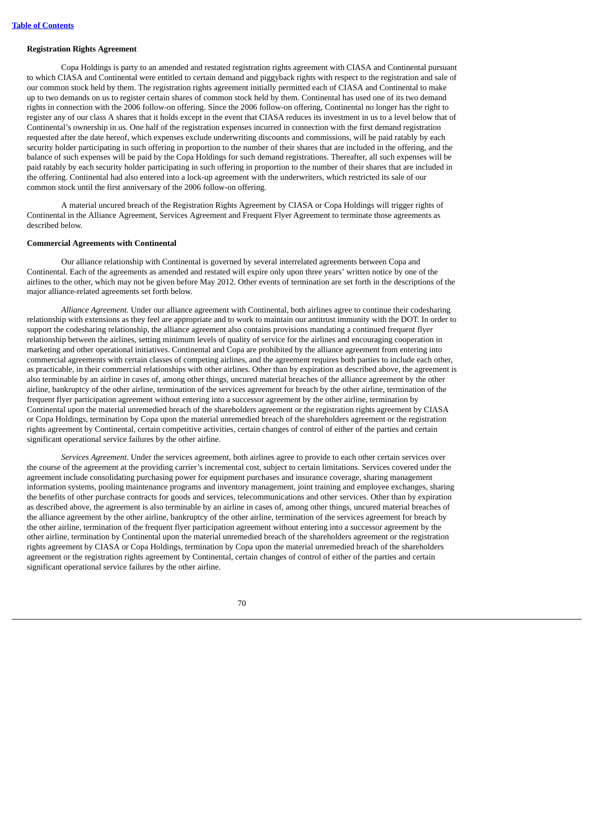## **Registration Rights Agreement**

Copa Holdings is party to an amended and restated registration rights agreement with CIASA and Continental pursuant to which CIASA and Continental were entitled to certain demand and piggyback rights with respect to the registration and sale of our common stock held by them. The registration rights agreement initially permitted each of CIASA and Continental to make up to two demands on us to register certain shares of common stock held by them. Continental has used one of its two demand rights in connection with the 2006 follow-on offering. Since the 2006 follow-on offering, Continental no longer has the right to register any of our class A shares that it holds except in the event that CIASA reduces its investment in us to a level below that of Continental's ownership in us. One half of the registration expenses incurred in connection with the first demand registration requested after the date hereof, which expenses exclude underwriting discounts and commissions, will be paid ratably by each security holder participating in such offering in proportion to the number of their shares that are included in the offering, and the balance of such expenses will be paid by the Copa Holdings for such demand registrations. Thereafter, all such expenses will be paid ratably by each security holder participating in such offering in proportion to the number of their shares that are included in the offering. Continental had also entered into a lock-up agreement with the underwriters, which restricted its sale of our common stock until the first anniversary of the 2006 follow-on offering.

A material uncured breach of the Registration Rights Agreement by CIASA or Copa Holdings will trigger rights of Continental in the Alliance Agreement, Services Agreement and Frequent Flyer Agreement to terminate those agreements as described below.

#### **Commercial Agreements with Continental**

Our alliance relationship with Continental is governed by several interrelated agreements between Copa and Continental. Each of the agreements as amended and restated will expire only upon three years' written notice by one of the airlines to the other, which may not be given before May 2012. Other events of termination are set forth in the descriptions of the major alliance-related agreements set forth below.

*Alliance Agreement.* Under our alliance agreement with Continental, both airlines agree to continue their codesharing relationship with extensions as they feel are appropriate and to work to maintain our antitrust immunity with the DOT. In order to support the codesharing relationship, the alliance agreement also contains provisions mandating a continued frequent flyer relationship between the airlines, setting minimum levels of quality of service for the airlines and encouraging cooperation in marketing and other operational initiatives. Continental and Copa are prohibited by the alliance agreement from entering into commercial agreements with certain classes of competing airlines, and the agreement requires both parties to include each other, as practicable, in their commercial relationships with other airlines. Other than by expiration as described above, the agreement is also terminable by an airline in cases of, among other things, uncured material breaches of the alliance agreement by the other airline, bankruptcy of the other airline, termination of the services agreement for breach by the other airline, termination of the frequent flyer participation agreement without entering into a successor agreement by the other airline, termination by Continental upon the material unremedied breach of the shareholders agreement or the registration rights agreement by CIASA or Copa Holdings, termination by Copa upon the material unremedied breach of the shareholders agreement or the registration rights agreement by Continental, certain competitive activities, certain changes of control of either of the parties and certain significant operational service failures by the other airline.

*Services Agreement.* Under the services agreement, both airlines agree to provide to each other certain services over the course of the agreement at the providing carrier's incremental cost, subject to certain limitations. Services covered under the agreement include consolidating purchasing power for equipment purchases and insurance coverage, sharing management information systems, pooling maintenance programs and inventory management, joint training and employee exchanges, sharing the benefits of other purchase contracts for goods and services, telecommunications and other services. Other than by expiration as described above, the agreement is also terminable by an airline in cases of, among other things, uncured material breaches of the alliance agreement by the other airline, bankruptcy of the other airline, termination of the services agreement for breach by the other airline, termination of the frequent flyer participation agreement without entering into a successor agreement by the other airline, termination by Continental upon the material unremedied breach of the shareholders agreement or the registration rights agreement by CIASA or Copa Holdings, termination by Copa upon the material unremedied breach of the shareholders agreement or the registration rights agreement by Continental, certain changes of control of either of the parties and certain significant operational service failures by the other airline.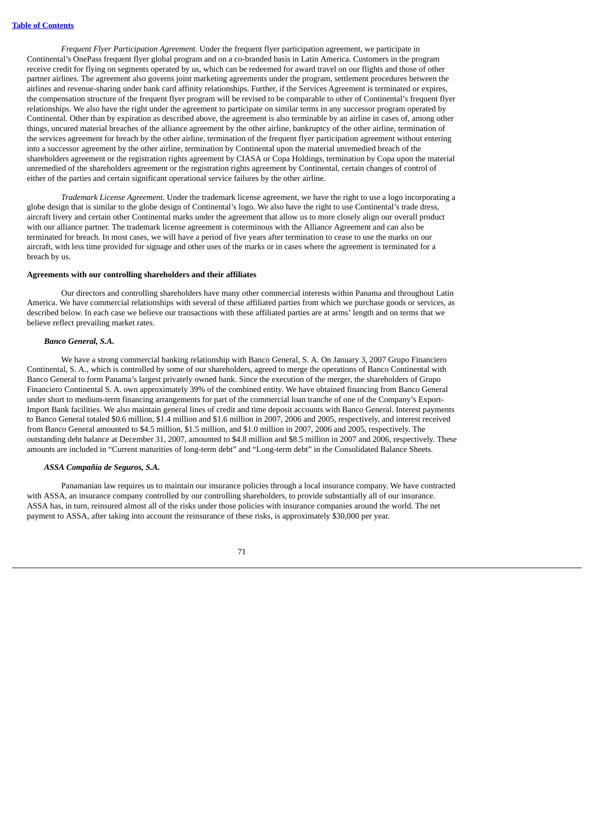*Frequent Flyer Participation Agreement.* Under the frequent flyer participation agreement, we participate in Continental's OnePass frequent flyer global program and on a co-branded basis in Latin America. Customers in the program receive credit for flying on segments operated by us, which can be redeemed for award travel on our flights and those of other partner airlines. The agreement also governs joint marketing agreements under the program, settlement procedures between the airlines and revenue-sharing under bank card affinity relationships. Further, if the Services Agreement is terminated or expires, the compensation structure of the frequent flyer program will be revised to be comparable to other of Continental's frequent flyer relationships. We also have the right under the agreement to participate on similar terms in any successor program operated by Continental. Other than by expiration as described above, the agreement is also terminable by an airline in cases of, among other things, uncured material breaches of the alliance agreement by the other airline, bankruptcy of the other airline, termination of the services agreement for breach by the other airline, termination of the frequent flyer participation agreement without entering into a successor agreement by the other airline, termination by Continental upon the material unremedied breach of the shareholders agreement or the registration rights agreement by CIASA or Copa Holdings, termination by Copa upon the material unremedied of the shareholders agreement or the registration rights agreement by Continental, certain changes of control of either of the parties and certain significant operational service failures by the other airline.

*Trademark License Agreement.* Under the trademark license agreement, we have the right to use a logo incorporating a globe design that is similar to the globe design of Continental's logo. We also have the right to use Continental's trade dress, aircraft livery and certain other Continental marks under the agreement that allow us to more closely align our overall product with our alliance partner. The trademark license agreement is coterminous with the Alliance Agreement and can also be terminated for breach. In most cases, we will have a period of five years after termination to cease to use the marks on our aircraft, with less time provided for signage and other uses of the marks or in cases where the agreement is terminated for a breach by us.

## **Agreements with our controlling shareholders and their affiliates**

Our directors and controlling shareholders have many other commercial interests within Panama and throughout Latin America. We have commercial relationships with several of these affiliated parties from which we purchase goods or services, as described below. In each case we believe our transactions with these affiliated parties are at arms' length and on terms that we believe reflect prevailing market rates.

#### *Banco General, S.A.*

We have a strong commercial banking relationship with Banco General, S. A. On January 3, 2007 Grupo Financiero Continental, S. A., which is controlled by some of our shareholders, agreed to merge the operations of Banco Continental with Banco General to form Panama's largest privately owned bank. Since the execution of the merger, the shareholders of Grupo Financiero Continental S. A. own approximately 39% of the combined entity. We have obtained financing from Banco General under short to medium-term financing arrangements for part of the commercial loan tranche of one of the Company's Export-Import Bank facilities. We also maintain general lines of credit and time deposit accounts with Banco General. Interest payments to Banco General totaled \$0.6 million, \$1.4 million and \$1.6 million in 2007, 2006 and 2005, respectively, and interest received from Banco General amounted to \$4.5 million, \$1.5 million, and \$1.0 million in 2007, 2006 and 2005, respectively. The outstanding debt balance at December 31, 2007, amounted to \$4.8 million and \$8.5 million in 2007 and 2006, respectively. These amounts are included in "Current maturities of long-term debt" and "Long-term debt" in the Consolidated Balance Sheets.

#### *ASSA Compañía de Seguros, S.A.*

Panamanian law requires us to maintain our insurance policies through a local insurance company. We have contracted with ASSA, an insurance company controlled by our controlling shareholders, to provide substantially all of our insurance. ASSA has, in turn, reinsured almost all of the risks under those policies with insurance companies around the world. The net payment to ASSA, after taking into account the reinsurance of these risks, is approximately \$30,000 per year.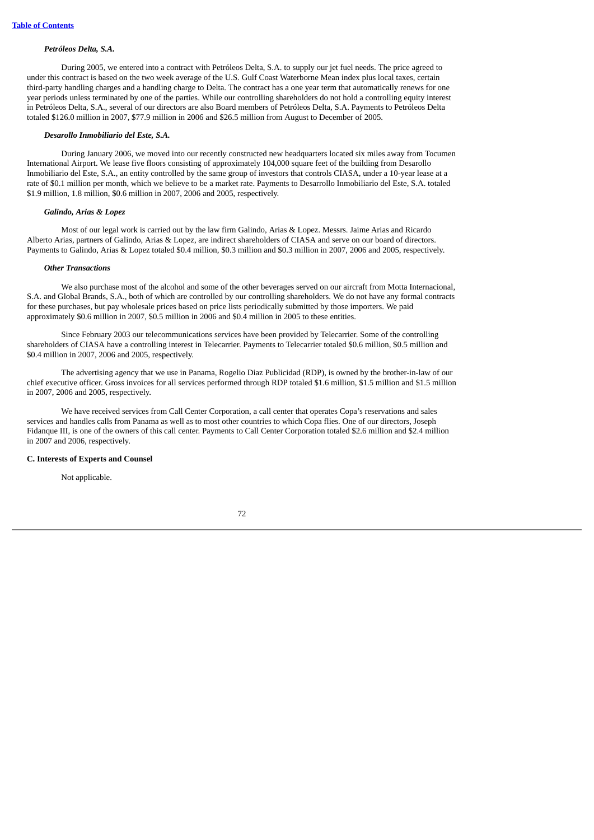#### *Petróleos Delta, S.A.*

During 2005, we entered into a contract with Petróleos Delta, S.A. to supply our jet fuel needs. The price agreed to under this contract is based on the two week average of the U.S. Gulf Coast Waterborne Mean index plus local taxes, certain third-party handling charges and a handling charge to Delta. The contract has a one year term that automatically renews for one year periods unless terminated by one of the parties. While our controlling shareholders do not hold a controlling equity interest in Petróleos Delta, S.A., several of our directors are also Board members of Petróleos Delta, S.A. Payments to Petróleos Delta totaled \$126.0 million in 2007, \$77.9 million in 2006 and \$26.5 million from August to December of 2005.

## *Desarollo Inmobiliario del Este, S.A.*

During January 2006, we moved into our recently constructed new headquarters located six miles away from Tocumen International Airport. We lease five floors consisting of approximately 104,000 square feet of the building from Desarollo Inmobiliario del Este, S.A., an entity controlled by the same group of investors that controls CIASA, under a 10-year lease at a rate of \$0.1 million per month, which we believe to be a market rate. Payments to Desarrollo Inmobiliario del Este, S.A. totaled \$1.9 million, 1.8 million, \$0.6 million in 2007, 2006 and 2005, respectively.

#### *Galindo, Arias & Lopez*

Most of our legal work is carried out by the law firm Galindo, Arias & Lopez. Messrs. Jaime Arias and Ricardo Alberto Arias, partners of Galindo, Arias & Lopez, are indirect shareholders of CIASA and serve on our board of directors. Payments to Galindo, Arias & Lopez totaled \$0.4 million, \$0.3 million and \$0.3 million in 2007, 2006 and 2005, respectively.

#### *Other Transactions*

We also purchase most of the alcohol and some of the other beverages served on our aircraft from Motta Internacional, S.A. and Global Brands, S.A., both of which are controlled by our controlling shareholders. We do not have any formal contracts for these purchases, but pay wholesale prices based on price lists periodically submitted by those importers. We paid approximately \$0.6 million in 2007, \$0.5 million in 2006 and \$0.4 million in 2005 to these entities.

Since February 2003 our telecommunications services have been provided by Telecarrier. Some of the controlling shareholders of CIASA have a controlling interest in Telecarrier. Payments to Telecarrier totaled \$0.6 million, \$0.5 million and \$0.4 million in 2007, 2006 and 2005, respectively.

The advertising agency that we use in Panama, Rogelio Diaz Publicidad (RDP), is owned by the brother-in-law of our chief executive officer. Gross invoices for all services performed through RDP totaled \$1.6 million, \$1.5 million and \$1.5 million in 2007, 2006 and 2005, respectively.

We have received services from Call Center Corporation, a call center that operates Copa's reservations and sales services and handles calls from Panama as well as to most other countries to which Copa flies. One of our directors, Joseph Fidanque III, is one of the owners of this call center. Payments to Call Center Corporation totaled \$2.6 million and \$2.4 million in 2007 and 2006, respectively.

## **C. Interests of Experts and Counsel**

Not applicable.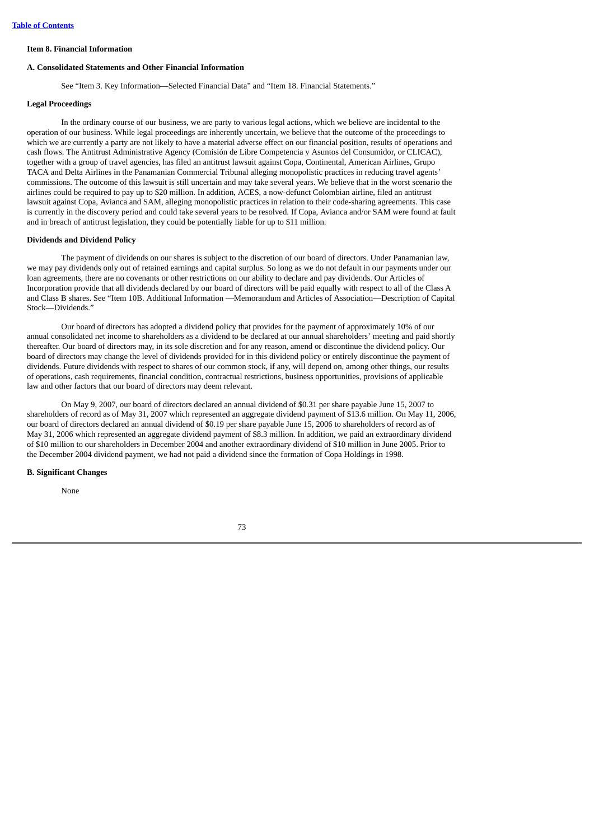# **Item 8. Financial Information**

#### **A. Consolidated Statements and Other Financial Information**

See "Item 3. Key Information—Selected Financial Data" and "Item 18. Financial Statements."

## **Legal Proceedings**

In the ordinary course of our business, we are party to various legal actions, which we believe are incidental to the operation of our business. While legal proceedings are inherently uncertain, we believe that the outcome of the proceedings to which we are currently a party are not likely to have a material adverse effect on our financial position, results of operations and cash flows. The Antitrust Administrative Agency (Comisión de Libre Competencia y Asuntos del Consumidor, or CLICAC), together with a group of travel agencies, has filed an antitrust lawsuit against Copa, Continental, American Airlines, Grupo TACA and Delta Airlines in the Panamanian Commercial Tribunal alleging monopolistic practices in reducing travel agents' commissions. The outcome of this lawsuit is still uncertain and may take several years. We believe that in the worst scenario the airlines could be required to pay up to \$20 million. In addition, ACES, a now-defunct Colombian airline, filed an antitrust lawsuit against Copa, Avianca and SAM, alleging monopolistic practices in relation to their code-sharing agreements. This case is currently in the discovery period and could take several years to be resolved. If Copa, Avianca and/or SAM were found at fault and in breach of antitrust legislation, they could be potentially liable for up to \$11 million.

#### **Dividends and Dividend Policy**

The payment of dividends on our shares is subject to the discretion of our board of directors. Under Panamanian law, we may pay dividends only out of retained earnings and capital surplus. So long as we do not default in our payments under our loan agreements, there are no covenants or other restrictions on our ability to declare and pay dividends. Our Articles of Incorporation provide that all dividends declared by our board of directors will be paid equally with respect to all of the Class A and Class B shares. See "Item 10B. Additional Information —Memorandum and Articles of Association—Description of Capital Stock—Dividends."

Our board of directors has adopted a dividend policy that provides for the payment of approximately 10% of our annual consolidated net income to shareholders as a dividend to be declared at our annual shareholders' meeting and paid shortly thereafter. Our board of directors may, in its sole discretion and for any reason, amend or discontinue the dividend policy. Our board of directors may change the level of dividends provided for in this dividend policy or entirely discontinue the payment of dividends. Future dividends with respect to shares of our common stock, if any, will depend on, among other things, our results of operations, cash requirements, financial condition, contractual restrictions, business opportunities, provisions of applicable law and other factors that our board of directors may deem relevant.

On May 9, 2007, our board of directors declared an annual dividend of \$0.31 per share payable June 15, 2007 to shareholders of record as of May 31, 2007 which represented an aggregate dividend payment of \$13.6 million. On May 11, 2006, our board of directors declared an annual dividend of \$0.19 per share payable June 15, 2006 to shareholders of record as of May 31, 2006 which represented an aggregate dividend payment of \$8.3 million. In addition, we paid an extraordinary dividend of \$10 million to our shareholders in December 2004 and another extraordinary dividend of \$10 million in June 2005. Prior to the December 2004 dividend payment, we had not paid a dividend since the formation of Copa Holdings in 1998.

#### **B. Significant Changes**

None

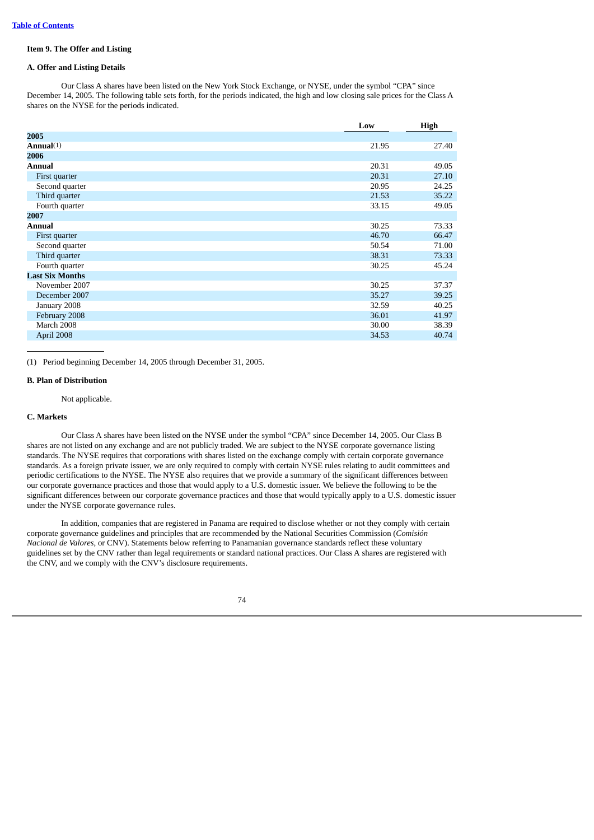## **Item 9. The Offer and Listing**

# **A. Offer and Listing Details**

Our Class A shares have been listed on the New York Stock Exchange, or NYSE, under the symbol "CPA" since December 14, 2005. The following table sets forth, for the periods indicated, the high and low closing sale prices for the Class A shares on the NYSE for the periods indicated.

|                        | Low   | High  |
|------------------------|-------|-------|
| 2005                   |       |       |
| Annual $(1)$           | 21.95 | 27.40 |
| 2006                   |       |       |
| Annual                 | 20.31 | 49.05 |
| First quarter          | 20.31 | 27.10 |
| Second quarter         | 20.95 | 24.25 |
| Third quarter          | 21.53 | 35.22 |
| Fourth quarter         | 33.15 | 49.05 |
| 2007                   |       |       |
| Annual                 | 30.25 | 73.33 |
| First quarter          | 46.70 | 66.47 |
| Second quarter         | 50.54 | 71.00 |
| Third quarter          | 38.31 | 73.33 |
| Fourth quarter         | 30.25 | 45.24 |
| <b>Last Six Months</b> |       |       |
| November 2007          | 30.25 | 37.37 |
| December 2007          | 35.27 | 39.25 |
| January 2008           | 32.59 | 40.25 |
| February 2008          | 36.01 | 41.97 |
| March 2008             | 30.00 | 38.39 |
| April 2008             | 34.53 | 40.74 |

(1) Period beginning December 14, 2005 through December 31, 2005.

## **B. Plan of Distribution**

#### Not applicable.

#### **C. Markets**

Our Class A shares have been listed on the NYSE under the symbol "CPA" since December 14, 2005. Our Class B shares are not listed on any exchange and are not publicly traded. We are subject to the NYSE corporate governance listing standards. The NYSE requires that corporations with shares listed on the exchange comply with certain corporate governance standards. As a foreign private issuer, we are only required to comply with certain NYSE rules relating to audit committees and periodic certifications to the NYSE. The NYSE also requires that we provide a summary of the significant differences between our corporate governance practices and those that would apply to a U.S. domestic issuer. We believe the following to be the significant differences between our corporate governance practices and those that would typically apply to a U.S. domestic issuer under the NYSE corporate governance rules.

In addition, companies that are registered in Panama are required to disclose whether or not they comply with certain corporate governance guidelines and principles that are recommended by the National Securities Commission (*Comisión Nacional de Valores*, or CNV). Statements below referring to Panamanian governance standards reflect these voluntary guidelines set by the CNV rather than legal requirements or standard national practices. Our Class A shares are registered with the CNV, and we comply with the CNV's disclosure requirements.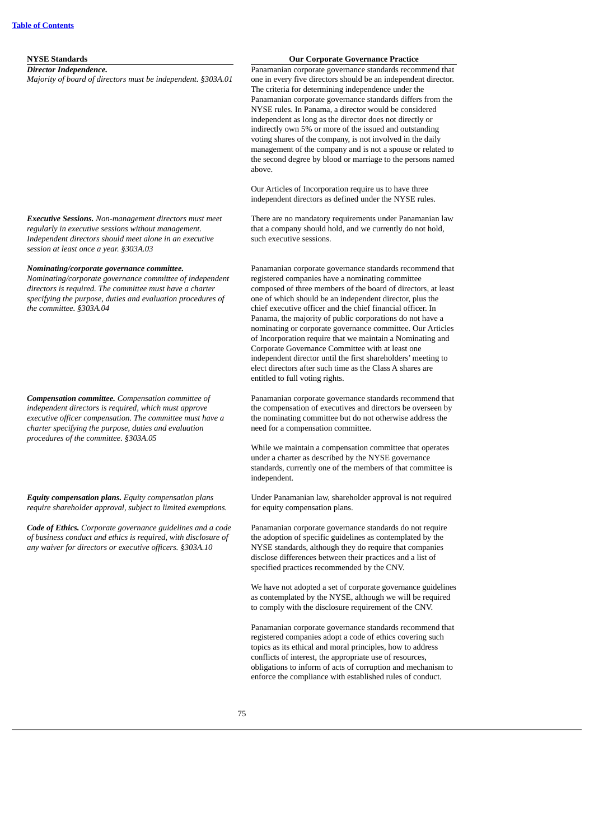*Director Independence. Majority of board of directors must be independent. §303A.01*

## **NYSE Standards Our Corporate Governance Practice**

Panamanian corporate governance standards recommend that one in every five directors should be an independent director. The criteria for determining independence under the Panamanian corporate governance standards differs from the NYSE rules. In Panama, a director would be considered independent as long as the director does not directly or indirectly own 5% or more of the issued and outstanding voting shares of the company, is not involved in the daily management of the company and is not a spouse or related to the second degree by blood or marriage to the persons named above.

Our Articles of Incorporation require us to have three independent directors as defined under the NYSE rules.

There are no mandatory requirements under Panamanian law that a company should hold, and we currently do not hold, such executive sessions.

*Executive Sessions. Non-management directors must meet regularly in executive sessions without management. Independent directors should meet alone in an executive session at least once a year. §303A.03*

#### *Nominating/corporate governance committee.*

*Nominating/corporate governance committee of independent directors is required. The committee must have a charter specifying the purpose, duties and evaluation procedures of the committee. §303A.04*

*Compensation committee. Compensation committee of independent directors is required, which must approve executive officer compensation. The committee must have a charter specifying the purpose, duties and evaluation procedures of the committee. §303A.05*

*Equity compensation plans. Equity compensation plans require shareholder approval, subject to limited exemptions.*

*Code of Ethics. Corporate governance guidelines and a code of business conduct and ethics is required, with disclosure of any waiver for directors or executive officers. §303A.10*

Panamanian corporate governance standards recommend that registered companies have a nominating committee composed of three members of the board of directors, at least one of which should be an independent director, plus the chief executive officer and the chief financial officer. In Panama, the majority of public corporations do not have a nominating or corporate governance committee. Our Articles of Incorporation require that we maintain a Nominating and Corporate Governance Committee with at least one independent director until the first shareholders' meeting to elect directors after such time as the Class A shares are entitled to full voting rights.

Panamanian corporate governance standards recommend that the compensation of executives and directors be overseen by the nominating committee but do not otherwise address the need for a compensation committee.

While we maintain a compensation committee that operates under a charter as described by the NYSE governance standards, currently one of the members of that committee is independent.

Under Panamanian law, shareholder approval is not required for equity compensation plans.

Panamanian corporate governance standards do not require the adoption of specific guidelines as contemplated by the NYSE standards, although they do require that companies disclose differences between their practices and a list of specified practices recommended by the CNV.

We have not adopted a set of corporate governance guidelines as contemplated by the NYSE, although we will be required to comply with the disclosure requirement of the CNV.

Panamanian corporate governance standards recommend that registered companies adopt a code of ethics covering such topics as its ethical and moral principles, how to address conflicts of interest, the appropriate use of resources, obligations to inform of acts of corruption and mechanism to enforce the compliance with established rules of conduct.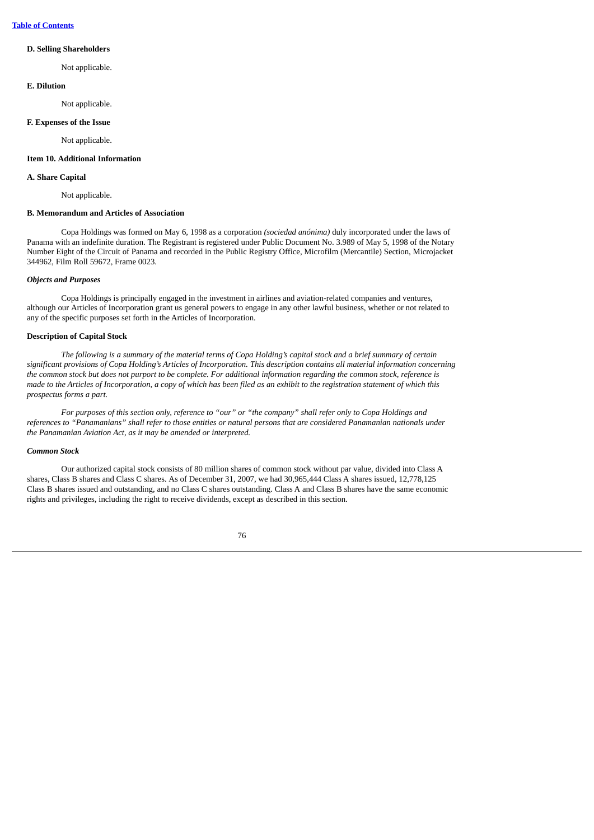# **D. Selling Shareholders**

Not applicable.

## **E. Dilution**

Not applicable.

#### **F. Expenses of the Issue**

Not applicable.

## **Item 10. Additional Information**

## **A. Share Capital**

Not applicable.

## **B. Memorandum and Articles of Association**

Copa Holdings was formed on May 6, 1998 as a corporation *(sociedad anónima)* duly incorporated under the laws of Panama with an indefinite duration. The Registrant is registered under Public Document No. 3.989 of May 5, 1998 of the Notary Number Eight of the Circuit of Panama and recorded in the Public Registry Office, Microfilm (Mercantile) Section, Microjacket 344962, Film Roll 59672, Frame 0023.

## *Objects and Purposes*

Copa Holdings is principally engaged in the investment in airlines and aviation-related companies and ventures, although our Articles of Incorporation grant us general powers to engage in any other lawful business, whether or not related to any of the specific purposes set forth in the Articles of Incorporation.

## **Description of Capital Stock**

The following is a summary of the material terms of Copa Holding's capital stock and a brief summary of certain significant provisions of Copa Holding's Articles of Incorporation. This description contains all material information concerning the common stock but does not purport to be complete. For additional information regarding the common stock, reference is made to the Articles of Incorporation, a copy of which has been filed as an exhibit to the registration statement of which this *prospectus forms a part.*

For purposes of this section only, reference to "our" or "the company" shall refer only to Copa Holdings and references to "Panamanians" shall refer to those entities or natural persons that are considered Panamanian nationals under *the Panamanian Aviation Act, as it may be amended or interpreted.*

### *Common Stock*

Our authorized capital stock consists of 80 million shares of common stock without par value, divided into Class A shares, Class B shares and Class C shares. As of December 31, 2007, we had 30,965,444 Class A shares issued, 12,778,125 Class B shares issued and outstanding, and no Class C shares outstanding. Class A and Class B shares have the same economic rights and privileges, including the right to receive dividends, except as described in this section.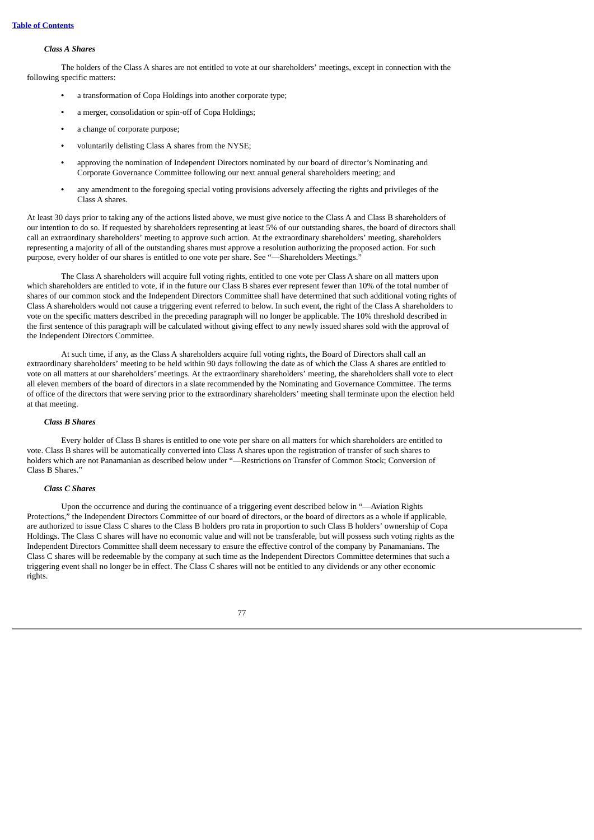## *Class A Shares*

The holders of the Class A shares are not entitled to vote at our shareholders' meetings, except in connection with the following specific matters:

- **•** a transformation of Copa Holdings into another corporate type;
- **•** a merger, consolidation or spin-off of Copa Holdings;
- **•** a change of corporate purpose;
- **•** voluntarily delisting Class A shares from the NYSE;
- **•** approving the nomination of Independent Directors nominated by our board of director's Nominating and Corporate Governance Committee following our next annual general shareholders meeting; and
- **•** any amendment to the foregoing special voting provisions adversely affecting the rights and privileges of the Class A shares.

At least 30 days prior to taking any of the actions listed above, we must give notice to the Class A and Class B shareholders of our intention to do so. If requested by shareholders representing at least 5% of our outstanding shares, the board of directors shall call an extraordinary shareholders' meeting to approve such action. At the extraordinary shareholders' meeting, shareholders representing a majority of all of the outstanding shares must approve a resolution authorizing the proposed action. For such purpose, every holder of our shares is entitled to one vote per share. See "-Shareholders Meetings."

The Class A shareholders will acquire full voting rights, entitled to one vote per Class A share on all matters upon which shareholders are entitled to vote, if in the future our Class B shares ever represent fewer than 10% of the total number of shares of our common stock and the Independent Directors Committee shall have determined that such additional voting rights of Class A shareholders would not cause a triggering event referred to below. In such event, the right of the Class A shareholders to vote on the specific matters described in the preceding paragraph will no longer be applicable. The 10% threshold described in the first sentence of this paragraph will be calculated without giving effect to any newly issued shares sold with the approval of the Independent Directors Committee.

At such time, if any, as the Class A shareholders acquire full voting rights, the Board of Directors shall call an extraordinary shareholders' meeting to be held within 90 days following the date as of which the Class A shares are entitled to vote on all matters at our shareholders' meetings. At the extraordinary shareholders' meeting, the shareholders shall vote to elect all eleven members of the board of directors in a slate recommended by the Nominating and Governance Committee. The terms of office of the directors that were serving prior to the extraordinary shareholders' meeting shall terminate upon the election held at that meeting.

## *Class B Shares*

Every holder of Class B shares is entitled to one vote per share on all matters for which shareholders are entitled to vote. Class B shares will be automatically converted into Class A shares upon the registration of transfer of such shares to holders which are not Panamanian as described below under "—Restrictions on Transfer of Common Stock; Conversion of Class B Shares."

#### *Class C Shares*

Upon the occurrence and during the continuance of a triggering event described below in "—Aviation Rights Protections," the Independent Directors Committee of our board of directors, or the board of directors as a whole if applicable, are authorized to issue Class C shares to the Class B holders pro rata in proportion to such Class B holders' ownership of Copa Holdings. The Class C shares will have no economic value and will not be transferable, but will possess such voting rights as the Independent Directors Committee shall deem necessary to ensure the effective control of the company by Panamanians. The Class C shares will be redeemable by the company at such time as the Independent Directors Committee determines that such a triggering event shall no longer be in effect. The Class C shares will not be entitled to any dividends or any other economic rights.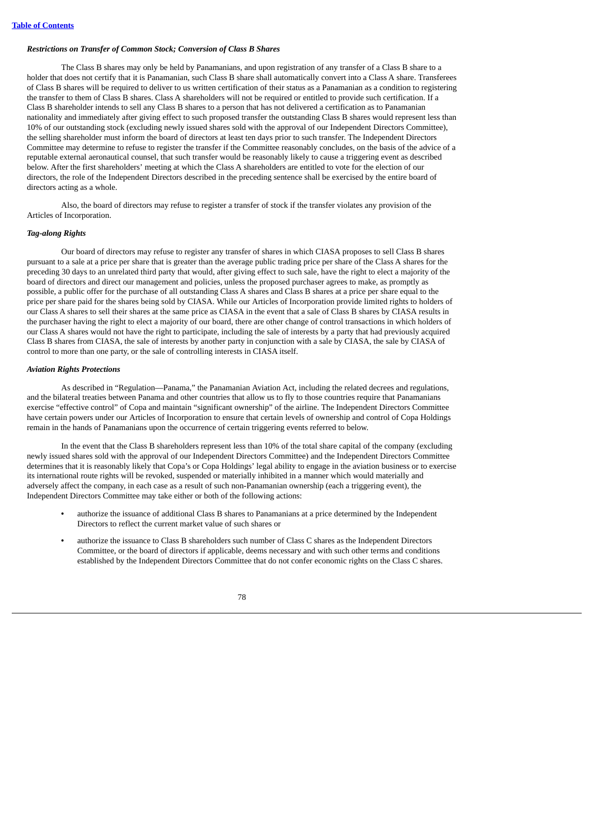## *Restrictions on Transfer of Common Stock; Conversion of Class B Shares*

The Class B shares may only be held by Panamanians, and upon registration of any transfer of a Class B share to a holder that does not certify that it is Panamanian, such Class B share shall automatically convert into a Class A share. Transferees of Class B shares will be required to deliver to us written certification of their status as a Panamanian as a condition to registering the transfer to them of Class B shares. Class A shareholders will not be required or entitled to provide such certification. If a Class B shareholder intends to sell any Class B shares to a person that has not delivered a certification as to Panamanian nationality and immediately after giving effect to such proposed transfer the outstanding Class B shares would represent less than 10% of our outstanding stock (excluding newly issued shares sold with the approval of our Independent Directors Committee), the selling shareholder must inform the board of directors at least ten days prior to such transfer. The Independent Directors Committee may determine to refuse to register the transfer if the Committee reasonably concludes, on the basis of the advice of a reputable external aeronautical counsel, that such transfer would be reasonably likely to cause a triggering event as described below. After the first shareholders' meeting at which the Class A shareholders are entitled to vote for the election of our directors, the role of the Independent Directors described in the preceding sentence shall be exercised by the entire board of directors acting as a whole.

Also, the board of directors may refuse to register a transfer of stock if the transfer violates any provision of the Articles of Incorporation.

## *Tag-along Rights*

Our board of directors may refuse to register any transfer of shares in which CIASA proposes to sell Class B shares pursuant to a sale at a price per share that is greater than the average public trading price per share of the Class A shares for the preceding 30 days to an unrelated third party that would, after giving effect to such sale, have the right to elect a majority of the board of directors and direct our management and policies, unless the proposed purchaser agrees to make, as promptly as possible, a public offer for the purchase of all outstanding Class A shares and Class B shares at a price per share equal to the price per share paid for the shares being sold by CIASA. While our Articles of Incorporation provide limited rights to holders of our Class A shares to sell their shares at the same price as CIASA in the event that a sale of Class B shares by CIASA results in the purchaser having the right to elect a majority of our board, there are other change of control transactions in which holders of our Class A shares would not have the right to participate, including the sale of interests by a party that had previously acquired Class B shares from CIASA, the sale of interests by another party in conjunction with a sale by CIASA, the sale by CIASA of control to more than one party, or the sale of controlling interests in CIASA itself.

#### *Aviation Rights Protections*

As described in "Regulation—Panama," the Panamanian Aviation Act, including the related decrees and regulations, and the bilateral treaties between Panama and other countries that allow us to fly to those countries require that Panamanians exercise "effective control" of Copa and maintain "significant ownership" of the airline. The Independent Directors Committee have certain powers under our Articles of Incorporation to ensure that certain levels of ownership and control of Copa Holdings remain in the hands of Panamanians upon the occurrence of certain triggering events referred to below.

In the event that the Class B shareholders represent less than 10% of the total share capital of the company (excluding newly issued shares sold with the approval of our Independent Directors Committee) and the Independent Directors Committee determines that it is reasonably likely that Copa's or Copa Holdings' legal ability to engage in the aviation business or to exercise its international route rights will be revoked, suspended or materially inhibited in a manner which would materially and adversely affect the company, in each case as a result of such non-Panamanian ownership (each a triggering event), the Independent Directors Committee may take either or both of the following actions:

- **•** authorize the issuance of additional Class B shares to Panamanians at a price determined by the Independent Directors to reflect the current market value of such shares or
- **•** authorize the issuance to Class B shareholders such number of Class C shares as the Independent Directors Committee, or the board of directors if applicable, deems necessary and with such other terms and conditions established by the Independent Directors Committee that do not confer economic rights on the Class C shares.

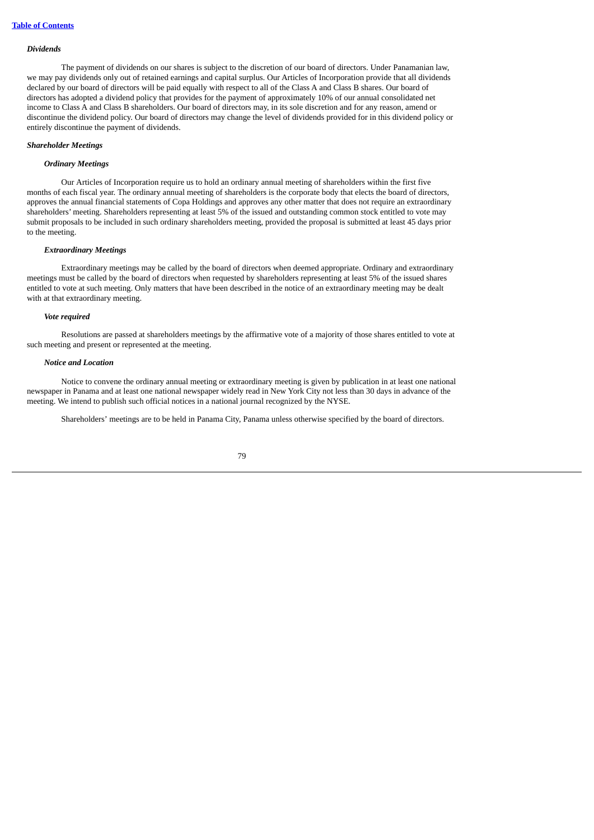#### *Dividends*

The payment of dividends on our shares is subject to the discretion of our board of directors. Under Panamanian law, we may pay dividends only out of retained earnings and capital surplus. Our Articles of Incorporation provide that all dividends declared by our board of directors will be paid equally with respect to all of the Class A and Class B shares. Our board of directors has adopted a dividend policy that provides for the payment of approximately 10% of our annual consolidated net income to Class A and Class B shareholders. Our board of directors may, in its sole discretion and for any reason, amend or discontinue the dividend policy. Our board of directors may change the level of dividends provided for in this dividend policy or entirely discontinue the payment of dividends.

#### *Shareholder Meetings*

## *Ordinary Meetings*

Our Articles of Incorporation require us to hold an ordinary annual meeting of shareholders within the first five months of each fiscal year. The ordinary annual meeting of shareholders is the corporate body that elects the board of directors, approves the annual financial statements of Copa Holdings and approves any other matter that does not require an extraordinary shareholders' meeting. Shareholders representing at least 5% of the issued and outstanding common stock entitled to vote may submit proposals to be included in such ordinary shareholders meeting, provided the proposal is submitted at least 45 days prior to the meeting.

### *Extraordinary Meetings*

Extraordinary meetings may be called by the board of directors when deemed appropriate. Ordinary and extraordinary meetings must be called by the board of directors when requested by shareholders representing at least 5% of the issued shares entitled to vote at such meeting. Only matters that have been described in the notice of an extraordinary meeting may be dealt with at that extraordinary meeting.

#### *Vote required*

Resolutions are passed at shareholders meetings by the affirmative vote of a majority of those shares entitled to vote at such meeting and present or represented at the meeting.

#### *Notice and Location*

Notice to convene the ordinary annual meeting or extraordinary meeting is given by publication in at least one national newspaper in Panama and at least one national newspaper widely read in New York City not less than 30 days in advance of the meeting. We intend to publish such official notices in a national journal recognized by the NYSE.

Shareholders' meetings are to be held in Panama City, Panama unless otherwise specified by the board of directors.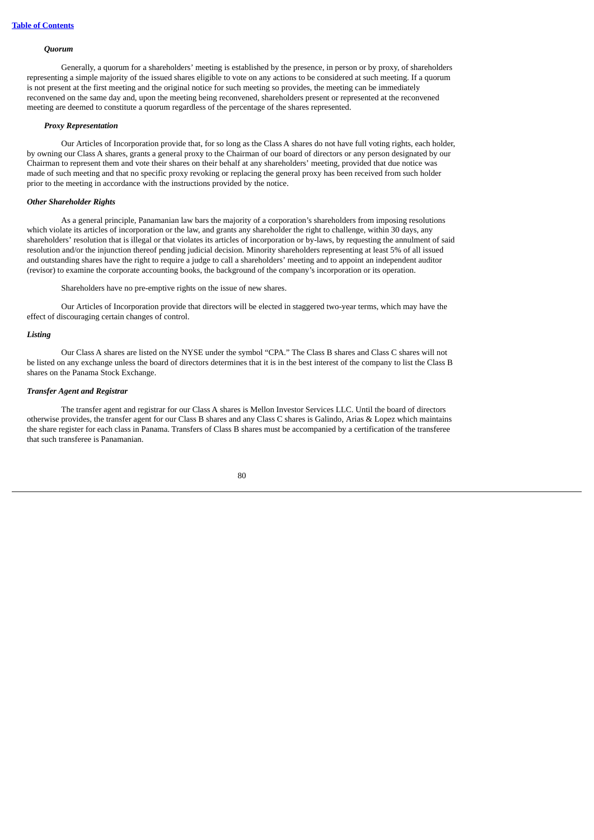#### *Quorum*

Generally, a quorum for a shareholders' meeting is established by the presence, in person or by proxy, of shareholders representing a simple majority of the issued shares eligible to vote on any actions to be considered at such meeting. If a quorum is not present at the first meeting and the original notice for such meeting so provides, the meeting can be immediately reconvened on the same day and, upon the meeting being reconvened, shareholders present or represented at the reconvened meeting are deemed to constitute a quorum regardless of the percentage of the shares represented.

### *Proxy Representation*

Our Articles of Incorporation provide that, for so long as the Class A shares do not have full voting rights, each holder, by owning our Class A shares, grants a general proxy to the Chairman of our board of directors or any person designated by our Chairman to represent them and vote their shares on their behalf at any shareholders' meeting, provided that due notice was made of such meeting and that no specific proxy revoking or replacing the general proxy has been received from such holder prior to the meeting in accordance with the instructions provided by the notice.

#### *Other Shareholder Rights*

As a general principle, Panamanian law bars the majority of a corporation's shareholders from imposing resolutions which violate its articles of incorporation or the law, and grants any shareholder the right to challenge, within 30 days, any shareholders' resolution that is illegal or that violates its articles of incorporation or by-laws, by requesting the annulment of said resolution and/or the injunction thereof pending judicial decision. Minority shareholders representing at least 5% of all issued and outstanding shares have the right to require a judge to call a shareholders' meeting and to appoint an independent auditor (revisor) to examine the corporate accounting books, the background of the company's incorporation or its operation.

Shareholders have no pre-emptive rights on the issue of new shares.

Our Articles of Incorporation provide that directors will be elected in staggered two-year terms, which may have the effect of discouraging certain changes of control.

#### *Listing*

Our Class A shares are listed on the NYSE under the symbol "CPA." The Class B shares and Class C shares will not be listed on any exchange unless the board of directors determines that it is in the best interest of the company to list the Class B shares on the Panama Stock Exchange.

#### *Transfer Agent and Registrar*

The transfer agent and registrar for our Class A shares is Mellon Investor Services LLC. Until the board of directors otherwise provides, the transfer agent for our Class B shares and any Class C shares is Galindo, Arias & Lopez which maintains the share register for each class in Panama. Transfers of Class B shares must be accompanied by a certification of the transferee that such transferee is Panamanian.

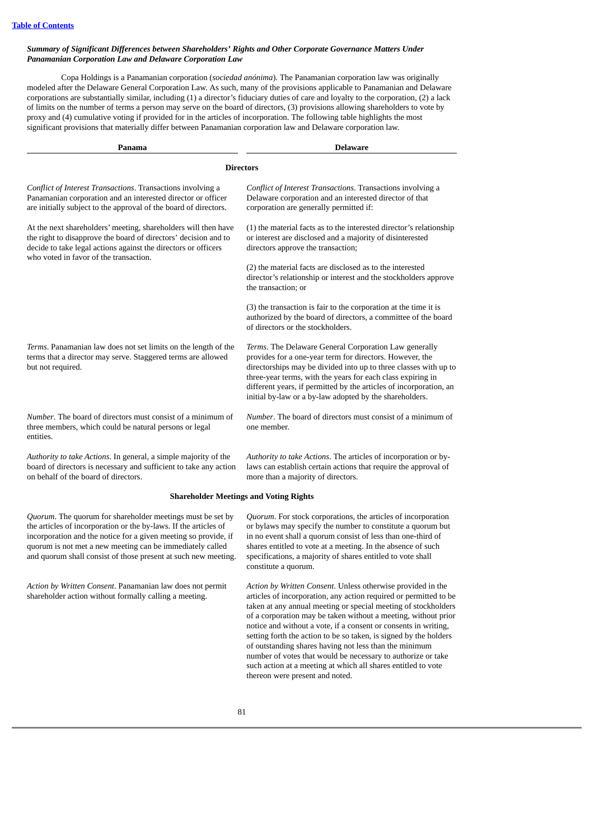# *Summary of Significant Differences between Shareholders' Rights and Other Corporate Governance Matters Under Panamanian Corporation Law and Delaware Corporation Law*

Copa Holdings is a Panamanian corporation (*sociedad anónima*). The Panamanian corporation law was originally modeled after the Delaware General Corporation Law. As such, many of the provisions applicable to Panamanian and Delaware corporations are substantially similar, including (1) a director's fiduciary duties of care and loyalty to the corporation, (2) a lack of limits on the number of terms a person may serve on the board of directors, (3) provisions allowing shareholders to vote by proxy and (4) cumulative voting if provided for in the articles of incorporation. The following table highlights the most significant provisions that materially differ between Panamanian corporation law and Delaware corporation law.

| Panama                                                                                                                                                                                                                                                                                                                                   | <b>Delaware</b>                                                                                                                                                                                                                                                                                                                                                                                                                                                                                                                        |  |  |  |
|------------------------------------------------------------------------------------------------------------------------------------------------------------------------------------------------------------------------------------------------------------------------------------------------------------------------------------------|----------------------------------------------------------------------------------------------------------------------------------------------------------------------------------------------------------------------------------------------------------------------------------------------------------------------------------------------------------------------------------------------------------------------------------------------------------------------------------------------------------------------------------------|--|--|--|
|                                                                                                                                                                                                                                                                                                                                          | <b>Directors</b>                                                                                                                                                                                                                                                                                                                                                                                                                                                                                                                       |  |  |  |
| Conflict of Interest Transactions. Transactions involving a<br>Panamanian corporation and an interested director or officer<br>are initially subject to the approval of the board of directors.                                                                                                                                          | Conflict of Interest Transactions. Transactions involving a<br>Delaware corporation and an interested director of that<br>corporation are generally permitted if:                                                                                                                                                                                                                                                                                                                                                                      |  |  |  |
| At the next shareholders' meeting, shareholders will then have<br>the right to disapprove the board of directors' decision and to<br>decide to take legal actions against the directors or officers<br>who voted in favor of the transaction.                                                                                            | (1) the material facts as to the interested director's relationship<br>or interest are disclosed and a majority of disinterested<br>directors approve the transaction;                                                                                                                                                                                                                                                                                                                                                                 |  |  |  |
|                                                                                                                                                                                                                                                                                                                                          | (2) the material facts are disclosed as to the interested<br>director's relationship or interest and the stockholders approve<br>the transaction; or                                                                                                                                                                                                                                                                                                                                                                                   |  |  |  |
|                                                                                                                                                                                                                                                                                                                                          | (3) the transaction is fair to the corporation at the time it is<br>authorized by the board of directors, a committee of the board<br>of directors or the stockholders.                                                                                                                                                                                                                                                                                                                                                                |  |  |  |
| Terms. Panamanian law does not set limits on the length of the<br>terms that a director may serve. Staggered terms are allowed<br>but not required.                                                                                                                                                                                      | Terms. The Delaware General Corporation Law generally<br>provides for a one-year term for directors. However, the<br>directorships may be divided into up to three classes with up to<br>three-year terms, with the years for each class expiring in<br>different years, if permitted by the articles of incorporation, an<br>initial by-law or a by-law adopted by the shareholders.                                                                                                                                                  |  |  |  |
| <i>Number</i> . The board of directors must consist of a minimum of<br>three members, which could be natural persons or legal<br>entities.                                                                                                                                                                                               | <i>Number</i> . The board of directors must consist of a minimum of<br>one member.                                                                                                                                                                                                                                                                                                                                                                                                                                                     |  |  |  |
| Authority to take Actions. In general, a simple majority of the<br>board of directors is necessary and sufficient to take any action<br>on behalf of the board of directors.                                                                                                                                                             | Authority to take Actions. The articles of incorporation or by-<br>laws can establish certain actions that require the approval of<br>more than a majority of directors.                                                                                                                                                                                                                                                                                                                                                               |  |  |  |
|                                                                                                                                                                                                                                                                                                                                          | <b>Shareholder Meetings and Voting Rights</b>                                                                                                                                                                                                                                                                                                                                                                                                                                                                                          |  |  |  |
| <i>Quorum</i> . The quorum for shareholder meetings must be set by<br>the articles of incorporation or the by-laws. If the articles of<br>incorporation and the notice for a given meeting so provide, if<br>quorum is not met a new meeting can be immediately called<br>and quorum shall consist of those present at such new meeting. | Quorum. For stock corporations, the articles of incorporation<br>or bylaws may specify the number to constitute a quorum but<br>in no event shall a quorum consist of less than one-third of<br>shares entitled to vote at a meeting. In the absence of such<br>specifications, a majority of shares entitled to vote shall<br>constitute a quorum.                                                                                                                                                                                    |  |  |  |
| Action by Written Consent. Panamanian law does not permit<br>shareholder action without formally calling a meeting.                                                                                                                                                                                                                      | Action by Written Consent. Unless otherwise provided in the<br>articles of incorporation, any action required or permitted to be<br>taken at any annual meeting or special meeting of stockholders<br>of a corporation may be taken without a meeting, without prior<br>notice and without a vote, if a consent or consents in writing,<br>setting forth the action to be so taken, is signed by the holders<br>of outstanding shares having not less than the minimum<br>number of votes that would be necessary to authorize or take |  |  |  |

such action at a meeting at which all shares entitled to vote

thereon were present and noted.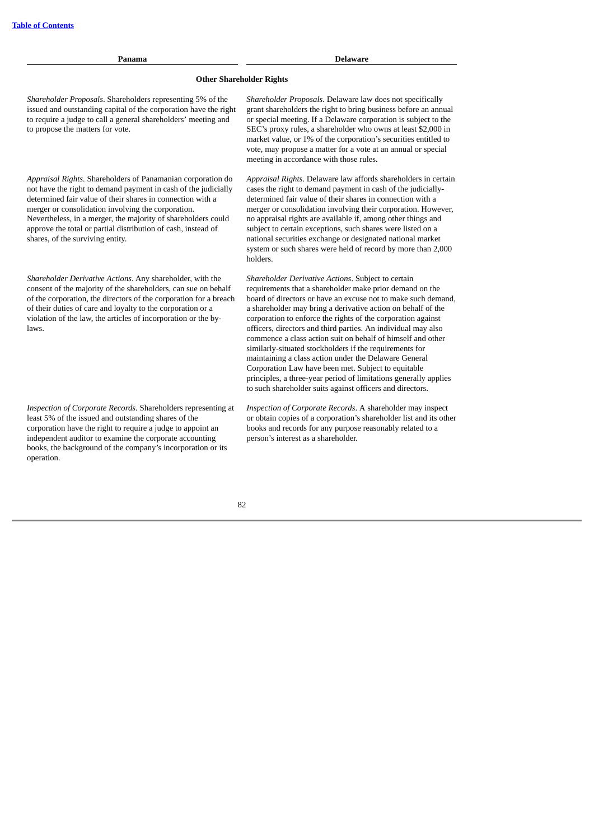| Panama                                                                                                                                                                                                                                                                                                                                                                                                                  | <b>Delaware</b>                                                                                                                                                                                                                                                                                                                                                                                                                                                                                                                                                                                                                                                                                                                                             |  |  |  |  |
|-------------------------------------------------------------------------------------------------------------------------------------------------------------------------------------------------------------------------------------------------------------------------------------------------------------------------------------------------------------------------------------------------------------------------|-------------------------------------------------------------------------------------------------------------------------------------------------------------------------------------------------------------------------------------------------------------------------------------------------------------------------------------------------------------------------------------------------------------------------------------------------------------------------------------------------------------------------------------------------------------------------------------------------------------------------------------------------------------------------------------------------------------------------------------------------------------|--|--|--|--|
| <b>Other Shareholder Rights</b>                                                                                                                                                                                                                                                                                                                                                                                         |                                                                                                                                                                                                                                                                                                                                                                                                                                                                                                                                                                                                                                                                                                                                                             |  |  |  |  |
| Shareholder Proposals. Shareholders representing 5% of the<br>issued and outstanding capital of the corporation have the right<br>to require a judge to call a general shareholders' meeting and<br>to propose the matters for vote.                                                                                                                                                                                    | Shareholder Proposals. Delaware law does not specifically<br>grant shareholders the right to bring business before an annual<br>or special meeting. If a Delaware corporation is subject to the<br>SEC's proxy rules, a shareholder who owns at least \$2,000 in<br>market value, or 1% of the corporation's securities entitled to<br>vote, may propose a matter for a vote at an annual or special<br>meeting in accordance with those rules.                                                                                                                                                                                                                                                                                                             |  |  |  |  |
| Appraisal Rights. Shareholders of Panamanian corporation do<br>not have the right to demand payment in cash of the judicially<br>determined fair value of their shares in connection with a<br>merger or consolidation involving the corporation.<br>Nevertheless, in a merger, the majority of shareholders could<br>approve the total or partial distribution of cash, instead of<br>shares, of the surviving entity. | Appraisal Rights. Delaware law affords shareholders in certain<br>cases the right to demand payment in cash of the judicially-<br>determined fair value of their shares in connection with a<br>merger or consolidation involving their corporation. However,<br>no appraisal rights are available if, among other things and<br>subject to certain exceptions, such shares were listed on a<br>national securities exchange or designated national market<br>system or such shares were held of record by more than 2,000<br>holders.                                                                                                                                                                                                                      |  |  |  |  |
| Shareholder Derivative Actions. Any shareholder, with the<br>consent of the majority of the shareholders, can sue on behalf<br>of the corporation, the directors of the corporation for a breach<br>of their duties of care and loyalty to the corporation or a<br>violation of the law, the articles of incorporation or the by-<br>laws.                                                                              | Shareholder Derivative Actions. Subject to certain<br>requirements that a shareholder make prior demand on the<br>board of directors or have an excuse not to make such demand.<br>a shareholder may bring a derivative action on behalf of the<br>corporation to enforce the rights of the corporation against<br>officers, directors and third parties. An individual may also<br>commence a class action suit on behalf of himself and other<br>similarly-situated stockholders if the requirements for<br>maintaining a class action under the Delaware General<br>Corporation Law have been met. Subject to equitable<br>principles, a three-year period of limitations generally applies<br>to such shareholder suits against officers and directors. |  |  |  |  |
| Inspection of Corporate Records. Shareholders representing at<br>least 5% of the issued and outstanding shares of the<br>corporation have the right to require a judge to appoint an<br>independent auditor to examine the corporate accounting<br>books, the background of the company's incorporation or its<br>operation.                                                                                            | Inspection of Corporate Records. A shareholder may inspect<br>or obtain copies of a corporation's shareholder list and its other<br>books and records for any purpose reasonably related to a<br>person's interest as a shareholder.                                                                                                                                                                                                                                                                                                                                                                                                                                                                                                                        |  |  |  |  |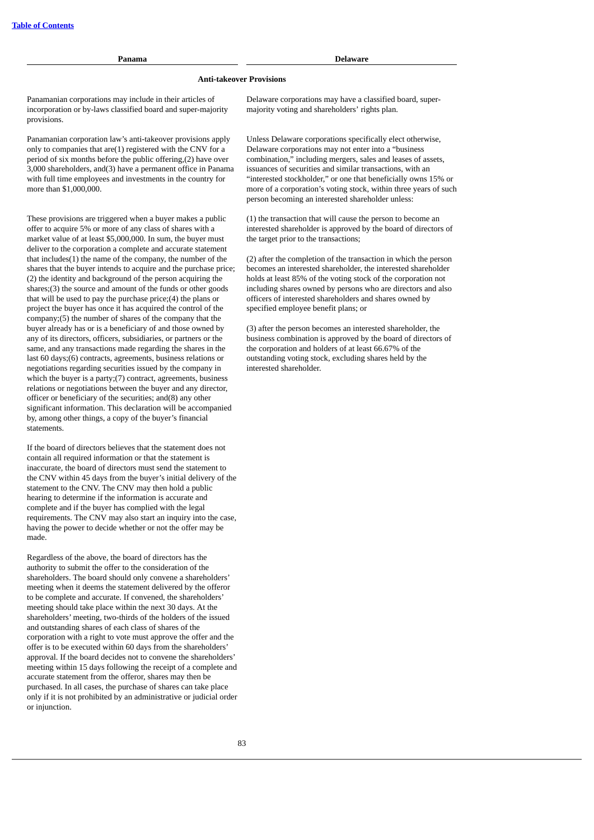# **Panama Delaware**

## **Anti-takeover Provisions**

Panamanian corporations may include in their articles of incorporation or by-laws classified board and super-majority provisions.

Panamanian corporation law's anti-takeover provisions apply only to companies that are(1) registered with the CNV for a period of six months before the public offering,(2) have over 3,000 shareholders, and(3) have a permanent office in Panama with full time employees and investments in the country for more than \$1,000,000.

These provisions are triggered when a buyer makes a public offer to acquire 5% or more of any class of shares with a market value of at least \$5,000,000. In sum, the buyer must deliver to the corporation a complete and accurate statement that includes(1) the name of the company, the number of the shares that the buyer intends to acquire and the purchase price; (2) the identity and background of the person acquiring the shares;(3) the source and amount of the funds or other goods that will be used to pay the purchase price;(4) the plans or project the buyer has once it has acquired the control of the company;(5) the number of shares of the company that the buyer already has or is a beneficiary of and those owned by any of its directors, officers, subsidiaries, or partners or the same, and any transactions made regarding the shares in the last 60 days;(6) contracts, agreements, business relations or negotiations regarding securities issued by the company in which the buyer is a party: (7) contract, agreements, business relations or negotiations between the buyer and any director, officer or beneficiary of the securities; and(8) any other significant information. This declaration will be accompanied by, among other things, a copy of the buyer's financial statements.

If the board of directors believes that the statement does not contain all required information or that the statement is inaccurate, the board of directors must send the statement to the CNV within 45 days from the buyer's initial delivery of the statement to the CNV. The CNV may then hold a public hearing to determine if the information is accurate and complete and if the buyer has complied with the legal requirements. The CNV may also start an inquiry into the case, having the power to decide whether or not the offer may be made.

Regardless of the above, the board of directors has the authority to submit the offer to the consideration of the shareholders. The board should only convene a shareholders' meeting when it deems the statement delivered by the offeror to be complete and accurate. If convened, the shareholders' meeting should take place within the next 30 days. At the shareholders' meeting, two-thirds of the holders of the issued and outstanding shares of each class of shares of the corporation with a right to vote must approve the offer and the offer is to be executed within 60 days from the shareholders' approval. If the board decides not to convene the shareholders' meeting within 15 days following the receipt of a complete and accurate statement from the offeror, shares may then be purchased. In all cases, the purchase of shares can take place only if it is not prohibited by an administrative or judicial order or injunction.

Delaware corporations may have a classified board, supermajority voting and shareholders' rights plan.

Unless Delaware corporations specifically elect otherwise, Delaware corporations may not enter into a "business combination," including mergers, sales and leases of assets, issuances of securities and similar transactions, with an "interested stockholder," or one that beneficially owns 15% or more of a corporation's voting stock, within three years of such person becoming an interested shareholder unless:

(1) the transaction that will cause the person to become an interested shareholder is approved by the board of directors of the target prior to the transactions;

(2) after the completion of the transaction in which the person becomes an interested shareholder, the interested shareholder holds at least 85% of the voting stock of the corporation not including shares owned by persons who are directors and also officers of interested shareholders and shares owned by specified employee benefit plans; or

(3) after the person becomes an interested shareholder, the business combination is approved by the board of directors of the corporation and holders of at least 66.67% of the outstanding voting stock, excluding shares held by the interested shareholder.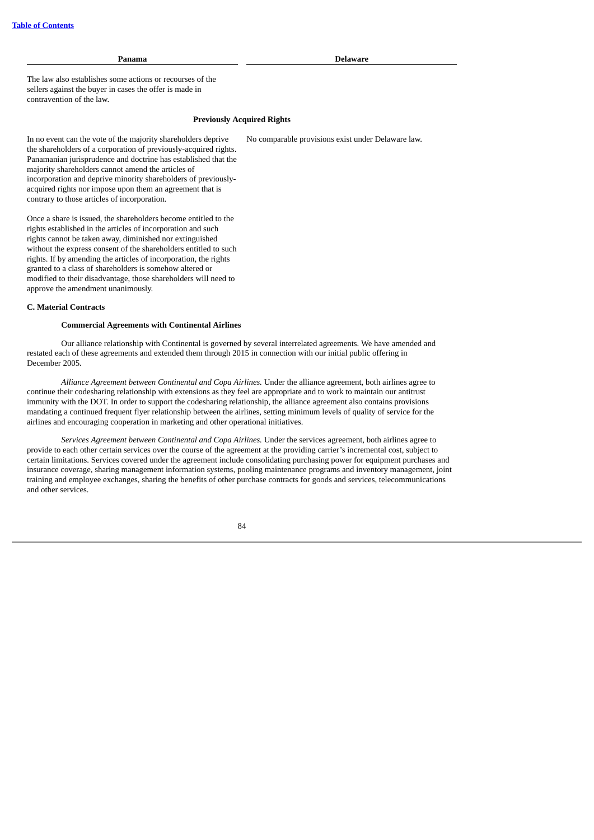**Panama Delaware**

No comparable provisions exist under Delaware law.

The law also establishes some actions or recourses of the sellers against the buyer in cases the offer is made in contravention of the law.

## **Previously Acquired Rights**

In no event can the vote of the majority shareholders deprive the shareholders of a corporation of previously-acquired rights. Panamanian jurisprudence and doctrine has established that the majority shareholders cannot amend the articles of incorporation and deprive minority shareholders of previouslyacquired rights nor impose upon them an agreement that is contrary to those articles of incorporation.

Once a share is issued, the shareholders become entitled to the rights established in the articles of incorporation and such rights cannot be taken away, diminished nor extinguished without the express consent of the shareholders entitled to such rights. If by amending the articles of incorporation, the rights granted to a class of shareholders is somehow altered or modified to their disadvantage, those shareholders will need to approve the amendment unanimously.

#### **C. Material Contracts**

## **Commercial Agreements with Continental Airlines**

Our alliance relationship with Continental is governed by several interrelated agreements. We have amended and restated each of these agreements and extended them through 2015 in connection with our initial public offering in December 2005.

*Alliance Agreement between Continental and Copa Airlines.* Under the alliance agreement, both airlines agree to continue their codesharing relationship with extensions as they feel are appropriate and to work to maintain our antitrust immunity with the DOT. In order to support the codesharing relationship, the alliance agreement also contains provisions mandating a continued frequent flyer relationship between the airlines, setting minimum levels of quality of service for the airlines and encouraging cooperation in marketing and other operational initiatives.

*Services Agreement between Continental and Copa Airlines.* Under the services agreement, both airlines agree to provide to each other certain services over the course of the agreement at the providing carrier's incremental cost, subject to certain limitations. Services covered under the agreement include consolidating purchasing power for equipment purchases and insurance coverage, sharing management information systems, pooling maintenance programs and inventory management, joint training and employee exchanges, sharing the benefits of other purchase contracts for goods and services, telecommunications and other services.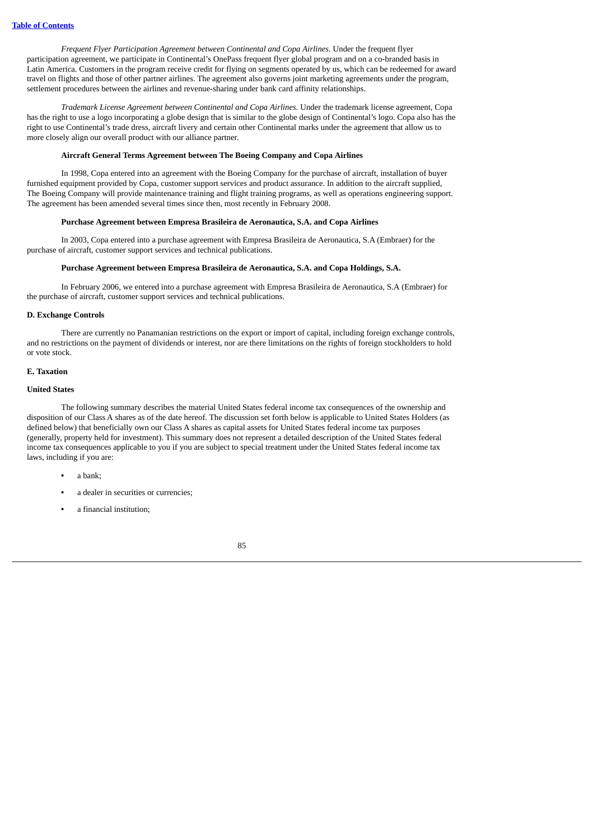*Frequent Flyer Participation Agreement between Continental and Copa Airlines.* Under the frequent flyer participation agreement, we participate in Continental's OnePass frequent flyer global program and on a co-branded basis in Latin America. Customers in the program receive credit for flying on segments operated by us, which can be redeemed for award travel on flights and those of other partner airlines. The agreement also governs joint marketing agreements under the program, settlement procedures between the airlines and revenue-sharing under bank card affinity relationships.

*Trademark License Agreement between Continental and Copa Airlines.* Under the trademark license agreement, Copa has the right to use a logo incorporating a globe design that is similar to the globe design of Continental's logo. Copa also has the right to use Continental's trade dress, aircraft livery and certain other Continental marks under the agreement that allow us to more closely align our overall product with our alliance partner.

#### **Aircraft General Terms Agreement between The Boeing Company and Copa Airlines**

In 1998, Copa entered into an agreement with the Boeing Company for the purchase of aircraft, installation of buyer furnished equipment provided by Copa, customer support services and product assurance. In addition to the aircraft supplied, The Boeing Company will provide maintenance training and flight training programs, as well as operations engineering support. The agreement has been amended several times since then, most recently in February 2008.

## **Purchase Agreement between Empresa Brasileira de Aeronautica, S.A. and Copa Airlines**

In 2003, Copa entered into a purchase agreement with Empresa Brasileira de Aeronautica, S.A (Embraer) for the purchase of aircraft, customer support services and technical publications.

## **Purchase Agreement between Empresa Brasileira de Aeronautica, S.A. and Copa Holdings, S.A.**

In February 2006, we entered into a purchase agreement with Empresa Brasileira de Aeronautica, S.A (Embraer) for the purchase of aircraft, customer support services and technical publications.

#### **D. Exchange Controls**

There are currently no Panamanian restrictions on the export or import of capital, including foreign exchange controls, and no restrictions on the payment of dividends or interest, nor are there limitations on the rights of foreign stockholders to hold or vote stock.

#### **E. Taxation**

## **United States**

The following summary describes the material United States federal income tax consequences of the ownership and disposition of our Class A shares as of the date hereof. The discussion set forth below is applicable to United States Holders (as defined below) that beneficially own our Class A shares as capital assets for United States federal income tax purposes (generally, property held for investment). This summary does not represent a detailed description of the United States federal income tax consequences applicable to you if you are subject to special treatment under the United States federal income tax laws, including if you are:

- **•** a bank;
- **•** a dealer in securities or currencies;
- **•** a financial institution;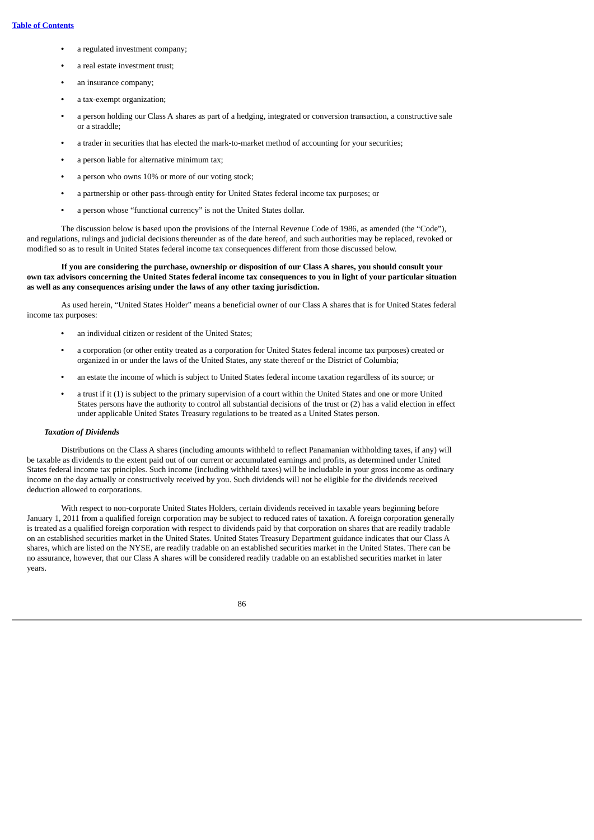- **•** a regulated investment company;
- **•** a real estate investment trust;
- **•** an insurance company;
- **•** a tax-exempt organization;
- **•** a person holding our Class A shares as part of a hedging, integrated or conversion transaction, a constructive sale or a straddle;
- **•** a trader in securities that has elected the mark-to-market method of accounting for your securities;
- **•** a person liable for alternative minimum tax;
- **•** a person who owns 10% or more of our voting stock;
- **•** a partnership or other pass-through entity for United States federal income tax purposes; or
- **•** a person whose "functional currency" is not the United States dollar.

The discussion below is based upon the provisions of the Internal Revenue Code of 1986, as amended (the "Code"), and regulations, rulings and judicial decisions thereunder as of the date hereof, and such authorities may be replaced, revoked or modified so as to result in United States federal income tax consequences different from those discussed below.

## If you are considering the purchase, ownership or disposition of our Class A shares, you should consult your own tax advisors concerning the United States federal income tax consequences to you in light of your particular situation **as well as any consequences arising under the laws of any other taxing jurisdiction.**

As used herein, "United States Holder" means a beneficial owner of our Class A shares that is for United States federal income tax purposes:

- **•** an individual citizen or resident of the United States;
- **•** a corporation (or other entity treated as a corporation for United States federal income tax purposes) created or organized in or under the laws of the United States, any state thereof or the District of Columbia;
- **•** an estate the income of which is subject to United States federal income taxation regardless of its source; or
- **•** a trust if it (1) is subject to the primary supervision of a court within the United States and one or more United States persons have the authority to control all substantial decisions of the trust or (2) has a valid election in effect under applicable United States Treasury regulations to be treated as a United States person.

## *Taxation of Dividends*

Distributions on the Class A shares (including amounts withheld to reflect Panamanian withholding taxes, if any) will be taxable as dividends to the extent paid out of our current or accumulated earnings and profits, as determined under United States federal income tax principles. Such income (including withheld taxes) will be includable in your gross income as ordinary income on the day actually or constructively received by you. Such dividends will not be eligible for the dividends received deduction allowed to corporations.

With respect to non-corporate United States Holders, certain dividends received in taxable years beginning before January 1, 2011 from a qualified foreign corporation may be subject to reduced rates of taxation. A foreign corporation generally is treated as a qualified foreign corporation with respect to dividends paid by that corporation on shares that are readily tradable on an established securities market in the United States. United States Treasury Department guidance indicates that our Class A shares, which are listed on the NYSE, are readily tradable on an established securities market in the United States. There can be no assurance, however, that our Class A shares will be considered readily tradable on an established securities market in later years.

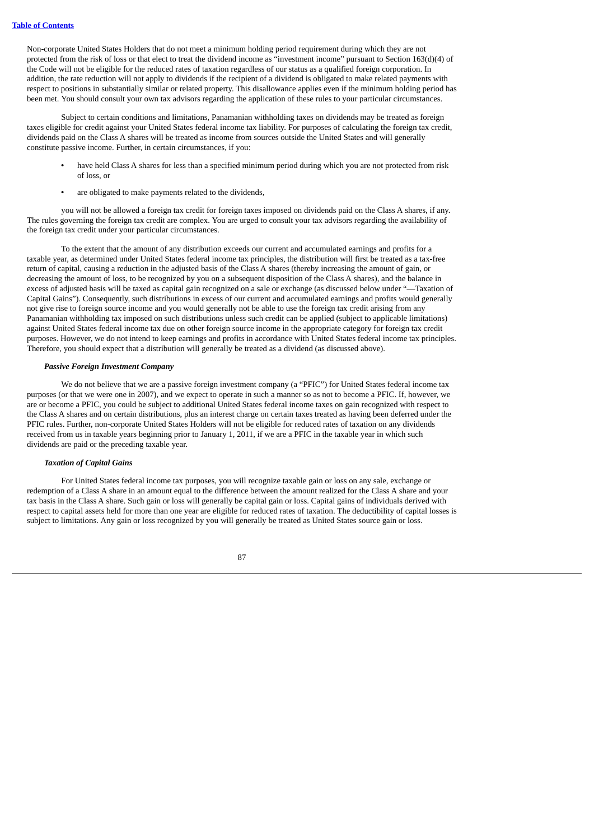Non-corporate United States Holders that do not meet a minimum holding period requirement during which they are not protected from the risk of loss or that elect to treat the dividend income as "investment income" pursuant to Section 163(d)(4) of the Code will not be eligible for the reduced rates of taxation regardless of our status as a qualified foreign corporation. In addition, the rate reduction will not apply to dividends if the recipient of a dividend is obligated to make related payments with respect to positions in substantially similar or related property. This disallowance applies even if the minimum holding period has been met. You should consult your own tax advisors regarding the application of these rules to your particular circumstances.

Subject to certain conditions and limitations, Panamanian withholding taxes on dividends may be treated as foreign taxes eligible for credit against your United States federal income tax liability. For purposes of calculating the foreign tax credit, dividends paid on the Class A shares will be treated as income from sources outside the United States and will generally constitute passive income. Further, in certain circumstances, if you:

- **•** have held Class A shares for less than a specified minimum period during which you are not protected from risk of loss, or
- **•** are obligated to make payments related to the dividends,

you will not be allowed a foreign tax credit for foreign taxes imposed on dividends paid on the Class A shares, if any. The rules governing the foreign tax credit are complex. You are urged to consult your tax advisors regarding the availability of the foreign tax credit under your particular circumstances.

To the extent that the amount of any distribution exceeds our current and accumulated earnings and profits for a taxable year, as determined under United States federal income tax principles, the distribution will first be treated as a tax-free return of capital, causing a reduction in the adjusted basis of the Class A shares (thereby increasing the amount of gain, or decreasing the amount of loss, to be recognized by you on a subsequent disposition of the Class A shares), and the balance in excess of adjusted basis will be taxed as capital gain recognized on a sale or exchange (as discussed below under "—Taxation of Capital Gains"). Consequently, such distributions in excess of our current and accumulated earnings and profits would generally not give rise to foreign source income and you would generally not be able to use the foreign tax credit arising from any Panamanian withholding tax imposed on such distributions unless such credit can be applied (subject to applicable limitations) against United States federal income tax due on other foreign source income in the appropriate category for foreign tax credit purposes. However, we do not intend to keep earnings and profits in accordance with United States federal income tax principles. Therefore, you should expect that a distribution will generally be treated as a dividend (as discussed above).

#### *Passive Foreign Investment Company*

We do not believe that we are a passive foreign investment company (a "PFIC") for United States federal income tax purposes (or that we were one in 2007), and we expect to operate in such a manner so as not to become a PFIC. If, however, we are or become a PFIC, you could be subject to additional United States federal income taxes on gain recognized with respect to the Class A shares and on certain distributions, plus an interest charge on certain taxes treated as having been deferred under the PFIC rules. Further, non-corporate United States Holders will not be eligible for reduced rates of taxation on any dividends received from us in taxable years beginning prior to January 1, 2011, if we are a PFIC in the taxable year in which such dividends are paid or the preceding taxable year.

## *Taxation of Capital Gains*

For United States federal income tax purposes, you will recognize taxable gain or loss on any sale, exchange or redemption of a Class A share in an amount equal to the difference between the amount realized for the Class A share and your tax basis in the Class A share. Such gain or loss will generally be capital gain or loss. Capital gains of individuals derived with respect to capital assets held for more than one year are eligible for reduced rates of taxation. The deductibility of capital losses is subject to limitations. Any gain or loss recognized by you will generally be treated as United States source gain or loss.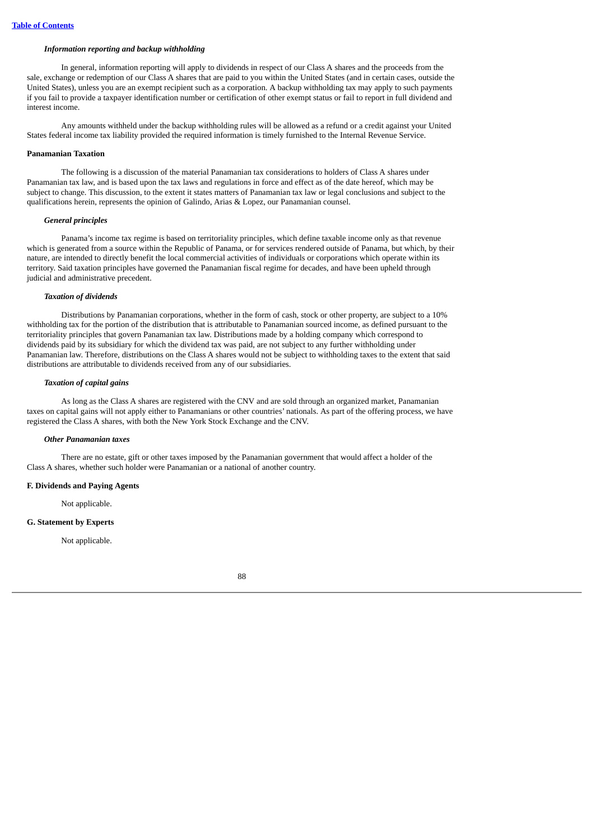## *Information reporting and backup withholding*

In general, information reporting will apply to dividends in respect of our Class A shares and the proceeds from the sale, exchange or redemption of our Class A shares that are paid to you within the United States (and in certain cases, outside the United States), unless you are an exempt recipient such as a corporation. A backup withholding tax may apply to such payments if you fail to provide a taxpayer identification number or certification of other exempt status or fail to report in full dividend and interest income.

Any amounts withheld under the backup withholding rules will be allowed as a refund or a credit against your United States federal income tax liability provided the required information is timely furnished to the Internal Revenue Service.

#### **Panamanian Taxation**

The following is a discussion of the material Panamanian tax considerations to holders of Class A shares under Panamanian tax law, and is based upon the tax laws and regulations in force and effect as of the date hereof, which may be subject to change. This discussion, to the extent it states matters of Panamanian tax law or legal conclusions and subject to the qualifications herein, represents the opinion of Galindo, Arias & Lopez, our Panamanian counsel.

#### *General principles*

Panama's income tax regime is based on territoriality principles, which define taxable income only as that revenue which is generated from a source within the Republic of Panama, or for services rendered outside of Panama, but which, by their nature, are intended to directly benefit the local commercial activities of individuals or corporations which operate within its territory. Said taxation principles have governed the Panamanian fiscal regime for decades, and have been upheld through judicial and administrative precedent.

#### *Taxation of dividends*

Distributions by Panamanian corporations, whether in the form of cash, stock or other property, are subject to a 10% withholding tax for the portion of the distribution that is attributable to Panamanian sourced income, as defined pursuant to the territoriality principles that govern Panamanian tax law. Distributions made by a holding company which correspond to dividends paid by its subsidiary for which the dividend tax was paid, are not subject to any further withholding under Panamanian law. Therefore, distributions on the Class A shares would not be subject to withholding taxes to the extent that said distributions are attributable to dividends received from any of our subsidiaries.

#### *Taxation of capital gains*

As long as the Class A shares are registered with the CNV and are sold through an organized market, Panamanian taxes on capital gains will not apply either to Panamanians or other countries' nationals. As part of the offering process, we have registered the Class A shares, with both the New York Stock Exchange and the CNV.

#### *Other Panamanian taxes*

There are no estate, gift or other taxes imposed by the Panamanian government that would affect a holder of the Class A shares, whether such holder were Panamanian or a national of another country.

## **F. Dividends and Paying Agents**

Not applicable.

#### **G. Statement by Experts**

Not applicable.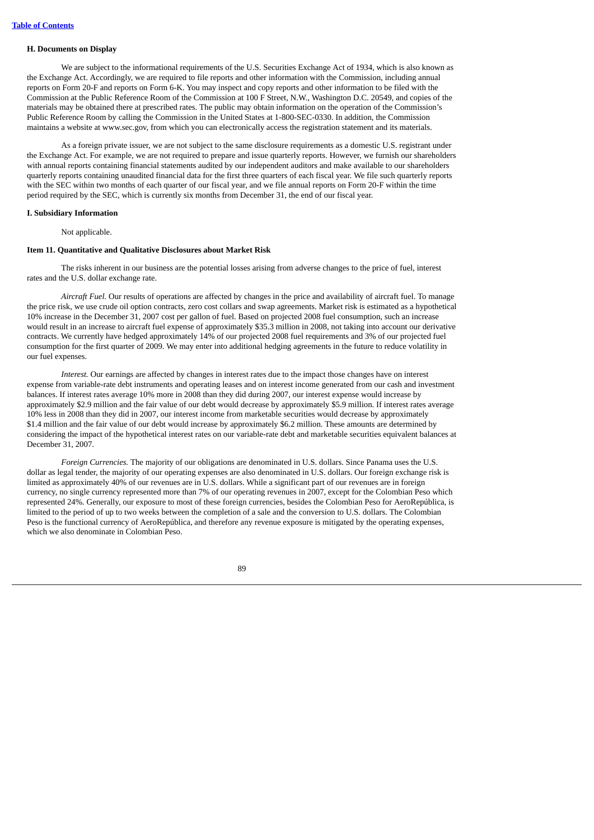#### **H. Documents on Display**

We are subject to the informational requirements of the U.S. Securities Exchange Act of 1934, which is also known as the Exchange Act. Accordingly, we are required to file reports and other information with the Commission, including annual reports on Form 20-F and reports on Form 6-K. You may inspect and copy reports and other information to be filed with the Commission at the Public Reference Room of the Commission at 100 F Street, N.W., Washington D.C. 20549, and copies of the materials may be obtained there at prescribed rates. The public may obtain information on the operation of the Commission's Public Reference Room by calling the Commission in the United States at 1-800-SEC-0330. In addition, the Commission maintains a website at www.sec.gov, from which you can electronically access the registration statement and its materials.

As a foreign private issuer, we are not subject to the same disclosure requirements as a domestic U.S. registrant under the Exchange Act. For example, we are not required to prepare and issue quarterly reports. However, we furnish our shareholders with annual reports containing financial statements audited by our independent auditors and make available to our shareholders quarterly reports containing unaudited financial data for the first three quarters of each fiscal year. We file such quarterly reports with the SEC within two months of each quarter of our fiscal year, and we file annual reports on Form 20-F within the time period required by the SEC, which is currently six months from December 31, the end of our fiscal year.

## **I. Subsidiary Information**

Not applicable.

## **Item 11. Quantitative and Qualitative Disclosures about Market Risk**

The risks inherent in our business are the potential losses arising from adverse changes to the price of fuel, interest rates and the U.S. dollar exchange rate.

*Aircraft Fuel.* Our results of operations are affected by changes in the price and availability of aircraft fuel. To manage the price risk, we use crude oil option contracts, zero cost collars and swap agreements. Market risk is estimated as a hypothetical 10% increase in the December 31, 2007 cost per gallon of fuel. Based on projected 2008 fuel consumption, such an increase would result in an increase to aircraft fuel expense of approximately \$35.3 million in 2008, not taking into account our derivative contracts. We currently have hedged approximately 14% of our projected 2008 fuel requirements and 3% of our projected fuel consumption for the first quarter of 2009. We may enter into additional hedging agreements in the future to reduce volatility in our fuel expenses.

*Interest.* Our earnings are affected by changes in interest rates due to the impact those changes have on interest expense from variable-rate debt instruments and operating leases and on interest income generated from our cash and investment balances. If interest rates average 10% more in 2008 than they did during 2007, our interest expense would increase by approximately \$2.9 million and the fair value of our debt would decrease by approximately \$5.9 million. If interest rates average 10% less in 2008 than they did in 2007, our interest income from marketable securities would decrease by approximately \$1.4 million and the fair value of our debt would increase by approximately \$6.2 million. These amounts are determined by considering the impact of the hypothetical interest rates on our variable-rate debt and marketable securities equivalent balances at December 31, 2007.

*Foreign Currencies.* The majority of our obligations are denominated in U.S. dollars. Since Panama uses the U.S. dollar as legal tender, the majority of our operating expenses are also denominated in U.S. dollars. Our foreign exchange risk is limited as approximately 40% of our revenues are in U.S. dollars. While a significant part of our revenues are in foreign currency, no single currency represented more than 7% of our operating revenues in 2007, except for the Colombian Peso which represented 24%. Generally, our exposure to most of these foreign currencies, besides the Colombian Peso for AeroRepública, is limited to the period of up to two weeks between the completion of a sale and the conversion to U.S. dollars. The Colombian Peso is the functional currency of AeroRepública, and therefore any revenue exposure is mitigated by the operating expenses, which we also denominate in Colombian Peso.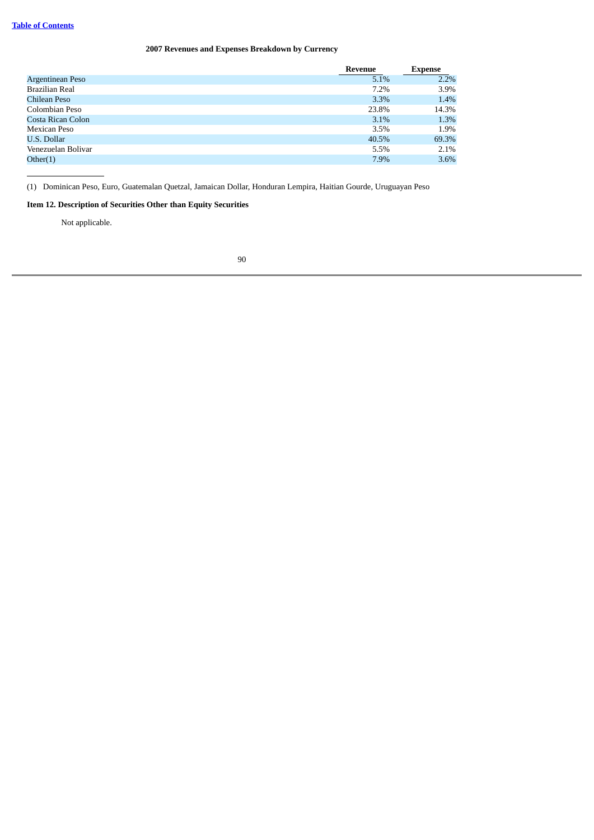# **2007 Revenues and Expenses Breakdown by Currency**

|                    | <b>Revenue</b> | <b>Expense</b> |
|--------------------|----------------|----------------|
| Argentinean Peso   | 5.1%           | 2.2%           |
| Brazilian Real     | 7.2%           | 3.9%           |
| Chilean Peso       | 3.3%           | 1.4%           |
| Colombian Peso     | 23.8%          | 14.3%          |
| Costa Rican Colon  | 3.1%           | 1.3%           |
| Mexican Peso       | 3.5%           | 1.9%           |
| U.S. Dollar        | 40.5%          | 69.3%          |
| Venezuelan Bolivar | 5.5%           | 2.1%           |
| Other(1)           | 7.9%           | 3.6%           |

(1) Dominican Peso, Euro, Guatemalan Quetzal, Jamaican Dollar, Honduran Lempira, Haitian Gourde, Uruguayan Peso

# **Item 12. Description of Securities Other than Equity Securities**

Not applicable.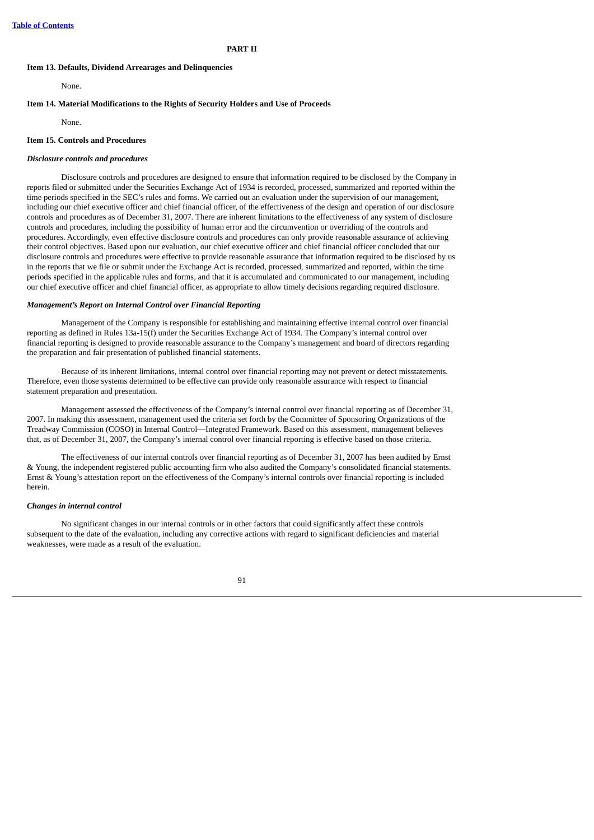#### **PART II**

#### **Item 13. Defaults, Dividend Arrearages and Delinquencies**

None.

## **Item 14. Material Modifications to the Rights of Security Holders and Use of Proceeds**

None.

## **Item 15. Controls and Procedures**

#### *Disclosure controls and procedures*

Disclosure controls and procedures are designed to ensure that information required to be disclosed by the Company in reports filed or submitted under the Securities Exchange Act of 1934 is recorded, processed, summarized and reported within the time periods specified in the SEC's rules and forms. We carried out an evaluation under the supervision of our management, including our chief executive officer and chief financial officer, of the effectiveness of the design and operation of our disclosure controls and procedures as of December 31, 2007. There are inherent limitations to the effectiveness of any system of disclosure controls and procedures, including the possibility of human error and the circumvention or overriding of the controls and procedures. Accordingly, even effective disclosure controls and procedures can only provide reasonable assurance of achieving their control objectives. Based upon our evaluation, our chief executive officer and chief financial officer concluded that our disclosure controls and procedures were effective to provide reasonable assurance that information required to be disclosed by us in the reports that we file or submit under the Exchange Act is recorded, processed, summarized and reported, within the time periods specified in the applicable rules and forms, and that it is accumulated and communicated to our management, including our chief executive officer and chief financial officer, as appropriate to allow timely decisions regarding required disclosure.

#### *Management's Report on Internal Control over Financial Reporting*

Management of the Company is responsible for establishing and maintaining effective internal control over financial reporting as defined in Rules 13a-15(f) under the Securities Exchange Act of 1934. The Company's internal control over financial reporting is designed to provide reasonable assurance to the Company's management and board of directors regarding the preparation and fair presentation of published financial statements.

Because of its inherent limitations, internal control over financial reporting may not prevent or detect misstatements. Therefore, even those systems determined to be effective can provide only reasonable assurance with respect to financial statement preparation and presentation.

Management assessed the effectiveness of the Company's internal control over financial reporting as of December 31, 2007. In making this assessment, management used the criteria set forth by the Committee of Sponsoring Organizations of the Treadway Commission (COSO) in Internal Control—Integrated Framework. Based on this assessment, management believes that, as of December 31, 2007, the Company's internal control over financial reporting is effective based on those criteria.

The effectiveness of our internal controls over financial reporting as of December 31, 2007 has been audited by Ernst & Young, the independent registered public accounting firm who also audited the Company's consolidated financial statements. Ernst & Young's attestation report on the effectiveness of the Company's internal controls over financial reporting is included herein.

#### *Changes in internal control*

No significant changes in our internal controls or in other factors that could significantly affect these controls subsequent to the date of the evaluation, including any corrective actions with regard to significant deficiencies and material weaknesses, were made as a result of the evaluation.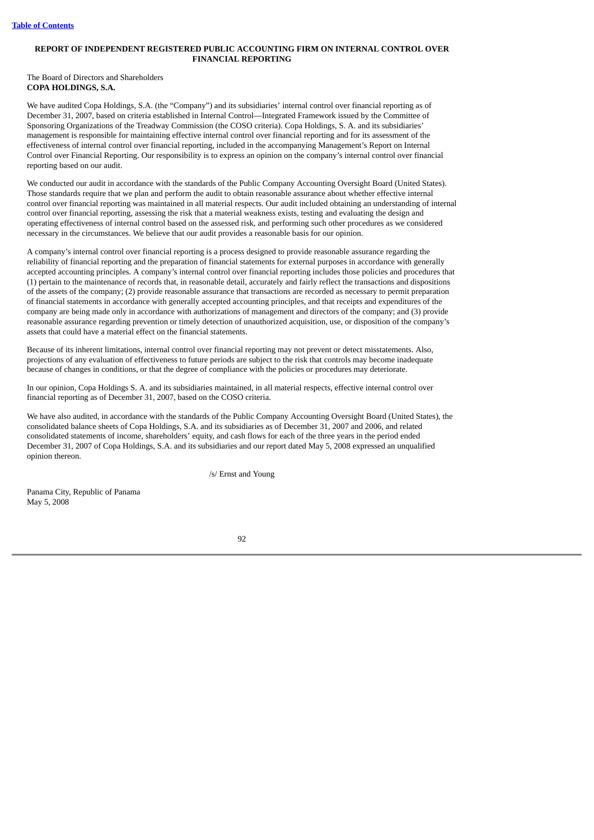# **REPORT OF INDEPENDENT REGISTERED PUBLIC ACCOUNTING FIRM ON INTERNAL CONTROL OVER FINANCIAL REPORTING**

The Board of Directors and Shareholders **COPA HOLDINGS, S.A.**

We have audited Copa Holdings, S.A. (the "Company") and its subsidiaries' internal control over financial reporting as of December 31, 2007, based on criteria established in Internal Control—Integrated Framework issued by the Committee of Sponsoring Organizations of the Treadway Commission (the COSO criteria). Copa Holdings, S. A. and its subsidiaries' management is responsible for maintaining effective internal control over financial reporting and for its assessment of the effectiveness of internal control over financial reporting, included in the accompanying Management's Report on Internal Control over Financial Reporting. Our responsibility is to express an opinion on the company's internal control over financial reporting based on our audit.

We conducted our audit in accordance with the standards of the Public Company Accounting Oversight Board (United States). Those standards require that we plan and perform the audit to obtain reasonable assurance about whether effective internal control over financial reporting was maintained in all material respects. Our audit included obtaining an understanding of internal control over financial reporting, assessing the risk that a material weakness exists, testing and evaluating the design and operating effectiveness of internal control based on the assessed risk, and performing such other procedures as we considered necessary in the circumstances. We believe that our audit provides a reasonable basis for our opinion.

A company's internal control over financial reporting is a process designed to provide reasonable assurance regarding the reliability of financial reporting and the preparation of financial statements for external purposes in accordance with generally accepted accounting principles. A company's internal control over financial reporting includes those policies and procedures that (1) pertain to the maintenance of records that, in reasonable detail, accurately and fairly reflect the transactions and dispositions of the assets of the company; (2) provide reasonable assurance that transactions are recorded as necessary to permit preparation of financial statements in accordance with generally accepted accounting principles, and that receipts and expenditures of the company are being made only in accordance with authorizations of management and directors of the company; and (3) provide reasonable assurance regarding prevention or timely detection of unauthorized acquisition, use, or disposition of the company's assets that could have a material effect on the financial statements.

Because of its inherent limitations, internal control over financial reporting may not prevent or detect misstatements. Also, projections of any evaluation of effectiveness to future periods are subject to the risk that controls may become inadequate because of changes in conditions, or that the degree of compliance with the policies or procedures may deteriorate.

In our opinion, Copa Holdings S. A. and its subsidiaries maintained, in all material respects, effective internal control over financial reporting as of December 31, 2007, based on the COSO criteria.

We have also audited, in accordance with the standards of the Public Company Accounting Oversight Board (United States), the consolidated balance sheets of Copa Holdings, S.A. and its subsidiaries as of December 31, 2007 and 2006, and related consolidated statements of income, shareholders' equity, and cash flows for each of the three years in the period ended December 31, 2007 of Copa Holdings, S.A. and its subsidiaries and our report dated May 5, 2008 expressed an unqualified opinion thereon.

/s/ Ernst and Young

Panama City, Republic of Panama May 5, 2008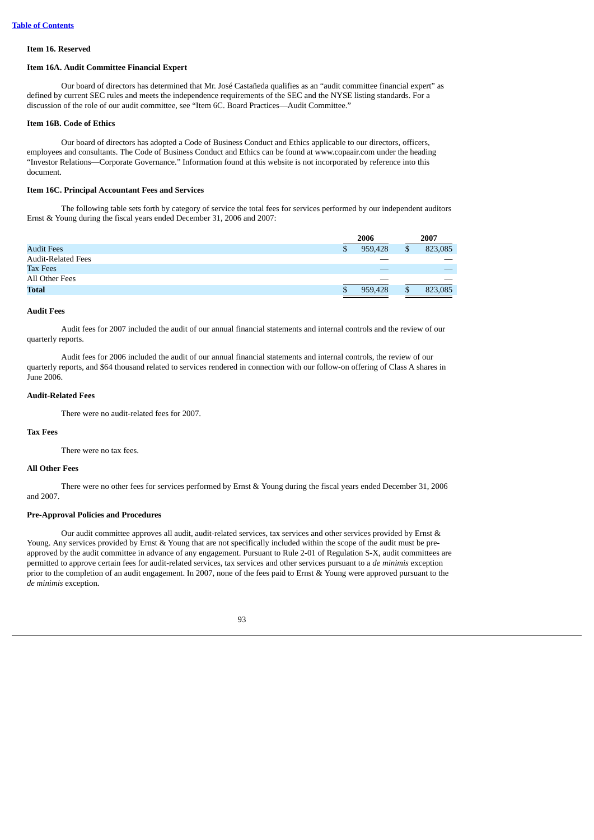# **Item 16. Reserved**

#### **Item 16A. Audit Committee Financial Expert**

Our board of directors has determined that Mr. José Castañeda qualifies as an "audit committee financial expert" as defined by current SEC rules and meets the independence requirements of the SEC and the NYSE listing standards. For a discussion of the role of our audit committee, see "Item 6C. Board Practices—Audit Committee."

#### **Item 16B. Code of Ethics**

Our board of directors has adopted a Code of Business Conduct and Ethics applicable to our directors, officers, employees and consultants. The Code of Business Conduct and Ethics can be found at www.copaair.com under the heading "Investor Relations—Corporate Governance." Information found at this website is not incorporated by reference into this document.

## **Item 16C. Principal Accountant Fees and Services**

The following table sets forth by category of service the total fees for services performed by our independent auditors Ernst & Young during the fiscal years ended December 31, 2006 and 2007:

|                           | 2006    |    | 2007    |  |
|---------------------------|---------|----|---------|--|
| <b>Audit Fees</b>         | 959,428 | \$ | 823,085 |  |
| <b>Audit-Related Fees</b> |         |    |         |  |
| <b>Tax Fees</b>           |         |    |         |  |
| All Other Fees            |         |    |         |  |
| <b>Total</b>              | 959,428 | \$ | 823,085 |  |

## **Audit Fees**

Audit fees for 2007 included the audit of our annual financial statements and internal controls and the review of our quarterly reports.

Audit fees for 2006 included the audit of our annual financial statements and internal controls, the review of our quarterly reports, and \$64 thousand related to services rendered in connection with our follow-on offering of Class A shares in June 2006.

## **Audit-Related Fees**

There were no audit-related fees for 2007.

## **Tax Fees**

There were no tax fees.

### **All Other Fees**

There were no other fees for services performed by Ernst & Young during the fiscal years ended December 31, 2006 and 2007.

#### **Pre-Approval Policies and Procedures**

Our audit committee approves all audit, audit-related services, tax services and other services provided by Ernst & Young. Any services provided by Ernst & Young that are not specifically included within the scope of the audit must be preapproved by the audit committee in advance of any engagement. Pursuant to Rule 2-01 of Regulation S-X, audit committees are permitted to approve certain fees for audit-related services, tax services and other services pursuant to a *de minimis* exception prior to the completion of an audit engagement. In 2007, none of the fees paid to Ernst & Young were approved pursuant to the *de minimis* exception.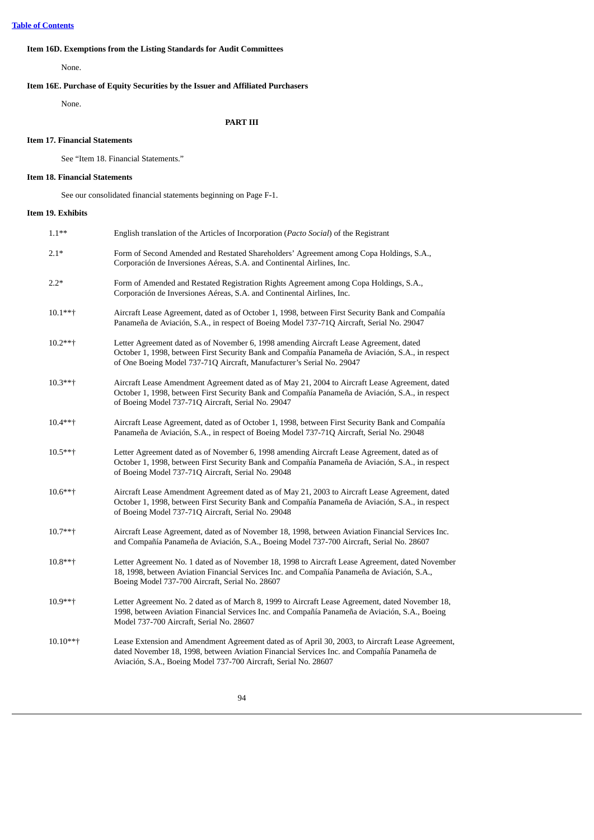# **Item 16D. Exemptions from the Listing Standards for Audit Committees**

None.

# **Item 16E. Purchase of Equity Securities by the Issuer and Affiliated Purchasers**

None.

# **PART III**

# **Item 17. Financial Statements**

See "Item 18. Financial Statements."

## **Item 18. Financial Statements**

See our consolidated financial statements beginning on Page F-1.

# **Item 19. Exhibits**

| $1.1***$  | English translation of the Articles of Incorporation (Pacto Social) of the Registrant                                                                                                                                                                               |
|-----------|---------------------------------------------------------------------------------------------------------------------------------------------------------------------------------------------------------------------------------------------------------------------|
| $2.1*$    | Form of Second Amended and Restated Shareholders' Agreement among Copa Holdings, S.A.,<br>Corporación de Inversiones Aéreas, S.A. and Continental Airlines, Inc.                                                                                                    |
| $2.2*$    | Form of Amended and Restated Registration Rights Agreement among Copa Holdings, S.A.,<br>Corporación de Inversiones Aéreas, S.A. and Continental Airlines, Inc.                                                                                                     |
| $10.1***$ | Aircraft Lease Agreement, dated as of October 1, 1998, between First Security Bank and Compañía<br>Panameña de Aviación, S.A., in respect of Boeing Model 737-71Q Aircraft, Serial No. 29047                                                                        |
| $10.2***$ | Letter Agreement dated as of November 6, 1998 amending Aircraft Lease Agreement, dated<br>October 1, 1998, between First Security Bank and Compañía Panameña de Aviación, S.A., in respect<br>of One Boeing Model 737-71Q Aircraft, Manufacturer's Serial No. 29047 |
| $10.3***$ | Aircraft Lease Amendment Agreement dated as of May 21, 2004 to Aircraft Lease Agreement, dated<br>October 1, 1998, between First Security Bank and Compañía Panameña de Aviación, S.A., in respect<br>of Boeing Model 737-71Q Aircraft, Serial No. 29047            |
| $10.4***$ | Aircraft Lease Agreement, dated as of October 1, 1998, between First Security Bank and Compañía<br>Panameña de Aviación, S.A., in respect of Boeing Model 737-71Q Aircraft, Serial No. 29048                                                                        |
| $10.5***$ | Letter Agreement dated as of November 6, 1998 amending Aircraft Lease Agreement, dated as of<br>October 1, 1998, between First Security Bank and Compañía Panameña de Aviación, S.A., in respect<br>of Boeing Model 737-71Q Aircraft, Serial No. 29048              |
| 10.6**†   | Aircraft Lease Amendment Agreement dated as of May 21, 2003 to Aircraft Lease Agreement, dated<br>October 1, 1998, between First Security Bank and Compañía Panameña de Aviación, S.A., in respect<br>of Boeing Model 737-71Q Aircraft, Serial No. 29048            |
| $10.7***$ | Aircraft Lease Agreement, dated as of November 18, 1998, between Aviation Financial Services Inc.<br>and Compañía Panameña de Aviación, S.A., Boeing Model 737-700 Aircraft, Serial No. 28607                                                                       |
| 10.8**†   | Letter Agreement No. 1 dated as of November 18, 1998 to Aircraft Lease Agreement, dated November<br>18, 1998, between Aviation Financial Services Inc. and Compañía Panameña de Aviación, S.A.,<br>Boeing Model 737-700 Aircraft, Serial No. 28607                  |
| $10.9***$ | Letter Agreement No. 2 dated as of March 8, 1999 to Aircraft Lease Agreement, dated November 18,<br>1998, between Aviation Financial Services Inc. and Compañía Panameña de Aviación, S.A., Boeing<br>Model 737-700 Aircraft, Serial No. 28607                      |
| 10.10**†  | Lease Extension and Amendment Agreement dated as of April 30, 2003, to Aircraft Lease Agreement,<br>dated November 18, 1998, between Aviation Financial Services Inc. and Compañía Panameña de<br>Aviación, S.A., Boeing Model 737-700 Aircraft, Serial No. 28607   |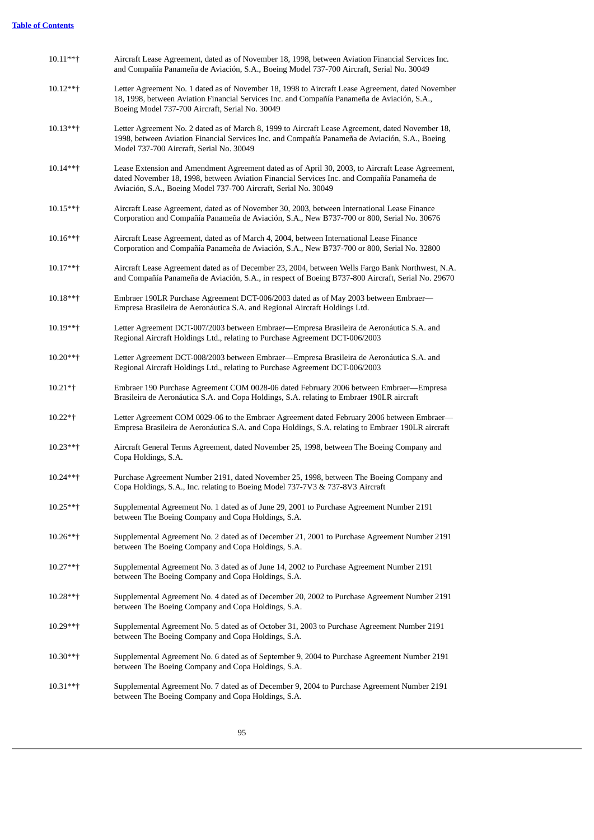| $10.11***$ | Aircraft Lease Agreement, dated as of November 18, 1998, between Aviation Financial Services Inc.<br>and Compañía Panameña de Aviación, S.A., Boeing Model 737-700 Aircraft, Serial No. 30049                                                                     |
|------------|-------------------------------------------------------------------------------------------------------------------------------------------------------------------------------------------------------------------------------------------------------------------|
| 10.12**†   | Letter Agreement No. 1 dated as of November 18, 1998 to Aircraft Lease Agreement, dated November<br>18, 1998, between Aviation Financial Services Inc. and Compañía Panameña de Aviación, S.A.,<br>Boeing Model 737-700 Aircraft, Serial No. 30049                |
| $10.13***$ | Letter Agreement No. 2 dated as of March 8, 1999 to Aircraft Lease Agreement, dated November 18,<br>1998, between Aviation Financial Services Inc. and Compañía Panameña de Aviación, S.A., Boeing<br>Model 737-700 Aircraft, Serial No. 30049                    |
| 10.14**†   | Lease Extension and Amendment Agreement dated as of April 30, 2003, to Aircraft Lease Agreement,<br>dated November 18, 1998, between Aviation Financial Services Inc. and Compañía Panameña de<br>Aviación, S.A., Boeing Model 737-700 Aircraft, Serial No. 30049 |
| 10.15**†   | Aircraft Lease Agreement, dated as of November 30, 2003, between International Lease Finance<br>Corporation and Compañía Panameña de Aviación, S.A., New B737-700 or 800, Serial No. 30676                                                                        |
| $10.16***$ | Aircraft Lease Agreement, dated as of March 4, 2004, between International Lease Finance<br>Corporation and Compañía Panameña de Aviación, S.A., New B737-700 or 800, Serial No. 32800                                                                            |
| 10.17**†   | Aircraft Lease Agreement dated as of December 23, 2004, between Wells Fargo Bank Northwest, N.A.<br>and Compañía Panameña de Aviación, S.A., in respect of Boeing B737-800 Aircraft, Serial No. 29670                                                             |
| $10.18**$  | Embraer 190LR Purchase Agreement DCT-006/2003 dated as of May 2003 between Embraer—<br>Empresa Brasileira de Aeronáutica S.A. and Regional Aircraft Holdings Ltd.                                                                                                 |
| 10.19**†   | Letter Agreement DCT-007/2003 between Embraer—Empresa Brasileira de Aeronáutica S.A. and<br>Regional Aircraft Holdings Ltd., relating to Purchase Agreement DCT-006/2003                                                                                          |
| 10.20**†   | Letter Agreement DCT-008/2003 between Embraer—Empresa Brasileira de Aeronáutica S.A. and<br>Regional Aircraft Holdings Ltd., relating to Purchase Agreement DCT-006/2003                                                                                          |
| $10.21**$  | Embraer 190 Purchase Agreement COM 0028-06 dated February 2006 between Embraer-Empresa<br>Brasileira de Aeronáutica S.A. and Copa Holdings, S.A. relating to Embraer 190LR aircraft                                                                               |
| 10.22*†    | Letter Agreement COM 0029-06 to the Embraer Agreement dated February 2006 between Embraer—<br>Empresa Brasileira de Aeronáutica S.A. and Copa Holdings, S.A. relating to Embraer 190LR aircraft                                                                   |
| 10.23**†   | Aircraft General Terms Agreement, dated November 25, 1998, between The Boeing Company and<br>Copa Holdings, S.A.                                                                                                                                                  |
| $10.24**+$ | Purchase Agreement Number 2191, dated November 25, 1998, between The Boeing Company and<br>Copa Holdings, S.A., Inc. relating to Boeing Model 737-7V3 & 737-8V3 Aircraft                                                                                          |
| $10.25***$ | Supplemental Agreement No. 1 dated as of June 29, 2001 to Purchase Agreement Number 2191<br>between The Boeing Company and Copa Holdings, S.A.                                                                                                                    |
| 10.26**†   | Supplemental Agreement No. 2 dated as of December 21, 2001 to Purchase Agreement Number 2191<br>between The Boeing Company and Copa Holdings, S.A.                                                                                                                |
| $10.27***$ | Supplemental Agreement No. 3 dated as of June 14, 2002 to Purchase Agreement Number 2191<br>between The Boeing Company and Copa Holdings, S.A.                                                                                                                    |
| 10.28**†   | Supplemental Agreement No. 4 dated as of December 20, 2002 to Purchase Agreement Number 2191<br>between The Boeing Company and Copa Holdings, S.A.                                                                                                                |
| $10.29***$ | Supplemental Agreement No. 5 dated as of October 31, 2003 to Purchase Agreement Number 2191<br>between The Boeing Company and Copa Holdings, S.A.                                                                                                                 |
| 10.30**†   | Supplemental Agreement No. 6 dated as of September 9, 2004 to Purchase Agreement Number 2191<br>between The Boeing Company and Copa Holdings, S.A.                                                                                                                |
| $10.31***$ | Supplemental Agreement No. 7 dated as of December 9, 2004 to Purchase Agreement Number 2191<br>between The Boeing Company and Copa Holdings, S.A.                                                                                                                 |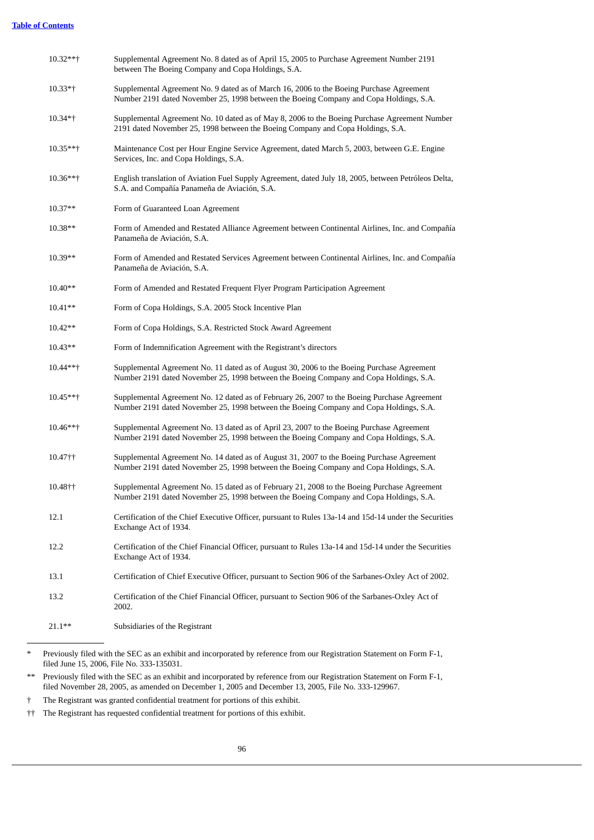| 10.32**†   | Supplemental Agreement No. 8 dated as of April 15, 2005 to Purchase Agreement Number 2191<br>between The Boeing Company and Copa Holdings, S.A.                                        |
|------------|----------------------------------------------------------------------------------------------------------------------------------------------------------------------------------------|
| $10.33*$ † | Supplemental Agreement No. 9 dated as of March 16, 2006 to the Boeing Purchase Agreement<br>Number 2191 dated November 25, 1998 between the Boeing Company and Copa Holdings, S.A.     |
| $10.34**$  | Supplemental Agreement No. 10 dated as of May 8, 2006 to the Boeing Purchase Agreement Number<br>2191 dated November 25, 1998 between the Boeing Company and Copa Holdings, S.A.       |
| $10.35***$ | Maintenance Cost per Hour Engine Service Agreement, dated March 5, 2003, between G.E. Engine<br>Services, Inc. and Copa Holdings, S.A.                                                 |
| $10.36***$ | English translation of Aviation Fuel Supply Agreement, dated July 18, 2005, between Petróleos Delta,<br>S.A. and Compañía Panameña de Aviación, S.A.                                   |
| $10.37**$  | Form of Guaranteed Loan Agreement                                                                                                                                                      |
| $10.38**$  | Form of Amended and Restated Alliance Agreement between Continental Airlines, Inc. and Compañía<br>Panameña de Aviación, S.A.                                                          |
| $10.39**$  | Form of Amended and Restated Services Agreement between Continental Airlines, Inc. and Compañía<br>Panameña de Aviación, S.A.                                                          |
| $10.40**$  | Form of Amended and Restated Frequent Flyer Program Participation Agreement                                                                                                            |
| $10.41**$  | Form of Copa Holdings, S.A. 2005 Stock Incentive Plan                                                                                                                                  |
| $10.42**$  | Form of Copa Holdings, S.A. Restricted Stock Award Agreement                                                                                                                           |
| $10.43**$  | Form of Indemnification Agreement with the Registrant's directors                                                                                                                      |
| 10.44**†   | Supplemental Agreement No. 11 dated as of August 30, 2006 to the Boeing Purchase Agreement<br>Number 2191 dated November 25, 1998 between the Boeing Company and Copa Holdings, S.A.   |
| 10.45**†   | Supplemental Agreement No. 12 dated as of February 26, 2007 to the Boeing Purchase Agreement<br>Number 2191 dated November 25, 1998 between the Boeing Company and Copa Holdings, S.A. |
| $10.46***$ | Supplemental Agreement No. 13 dated as of April 23, 2007 to the Boeing Purchase Agreement<br>Number 2191 dated November 25, 1998 between the Boeing Company and Copa Holdings, S.A.    |
| 10.47††    | Supplemental Agreement No. 14 dated as of August 31, 2007 to the Boeing Purchase Agreement<br>Number 2191 dated November 25, 1998 between the Boeing Company and Copa Holdings, S.A.   |
| 10.48††    | Supplemental Agreement No. 15 dated as of February 21, 2008 to the Boeing Purchase Agreement<br>Number 2191 dated November 25, 1998 between the Boeing Company and Copa Holdings, S.A. |
| 12.1       | Certification of the Chief Executive Officer, pursuant to Rules 13a-14 and 15d-14 under the Securities<br>Exchange Act of 1934.                                                        |
| 12.2       | Certification of the Chief Financial Officer, pursuant to Rules 13a-14 and 15d-14 under the Securities<br>Exchange Act of 1934.                                                        |
| 13.1       | Certification of Chief Executive Officer, pursuant to Section 906 of the Sarbanes-Oxley Act of 2002.                                                                                   |
| 13.2       | Certification of the Chief Financial Officer, pursuant to Section 906 of the Sarbanes-Oxley Act of<br>2002.                                                                            |
| $21.1***$  | Subsidiaries of the Registrant                                                                                                                                                         |

<sup>\*</sup> Previously filed with the SEC as an exhibit and incorporated by reference from our Registration Statement on Form F-1, filed June 15, 2006, File No. 333-135031.

<sup>\*\*</sup> Previously filed with the SEC as an exhibit and incorporated by reference from our Registration Statement on Form F-1, filed November 28, 2005, as amended on December 1, 2005 and December 13, 2005, File No. 333-129967.

<sup>†</sup> The Registrant was granted confidential treatment for portions of this exhibit.

<sup>††</sup> The Registrant has requested confidential treatment for portions of this exhibit.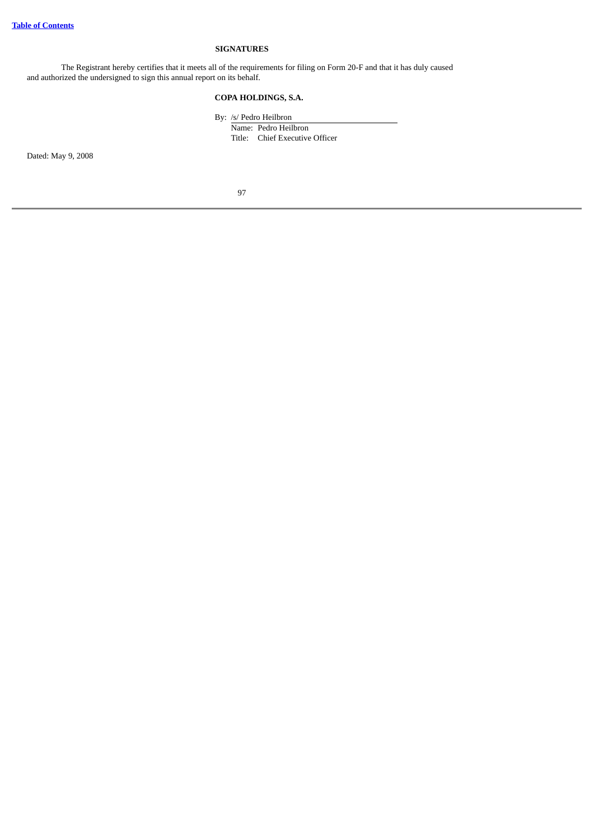# **SIGNATURES**

The Registrant hereby certifies that it meets all of the requirements for filing on Form 20-F and that it has duly caused and authorized the undersigned to sign this annual report on its behalf.

# **COPA HOLDINGS, S.A.**

By: /s/ Pedro Heilbron Name: Pedro Heilbron Title: Chief Executive Officer

Dated: May 9, 2008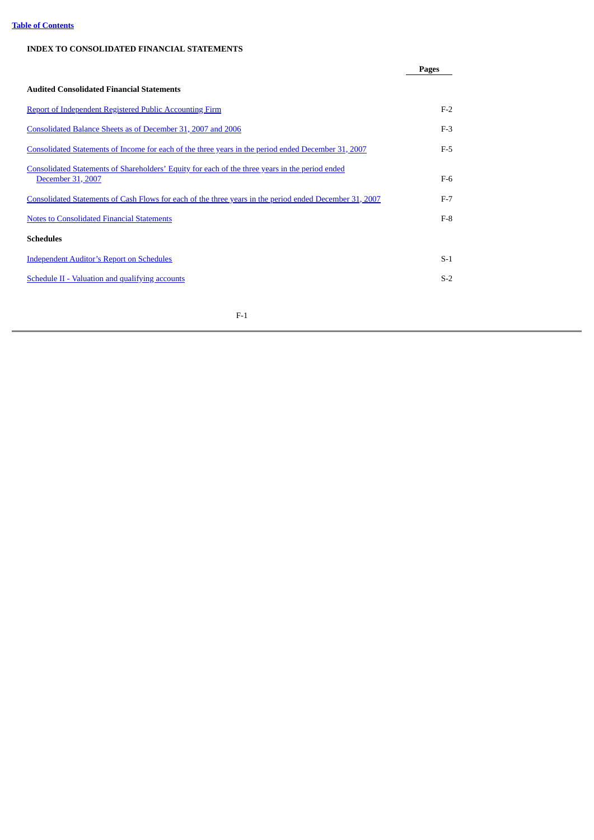# **Table of [Contents](#page-3-0)**

# **INDEX TO CONSOLIDATED FINANCIAL STATEMENTS**

|                                                                                                                      | Pages |
|----------------------------------------------------------------------------------------------------------------------|-------|
| <b>Audited Consolidated Financial Statements</b>                                                                     |       |
| <b>Report of Independent Registered Public Accounting Firm</b>                                                       | $F-2$ |
| Consolidated Balance Sheets as of December 31, 2007 and 2006                                                         | $F-3$ |
| Consolidated Statements of Income for each of the three years in the period ended December 31, 2007                  | $F-5$ |
| Consolidated Statements of Shareholders' Equity for each of the three years in the period ended<br>December 31, 2007 | $F-6$ |
| Consolidated Statements of Cash Flows for each of the three years in the period ended December 31, 2007              | $F-7$ |
| <b>Notes to Consolidated Financial Statements</b>                                                                    | $F-8$ |
| <b>Schedules</b>                                                                                                     |       |
| <b>Independent Auditor's Report on Schedules</b>                                                                     | $S-1$ |
| <b>Schedule II - Valuation and qualifying accounts</b>                                                               | $S-2$ |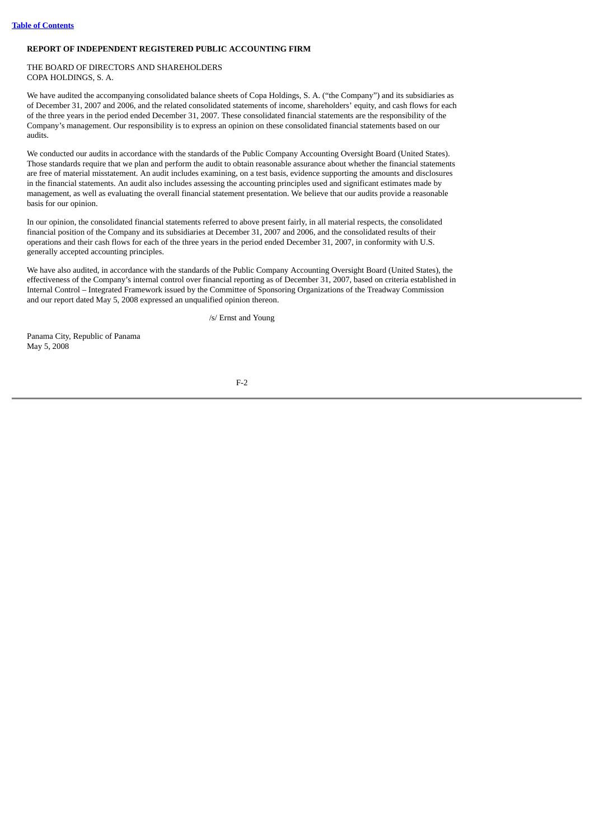## <span id="page-104-0"></span>**REPORT OF INDEPENDENT REGISTERED PUBLIC ACCOUNTING FIRM**

## THE BOARD OF DIRECTORS AND SHAREHOLDERS COPA HOLDINGS, S. A.

We have audited the accompanying consolidated balance sheets of Copa Holdings, S. A. ("the Company") and its subsidiaries as of December 31, 2007 and 2006, and the related consolidated statements of income, shareholders' equity, and cash flows for each of the three years in the period ended December 31, 2007. These consolidated financial statements are the responsibility of the Company's management. Our responsibility is to express an opinion on these consolidated financial statements based on our audits.

We conducted our audits in accordance with the standards of the Public Company Accounting Oversight Board (United States). Those standards require that we plan and perform the audit to obtain reasonable assurance about whether the financial statements are free of material misstatement. An audit includes examining, on a test basis, evidence supporting the amounts and disclosures in the financial statements. An audit also includes assessing the accounting principles used and significant estimates made by management, as well as evaluating the overall financial statement presentation. We believe that our audits provide a reasonable basis for our opinion.

In our opinion, the consolidated financial statements referred to above present fairly, in all material respects, the consolidated financial position of the Company and its subsidiaries at December 31, 2007 and 2006, and the consolidated results of their operations and their cash flows for each of the three years in the period ended December 31, 2007, in conformity with U.S. generally accepted accounting principles.

We have also audited, in accordance with the standards of the Public Company Accounting Oversight Board (United States), the effectiveness of the Company's internal control over financial reporting as of December 31, 2007, based on criteria established in Internal Control – Integrated Framework issued by the Committee of Sponsoring Organizations of the Treadway Commission and our report dated May 5, 2008 expressed an unqualified opinion thereon.

/s/ Ernst and Young

Panama City, Republic of Panama May 5, 2008

 $F<sub>2</sub>$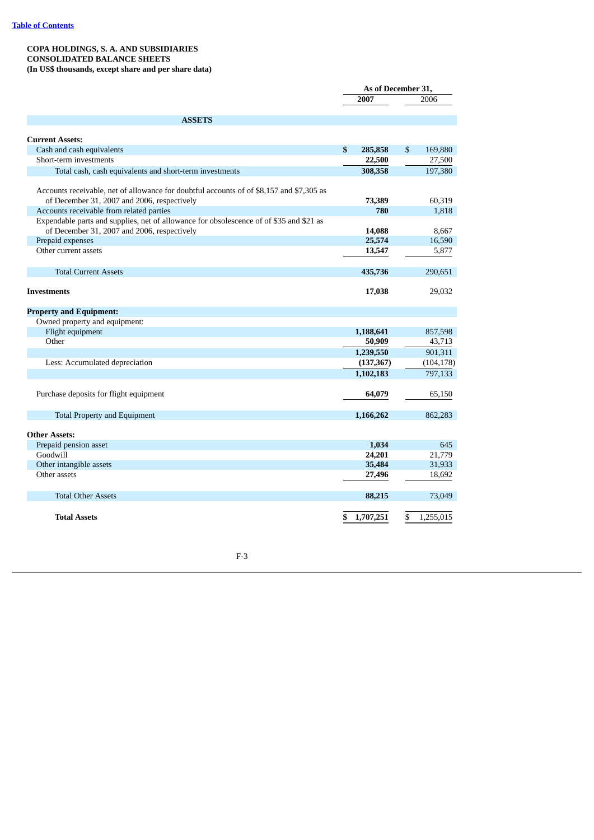## <span id="page-105-0"></span>**COPA HOLDINGS, S. A. AND SUBSIDIARIES CONSOLIDATED BALANCE SHEETS (In US\$ thousands, except share and per share data)**

|                                                                                          | As of December 31, |    |            |
|------------------------------------------------------------------------------------------|--------------------|----|------------|
|                                                                                          | 2007               |    | 2006       |
| <b>ASSETS</b>                                                                            |                    |    |            |
|                                                                                          |                    |    |            |
| <b>Current Assets:</b>                                                                   |                    |    |            |
| Cash and cash equivalents                                                                | \$<br>285,858      | \$ | 169,880    |
| Short-term investments                                                                   | 22,500             |    | 27,500     |
| Total cash, cash equivalents and short-term investments                                  | 308,358            |    | 197,380    |
| Accounts receivable, net of allowance for doubtful accounts of of \$8,157 and \$7,305 as |                    |    |            |
| of December 31, 2007 and 2006, respectively                                              | 73,389             |    | 60,319     |
| Accounts receivable from related parties                                                 | 780                |    | 1,818      |
| Expendable parts and supplies, net of allowance for obsolescence of of \$35 and \$21 as  |                    |    |            |
| of December 31, 2007 and 2006, respectively                                              | 14,088             |    | 8.667      |
| Prepaid expenses                                                                         | 25,574             |    | 16,590     |
| Other current assets                                                                     | 13,547             |    | 5,877      |
|                                                                                          |                    |    |            |
| <b>Total Current Assets</b>                                                              | 435,736            |    | 290,651    |
|                                                                                          |                    |    |            |
| <b>Investments</b>                                                                       | 17,038             |    | 29,032     |
| <b>Property and Equipment:</b>                                                           |                    |    |            |
| Owned property and equipment:                                                            |                    |    |            |
| Flight equipment                                                                         | 1,188,641          |    | 857,598    |
| Other                                                                                    | 50,909             |    | 43,713     |
|                                                                                          | 1,239,550          |    | 901,311    |
| Less: Accumulated depreciation                                                           | (137, 367)         |    | (104, 178) |
|                                                                                          | 1,102,183          |    | 797,133    |
|                                                                                          |                    |    |            |
| Purchase deposits for flight equipment                                                   | 64,079             |    | 65,150     |
| <b>Total Property and Equipment</b>                                                      | 1,166,262          |    | 862,283    |
|                                                                                          |                    |    |            |
| <b>Other Assets:</b>                                                                     |                    |    |            |
| Prepaid pension asset                                                                    | 1,034              |    | 645        |
| Goodwill                                                                                 | 24,201             |    | 21.779     |
| Other intangible assets                                                                  | 35,484             |    | 31,933     |
| Other assets                                                                             | 27,496             |    | 18,692     |
| <b>Total Other Assets</b>                                                                | 88,215             |    | 73,049     |
|                                                                                          |                    |    |            |
| <b>Total Assets</b>                                                                      | \$<br>1,707,251    | \$ | 1,255,015  |
|                                                                                          |                    |    |            |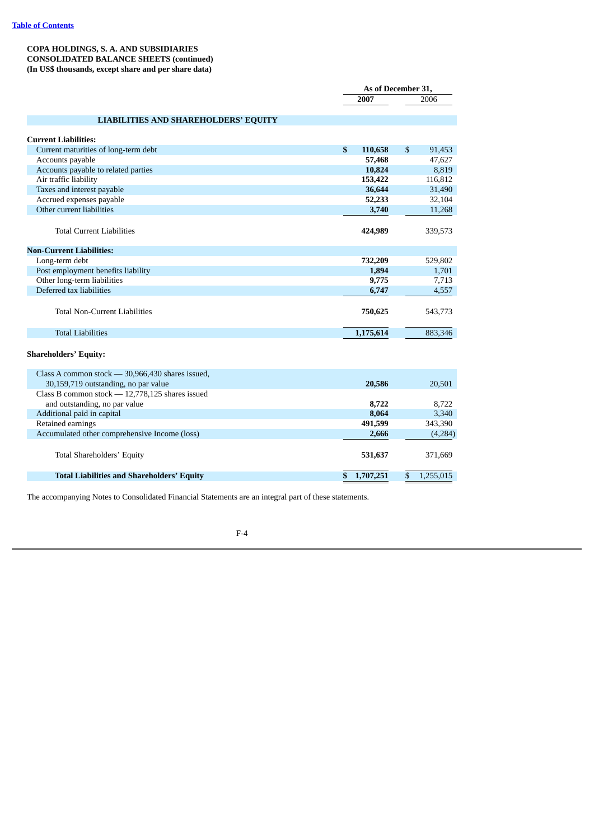## **COPA HOLDINGS, S. A. AND SUBSIDIARIES CONSOLIDATED BALANCE SHEETS (continued) (In US\$ thousands, except share and per share data)**

|                                                   |               | As of December 31, |           |  |
|---------------------------------------------------|---------------|--------------------|-----------|--|
|                                                   | 2007          |                    | 2006      |  |
|                                                   |               |                    |           |  |
| <b>LIABILITIES AND SHAREHOLDERS' EQUITY</b>       |               |                    |           |  |
|                                                   |               |                    |           |  |
| <b>Current Liabilities:</b>                       |               |                    |           |  |
| Current maturities of long-term debt              | \$<br>110,658 | \$                 | 91,453    |  |
| Accounts payable                                  | 57,468        |                    | 47,627    |  |
| Accounts payable to related parties               | 10,824        |                    | 8,819     |  |
| Air traffic liability                             | 153,422       |                    | 116,812   |  |
| Taxes and interest payable                        | 36,644        |                    | 31,490    |  |
| Accrued expenses payable                          | 52,233        |                    | 32,104    |  |
| Other current liabilities                         | 3,740         |                    | 11,268    |  |
|                                                   |               |                    |           |  |
| <b>Total Current Liabilities</b>                  | 424,989       |                    | 339,573   |  |
|                                                   |               |                    |           |  |
| <b>Non-Current Liabilities:</b>                   |               |                    |           |  |
| Long-term debt                                    | 732,209       |                    | 529,802   |  |
| Post employment benefits liability                | 1,894         |                    | 1,701     |  |
| Other long-term liabilities                       | 9,775         |                    | 7,713     |  |
| Deferred tax liabilities                          | 6,747         |                    | 4,557     |  |
|                                                   |               |                    |           |  |
| <b>Total Non-Current Liabilities</b>              | 750,625       |                    | 543,773   |  |
|                                                   |               |                    |           |  |
| <b>Total Liabilities</b>                          | 1,175,614     |                    | 883,346   |  |
|                                                   |               |                    |           |  |
| <b>Shareholders' Equity:</b>                      |               |                    |           |  |
|                                                   |               |                    |           |  |
| Class A common stock - 30,966,430 shares issued,  |               |                    |           |  |
| 30,159,719 outstanding, no par value              | 20,586        |                    | 20,501    |  |
| Class B common stock $-12,778,125$ shares issued  |               |                    |           |  |
| and outstanding, no par value                     | 8,722         |                    | 8,722     |  |
| Additional paid in capital                        | 8,064         |                    | 3,340     |  |
| Retained earnings                                 | 491,599       |                    | 343,390   |  |
| Accumulated other comprehensive Income (loss)     | 2,666         |                    | (4,284)   |  |
|                                                   |               |                    |           |  |
| Total Shareholders' Equity                        | 531,637       |                    | 371,669   |  |
|                                                   |               |                    |           |  |
|                                                   | \$1,707,251   | \$                 | 1,255,015 |  |
| <b>Total Liabilities and Shareholders' Equity</b> |               |                    |           |  |

The accompanying Notes to Consolidated Financial Statements are an integral part of these statements.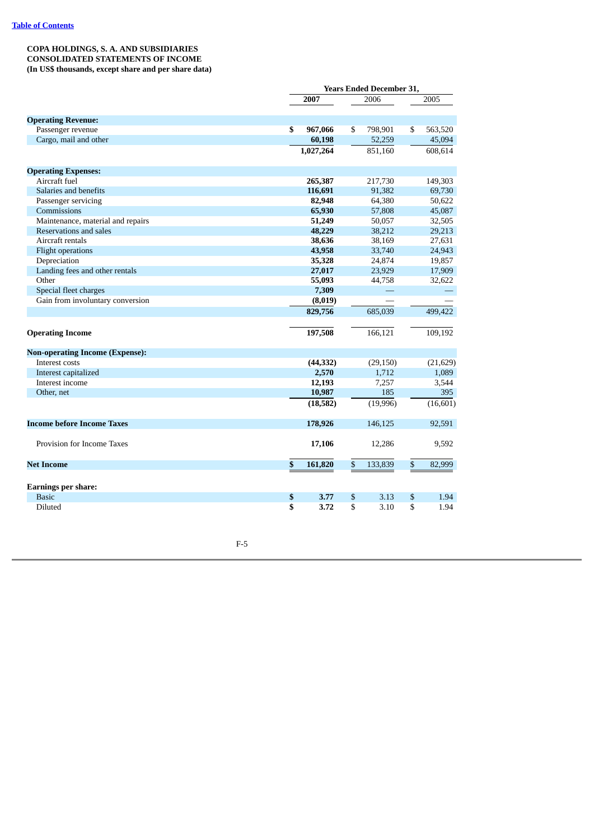## <span id="page-107-0"></span>**COPA HOLDINGS, S. A. AND SUBSIDIARIES CONSOLIDATED STATEMENTS OF INCOME (In US\$ thousands, except share and per share data)**

|                                        |               | <b>Years Ended December 31,</b> |           |    |           |
|----------------------------------------|---------------|---------------------------------|-----------|----|-----------|
|                                        | 2007          |                                 | 2006      |    | 2005      |
|                                        |               |                                 |           |    |           |
| <b>Operating Revenue:</b>              |               |                                 |           |    |           |
| Passenger revenue                      | \$<br>967,066 | \$                              | 798,901   | \$ | 563,520   |
| Cargo, mail and other                  | 60,198        |                                 | 52,259    |    | 45,094    |
|                                        | 1,027,264     |                                 | 851,160   |    | 608,614   |
| <b>Operating Expenses:</b>             |               |                                 |           |    |           |
| Aircraft fuel                          | 265,387       |                                 | 217,730   |    | 149,303   |
| Salaries and benefits                  | 116,691       |                                 | 91,382    |    | 69,730    |
| Passenger servicing                    | 82,948        |                                 | 64,380    |    | 50,622    |
| Commissions                            | 65,930        |                                 | 57,808    |    | 45,087    |
| Maintenance, material and repairs      | 51,249        |                                 | 50,057    |    | 32,505    |
| Reservations and sales                 | 48,229        |                                 | 38,212    |    | 29,213    |
| Aircraft rentals                       | 38,636        |                                 | 38,169    |    | 27,631    |
| <b>Flight operations</b>               | 43,958        |                                 | 33,740    |    | 24,943    |
| Depreciation                           | 35,328        |                                 | 24,874    |    | 19,857    |
| Landing fees and other rentals         | 27,017        |                                 | 23,929    |    | 17,909    |
| Other                                  | 55,093        |                                 | 44,758    |    | 32,622    |
| Special fleet charges                  | 7,309         |                                 |           |    |           |
| Gain from involuntary conversion       | (8,019)       |                                 |           |    |           |
|                                        | 829,756       |                                 | 685,039   |    | 499,422   |
| <b>Operating Income</b>                | 197,508       |                                 | 166,121   |    | 109,192   |
| <b>Non-operating Income (Expense):</b> |               |                                 |           |    |           |
| Interest costs                         | (44, 332)     |                                 | (29, 150) |    | (21,629)  |
| Interest capitalized                   | 2,570         |                                 | 1,712     |    | 1,089     |
| Interest income                        | 12,193        |                                 | 7,257     |    | 3,544     |
| Other, net                             | 10,987        |                                 | 185       |    | 395       |
|                                        | (18, 582)     |                                 | (19,996)  |    | (16, 601) |
| <b>Income before Income Taxes</b>      | 178,926       |                                 | 146,125   |    | 92,591    |
| Provision for Income Taxes             | 17,106        |                                 | 12,286    |    | 9,592     |
| <b>Net Income</b>                      | \$<br>161,820 | \$                              | 133,839   | \$ | 82,999    |
| <b>Earnings per share:</b>             |               |                                 |           |    |           |
| <b>Basic</b>                           | \$<br>3.77    | \$                              | 3.13      | \$ | 1.94      |
| Diluted                                | \$<br>3.72    | \$                              | 3.10      | \$ | 1.94      |
|                                        |               |                                 |           |    |           |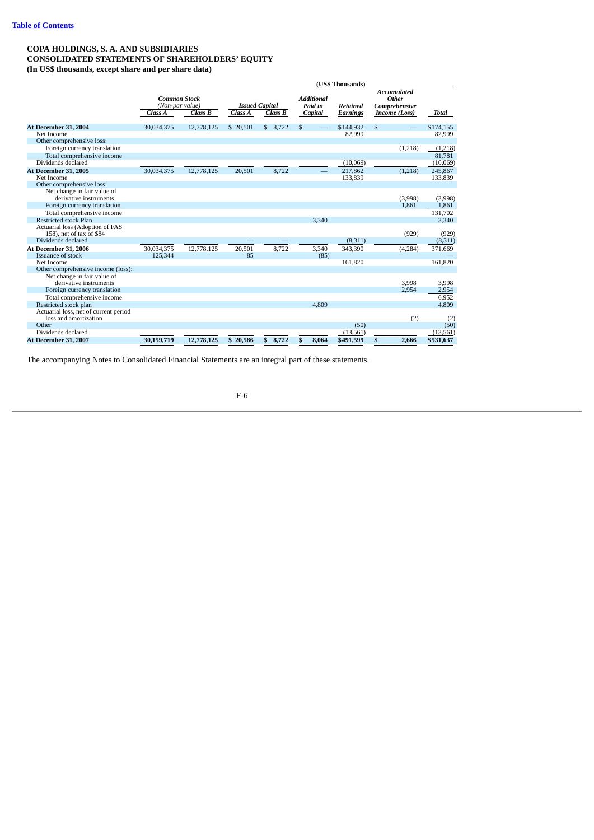### **COPA HOLDINGS, S. A. AND SUBSIDIARIES CONSOLIDATED STATEMENTS OF SHAREHOLDERS' EQUITY (In US\$ thousands, except share and per share data)**

|                                                             |                                                   |            |                                  |             |                                         | (US\$ Thousands)                   |                                                               |           |
|-------------------------------------------------------------|---------------------------------------------------|------------|----------------------------------|-------------|-----------------------------------------|------------------------------------|---------------------------------------------------------------|-----------|
|                                                             | <b>Common Stock</b><br>(Non-par value)<br>Class A | Class B    | <b>Issued Capital</b><br>Class A | Class B     | <b>Additional</b><br>Paid in<br>Capital | <b>Retained</b><br><b>Earnings</b> | <b>Accumulated</b><br>Other<br>Comprehensive<br>Income (Loss) | Total     |
| At December 31, 2004                                        | 30,034,375                                        | 12,778,125 | \$ 20,501                        | \$8,722     | $\mathfrak{L}$                          | \$144,932                          | \$                                                            | \$174,155 |
| Net Income                                                  |                                                   |            |                                  |             |                                         | 82,999                             |                                                               | 82,999    |
| Other comprehensive loss:                                   |                                                   |            |                                  |             |                                         |                                    |                                                               |           |
| Foreign currency translation                                |                                                   |            |                                  |             |                                         |                                    | (1,218)                                                       | (1,218)   |
| Total comprehensive income                                  |                                                   |            |                                  |             |                                         |                                    |                                                               | 81,781    |
| Dividends declared                                          |                                                   |            |                                  |             |                                         | (10,069)                           |                                                               | (10,069)  |
| At December 31, 2005                                        | 30,034,375                                        | 12,778,125 | 20,501                           | 8,722       |                                         | 217,862                            | (1,218)                                                       | 245,867   |
| Net Income                                                  |                                                   |            |                                  |             |                                         | 133,839                            |                                                               | 133,839   |
| Other comprehensive loss:                                   |                                                   |            |                                  |             |                                         |                                    |                                                               |           |
| Net change in fair value of                                 |                                                   |            |                                  |             |                                         |                                    |                                                               |           |
| derivative instruments                                      |                                                   |            |                                  |             |                                         |                                    | (3,998)                                                       | (3,998)   |
| Foreign currency translation                                |                                                   |            |                                  |             |                                         |                                    | 1,861                                                         | 1,861     |
| Total comprehensive income                                  |                                                   |            |                                  |             |                                         |                                    |                                                               | 131.702   |
| Restricted stock Plan                                       |                                                   |            |                                  |             | 3,340                                   |                                    |                                                               | 3,340     |
| Actuarial loss (Adoption of FAS<br>158), net of tax of \$84 |                                                   |            |                                  |             |                                         |                                    | (929)                                                         | (929)     |
| Dividends declared                                          |                                                   |            |                                  |             |                                         | (8, 311)                           |                                                               | (8,311)   |
| At December 31, 2006                                        | 30.034.375                                        | 12,778,125 | 20.501                           | 8,722       | 3,340                                   | 343,390                            | (4, 284)                                                      | 371,669   |
| Issuance of stock                                           | 125,344                                           |            | 85                               |             | (85)                                    |                                    |                                                               |           |
| Net Income                                                  |                                                   |            |                                  |             |                                         | 161,820                            |                                                               | 161,820   |
| Other comprehensive income (loss):                          |                                                   |            |                                  |             |                                         |                                    |                                                               |           |
| Net change in fair value of                                 |                                                   |            |                                  |             |                                         |                                    |                                                               |           |
| derivative instruments                                      |                                                   |            |                                  |             |                                         |                                    | 3,998                                                         | 3,998     |
| Foreign currency translation                                |                                                   |            |                                  |             |                                         |                                    | 2,954                                                         | 2,954     |
| Total comprehensive income                                  |                                                   |            |                                  |             |                                         |                                    |                                                               | 6,952     |
| Restricted stock plan                                       |                                                   |            |                                  |             | 4.809                                   |                                    |                                                               | 4,809     |
| Actuarial loss, net of current period                       |                                                   |            |                                  |             |                                         |                                    |                                                               |           |
| loss and amortization                                       |                                                   |            |                                  |             |                                         |                                    | (2)                                                           | (2)       |
| Other                                                       |                                                   |            |                                  |             |                                         | (50)                               |                                                               | (50)      |
| Dividends declared                                          |                                                   |            |                                  |             |                                         | (13, 561)                          |                                                               | (13, 561) |
| At December 31, 2007                                        | 30,159,719                                        | 12,778,125 | 20,586<br>\$                     | 8,722<br>\$ | 8,064<br>S                              | \$491,599                          | 2,666<br>\$                                                   | \$531,637 |

The accompanying Notes to Consolidated Financial Statements are an integral part of these statements.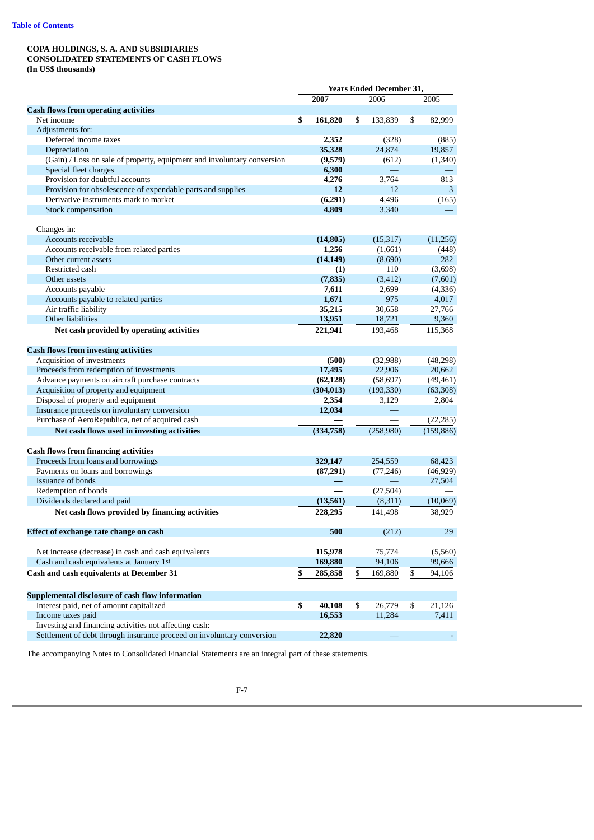### **COPA HOLDINGS, S. A. AND SUBSIDIARIES CONSOLIDATED STATEMENTS OF CASH FLOWS (In US\$ thousands)**

|                                                                         | <b>Years Ended December 31,</b> |       |               |    |            |
|-------------------------------------------------------------------------|---------------------------------|-------|---------------|----|------------|
|                                                                         | 2007                            |       | 2006          |    | 2005       |
| <b>Cash flows from operating activities</b>                             |                                 |       |               |    |            |
| Net income                                                              | \$<br>161,820                   | \$    | 133,839       | \$ | 82,999     |
| Adjustments for:                                                        |                                 |       |               |    |            |
| Deferred income taxes                                                   | 2,352                           |       | (328)         |    | (885)      |
| Depreciation                                                            | 35,328                          |       | 24,874        |    | 19,857     |
| (Gain) / Loss on sale of property, equipment and involuntary conversion | (9,579)                         |       | (612)         |    | (1,340)    |
| Special fleet charges                                                   | 6,300                           |       |               |    |            |
| Provision for doubtful accounts                                         | 4,276                           |       | 3,764         |    | 813        |
| Provision for obsolescence of expendable parts and supplies             |                                 | 12    | 12            |    | 3          |
| Derivative instruments mark to market                                   | (6,291)                         |       | 4,496         |    | (165)      |
| Stock compensation                                                      | 4,809                           |       | 3,340         |    |            |
| Changes in:                                                             |                                 |       |               |    |            |
| Accounts receivable                                                     | (14, 805)                       |       | (15, 317)     |    | (11,256)   |
| Accounts receivable from related parties                                | 1,256                           |       | (1,661)       |    | (448)      |
| Other current assets                                                    | (14, 149)                       |       | (8,690)       |    | 282        |
| Restricted cash                                                         |                                 | (1)   | 110           |    | (3,698)    |
| Other assets                                                            | (7, 835)                        |       | (3, 412)      |    | (7,601)    |
| Accounts payable                                                        | 7,611                           |       | 2,699         |    | (4,336)    |
| Accounts payable to related parties                                     | 1,671                           |       | 975           |    | 4,017      |
| Air traffic liability                                                   | 35,215                          |       | 30,658        |    | 27,766     |
| Other liabilities                                                       | 13,951                          |       | 18,721        |    | 9,360      |
| Net cash provided by operating activities                               | 221,941                         |       | 193,468       |    | 115,368    |
|                                                                         |                                 |       |               |    |            |
| <b>Cash flows from investing activities</b>                             |                                 |       |               |    |            |
| Acquisition of investments                                              |                                 | (500) | (32,988)      |    | (48, 298)  |
| Proceeds from redemption of investments                                 | 17,495                          |       | 22,906        |    | 20,662     |
| Advance payments on aircraft purchase contracts                         | (62, 128)                       |       | (58, 697)     |    | (49, 461)  |
| Acquisition of property and equipment                                   | (304, 013)                      |       | (193, 330)    |    | (63,308)   |
| Disposal of property and equipment                                      | 2,354                           |       | 3,129         |    | 2,804      |
| Insurance proceeds on involuntary conversion                            | 12,034                          |       |               |    |            |
| Purchase of AeroRepublica, net of acquired cash                         |                                 |       |               |    | (22, 285)  |
| Net cash flows used in investing activities                             | (334,758)                       |       | (258,980)     |    | (159, 886) |
| <b>Cash flows from financing activities</b>                             |                                 |       |               |    |            |
| Proceeds from loans and borrowings                                      | 329,147                         |       | 254,559       |    | 68,423     |
| Payments on loans and borrowings                                        | (87,291)                        |       | (77, 246)     |    | (46, 929)  |
| <b>Issuance of bonds</b>                                                |                                 |       |               |    | 27,504     |
| Redemption of bonds                                                     |                                 |       | (27, 504)     |    |            |
| Dividends declared and paid                                             | (13,561)                        |       | (8,311)       |    | (10,069)   |
| Net cash flows provided by financing activities                         | 228,295                         |       | 141,498       |    | 38,929     |
|                                                                         |                                 | 500   | (212)         |    | 29         |
| Effect of exchange rate change on cash                                  |                                 |       |               |    |            |
| Net increase (decrease) in cash and cash equivalents                    | 115,978                         |       | 75,774        |    | (5,560)    |
| Cash and cash equivalents at January 1st                                | 169,880                         |       | 94,106        |    | 99,666     |
| Cash and cash equivalents at December 31                                | \$<br>285,858                   |       | \$<br>169,880 | \$ | 94,106     |
| Supplemental disclosure of cash flow information                        |                                 |       |               |    |            |
| Interest paid, net of amount capitalized                                | \$<br>40,108                    | \$    | 26,779        | \$ | 21,126     |
| Income taxes paid                                                       | 16,553                          |       | 11,284        |    | 7,411      |
| Investing and financing activities not affecting cash:                  |                                 |       |               |    |            |
| Settlement of debt through insurance proceed on involuntary conversion  | 22,820                          |       |               |    |            |
|                                                                         |                                 |       |               |    |            |

The accompanying Notes to Consolidated Financial Statements are an integral part of these statements.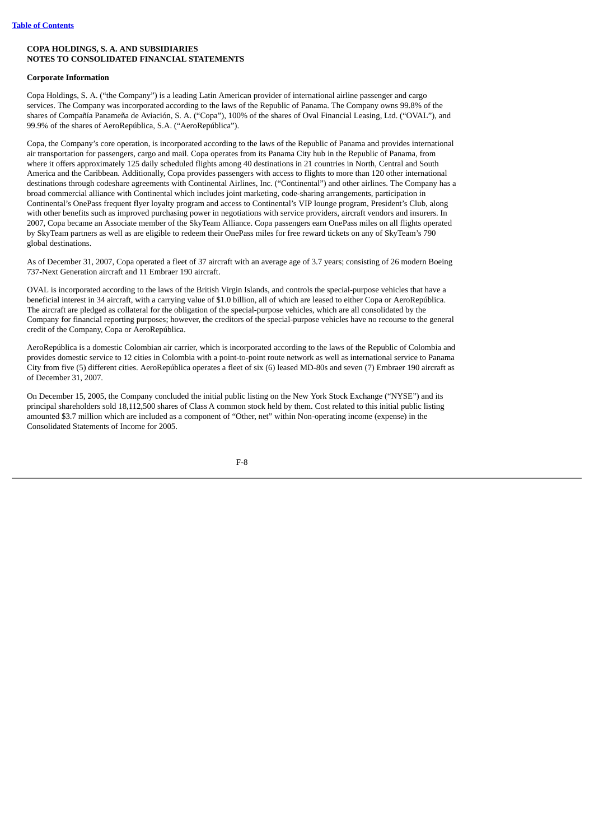## **Corporate Information**

Copa Holdings, S. A. ("the Company") is a leading Latin American provider of international airline passenger and cargo services. The Company was incorporated according to the laws of the Republic of Panama. The Company owns 99.8% of the shares of Compañía Panameña de Aviación, S. A. ("Copa"), 100% of the shares of Oval Financial Leasing, Ltd. ("OVAL"), and 99.9% of the shares of AeroRepública, S.A. ("AeroRepública").

Copa, the Company's core operation, is incorporated according to the laws of the Republic of Panama and provides international air transportation for passengers, cargo and mail. Copa operates from its Panama City hub in the Republic of Panama, from where it offers approximately 125 daily scheduled flights among 40 destinations in 21 countries in North, Central and South America and the Caribbean. Additionally, Copa provides passengers with access to flights to more than 120 other international destinations through codeshare agreements with Continental Airlines, Inc. ("Continental") and other airlines. The Company has a broad commercial alliance with Continental which includes joint marketing, code-sharing arrangements, participation in Continental's OnePass frequent flyer loyalty program and access to Continental's VIP lounge program, President's Club, along with other benefits such as improved purchasing power in negotiations with service providers, aircraft vendors and insurers. In 2007, Copa became an Associate member of the SkyTeam Alliance. Copa passengers earn OnePass miles on all flights operated by SkyTeam partners as well as are eligible to redeem their OnePass miles for free reward tickets on any of SkyTeam's 790 global destinations.

As of December 31, 2007, Copa operated a fleet of 37 aircraft with an average age of 3.7 years; consisting of 26 modern Boeing 737-Next Generation aircraft and 11 Embraer 190 aircraft.

OVAL is incorporated according to the laws of the British Virgin Islands, and controls the special-purpose vehicles that have a beneficial interest in 34 aircraft, with a carrying value of \$1.0 billion, all of which are leased to either Copa or AeroRepública. The aircraft are pledged as collateral for the obligation of the special-purpose vehicles, which are all consolidated by the Company for financial reporting purposes; however, the creditors of the special-purpose vehicles have no recourse to the general credit of the Company, Copa or AeroRepública.

AeroRepública is a domestic Colombian air carrier, which is incorporated according to the laws of the Republic of Colombia and provides domestic service to 12 cities in Colombia with a point-to-point route network as well as international service to Panama City from five (5) different cities. AeroRepública operates a fleet of six (6) leased MD-80s and seven (7) Embraer 190 aircraft as of December 31, 2007.

On December 15, 2005, the Company concluded the initial public listing on the New York Stock Exchange ("NYSE") and its principal shareholders sold 18,112,500 shares of Class A common stock held by them. Cost related to this initial public listing amounted \$3.7 million which are included as a component of "Other, net" within Non-operating income (expense) in the Consolidated Statements of Income for 2005.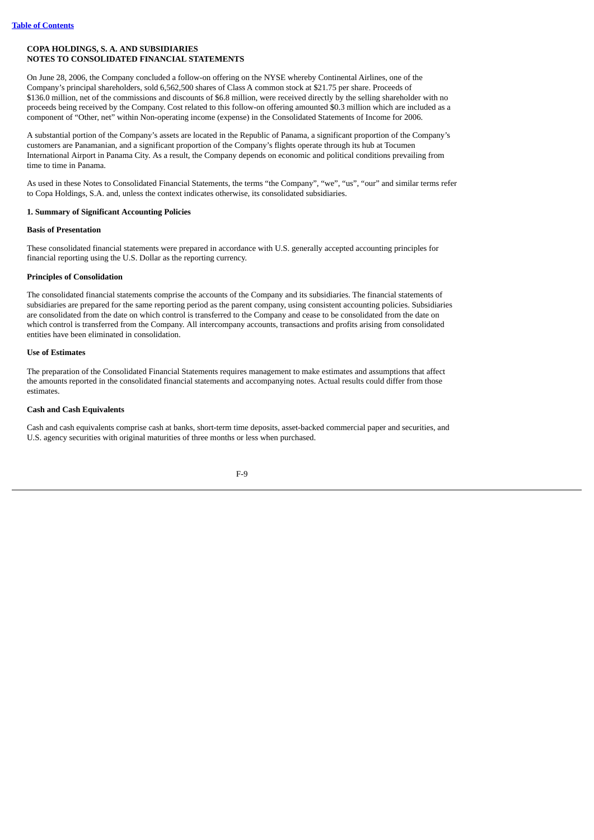On June 28, 2006, the Company concluded a follow-on offering on the NYSE whereby Continental Airlines, one of the Company's principal shareholders, sold 6,562,500 shares of Class A common stock at \$21.75 per share. Proceeds of \$136.0 million, net of the commissions and discounts of \$6.8 million, were received directly by the selling shareholder with no proceeds being received by the Company. Cost related to this follow-on offering amounted \$0.3 million which are included as a component of "Other, net" within Non-operating income (expense) in the Consolidated Statements of Income for 2006.

A substantial portion of the Company's assets are located in the Republic of Panama, a significant proportion of the Company's customers are Panamanian, and a significant proportion of the Company's flights operate through its hub at Tocumen International Airport in Panama City. As a result, the Company depends on economic and political conditions prevailing from time to time in Panama.

As used in these Notes to Consolidated Financial Statements, the terms "the Company", "we", "us", "our" and similar terms refer to Copa Holdings, S.A. and, unless the context indicates otherwise, its consolidated subsidiaries.

# **1. Summary of Significant Accounting Policies**

# **Basis of Presentation**

These consolidated financial statements were prepared in accordance with U.S. generally accepted accounting principles for financial reporting using the U.S. Dollar as the reporting currency.

# **Principles of Consolidation**

The consolidated financial statements comprise the accounts of the Company and its subsidiaries. The financial statements of subsidiaries are prepared for the same reporting period as the parent company, using consistent accounting policies. Subsidiaries are consolidated from the date on which control is transferred to the Company and cease to be consolidated from the date on which control is transferred from the Company. All intercompany accounts, transactions and profits arising from consolidated entities have been eliminated in consolidation.

### **Use of Estimates**

The preparation of the Consolidated Financial Statements requires management to make estimates and assumptions that affect the amounts reported in the consolidated financial statements and accompanying notes. Actual results could differ from those estimates.

## **Cash and Cash Equivalents**

Cash and cash equivalents comprise cash at banks, short-term time deposits, asset-backed commercial paper and securities, and U.S. agency securities with original maturities of three months or less when purchased.

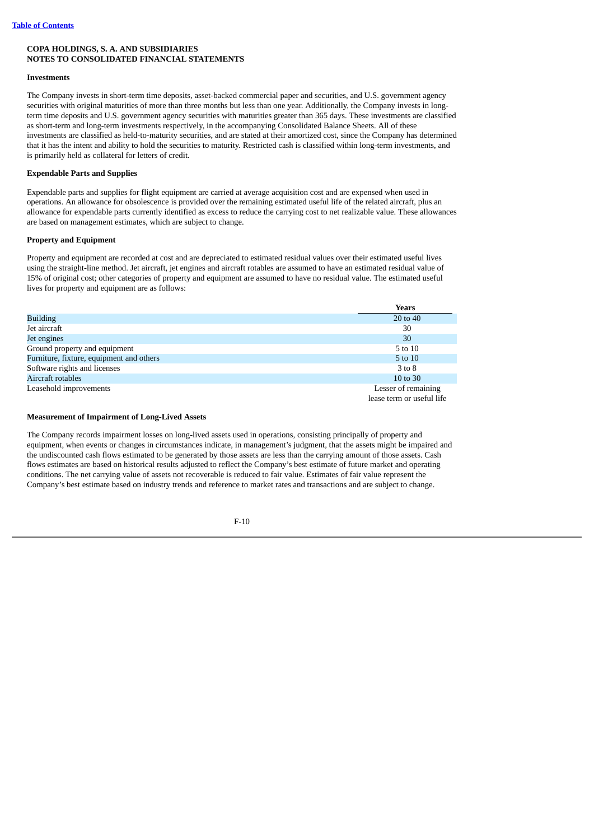#### **Investments**

The Company invests in short-term time deposits, asset-backed commercial paper and securities, and U.S. government agency securities with original maturities of more than three months but less than one year. Additionally, the Company invests in longterm time deposits and U.S. government agency securities with maturities greater than 365 days. These investments are classified as short-term and long-term investments respectively, in the accompanying Consolidated Balance Sheets. All of these investments are classified as held-to-maturity securities, and are stated at their amortized cost, since the Company has determined that it has the intent and ability to hold the securities to maturity. Restricted cash is classified within long-term investments, and is primarily held as collateral for letters of credit.

### **Expendable Parts and Supplies**

Expendable parts and supplies for flight equipment are carried at average acquisition cost and are expensed when used in operations. An allowance for obsolescence is provided over the remaining estimated useful life of the related aircraft, plus an allowance for expendable parts currently identified as excess to reduce the carrying cost to net realizable value. These allowances are based on management estimates, which are subject to change.

#### **Property and Equipment**

Property and equipment are recorded at cost and are depreciated to estimated residual values over their estimated useful lives using the straight-line method. Jet aircraft, jet engines and aircraft rotables are assumed to have an estimated residual value of 15% of original cost; other categories of property and equipment are assumed to have no residual value. The estimated useful lives for property and equipment are as follows:

|                                          | Years                     |
|------------------------------------------|---------------------------|
| <b>Building</b>                          | 20 to 40                  |
| Jet aircraft                             | 30                        |
| Jet engines                              | 30                        |
| Ground property and equipment            | 5 to 10                   |
| Furniture, fixture, equipment and others | 5 to 10                   |
| Software rights and licenses             | 3 to 8                    |
| Aircraft rotables                        | 10 to 30                  |
| Leasehold improvements                   | Lesser of remaining       |
|                                          | lease term or useful life |

#### **Measurement of Impairment of Long-Lived Assets**

The Company records impairment losses on long-lived assets used in operations, consisting principally of property and equipment, when events or changes in circumstances indicate, in management's judgment, that the assets might be impaired and the undiscounted cash flows estimated to be generated by those assets are less than the carrying amount of those assets. Cash flows estimates are based on historical results adjusted to reflect the Company's best estimate of future market and operating conditions. The net carrying value of assets not recoverable is reduced to fair value. Estimates of fair value represent the Company's best estimate based on industry trends and reference to market rates and transactions and are subject to change.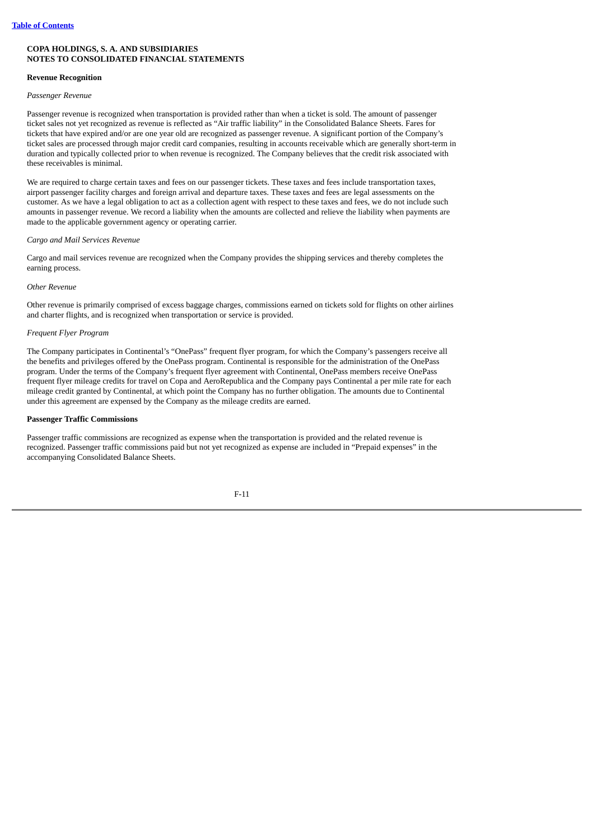#### **Revenue Recognition**

#### *Passenger Revenue*

Passenger revenue is recognized when transportation is provided rather than when a ticket is sold. The amount of passenger ticket sales not yet recognized as revenue is reflected as "Air traffic liability" in the Consolidated Balance Sheets. Fares for tickets that have expired and/or are one year old are recognized as passenger revenue. A significant portion of the Company's ticket sales are processed through major credit card companies, resulting in accounts receivable which are generally short-term in duration and typically collected prior to when revenue is recognized. The Company believes that the credit risk associated with these receivables is minimal.

We are required to charge certain taxes and fees on our passenger tickets. These taxes and fees include transportation taxes, airport passenger facility charges and foreign arrival and departure taxes. These taxes and fees are legal assessments on the customer. As we have a legal obligation to act as a collection agent with respect to these taxes and fees, we do not include such amounts in passenger revenue. We record a liability when the amounts are collected and relieve the liability when payments are made to the applicable government agency or operating carrier.

#### *Cargo and Mail Services Revenue*

Cargo and mail services revenue are recognized when the Company provides the shipping services and thereby completes the earning process.

#### *Other Revenue*

Other revenue is primarily comprised of excess baggage charges, commissions earned on tickets sold for flights on other airlines and charter flights, and is recognized when transportation or service is provided.

#### *Frequent Flyer Program*

The Company participates in Continental's "OnePass" frequent flyer program, for which the Company's passengers receive all the benefits and privileges offered by the OnePass program. Continental is responsible for the administration of the OnePass program. Under the terms of the Company's frequent flyer agreement with Continental, OnePass members receive OnePass frequent flyer mileage credits for travel on Copa and AeroRepublica and the Company pays Continental a per mile rate for each mileage credit granted by Continental, at which point the Company has no further obligation. The amounts due to Continental under this agreement are expensed by the Company as the mileage credits are earned.

#### **Passenger Traffic Commissions**

Passenger traffic commissions are recognized as expense when the transportation is provided and the related revenue is recognized. Passenger traffic commissions paid but not yet recognized as expense are included in "Prepaid expenses" in the accompanying Consolidated Balance Sheets.

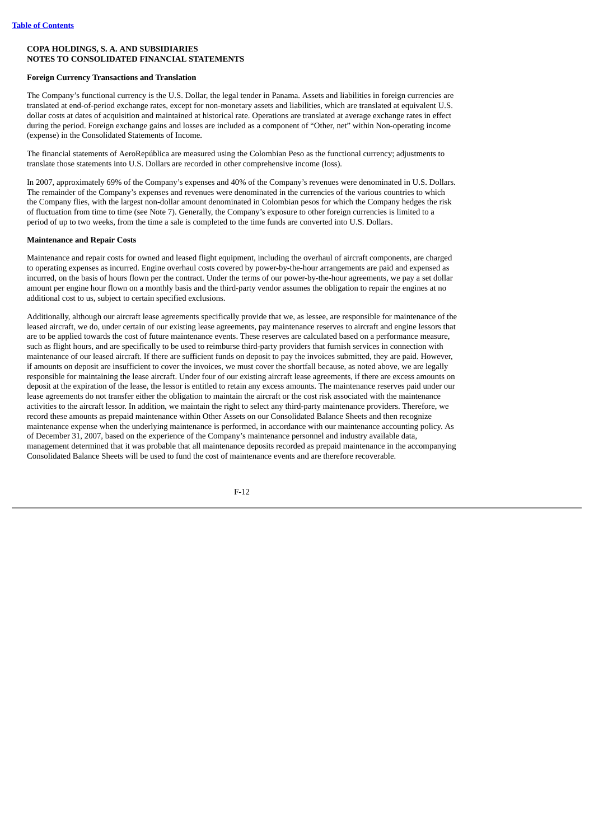## **Foreign Currency Transactions and Translation**

The Company's functional currency is the U.S. Dollar, the legal tender in Panama. Assets and liabilities in foreign currencies are translated at end-of-period exchange rates, except for non-monetary assets and liabilities, which are translated at equivalent U.S. dollar costs at dates of acquisition and maintained at historical rate. Operations are translated at average exchange rates in effect during the period. Foreign exchange gains and losses are included as a component of "Other, net" within Non-operating income (expense) in the Consolidated Statements of Income.

The financial statements of AeroRepública are measured using the Colombian Peso as the functional currency; adjustments to translate those statements into U.S. Dollars are recorded in other comprehensive income (loss).

In 2007, approximately 69% of the Company's expenses and 40% of the Company's revenues were denominated in U.S. Dollars. The remainder of the Company's expenses and revenues were denominated in the currencies of the various countries to which the Company flies, with the largest non-dollar amount denominated in Colombian pesos for which the Company hedges the risk of fluctuation from time to time (see Note 7). Generally, the Company's exposure to other foreign currencies is limited to a period of up to two weeks, from the time a sale is completed to the time funds are converted into U.S. Dollars.

## **Maintenance and Repair Costs**

Maintenance and repair costs for owned and leased flight equipment, including the overhaul of aircraft components, are charged to operating expenses as incurred. Engine overhaul costs covered by power-by-the-hour arrangements are paid and expensed as incurred, on the basis of hours flown per the contract. Under the terms of our power-by-the-hour agreements, we pay a set dollar amount per engine hour flown on a monthly basis and the third-party vendor assumes the obligation to repair the engines at no additional cost to us, subject to certain specified exclusions.

Additionally, although our aircraft lease agreements specifically provide that we, as lessee, are responsible for maintenance of the leased aircraft, we do, under certain of our existing lease agreements, pay maintenance reserves to aircraft and engine lessors that are to be applied towards the cost of future maintenance events. These reserves are calculated based on a performance measure, such as flight hours, and are specifically to be used to reimburse third-party providers that furnish services in connection with maintenance of our leased aircraft. If there are sufficient funds on deposit to pay the invoices submitted, they are paid. However, if amounts on deposit are insufficient to cover the invoices, we must cover the shortfall because, as noted above, we are legally responsible for maintaining the lease aircraft. Under four of our existing aircraft lease agreements, if there are excess amounts on deposit at the expiration of the lease, the lessor is entitled to retain any excess amounts. The maintenance reserves paid under our lease agreements do not transfer either the obligation to maintain the aircraft or the cost risk associated with the maintenance activities to the aircraft lessor. In addition, we maintain the right to select any third-party maintenance providers. Therefore, we record these amounts as prepaid maintenance within Other Assets on our Consolidated Balance Sheets and then recognize maintenance expense when the underlying maintenance is performed, in accordance with our maintenance accounting policy. As of December 31, 2007, based on the experience of the Company's maintenance personnel and industry available data, management determined that it was probable that all maintenance deposits recorded as prepaid maintenance in the accompanying Consolidated Balance Sheets will be used to fund the cost of maintenance events and are therefore recoverable.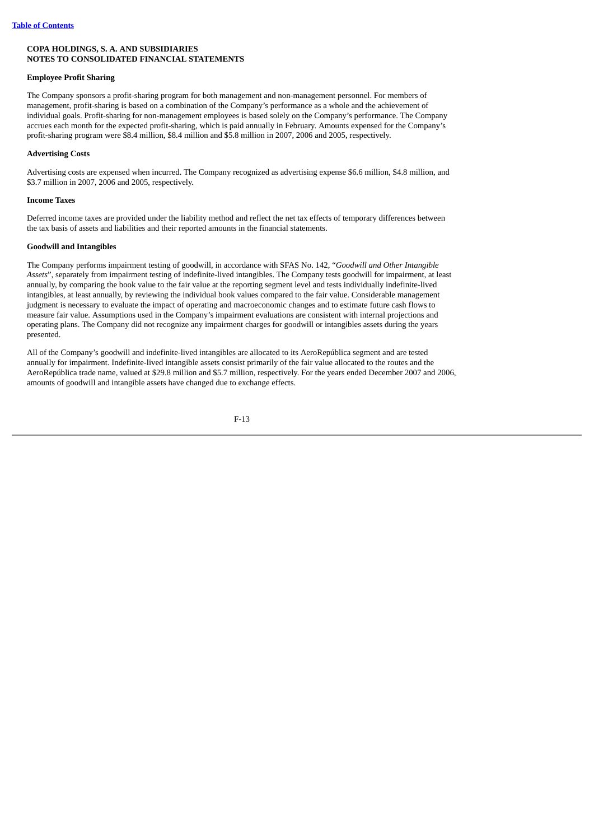## **Employee Profit Sharing**

The Company sponsors a profit-sharing program for both management and non-management personnel. For members of management, profit-sharing is based on a combination of the Company's performance as a whole and the achievement of individual goals. Profit-sharing for non-management employees is based solely on the Company's performance. The Company accrues each month for the expected profit-sharing, which is paid annually in February. Amounts expensed for the Company's profit-sharing program were \$8.4 million, \$8.4 million and \$5.8 million in 2007, 2006 and 2005, respectively.

# **Advertising Costs**

Advertising costs are expensed when incurred. The Company recognized as advertising expense \$6.6 million, \$4.8 million, and \$3.7 million in 2007, 2006 and 2005, respectively.

#### **Income Taxes**

Deferred income taxes are provided under the liability method and reflect the net tax effects of temporary differences between the tax basis of assets and liabilities and their reported amounts in the financial statements.

### **Goodwill and Intangibles**

The Company performs impairment testing of goodwill, in accordance with SFAS No. 142, "*Goodwill and Other Intangible Assets*", separately from impairment testing of indefinite-lived intangibles. The Company tests goodwill for impairment, at least annually, by comparing the book value to the fair value at the reporting segment level and tests individually indefinite-lived intangibles, at least annually, by reviewing the individual book values compared to the fair value. Considerable management judgment is necessary to evaluate the impact of operating and macroeconomic changes and to estimate future cash flows to measure fair value. Assumptions used in the Company's impairment evaluations are consistent with internal projections and operating plans. The Company did not recognize any impairment charges for goodwill or intangibles assets during the years presented.

All of the Company's goodwill and indefinite-lived intangibles are allocated to its AeroRepública segment and are tested annually for impairment. Indefinite-lived intangible assets consist primarily of the fair value allocated to the routes and the AeroRepública trade name, valued at \$29.8 million and \$5.7 million, respectively. For the years ended December 2007 and 2006, amounts of goodwill and intangible assets have changed due to exchange effects.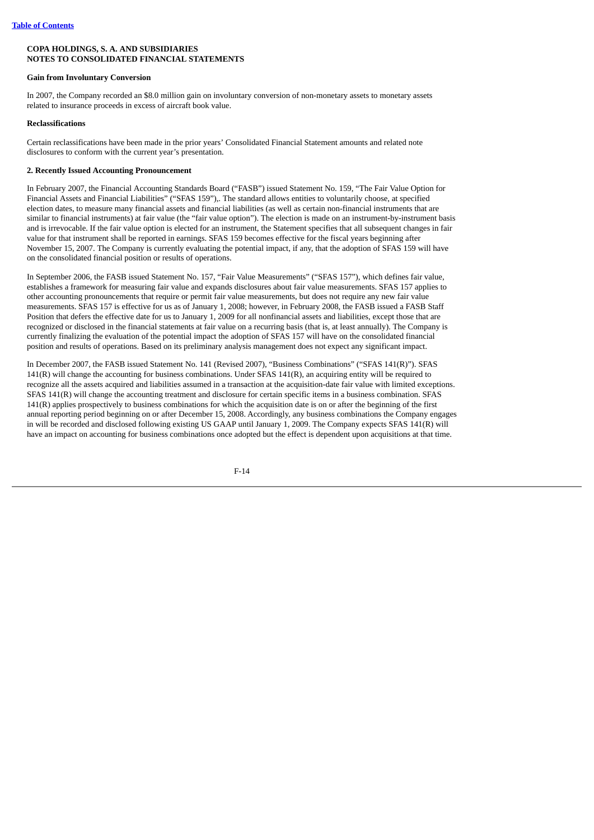#### **Gain from Involuntary Conversion**

In 2007, the Company recorded an \$8.0 million gain on involuntary conversion of non-monetary assets to monetary assets related to insurance proceeds in excess of aircraft book value.

#### **Reclassifications**

Certain reclassifications have been made in the prior years' Consolidated Financial Statement amounts and related note disclosures to conform with the current year's presentation.

### **2. Recently Issued Accounting Pronouncement**

In February 2007, the Financial Accounting Standards Board ("FASB") issued Statement No. 159, "The Fair Value Option for Financial Assets and Financial Liabilities" ("SFAS 159"),. The standard allows entities to voluntarily choose, at specified election dates, to measure many financial assets and financial liabilities (as well as certain non-financial instruments that are similar to financial instruments) at fair value (the "fair value option"). The election is made on an instrument-by-instrument basis and is irrevocable. If the fair value option is elected for an instrument, the Statement specifies that all subsequent changes in fair value for that instrument shall be reported in earnings. SFAS 159 becomes effective for the fiscal years beginning after November 15, 2007. The Company is currently evaluating the potential impact, if any, that the adoption of SFAS 159 will have on the consolidated financial position or results of operations.

In September 2006, the FASB issued Statement No. 157, "Fair Value Measurements" ("SFAS 157"), which defines fair value, establishes a framework for measuring fair value and expands disclosures about fair value measurements. SFAS 157 applies to other accounting pronouncements that require or permit fair value measurements, but does not require any new fair value measurements. SFAS 157 is effective for us as of January 1, 2008; however, in February 2008, the FASB issued a FASB Staff Position that defers the effective date for us to January 1, 2009 for all nonfinancial assets and liabilities, except those that are recognized or disclosed in the financial statements at fair value on a recurring basis (that is, at least annually). The Company is currently finalizing the evaluation of the potential impact the adoption of SFAS 157 will have on the consolidated financial position and results of operations. Based on its preliminary analysis management does not expect any significant impact.

In December 2007, the FASB issued Statement No. 141 (Revised 2007), "Business Combinations" ("SFAS 141(R)"). SFAS 141(R) will change the accounting for business combinations. Under SFAS 141(R), an acquiring entity will be required to recognize all the assets acquired and liabilities assumed in a transaction at the acquisition-date fair value with limited exceptions. SFAS 141(R) will change the accounting treatment and disclosure for certain specific items in a business combination. SFAS 141(R) applies prospectively to business combinations for which the acquisition date is on or after the beginning of the first annual reporting period beginning on or after December 15, 2008. Accordingly, any business combinations the Company engages in will be recorded and disclosed following existing US GAAP until January 1, 2009. The Company expects SFAS 141(R) will have an impact on accounting for business combinations once adopted but the effect is dependent upon acquisitions at that time.

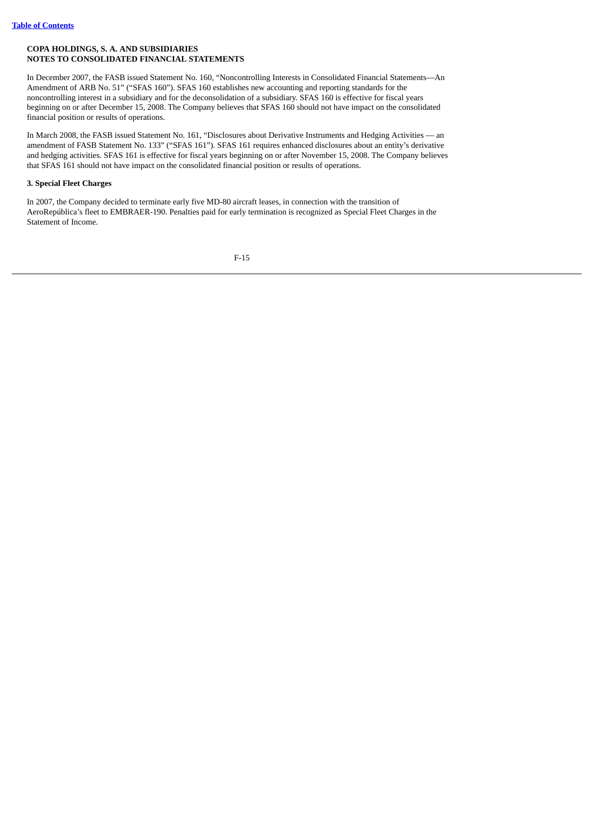In December 2007, the FASB issued Statement No. 160, "Noncontrolling Interests in Consolidated Financial Statements—An Amendment of ARB No. 51" ("SFAS 160"). SFAS 160 establishes new accounting and reporting standards for the noncontrolling interest in a subsidiary and for the deconsolidation of a subsidiary. SFAS 160 is effective for fiscal years beginning on or after December 15, 2008. The Company believes that SFAS 160 should not have impact on the consolidated financial position or results of operations.

In March 2008, the FASB issued Statement No. 161, "Disclosures about Derivative Instruments and Hedging Activities — an amendment of FASB Statement No. 133" ("SFAS 161"). SFAS 161 requires enhanced disclosures about an entity's derivative and hedging activities. SFAS 161 is effective for fiscal years beginning on or after November 15, 2008. The Company believes that SFAS 161 should not have impact on the consolidated financial position or results of operations.

# **3. Special Fleet Charges**

In 2007, the Company decided to terminate early five MD-80 aircraft leases, in connection with the transition of AeroRepública's fleet to EMBRAER-190. Penalties paid for early termination is recognized as Special Fleet Charges in the Statement of Income.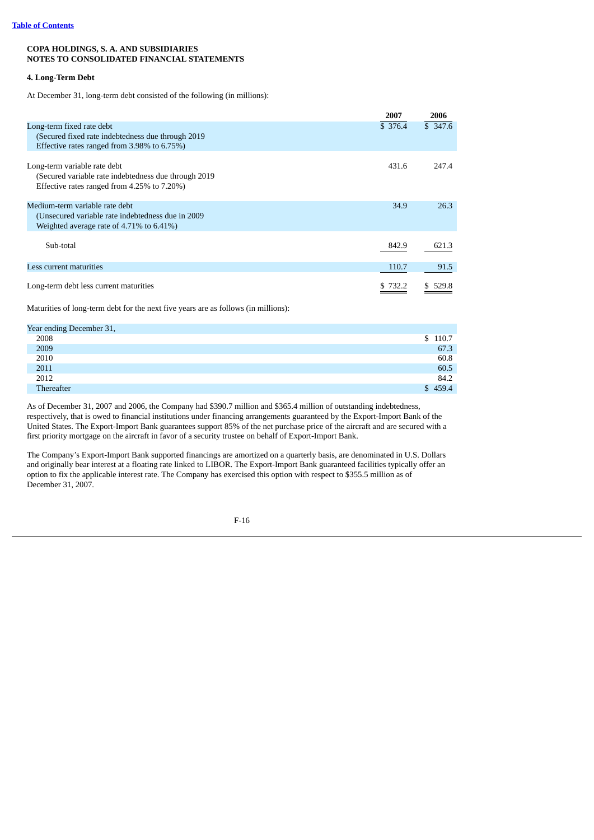# **4. Long-Term Debt**

At December 31, long-term debt consisted of the following (in millions):

|                                                                                                                                      | 2007    | 2006    |
|--------------------------------------------------------------------------------------------------------------------------------------|---------|---------|
| Long-term fixed rate debt<br>(Secured fixed rate indebtedness due through 2019)<br>Effective rates ranged from 3.98% to 6.75%)       | \$376.4 | \$347.6 |
| Long-term variable rate debt<br>(Secured variable rate indebtedness due through 2019)<br>Effective rates ranged from 4.25% to 7.20%) | 431.6   | 247.4   |
| Medium-term variable rate debt<br>(Unsecured variable rate indebtedness due in 2009)<br>Weighted average rate of 4.71% to 6.41%)     | 34.9    | 26.3    |
| Sub-total                                                                                                                            | 842.9   | 621.3   |
| Less current maturities                                                                                                              | 110.7   | 91.5    |
| Long-term debt less current maturities                                                                                               | \$732.2 | \$529.8 |

Maturities of long-term debt for the next five years are as follows (in millions):

| Year ending December 31, |         |
|--------------------------|---------|
| 2008                     | \$110.7 |
| 2009                     | 67.3    |
| 2010                     | 60.8    |
| 2011                     | 60.5    |
| 2012                     | 84.2    |
| Thereafter               | \$459.4 |

As of December 31, 2007 and 2006, the Company had \$390.7 million and \$365.4 million of outstanding indebtedness, respectively, that is owed to financial institutions under financing arrangements guaranteed by the Export-Import Bank of the United States. The Export-Import Bank guarantees support 85% of the net purchase price of the aircraft and are secured with a first priority mortgage on the aircraft in favor of a security trustee on behalf of Export-Import Bank.

The Company's Export-Import Bank supported financings are amortized on a quarterly basis, are denominated in U.S. Dollars and originally bear interest at a floating rate linked to LIBOR. The Export-Import Bank guaranteed facilities typically offer an option to fix the applicable interest rate. The Company has exercised this option with respect to \$355.5 million as of December 31, 2007.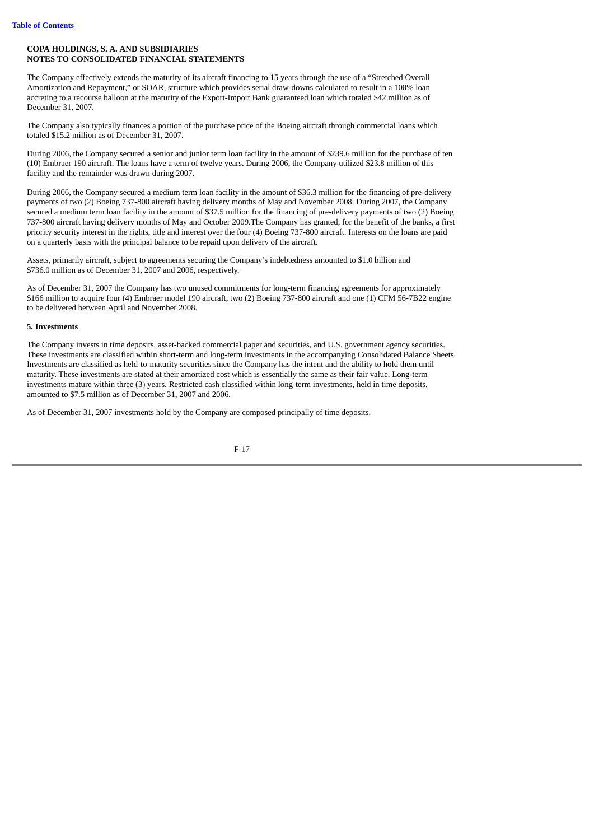The Company effectively extends the maturity of its aircraft financing to 15 years through the use of a "Stretched Overall Amortization and Repayment," or SOAR, structure which provides serial draw-downs calculated to result in a 100% loan accreting to a recourse balloon at the maturity of the Export-Import Bank guaranteed loan which totaled \$42 million as of December 31, 2007.

The Company also typically finances a portion of the purchase price of the Boeing aircraft through commercial loans which totaled \$15.2 million as of December 31, 2007.

During 2006, the Company secured a senior and junior term loan facility in the amount of \$239.6 million for the purchase of ten (10) Embraer 190 aircraft. The loans have a term of twelve years. During 2006, the Company utilized \$23.8 million of this facility and the remainder was drawn during 2007.

During 2006, the Company secured a medium term loan facility in the amount of \$36.3 million for the financing of pre-delivery payments of two (2) Boeing 737-800 aircraft having delivery months of May and November 2008. During 2007, the Company secured a medium term loan facility in the amount of \$37.5 million for the financing of pre-delivery payments of two (2) Boeing 737-800 aircraft having delivery months of May and October 2009.The Company has granted, for the benefit of the banks, a first priority security interest in the rights, title and interest over the four (4) Boeing 737-800 aircraft. Interests on the loans are paid on a quarterly basis with the principal balance to be repaid upon delivery of the aircraft.

Assets, primarily aircraft, subject to agreements securing the Company's indebtedness amounted to \$1.0 billion and \$736.0 million as of December 31, 2007 and 2006, respectively.

As of December 31, 2007 the Company has two unused commitments for long-term financing agreements for approximately \$166 million to acquire four (4) Embraer model 190 aircraft, two (2) Boeing 737-800 aircraft and one (1) CFM 56-7B22 engine to be delivered between April and November 2008.

### **5. Investments**

The Company invests in time deposits, asset-backed commercial paper and securities, and U.S. government agency securities. These investments are classified within short-term and long-term investments in the accompanying Consolidated Balance Sheets. Investments are classified as held-to-maturity securities since the Company has the intent and the ability to hold them until maturity. These investments are stated at their amortized cost which is essentially the same as their fair value. Long-term investments mature within three (3) years. Restricted cash classified within long-term investments, held in time deposits, amounted to \$7.5 million as of December 31, 2007 and 2006.

As of December 31, 2007 investments hold by the Company are composed principally of time deposits.

$$
F-17
$$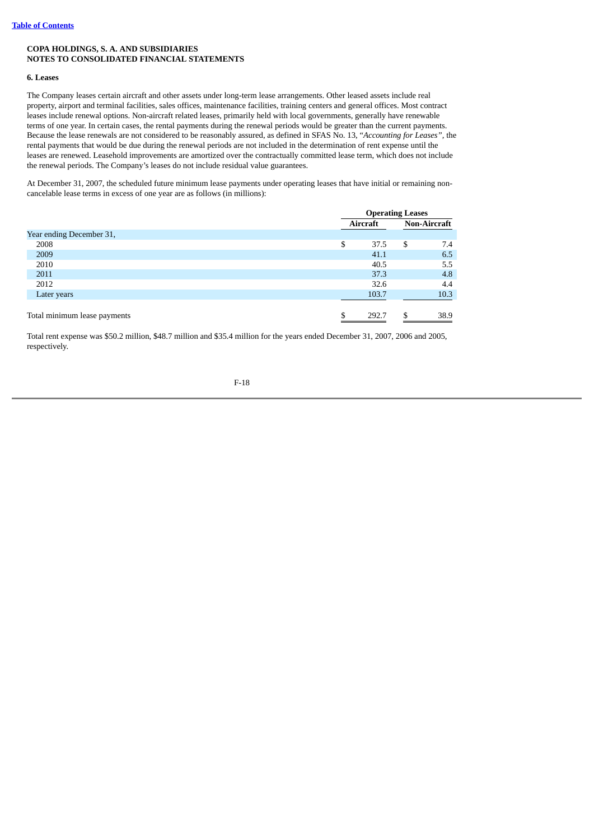#### **6. Leases**

The Company leases certain aircraft and other assets under long-term lease arrangements. Other leased assets include real property, airport and terminal facilities, sales offices, maintenance facilities, training centers and general offices. Most contract leases include renewal options. Non-aircraft related leases, primarily held with local governments, generally have renewable terms of one year. In certain cases, the rental payments during the renewal periods would be greater than the current payments. Because the lease renewals are not considered to be reasonably assured, as defined in SFAS No. 13, "*Accounting for Leases",* the rental payments that would be due during the renewal periods are not included in the determination of rent expense until the leases are renewed. Leasehold improvements are amortized over the contractually committed lease term, which does not include the renewal periods. The Company's leases do not include residual value guarantees.

At December 31, 2007, the scheduled future minimum lease payments under operating leases that have initial or remaining noncancelable lease terms in excess of one year are as follows (in millions):

|                              | <b>Operating Leases</b> |     |                     |  |  |
|------------------------------|-------------------------|-----|---------------------|--|--|
|                              | Aircraft                |     | <b>Non-Aircraft</b> |  |  |
| Year ending December 31,     |                         |     |                     |  |  |
| 2008                         | \$<br>37.5              | \$  | 7.4                 |  |  |
| 2009                         | 41.1                    |     | 6.5                 |  |  |
| 2010                         | 40.5                    |     | 5.5                 |  |  |
| 2011                         | 37.3                    |     | 4.8                 |  |  |
| 2012                         | 32.6                    |     | 4.4                 |  |  |
| Later years                  | 103.7                   |     | 10.3                |  |  |
|                              |                         |     |                     |  |  |
| Total minimum lease payments | 292.7                   | \$. | 38.9                |  |  |

Total rent expense was \$50.2 million, \$48.7 million and \$35.4 million for the years ended December 31, 2007, 2006 and 2005, respectively.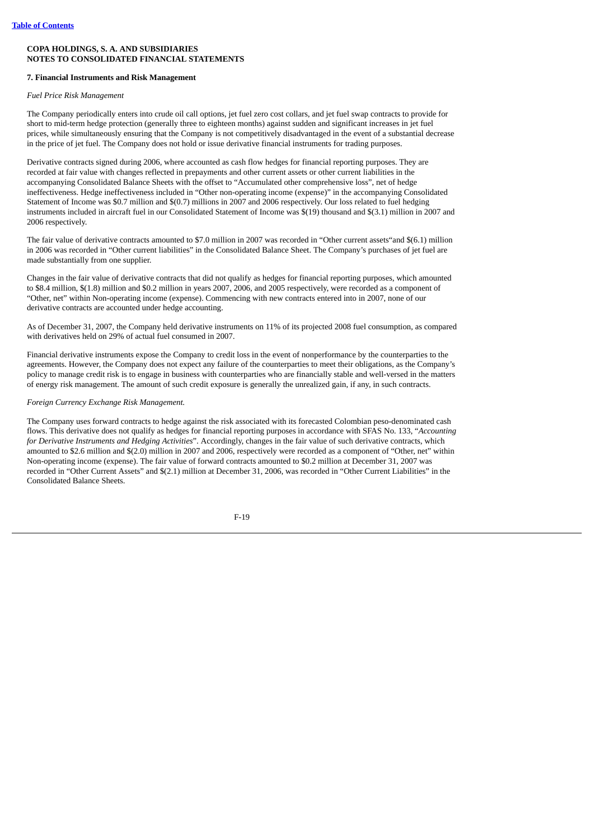#### **7. Financial Instruments and Risk Management**

*Fuel Price Risk Management*

The Company periodically enters into crude oil call options, jet fuel zero cost collars, and jet fuel swap contracts to provide for short to mid-term hedge protection (generally three to eighteen months) against sudden and significant increases in jet fuel prices, while simultaneously ensuring that the Company is not competitively disadvantaged in the event of a substantial decrease in the price of jet fuel. The Company does not hold or issue derivative financial instruments for trading purposes.

Derivative contracts signed during 2006, where accounted as cash flow hedges for financial reporting purposes. They are recorded at fair value with changes reflected in prepayments and other current assets or other current liabilities in the accompanying Consolidated Balance Sheets with the offset to "Accumulated other comprehensive loss", net of hedge ineffectiveness. Hedge ineffectiveness included in "Other non-operating income (expense)" in the accompanying Consolidated Statement of Income was \$0.7 million and \$(0.7) millions in 2007 and 2006 respectively. Our loss related to fuel hedging instruments included in aircraft fuel in our Consolidated Statement of Income was \$(19) thousand and \$(3.1) million in 2007 and 2006 respectively.

The fair value of derivative contracts amounted to \$7.0 million in 2007 was recorded in "Other current assets"and \$(6.1) million in 2006 was recorded in "Other current liabilities" in the Consolidated Balance Sheet. The Company's purchases of jet fuel are made substantially from one supplier.

Changes in the fair value of derivative contracts that did not qualify as hedges for financial reporting purposes, which amounted to \$8.4 million, \$(1.8) million and \$0.2 million in years 2007, 2006, and 2005 respectively, were recorded as a component of "Other, net" within Non-operating income (expense). Commencing with new contracts entered into in 2007, none of our derivative contracts are accounted under hedge accounting.

As of December 31, 2007, the Company held derivative instruments on 11% of its projected 2008 fuel consumption, as compared with derivatives held on 29% of actual fuel consumed in 2007.

Financial derivative instruments expose the Company to credit loss in the event of nonperformance by the counterparties to the agreements. However, the Company does not expect any failure of the counterparties to meet their obligations, as the Company's policy to manage credit risk is to engage in business with counterparties who are financially stable and well-versed in the matters of energy risk management. The amount of such credit exposure is generally the unrealized gain, if any, in such contracts.

#### *Foreign Currency Exchange Risk Management.*

The Company uses forward contracts to hedge against the risk associated with its forecasted Colombian peso-denominated cash flows. This derivative does not qualify as hedges for financial reporting purposes in accordance with SFAS No. 133, "*Accounting for Derivative Instruments and Hedging Activities*". Accordingly, changes in the fair value of such derivative contracts, which amounted to \$2.6 million and \$(2.0) million in 2007 and 2006, respectively were recorded as a component of "Other, net" within Non-operating income (expense). The fair value of forward contracts amounted to \$0.2 million at December 31, 2007 was recorded in "Other Current Assets" and \$(2.1) million at December 31, 2006, was recorded in "Other Current Liabilities" in the Consolidated Balance Sheets.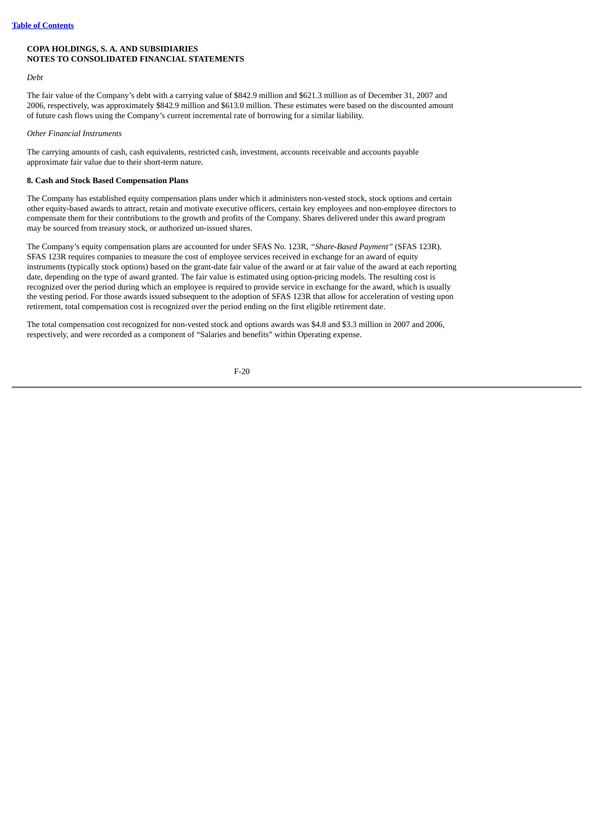*Debt*

The fair value of the Company's debt with a carrying value of \$842.9 million and \$621.3 million as of December 31, 2007 and 2006, respectively, was approximately \$842.9 million and \$613.0 million. These estimates were based on the discounted amount of future cash flows using the Company's current incremental rate of borrowing for a similar liability.

*Other Financial Instruments*

The carrying amounts of cash, cash equivalents, restricted cash, investment, accounts receivable and accounts payable approximate fair value due to their short-term nature.

### **8. Cash and Stock Based Compensation Plans**

The Company has established equity compensation plans under which it administers non-vested stock, stock options and certain other equity-based awards to attract, retain and motivate executive officers, certain key employees and non-employee directors to compensate them for their contributions to the growth and profits of the Company. Shares delivered under this award program may be sourced from treasury stock, or authorized un-issued shares.

The Company's equity compensation plans are accounted for under SFAS No. 123R, *"Share-Based Payment"* (SFAS 123R). SFAS 123R requires companies to measure the cost of employee services received in exchange for an award of equity instruments (typically stock options) based on the grant-date fair value of the award or at fair value of the award at each reporting date, depending on the type of award granted. The fair value is estimated using option-pricing models. The resulting cost is recognized over the period during which an employee is required to provide service in exchange for the award, which is usually the vesting period. For those awards issued subsequent to the adoption of SFAS 123R that allow for acceleration of vesting upon retirement, total compensation cost is recognized over the period ending on the first eligible retirement date.

The total compensation cost recognized for non-vested stock and options awards was \$4.8 and \$3.3 million in 2007 and 2006, respectively, and were recorded as a component of "Salaries and benefits" within Operating expense.

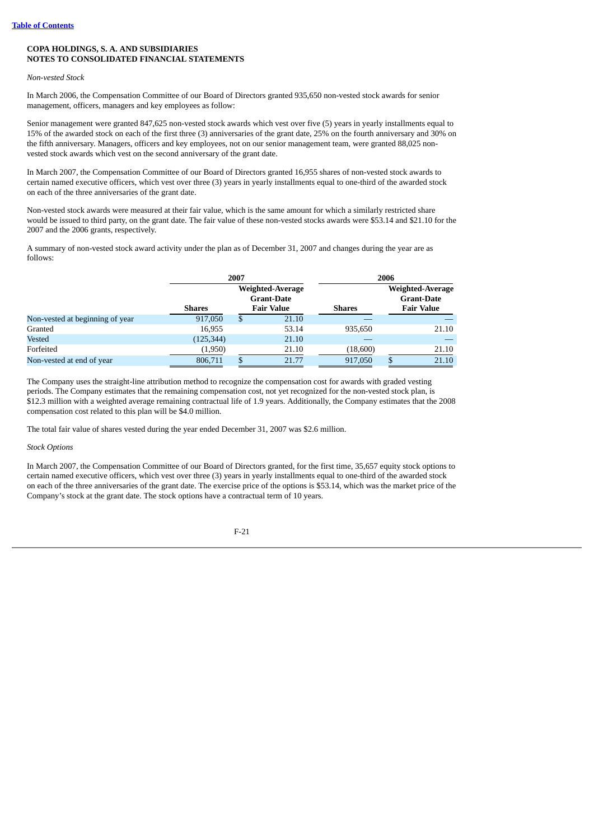## *Non-vested Stock*

In March 2006, the Compensation Committee of our Board of Directors granted 935,650 non-vested stock awards for senior management, officers, managers and key employees as follow:

Senior management were granted 847,625 non-vested stock awards which vest over five (5) years in yearly installments equal to 15% of the awarded stock on each of the first three (3) anniversaries of the grant date, 25% on the fourth anniversary and 30% on the fifth anniversary. Managers, officers and key employees, not on our senior management team, were granted 88,025 nonvested stock awards which vest on the second anniversary of the grant date.

In March 2007, the Compensation Committee of our Board of Directors granted 16,955 shares of non-vested stock awards to certain named executive officers, which vest over three (3) years in yearly installments equal to one-third of the awarded stock on each of the three anniversaries of the grant date.

Non-vested stock awards were measured at their fair value, which is the same amount for which a similarly restricted share would be issued to third party, on the grant date. The fair value of these non-vested stocks awards were \$53.14 and \$21.10 for the 2007 and the 2006 grants, respectively.

A summary of non-vested stock award activity under the plan as of December 31, 2007 and changes during the year are as follows:

|                                 | 2007          |    |                                                                   | 2006     |                                                                   |       |  |
|---------------------------------|---------------|----|-------------------------------------------------------------------|----------|-------------------------------------------------------------------|-------|--|
|                                 | <b>Shares</b> |    | <b>Weighted-Average</b><br><b>Grant-Date</b><br><b>Fair Value</b> | Shares   | <b>Weighted-Average</b><br><b>Grant-Date</b><br><b>Fair Value</b> |       |  |
| Non-vested at beginning of year | 917,050       | \$ | 21.10                                                             |          |                                                                   |       |  |
| Granted                         | 16,955        |    | 53.14                                                             | 935,650  |                                                                   | 21.10 |  |
| Vested                          | (125, 344)    |    | 21.10                                                             |          |                                                                   |       |  |
| Forfeited                       | (1,950)       |    | 21.10                                                             | (18,600) |                                                                   | 21.10 |  |
| Non-vested at end of year       | 806,711       |    | 21.77                                                             | 917,050  |                                                                   | 21.10 |  |

The Company uses the straight-line attribution method to recognize the compensation cost for awards with graded vesting periods. The Company estimates that the remaining compensation cost, not yet recognized for the non-vested stock plan, is \$12.3 million with a weighted average remaining contractual life of 1.9 years. Additionally, the Company estimates that the 2008 compensation cost related to this plan will be \$4.0 million.

The total fair value of shares vested during the year ended December 31, 2007 was \$2.6 million.

## *Stock Options*

In March 2007, the Compensation Committee of our Board of Directors granted, for the first time, 35,657 equity stock options to certain named executive officers, which vest over three (3) years in yearly installments equal to one-third of the awarded stock on each of the three anniversaries of the grant date. The exercise price of the options is \$53.14, which was the market price of the Company's stock at the grant date. The stock options have a contractual term of 10 years.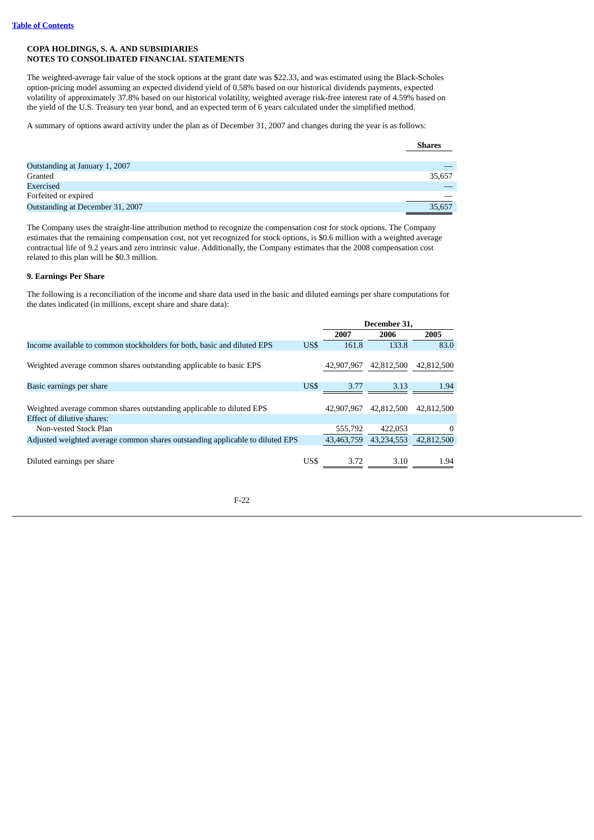The weighted-average fair value of the stock options at the grant date was \$22.33, and was estimated using the Black-Scholes option-pricing model assuming an expected dividend yield of 0.58% based on our historical dividends payments, expected volatility of approximately 37.8% based on our historical volatility, weighted average risk-free interest rate of 4.59% based on the yield of the U.S. Treasury ten year bond, and an expected term of 6 years calculated under the simplified method.

A summary of options award activity under the plan as of December 31, 2007 and changes during the year is as follows:

| <b>Shares</b> |
|---------------|
|               |
|               |
| 35.657        |
|               |
|               |
| 35,657        |
|               |

The Company uses the straight-line attribution method to recognize the compensation cost for stock options. The Company estimates that the remaining compensation cost, not yet recognized for stock options, is \$0.6 million with a weighted average contractual life of 9.2 years and zero intrinsic value. Additionally, the Company estimates that the 2008 compensation cost related to this plan will be \$0.3 million.

#### **9. Earnings Per Share**

The following is a reconciliation of the income and share data used in the basic and diluted earnings per share computations for the dates indicated (in millions, except share and share data):

|                                                                               |      |            | December 31, |            |
|-------------------------------------------------------------------------------|------|------------|--------------|------------|
|                                                                               |      | 2007       | 2006         | 2005       |
| Income available to common stockholders for both, basic and diluted EPS       | US\$ | 161.8      | 133.8        | 83.0       |
| Weighted average common shares outstanding applicable to basic EPS            |      | 42,907,967 | 42,812,500   | 42,812,500 |
| Basic earnings per share                                                      | US\$ | 3.77       | 3.13         | 1.94       |
|                                                                               |      |            |              |            |
| Weighted average common shares outstanding applicable to diluted EPS          |      | 42,907,967 | 42.812.500   | 42,812,500 |
| Effect of dilutive shares:                                                    |      |            |              |            |
| Non-vested Stock Plan                                                         |      | 555,792    | 422,053      | $\Omega$   |
| Adjusted weighted average common shares outstanding applicable to diluted EPS |      | 43.463.759 | 43,234,553   | 42,812,500 |
| Diluted earnings per share                                                    | US\$ | 3.72       | 3.10         | 1.94       |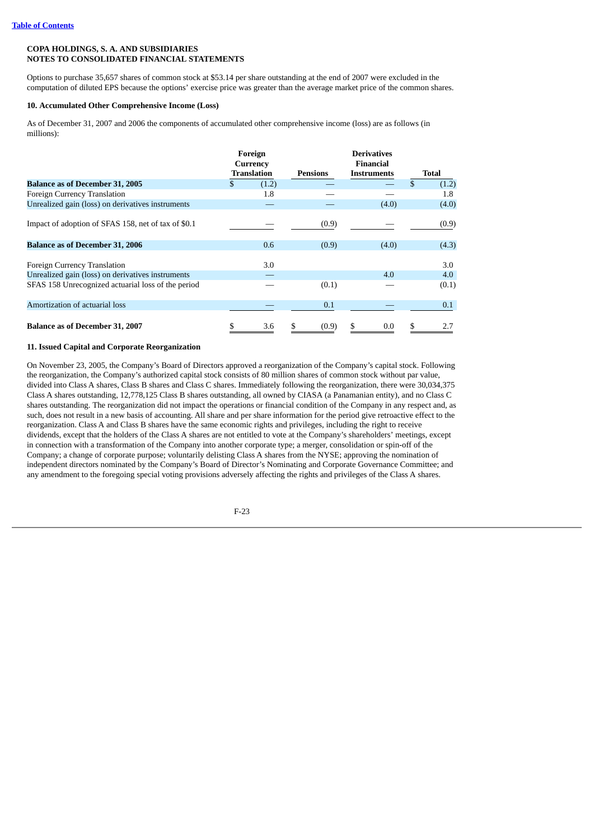Options to purchase 35,657 shares of common stock at \$53.14 per share outstanding at the end of 2007 were excluded in the computation of diluted EPS because the options' exercise price was greater than the average market price of the common shares.

### **10. Accumulated Other Comprehensive Income (Loss)**

As of December 31, 2007 and 2006 the components of accumulated other comprehensive income (loss) are as follows (in millions):

|                                                     | Foreign<br>Currency |       |             | <b>Derivatives</b><br><b>Financial</b> |   |                  |
|-----------------------------------------------------|---------------------|-------|-------------|----------------------------------------|---|------------------|
|                                                     | Translation         |       | Pensions    | <b>Instruments</b>                     |   | Total            |
| <b>Balance as of December 31, 2005</b>              | S.                  | (1.2) |             |                                        |   | (1.2)            |
| Foreign Currency Translation                        |                     | 1.8   |             |                                        |   | $1.8\phantom{0}$ |
| Unrealized gain (loss) on derivatives instruments   |                     |       |             | (4.0)                                  |   | (4.0)            |
| Impact of adoption of SFAS 158, net of tax of \$0.1 |                     |       | (0.9)       |                                        |   | (0.9)            |
| <b>Balance as of December 31, 2006</b>              |                     | 0.6   | (0.9)       | (4.0)                                  |   | (4.3)            |
| Foreign Currency Translation                        |                     | 3.0   |             |                                        |   | 3.0              |
| Unrealized gain (loss) on derivatives instruments   |                     |       |             | 4.0                                    |   | 4.0              |
| SFAS 158 Unrecognized actuarial loss of the period  |                     |       | (0.1)       |                                        |   | (0.1)            |
| Amortization of actuarial loss                      |                     |       | 0.1         |                                        |   | 0.1              |
| <b>Balance as of December 31, 2007</b>              |                     | 3.6   | \$<br>(0.9) | S<br>0.0                               | S | 2.7              |

#### **11. Issued Capital and Corporate Reorganization**

On November 23, 2005, the Company's Board of Directors approved a reorganization of the Company's capital stock. Following the reorganization, the Company's authorized capital stock consists of 80 million shares of common stock without par value, divided into Class A shares, Class B shares and Class C shares. Immediately following the reorganization, there were 30,034,375 Class A shares outstanding, 12,778,125 Class B shares outstanding, all owned by CIASA (a Panamanian entity), and no Class C shares outstanding. The reorganization did not impact the operations or financial condition of the Company in any respect and, as such, does not result in a new basis of accounting. All share and per share information for the period give retroactive effect to the reorganization. Class A and Class B shares have the same economic rights and privileges, including the right to receive dividends, except that the holders of the Class A shares are not entitled to vote at the Company's shareholders' meetings, except in connection with a transformation of the Company into another corporate type; a merger, consolidation or spin-off of the Company; a change of corporate purpose; voluntarily delisting Class A shares from the NYSE; approving the nomination of independent directors nominated by the Company's Board of Director's Nominating and Corporate Governance Committee; and any amendment to the foregoing special voting provisions adversely affecting the rights and privileges of the Class A shares.

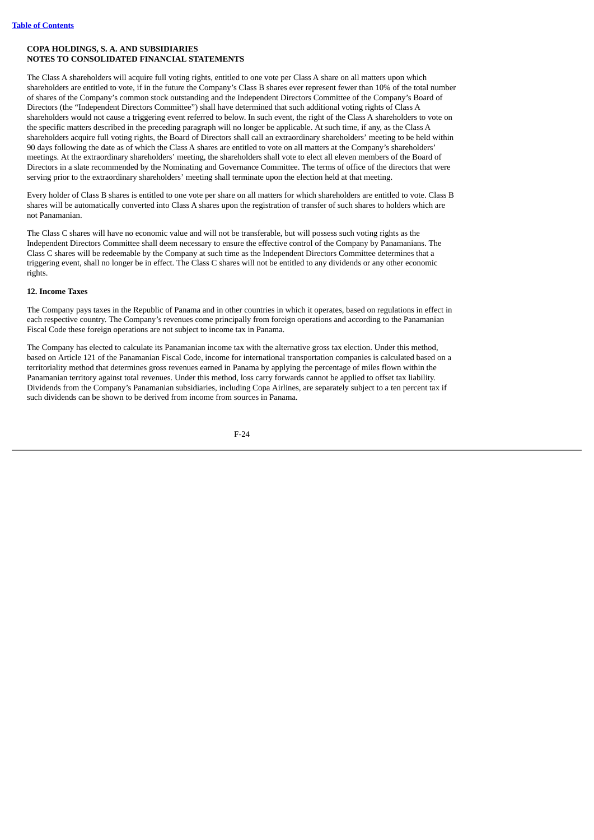The Class A shareholders will acquire full voting rights, entitled to one vote per Class A share on all matters upon which shareholders are entitled to vote, if in the future the Company's Class B shares ever represent fewer than 10% of the total number of shares of the Company's common stock outstanding and the Independent Directors Committee of the Company's Board of Directors (the "Independent Directors Committee") shall have determined that such additional voting rights of Class A shareholders would not cause a triggering event referred to below. In such event, the right of the Class A shareholders to vote on the specific matters described in the preceding paragraph will no longer be applicable. At such time, if any, as the Class A shareholders acquire full voting rights, the Board of Directors shall call an extraordinary shareholders' meeting to be held within 90 days following the date as of which the Class A shares are entitled to vote on all matters at the Company's shareholders' meetings. At the extraordinary shareholders' meeting, the shareholders shall vote to elect all eleven members of the Board of Directors in a slate recommended by the Nominating and Governance Committee. The terms of office of the directors that were serving prior to the extraordinary shareholders' meeting shall terminate upon the election held at that meeting.

Every holder of Class B shares is entitled to one vote per share on all matters for which shareholders are entitled to vote. Class B shares will be automatically converted into Class A shares upon the registration of transfer of such shares to holders which are not Panamanian.

The Class C shares will have no economic value and will not be transferable, but will possess such voting rights as the Independent Directors Committee shall deem necessary to ensure the effective control of the Company by Panamanians. The Class C shares will be redeemable by the Company at such time as the Independent Directors Committee determines that a triggering event, shall no longer be in effect. The Class C shares will not be entitled to any dividends or any other economic rights.

# **12. Income Taxes**

The Company pays taxes in the Republic of Panama and in other countries in which it operates, based on regulations in effect in each respective country. The Company's revenues come principally from foreign operations and according to the Panamanian Fiscal Code these foreign operations are not subject to income tax in Panama.

The Company has elected to calculate its Panamanian income tax with the alternative gross tax election. Under this method, based on Article 121 of the Panamanian Fiscal Code, income for international transportation companies is calculated based on a territoriality method that determines gross revenues earned in Panama by applying the percentage of miles flown within the Panamanian territory against total revenues. Under this method, loss carry forwards cannot be applied to offset tax liability. Dividends from the Company's Panamanian subsidiaries, including Copa Airlines, are separately subject to a ten percent tax if such dividends can be shown to be derived from income from sources in Panama.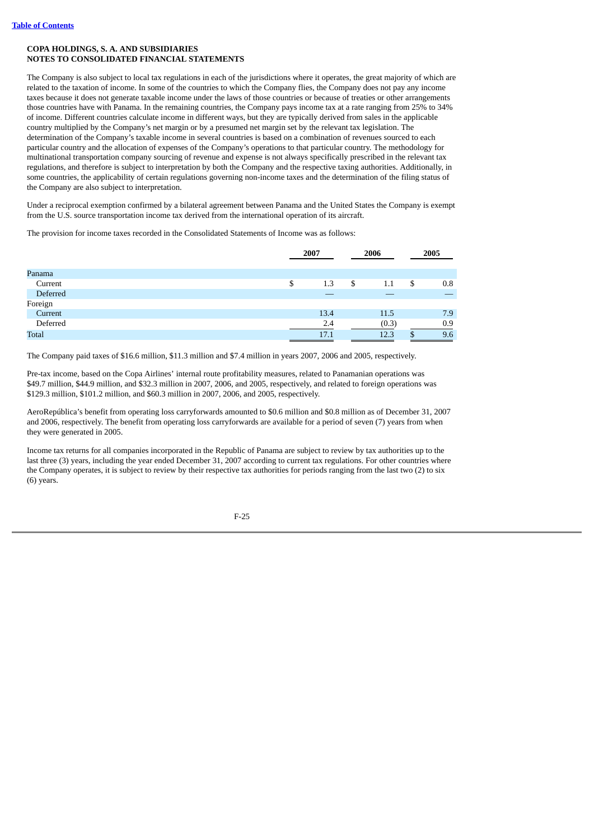The Company is also subject to local tax regulations in each of the jurisdictions where it operates, the great majority of which are related to the taxation of income. In some of the countries to which the Company flies, the Company does not pay any income taxes because it does not generate taxable income under the laws of those countries or because of treaties or other arrangements those countries have with Panama. In the remaining countries, the Company pays income tax at a rate ranging from 25% to 34% of income. Different countries calculate income in different ways, but they are typically derived from sales in the applicable country multiplied by the Company's net margin or by a presumed net margin set by the relevant tax legislation. The determination of the Company's taxable income in several countries is based on a combination of revenues sourced to each particular country and the allocation of expenses of the Company's operations to that particular country. The methodology for multinational transportation company sourcing of revenue and expense is not always specifically prescribed in the relevant tax regulations, and therefore is subject to interpretation by both the Company and the respective taxing authorities. Additionally, in some countries, the applicability of certain regulations governing non-income taxes and the determination of the filing status of the Company are also subject to interpretation.

Under a reciprocal exemption confirmed by a bilateral agreement between Panama and the United States the Company is exempt from the U.S. source transportation income tax derived from the international operation of its aircraft.

The provision for income taxes recorded in the Consolidated Statements of Income was as follows:

|          | 2007      | 2006      |    | 2005 |
|----------|-----------|-----------|----|------|
| Panama   |           |           |    |      |
| Current  | \$<br>1.3 | \$<br>1.1 | \$ | 0.8  |
| Deferred |           |           |    |      |
| Foreign  |           |           |    |      |
| Current  | 13.4      | 11.5      |    | 7.9  |
| Deferred | 2.4       | (0.3)     |    | 0.9  |
| Total    | 17.1      | 12.3      | £. | 9.6  |

The Company paid taxes of \$16.6 million, \$11.3 million and \$7.4 million in years 2007, 2006 and 2005, respectively.

Pre-tax income, based on the Copa Airlines' internal route profitability measures, related to Panamanian operations was \$49.7 million, \$44.9 million, and \$32.3 million in 2007, 2006, and 2005, respectively, and related to foreign operations was \$129.3 million, \$101.2 million, and \$60.3 million in 2007, 2006, and 2005, respectively.

AeroRepública's benefit from operating loss carryforwards amounted to \$0.6 million and \$0.8 million as of December 31, 2007 and 2006, respectively. The benefit from operating loss carryforwards are available for a period of seven (7) years from when they were generated in 2005.

Income tax returns for all companies incorporated in the Republic of Panama are subject to review by tax authorities up to the last three (3) years, including the year ended December 31, 2007 according to current tax regulations. For other countries where the Company operates, it is subject to review by their respective tax authorities for periods ranging from the last two (2) to six (6) years.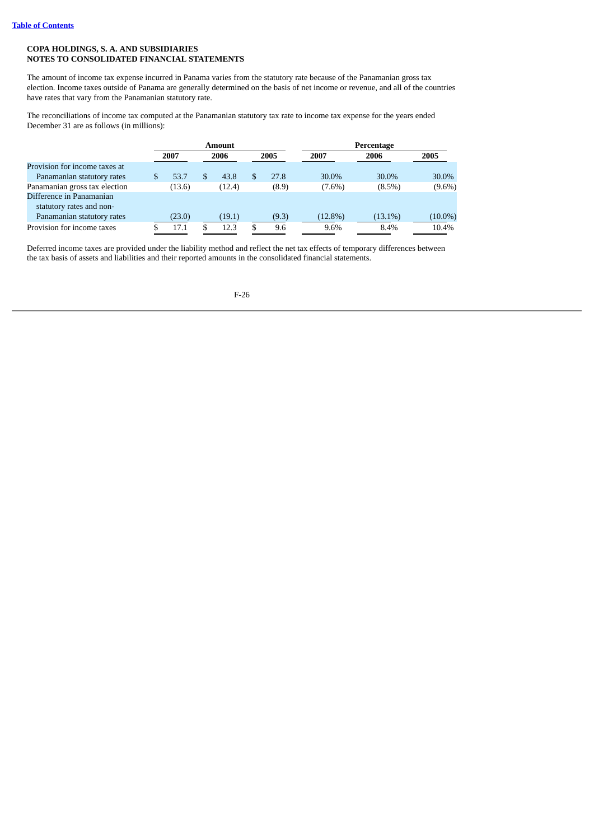The amount of income tax expense incurred in Panama varies from the statutory rate because of the Panamanian gross tax election. Income taxes outside of Panama are generally determined on the basis of net income or revenue, and all of the countries have rates that vary from the Panamanian statutory rate.

The reconciliations of income tax computed at the Panamanian statutory tax rate to income tax expense for the years ended December 31 are as follows (in millions):

|                               |   | <b>Amount</b> |  |        |  |       | Percentage |            |            |  |
|-------------------------------|---|---------------|--|--------|--|-------|------------|------------|------------|--|
|                               |   | 2007          |  | 2006   |  | 2005  | 2007       | 2006       | 2005       |  |
| Provision for income taxes at |   |               |  |        |  |       |            |            |            |  |
| Panamanian statutory rates    | S | 53.7          |  | 43.8   |  | 27.8  | 30.0%      | 30.0%      | 30.0%      |  |
| Panamanian gross tax election |   | (13.6)        |  | (12.4) |  | (8.9) | $(7.6\%)$  | $(8.5\%)$  | $(9.6\%)$  |  |
| Difference in Panamanian      |   |               |  |        |  |       |            |            |            |  |
| statutory rates and non-      |   |               |  |        |  |       |            |            |            |  |
| Panamanian statutory rates    |   | (23.0)        |  | (19.1) |  | (9.3) | $(12.8\%)$ | $(13.1\%)$ | $(10.0\%)$ |  |
| Provision for income taxes    |   | 17.1          |  | 12.3   |  | 9.6   | 9.6%       | 8.4%       | 10.4%      |  |

Deferred income taxes are provided under the liability method and reflect the net tax effects of temporary differences between the tax basis of assets and liabilities and their reported amounts in the consolidated financial statements.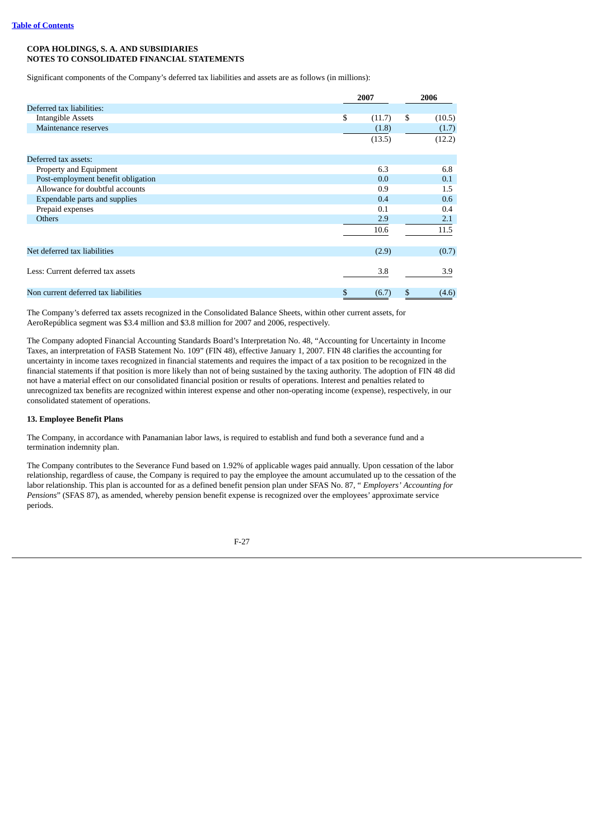Significant components of the Company's deferred tax liabilities and assets are as follows (in millions):

|                                      | 2007 |        | 2006 |        |
|--------------------------------------|------|--------|------|--------|
| Deferred tax liabilities:            |      |        |      |        |
| <b>Intangible Assets</b>             | \$   | (11.7) | \$   | (10.5) |
| Maintenance reserves                 |      | (1.8)  |      | (1.7)  |
|                                      |      | (13.5) |      | (12.2) |
|                                      |      |        |      |        |
| Deferred tax assets:                 |      |        |      |        |
| Property and Equipment               |      | 6.3    |      | 6.8    |
| Post-employment benefit obligation   |      | 0.0    |      | 0.1    |
| Allowance for doubtful accounts      |      | 0.9    |      | 1.5    |
| Expendable parts and supplies        |      | 0.4    |      | 0.6    |
| Prepaid expenses                     |      | 0.1    |      | 0.4    |
| <b>Others</b>                        |      | 2.9    |      | 2.1    |
|                                      |      | 10.6   |      | 11.5   |
|                                      |      |        |      |        |
| Net deferred tax liabilities         |      | (2.9)  |      | (0.7)  |
|                                      |      |        |      |        |
| Less: Current deferred tax assets    |      | 3.8    |      | 3.9    |
| Non current deferred tax liabilities | \$   | (6.7)  | \$   | (4.6)  |

The Company's deferred tax assets recognized in the Consolidated Balance Sheets, within other current assets, for AeroRepública segment was \$3.4 million and \$3.8 million for 2007 and 2006, respectively.

The Company adopted Financial Accounting Standards Board's Interpretation No. 48, "Accounting for Uncertainty in Income Taxes, an interpretation of FASB Statement No. 109" (FIN 48), effective January 1, 2007. FIN 48 clarifies the accounting for uncertainty in income taxes recognized in financial statements and requires the impact of a tax position to be recognized in the financial statements if that position is more likely than not of being sustained by the taxing authority. The adoption of FIN 48 did not have a material effect on our consolidated financial position or results of operations. Interest and penalties related to unrecognized tax benefits are recognized within interest expense and other non-operating income (expense), respectively, in our consolidated statement of operations.

#### **13. Employee Benefit Plans**

The Company, in accordance with Panamanian labor laws, is required to establish and fund both a severance fund and a termination indemnity plan.

The Company contributes to the Severance Fund based on 1.92% of applicable wages paid annually. Upon cessation of the labor relationship, regardless of cause, the Company is required to pay the employee the amount accumulated up to the cessation of the labor relationship. This plan is accounted for as a defined benefit pension plan under SFAS No. 87, " *Employers' Accounting for Pensions*" (SFAS 87), as amended, whereby pension benefit expense is recognized over the employees' approximate service periods.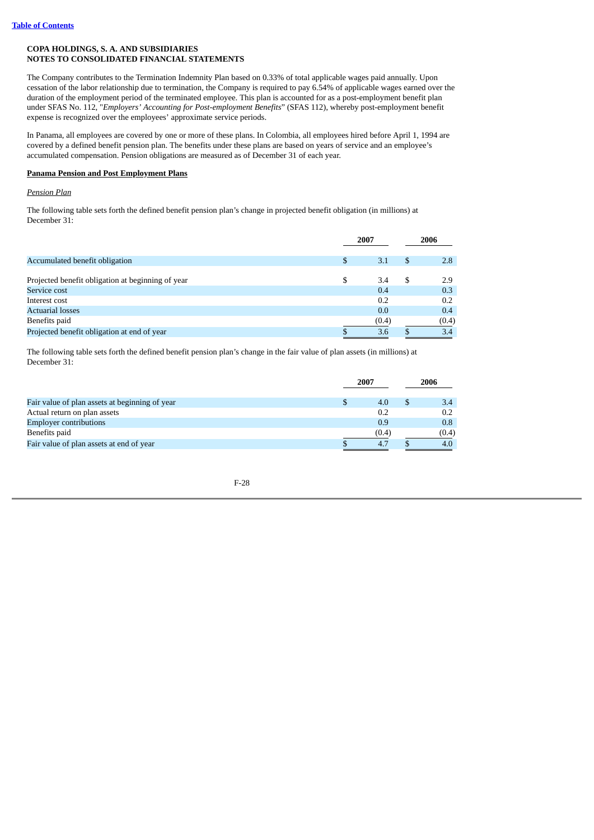The Company contributes to the Termination Indemnity Plan based on 0.33% of total applicable wages paid annually. Upon cessation of the labor relationship due to termination, the Company is required to pay 6.54% of applicable wages earned over the duration of the employment period of the terminated employee. This plan is accounted for as a post-employment benefit plan under SFAS No. 112, "*Employers' Accounting for Post-employment Benefits*" (SFAS 112), whereby post-employment benefit expense is recognized over the employees' approximate service periods.

In Panama, all employees are covered by one or more of these plans. In Colombia, all employees hired before April 1, 1994 are covered by a defined benefit pension plan. The benefits under these plans are based on years of service and an employee's accumulated compensation. Pension obligations are measured as of December 31 of each year.

## **Panama Pension and Post Employment Plans**

## *Pension Plan*

The following table sets forth the defined benefit pension plan's change in projected benefit obligation (in millions) at December 31:

|                                                   |   | 2007  |    | 2006  |
|---------------------------------------------------|---|-------|----|-------|
| Accumulated benefit obligation                    | S | 3.1   | \$ | 2.8   |
| Projected benefit obligation at beginning of year | S | 3.4   | \$ | 2.9   |
| Service cost                                      |   | 0.4   |    | 0.3   |
| Interest cost                                     |   | 0.2   |    | 0.2   |
| <b>Actuarial losses</b>                           |   | 0.0   |    | 0.4   |
| Benefits paid                                     |   | (0.4) |    | (0.4) |
| Projected benefit obligation at end of year       |   | 3.6   |    | 3.4   |

The following table sets forth the defined benefit pension plan's change in the fair value of plan assets (in millions) at December 31:

|                                                | 2007 |       | 2006 |       |
|------------------------------------------------|------|-------|------|-------|
| Fair value of plan assets at beginning of year |      | 4.0   |      | 3.4   |
| Actual return on plan assets                   |      | 0.2   |      | 0.2   |
| <b>Employer contributions</b>                  |      | 0.9   |      | 0.8   |
| Benefits paid                                  |      | (0.4) |      | (0.4) |
| Fair value of plan assets at end of year       |      | 4.7   |      |       |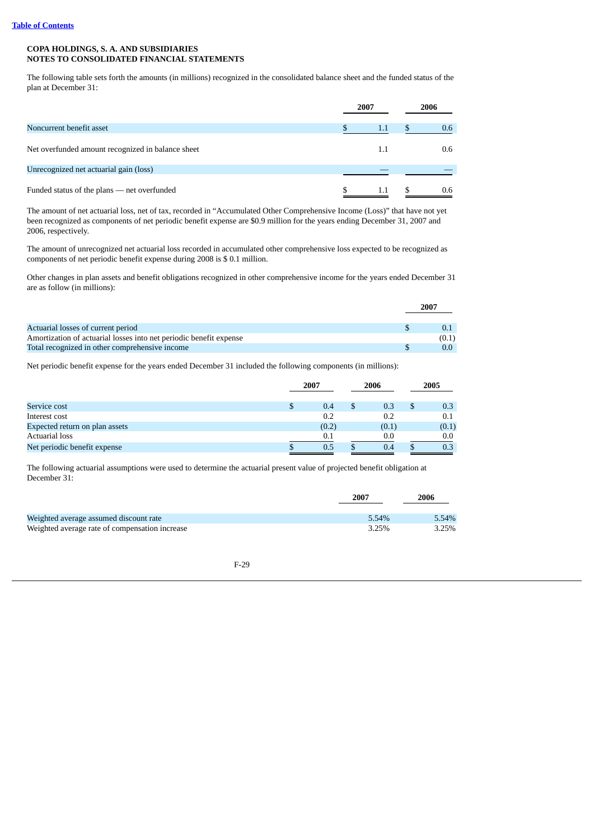The following table sets forth the amounts (in millions) recognized in the consolidated balance sheet and the funded status of the plan at December 31:

|                                                   | 2007 | 2006     |
|---------------------------------------------------|------|----------|
| Noncurrent benefit asset                          | 1.1  | 0.6<br>ъ |
| Net overfunded amount recognized in balance sheet | 1.1  | 0.6      |
| Unrecognized net actuarial gain (loss)            |      |          |
| Funded status of the plans - net overfunded       | 1.1  | 0.6      |

The amount of net actuarial loss, net of tax, recorded in "Accumulated Other Comprehensive Income (Loss)" that have not yet been recognized as components of net periodic benefit expense are \$0.9 million for the years ending December 31, 2007 and 2006, respectively.

The amount of unrecognized net actuarial loss recorded in accumulated other comprehensive loss expected to be recognized as components of net periodic benefit expense during 2008 is \$ 0.1 million.

Other changes in plan assets and benefit obligations recognized in other comprehensive income for the years ended December 31 are as follow (in millions):

|                                                                    | 2007 |       |
|--------------------------------------------------------------------|------|-------|
|                                                                    |      |       |
| Actuarial losses of current period                                 |      |       |
| Amortization of actuarial losses into net periodic benefit expense |      | (0.1) |
| Total recognized in other comprehensive income                     |      |       |

Net periodic benefit expense for the years ended December 31 included the following components (in millions):

|                                | 2007 |       | 2006  | 2005  |
|--------------------------------|------|-------|-------|-------|
| Service cost                   | Ъ    | 0.4   | 0.3   | 0.3   |
| Interest cost                  |      | 0.2   | 0.2   | 0.1   |
| Expected return on plan assets |      | (0.2) | (0.1) | (0.1) |
| Actuarial loss                 |      | 0.1   | 0.0   | 0.0   |
| Net periodic benefit expense   |      | 0.5   | 0.4   | 0.3   |

The following actuarial assumptions were used to determine the actuarial present value of projected benefit obligation at December 31:

|                                                | 2007  | 2006  |
|------------------------------------------------|-------|-------|
| Weighted average assumed discount rate         | 5.54% | 5.54% |
| Weighted average rate of compensation increase | 3.25% | 3.25% |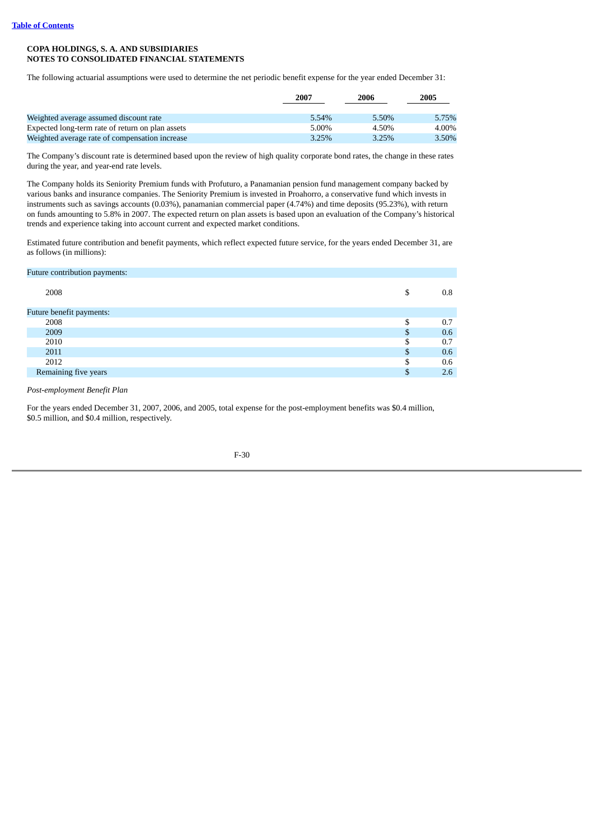The following actuarial assumptions were used to determine the net periodic benefit expense for the year ended December 31:

|                                                  | 2007  | 2006  | 2005  |
|--------------------------------------------------|-------|-------|-------|
|                                                  |       |       |       |
| Weighted average assumed discount rate           | 5.54% | 5.50% | 5.75% |
| Expected long-term rate of return on plan assets | 5.00% | 4.50% | 4.00% |
| Weighted average rate of compensation increase   | 3.25% | 3.25% | 3.50% |

The Company's discount rate is determined based upon the review of high quality corporate bond rates, the change in these rates during the year, and year-end rate levels.

The Company holds its Seniority Premium funds with Profuturo, a Panamanian pension fund management company backed by various banks and insurance companies. The Seniority Premium is invested in Proahorro, a conservative fund which invests in instruments such as savings accounts (0.03%), panamanian commercial paper (4.74%) and time deposits (95.23%), with return on funds amounting to 5.8% in 2007. The expected return on plan assets is based upon an evaluation of the Company's historical trends and experience taking into account current and expected market conditions.

Estimated future contribution and benefit payments, which reflect expected future service, for the years ended December 31, are as follows (in millions):

| Future contribution payments: |     |     |
|-------------------------------|-----|-----|
| 2008                          | \$  | 0.8 |
| Future benefit payments:      |     |     |
| 2008                          | S   | 0.7 |
| 2009                          | \$  | 0.6 |
| 2010                          | S   | 0.7 |
| 2011                          | \$  | 0.6 |
| 2012                          | \$. | 0.6 |
| Remaining five years          | \$  | 2.6 |

*Post-employment Benefit Plan*

For the years ended December 31, 2007, 2006, and 2005, total expense for the post-employment benefits was \$0.4 million, \$0.5 million, and \$0.4 million, respectively.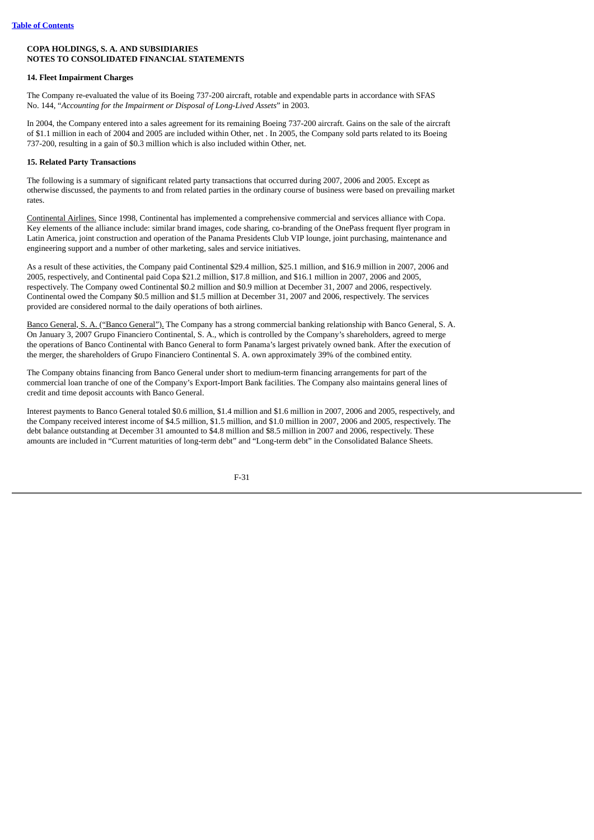## **14. Fleet Impairment Charges**

The Company re-evaluated the value of its Boeing 737-200 aircraft, rotable and expendable parts in accordance with SFAS No. 144, "*Accounting for the Impairment or Disposal of Long-Lived Assets*" in 2003.

In 2004, the Company entered into a sales agreement for its remaining Boeing 737-200 aircraft. Gains on the sale of the aircraft of \$1.1 million in each of 2004 and 2005 are included within Other, net . In 2005, the Company sold parts related to its Boeing 737-200, resulting in a gain of \$0.3 million which is also included within Other, net.

## **15. Related Party Transactions**

The following is a summary of significant related party transactions that occurred during 2007, 2006 and 2005. Except as otherwise discussed, the payments to and from related parties in the ordinary course of business were based on prevailing market rates.

Continental Airlines. Since 1998, Continental has implemented a comprehensive commercial and services alliance with Copa. Key elements of the alliance include: similar brand images, code sharing, co-branding of the OnePass frequent flyer program in Latin America, joint construction and operation of the Panama Presidents Club VIP lounge, joint purchasing, maintenance and engineering support and a number of other marketing, sales and service initiatives.

As a result of these activities, the Company paid Continental \$29.4 million, \$25.1 million, and \$16.9 million in 2007, 2006 and 2005, respectively, and Continental paid Copa \$21.2 million, \$17.8 million, and \$16.1 million in 2007, 2006 and 2005, respectively. The Company owed Continental \$0.2 million and \$0.9 million at December 31, 2007 and 2006, respectively. Continental owed the Company \$0.5 million and \$1.5 million at December 31, 2007 and 2006, respectively. The services provided are considered normal to the daily operations of both airlines.

Banco General, S. A. ("Banco General"). The Company has a strong commercial banking relationship with Banco General, S. A. On January 3, 2007 Grupo Financiero Continental, S. A., which is controlled by the Company's shareholders, agreed to merge the operations of Banco Continental with Banco General to form Panama's largest privately owned bank. After the execution of the merger, the shareholders of Grupo Financiero Continental S. A. own approximately 39% of the combined entity.

The Company obtains financing from Banco General under short to medium-term financing arrangements for part of the commercial loan tranche of one of the Company's Export-Import Bank facilities. The Company also maintains general lines of credit and time deposit accounts with Banco General.

Interest payments to Banco General totaled \$0.6 million, \$1.4 million and \$1.6 million in 2007, 2006 and 2005, respectively, and the Company received interest income of \$4.5 million, \$1.5 million, and \$1.0 million in 2007, 2006 and 2005, respectively. The debt balance outstanding at December 31 amounted to \$4.8 million and \$8.5 million in 2007 and 2006, respectively. These amounts are included in "Current maturities of long-term debt" and "Long-term debt" in the Consolidated Balance Sheets.

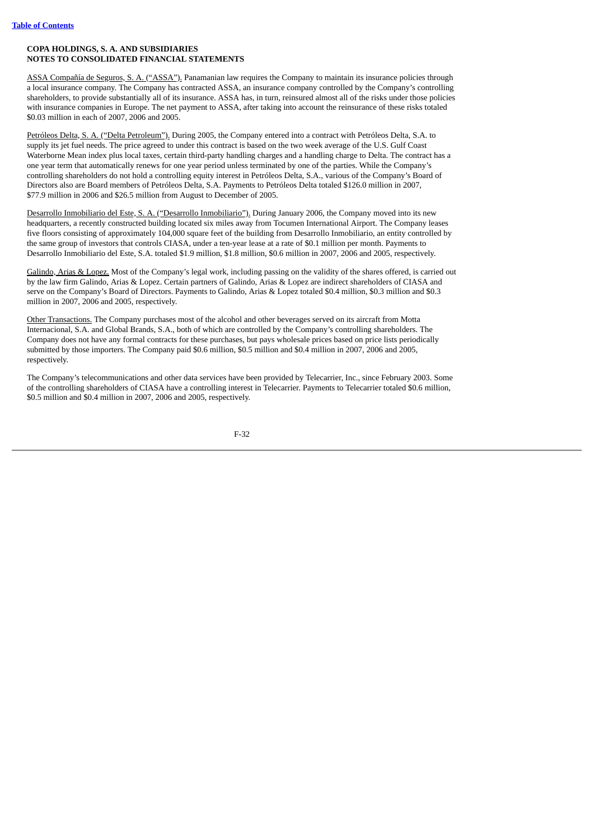ASSA Compañía de Seguros, S. A. ("ASSA"). Panamanian law requires the Company to maintain its insurance policies through a local insurance company. The Company has contracted ASSA, an insurance company controlled by the Company's controlling shareholders, to provide substantially all of its insurance. ASSA has, in turn, reinsured almost all of the risks under those policies with insurance companies in Europe. The net payment to ASSA, after taking into account the reinsurance of these risks totaled \$0.03 million in each of 2007, 2006 and 2005.

Petróleos Delta, S. A. ("Delta Petroleum"). During 2005, the Company entered into a contract with Petróleos Delta, S.A. to supply its jet fuel needs. The price agreed to under this contract is based on the two week average of the U.S. Gulf Coast Waterborne Mean index plus local taxes, certain third-party handling charges and a handling charge to Delta. The contract has a one year term that automatically renews for one year period unless terminated by one of the parties. While the Company's controlling shareholders do not hold a controlling equity interest in Petróleos Delta, S.A., various of the Company's Board of Directors also are Board members of Petróleos Delta, S.A. Payments to Petróleos Delta totaled \$126.0 million in 2007, \$77.9 million in 2006 and \$26.5 million from August to December of 2005.

Desarrollo Inmobiliario del Este, S. A. ("Desarrollo Inmobiliario"). During January 2006, the Company moved into its new headquarters, a recently constructed building located six miles away from Tocumen International Airport. The Company leases five floors consisting of approximately 104,000 square feet of the building from Desarrollo Inmobiliario, an entity controlled by the same group of investors that controls CIASA, under a ten-year lease at a rate of \$0.1 million per month. Payments to Desarrollo Inmobiliario del Este, S.A. totaled \$1.9 million, \$1.8 million, \$0.6 million in 2007, 2006 and 2005, respectively.

Galindo, Arias & Lopez. Most of the Company's legal work, including passing on the validity of the shares offered, is carried out by the law firm Galindo, Arias & Lopez. Certain partners of Galindo, Arias & Lopez are indirect shareholders of CIASA and serve on the Company's Board of Directors. Payments to Galindo, Arias & Lopez totaled \$0.4 million, \$0.3 million and \$0.3 million in 2007, 2006 and 2005, respectively.

Other Transactions. The Company purchases most of the alcohol and other beverages served on its aircraft from Motta Internacional, S.A. and Global Brands, S.A., both of which are controlled by the Company's controlling shareholders. The Company does not have any formal contracts for these purchases, but pays wholesale prices based on price lists periodically submitted by those importers. The Company paid \$0.6 million, \$0.5 million and \$0.4 million in 2007, 2006 and 2005, respectively.

The Company's telecommunications and other data services have been provided by Telecarrier, Inc., since February 2003. Some of the controlling shareholders of CIASA have a controlling interest in Telecarrier. Payments to Telecarrier totaled \$0.6 million, \$0.5 million and \$0.4 million in 2007, 2006 and 2005, respectively.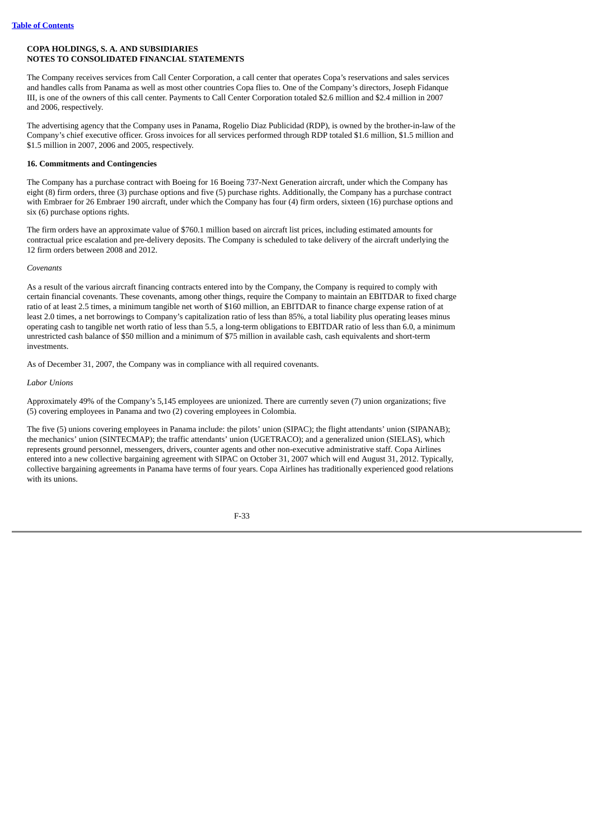The Company receives services from Call Center Corporation, a call center that operates Copa's reservations and sales services and handles calls from Panama as well as most other countries Copa flies to. One of the Company's directors, Joseph Fidanque III, is one of the owners of this call center. Payments to Call Center Corporation totaled \$2.6 million and \$2.4 million in 2007 and 2006, respectively.

The advertising agency that the Company uses in Panama, Rogelio Diaz Publicidad (RDP), is owned by the brother-in-law of the Company's chief executive officer. Gross invoices for all services performed through RDP totaled \$1.6 million, \$1.5 million and \$1.5 million in 2007, 2006 and 2005, respectively.

#### **16. Commitments and Contingencies**

The Company has a purchase contract with Boeing for 16 Boeing 737-Next Generation aircraft, under which the Company has eight (8) firm orders, three (3) purchase options and five (5) purchase rights. Additionally, the Company has a purchase contract with Embraer for 26 Embraer 190 aircraft, under which the Company has four (4) firm orders, sixteen (16) purchase options and six (6) purchase options rights.

The firm orders have an approximate value of \$760.1 million based on aircraft list prices, including estimated amounts for contractual price escalation and pre-delivery deposits. The Company is scheduled to take delivery of the aircraft underlying the 12 firm orders between 2008 and 2012.

#### *Covenants*

As a result of the various aircraft financing contracts entered into by the Company, the Company is required to comply with certain financial covenants. These covenants, among other things, require the Company to maintain an EBITDAR to fixed charge ratio of at least 2.5 times, a minimum tangible net worth of \$160 million, an EBITDAR to finance charge expense ration of at least 2.0 times, a net borrowings to Company's capitalization ratio of less than 85%, a total liability plus operating leases minus operating cash to tangible net worth ratio of less than 5.5, a long-term obligations to EBITDAR ratio of less than 6.0, a minimum unrestricted cash balance of \$50 million and a minimum of \$75 million in available cash, cash equivalents and short-term investments.

As of December 31, 2007, the Company was in compliance with all required covenants.

#### *Labor Unions*

Approximately 49% of the Company's 5,145 employees are unionized. There are currently seven (7) union organizations; five (5) covering employees in Panama and two (2) covering employees in Colombia.

The five (5) unions covering employees in Panama include: the pilots' union (SIPAC); the flight attendants' union (SIPANAB); the mechanics' union (SINTECMAP); the traffic attendants' union (UGETRACO); and a generalized union (SIELAS), which represents ground personnel, messengers, drivers, counter agents and other non-executive administrative staff. Copa Airlines entered into a new collective bargaining agreement with SIPAC on October 31, 2007 which will end August 31, 2012. Typically, collective bargaining agreements in Panama have terms of four years. Copa Airlines has traditionally experienced good relations with its unions.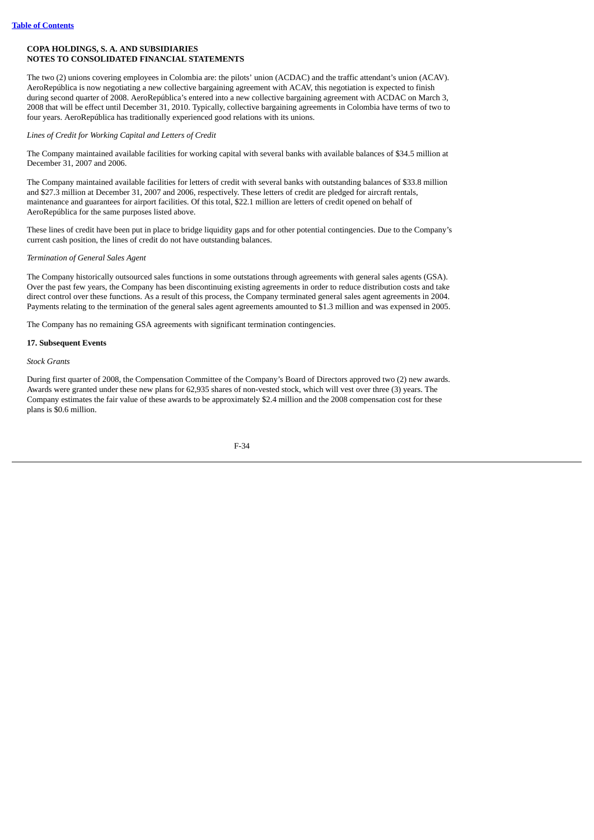The two (2) unions covering employees in Colombia are: the pilots' union (ACDAC) and the traffic attendant's union (ACAV). AeroRepública is now negotiating a new collective bargaining agreement with ACAV, this negotiation is expected to finish during second quarter of 2008. AeroRepública's entered into a new collective bargaining agreement with ACDAC on March 3, 2008 that will be effect until December 31, 2010. Typically, collective bargaining agreements in Colombia have terms of two to four years. AeroRepública has traditionally experienced good relations with its unions.

# *Lines of Credit for Working Capital and Letters of Credit*

The Company maintained available facilities for working capital with several banks with available balances of \$34.5 million at December 31, 2007 and 2006.

The Company maintained available facilities for letters of credit with several banks with outstanding balances of \$33.8 million and \$27.3 million at December 31, 2007 and 2006, respectively. These letters of credit are pledged for aircraft rentals, maintenance and guarantees for airport facilities. Of this total, \$22.1 million are letters of credit opened on behalf of AeroRepública for the same purposes listed above.

These lines of credit have been put in place to bridge liquidity gaps and for other potential contingencies. Due to the Company's current cash position, the lines of credit do not have outstanding balances.

# *Termination of General Sales Agent*

The Company historically outsourced sales functions in some outstations through agreements with general sales agents (GSA). Over the past few years, the Company has been discontinuing existing agreements in order to reduce distribution costs and take direct control over these functions. As a result of this process, the Company terminated general sales agent agreements in 2004. Payments relating to the termination of the general sales agent agreements amounted to \$1.3 million and was expensed in 2005.

The Company has no remaining GSA agreements with significant termination contingencies.

# **17. Subsequent Events**

*Stock Grants*

During first quarter of 2008, the Compensation Committee of the Company's Board of Directors approved two (2) new awards. Awards were granted under these new plans for 62,935 shares of non-vested stock, which will vest over three (3) years. The Company estimates the fair value of these awards to be approximately \$2.4 million and the 2008 compensation cost for these plans is \$0.6 million.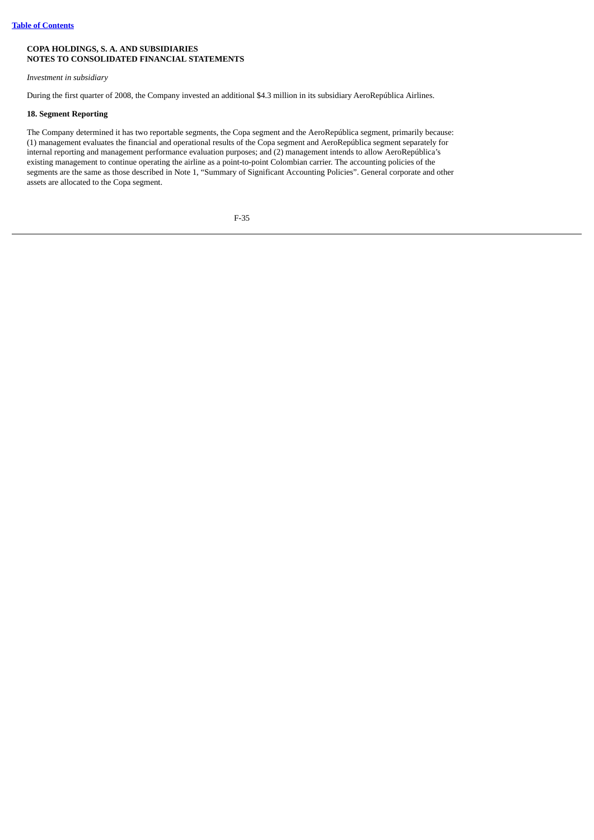#### *Investment in subsidiary*

During the first quarter of 2008, the Company invested an additional \$4.3 million in its subsidiary AeroRepública Airlines.

#### **18. Segment Reporting**

The Company determined it has two reportable segments, the Copa segment and the AeroRepública segment, primarily because: (1) management evaluates the financial and operational results of the Copa segment and AeroRepública segment separately for internal reporting and management performance evaluation purposes; and (2) management intends to allow AeroRepública's existing management to continue operating the airline as a point-to-point Colombian carrier. The accounting policies of the segments are the same as those described in Note 1, "Summary of Significant Accounting Policies". General corporate and other assets are allocated to the Copa segment.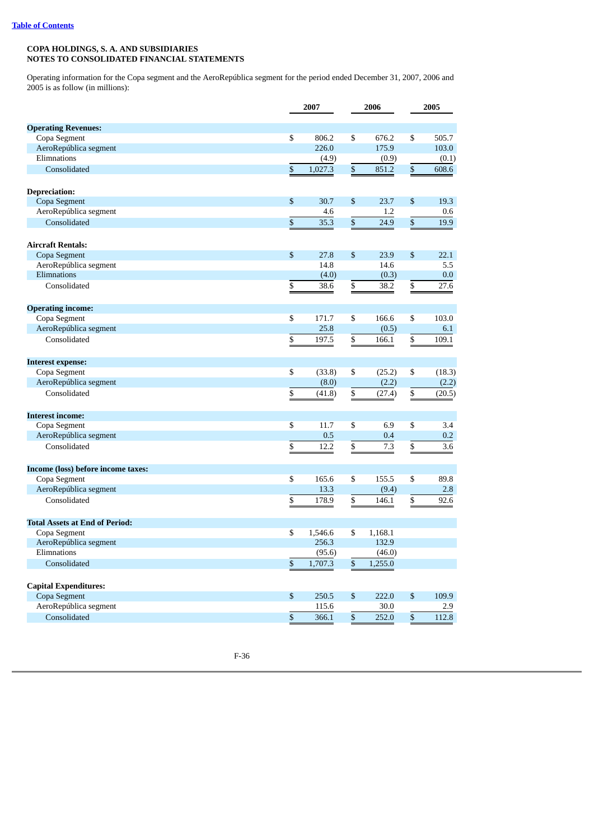Operating information for the Copa segment and the AeroRepública segment for the period ended December 31, 2007, 2006 and 2005 is as follow (in millions):

|                                                    |              | 2007    | 2006            |         | 2005            |        |
|----------------------------------------------------|--------------|---------|-----------------|---------|-----------------|--------|
| <b>Operating Revenues:</b>                         |              |         |                 |         |                 |        |
| Copa Segment                                       | \$           | 806.2   | \$              | 676.2   | \$              | 505.7  |
| AeroRepública segment                              |              | 226.0   |                 | 175.9   |                 | 103.0  |
| Elimnations                                        |              | (4.9)   |                 | (0.9)   |                 | (0.1)  |
| Consolidated                                       | \$           | 1,027.3 | $\mathbb{S}$    | 851.2   | \$              | 608.6  |
|                                                    |              |         |                 |         |                 |        |
| <b>Depreciation:</b>                               |              |         |                 |         |                 |        |
| Copa Segment                                       | $\mathbb{S}$ | 30.7    | \$              | 23.7    | \$              | 19.3   |
| AeroRepública segment                              |              | 4.6     |                 | 1.2     |                 | 0.6    |
| Consolidated                                       | \$           | 35.3    | $\mathbb{S}$    | 24.9    | $\mathbb S$     | 19.9   |
|                                                    |              |         |                 |         |                 |        |
| <b>Aircraft Rentals:</b>                           |              |         |                 |         |                 |        |
| Copa Segment                                       | \$           | 27.8    | \$              | 23.9    | \$              | 22.1   |
| AeroRepública segment                              |              | 14.8    |                 | 14.6    |                 | 5.5    |
| Elimnations                                        |              | (4.0)   |                 | (0.3)   |                 | 0.0    |
| Consolidated                                       | \$           | 38.6    | \$              | 38.2    | \$              | 27.6   |
|                                                    |              |         |                 |         |                 |        |
| <b>Operating income:</b>                           |              |         |                 |         |                 |        |
| Copa Segment                                       | \$           | 171.7   | \$              | 166.6   | \$              | 103.0  |
| AeroRepública segment                              |              | 25.8    |                 | (0.5)   |                 | 6.1    |
| Consolidated                                       | \$           | 197.5   | \$              | 166.1   | \$              | 109.1  |
| <b>Interest expense:</b>                           |              |         |                 |         |                 |        |
| Copa Segment                                       | \$           | (33.8)  | \$              | (25.2)  | \$              | (18.3) |
| AeroRepública segment                              |              | (8.0)   |                 | (2.2)   |                 | (2.2)  |
| Consolidated                                       | \$           | (41.8)  | \$              | (27.4)  | \$              | (20.5) |
|                                                    |              |         |                 |         |                 |        |
| <b>Interest income:</b>                            |              |         |                 |         |                 |        |
| Copa Segment                                       | \$           | 11.7    | \$              | 6.9     | \$              | 3.4    |
| AeroRepública segment                              |              | 0.5     |                 | 0.4     |                 | 0.2    |
| Consolidated                                       | \$           | 12.2    | \$              | 7.3     | \$              | 3.6    |
|                                                    |              |         |                 |         |                 |        |
| Income (loss) before income taxes:<br>Copa Segment | \$           | 165.6   | \$              | 155.5   | \$              | 89.8   |
| AeroRepública segment                              |              | 13.3    |                 | (9.4)   |                 | 2.8    |
| Consolidated                                       | \$           | 178.9   | $\overline{\$}$ | 146.1   | $\overline{\$}$ | 92.6   |
|                                                    |              |         |                 |         |                 |        |
| <b>Total Assets at End of Period:</b>              |              |         |                 |         |                 |        |
| Copa Segment                                       | \$           | 1,546.6 | \$              | 1,168.1 |                 |        |
| AeroRepública segment                              |              | 256.3   |                 | 132.9   |                 |        |
| Elimnations                                        |              | (95.6)  |                 | (46.0)  |                 |        |
| Consolidated                                       | $\mathbb{S}$ | 1,707.3 | \$              | 1,255.0 |                 |        |
|                                                    |              |         |                 |         |                 |        |
| <b>Capital Expenditures:</b>                       |              |         |                 |         |                 |        |
| Copa Segment                                       | $\mathbb{S}$ | 250.5   | $\mathbb{S}$    | 222.0   | \$              | 109.9  |
| AeroRepública segment                              |              | 115.6   |                 | 30.0    |                 | 2.9    |
| Consolidated                                       | $\mathbb{S}$ | 366.1   | \$              | 252.0   | \$              | 112.8  |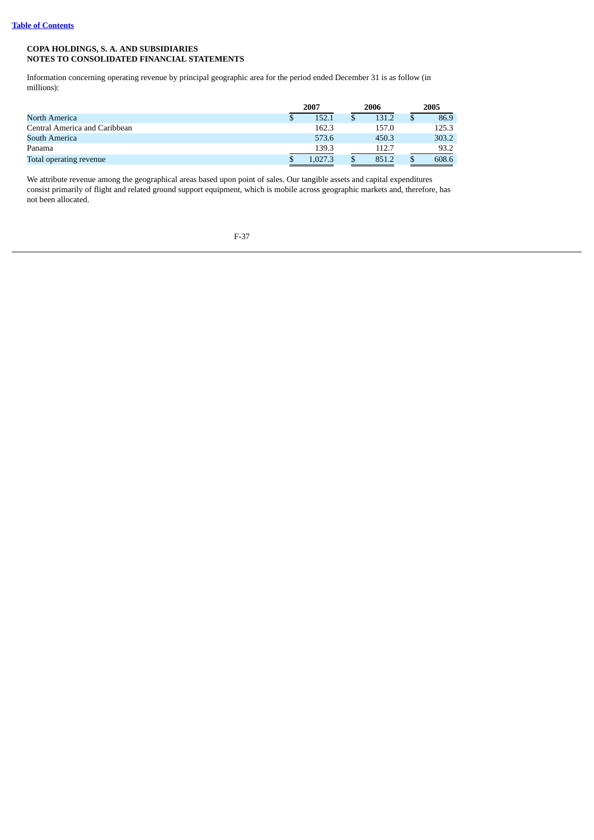Information concerning operating revenue by principal geographic area for the period ended December 31 is as follow (in millions):

|                               | 2007 |         | 2006 |       | 2005  |
|-------------------------------|------|---------|------|-------|-------|
| North America                 | \$   | 152.1   |      | 131.2 | 86.9  |
| Central America and Caribbean |      | 162.3   |      | 157.0 | 125.3 |
| South America                 |      | 573.6   |      | 450.3 | 303.2 |
| Panama                        |      | 139.3   |      | 112.7 | 93.2  |
| Total operating revenue       |      | L.027.3 |      | 851.2 | 608.6 |

We attribute revenue among the geographical areas based upon point of sales. Our tangible assets and capital expenditures consist primarily of flight and related ground support equipment, which is mobile across geographic markets and, therefore, has not been allocated.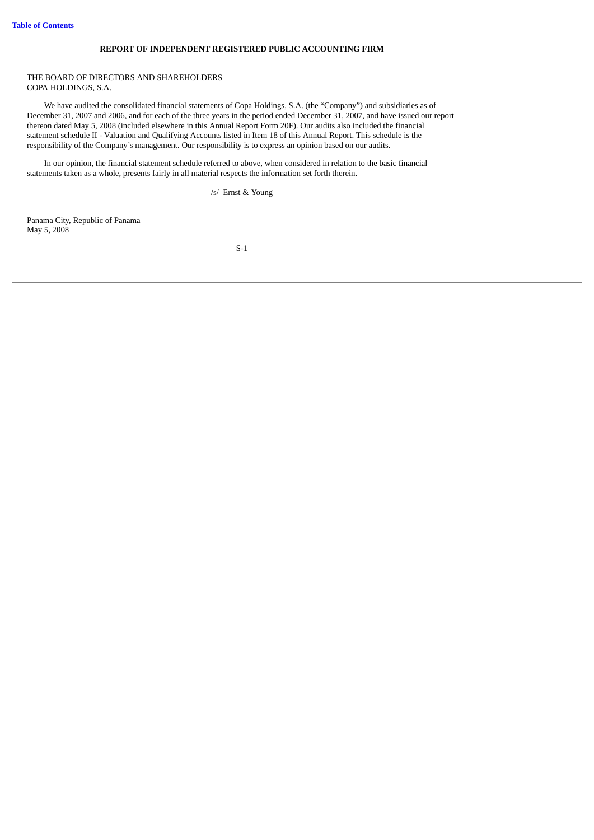### **REPORT OF INDEPENDENT REGISTERED PUBLIC ACCOUNTING FIRM**

#### THE BOARD OF DIRECTORS AND SHAREHOLDERS COPA HOLDINGS, S.A.

We have audited the consolidated financial statements of Copa Holdings, S.A. (the "Company") and subsidiaries as of December 31, 2007 and 2006, and for each of the three years in the period ended December 31, 2007, and have issued our report thereon dated May 5, 2008 (included elsewhere in this Annual Report Form 20F). Our audits also included the financial statement schedule II - Valuation and Qualifying Accounts listed in Item 18 of this Annual Report. This schedule is the responsibility of the Company's management. Our responsibility is to express an opinion based on our audits.

In our opinion, the financial statement schedule referred to above, when considered in relation to the basic financial statements taken as a whole, presents fairly in all material respects the information set forth therein.

/s/ Ernst & Young

Panama City, Republic of Panama May 5, 2008

S-1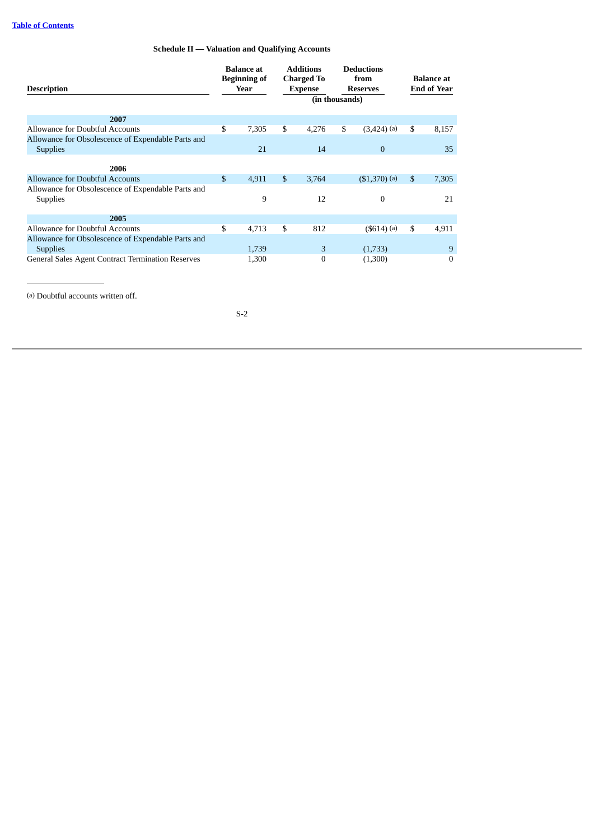## **Schedule II — Valuation and Qualifying Accounts**

| <b>Description</b>                                                    |                | <b>Balance</b> at<br><b>Beginning of</b><br>Year |    | <b>Additions</b><br><b>Charged To</b><br><b>Expense</b> |    | <b>Deductions</b><br>from<br><b>Reserves</b><br>(in thousands) |                | <b>Balance</b> at<br><b>End of Year</b> |  |
|-----------------------------------------------------------------------|----------------|--------------------------------------------------|----|---------------------------------------------------------|----|----------------------------------------------------------------|----------------|-----------------------------------------|--|
| 2007                                                                  |                |                                                  |    |                                                         |    |                                                                |                |                                         |  |
| Allowance for Doubtful Accounts                                       | \$             | 7,305                                            | \$ | 4,276                                                   | \$ | $(3,424)$ (a)                                                  | \$             | 8,157                                   |  |
| Allowance for Obsolescence of Expendable Parts and<br><b>Supplies</b> |                | 21                                               |    | 14                                                      |    | $\mathbf{0}$                                                   |                | 35                                      |  |
| 2006                                                                  |                |                                                  |    |                                                         |    |                                                                |                |                                         |  |
| Allowance for Doubtful Accounts                                       | $\mathfrak{S}$ | 4,911                                            | \$ | 3,764                                                   |    | $( $1,370)$ (a)                                                | $\mathfrak{S}$ | 7,305                                   |  |
| Allowance for Obsolescence of Expendable Parts and<br><b>Supplies</b> |                | 9                                                |    | 12                                                      |    | 0                                                              |                | 21                                      |  |
| 2005                                                                  |                |                                                  |    |                                                         |    |                                                                |                |                                         |  |
| Allowance for Doubtful Accounts                                       | \$             | 4,713                                            | \$ | 812                                                     |    | $($ \$614 $)$ $(a)$                                            | \$             | 4,911                                   |  |
| Allowance for Obsolescence of Expendable Parts and<br><b>Supplies</b> |                | 1,739                                            |    | 3                                                       |    | (1,733)                                                        |                | 9                                       |  |
| <b>General Sales Agent Contract Termination Reserves</b>              |                | 1,300                                            |    | $\mathbf{0}$                                            |    | (1,300)                                                        |                | $\mathbf{0}$                            |  |

(a) Doubtful accounts written off.

S-2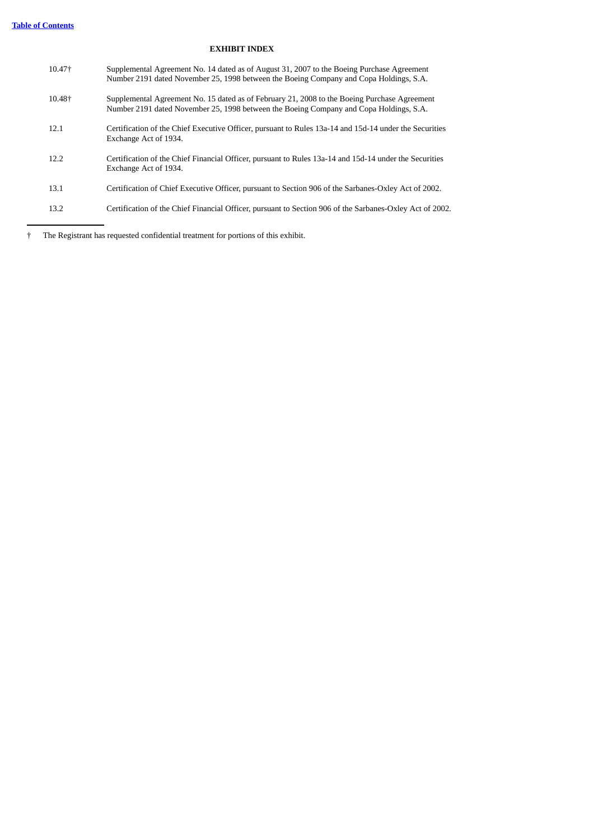# **EXHIBIT INDEX**

| 10.47 <sup>+</sup> | Supplemental Agreement No. 14 dated as of August 31, 2007 to the Boeing Purchase Agreement<br>Number 2191 dated November 25, 1998 between the Boeing Company and Copa Holdings, S.A.   |
|--------------------|----------------------------------------------------------------------------------------------------------------------------------------------------------------------------------------|
| 10.48+             | Supplemental Agreement No. 15 dated as of February 21, 2008 to the Boeing Purchase Agreement<br>Number 2191 dated November 25, 1998 between the Boeing Company and Copa Holdings, S.A. |
| 12.1               | Certification of the Chief Executive Officer, pursuant to Rules 13a-14 and 15d-14 under the Securities<br>Exchange Act of 1934.                                                        |
| 12.2               | Certification of the Chief Financial Officer, pursuant to Rules 13a-14 and 15d-14 under the Securities<br>Exchange Act of 1934.                                                        |
| 13.1               | Certification of Chief Executive Officer, pursuant to Section 906 of the Sarbanes-Oxley Act of 2002.                                                                                   |
| 13.2               | Certification of the Chief Financial Officer, pursuant to Section 906 of the Sarbanes-Oxley Act of 2002.                                                                               |
|                    |                                                                                                                                                                                        |

† The Registrant has requested confidential treatment for portions of this exhibit.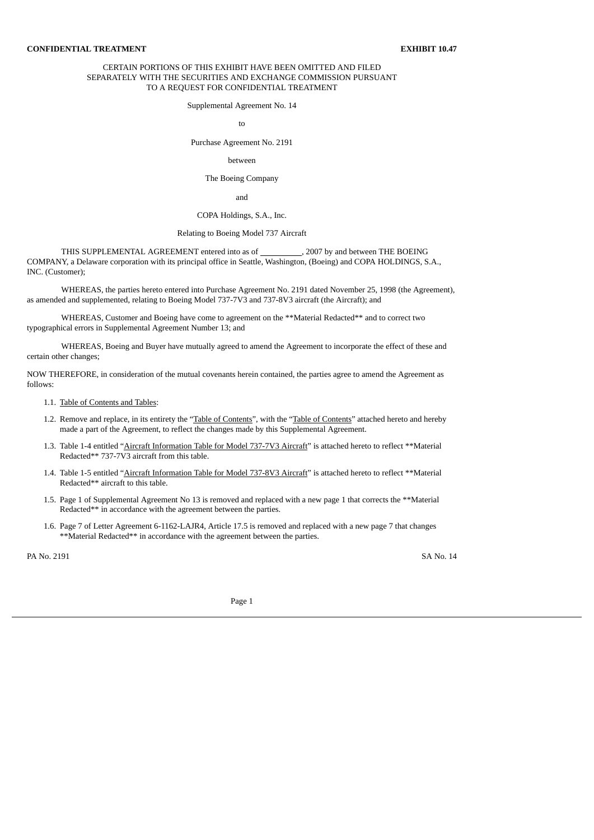#### CERTAIN PORTIONS OF THIS EXHIBIT HAVE BEEN OMITTED AND FILED SEPARATELY WITH THE SECURITIES AND EXCHANGE COMMISSION PURSUANT TO A REQUEST FOR CONFIDENTIAL TREATMENT

Supplemental Agreement No. 14

to

Purchase Agreement No. 2191

#### between

The Boeing Company

and

#### COPA Holdings, S.A., Inc.

#### Relating to Boeing Model 737 Aircraft

THIS SUPPLEMENTAL AGREEMENT entered into as of \_\_\_\_\_\_\_\_\_\_, 2007 by and between THE BOEING COMPANY, a Delaware corporation with its principal office in Seattle, Washington, (Boeing) and COPA HOLDINGS, S.A., INC. (Customer);

WHEREAS, the parties hereto entered into Purchase Agreement No. 2191 dated November 25, 1998 (the Agreement), as amended and supplemented, relating to Boeing Model 737-7V3 and 737-8V3 aircraft (the Aircraft); and

WHEREAS, Customer and Boeing have come to agreement on the \*\*Material Redacted\*\* and to correct two typographical errors in Supplemental Agreement Number 13; and

WHEREAS, Boeing and Buyer have mutually agreed to amend the Agreement to incorporate the effect of these and certain other changes;

NOW THEREFORE, in consideration of the mutual covenants herein contained, the parties agree to amend the Agreement as follows:

1.1. Table of Contents and Tables:

- 1.2. Remove and replace, in its entirety the "Table of Contents", with the "Table of Contents" attached hereto and hereby made a part of the Agreement, to reflect the changes made by this Supplemental Agreement.
- 1.3. Table 1-4 entitled "Aircraft Information Table for Model 737-7V3 Aircraft" is attached hereto to reflect \*\*Material Redacted\*\* 737-7V3 aircraft from this table.
- 1.4. Table 1-5 entitled "Aircraft Information Table for Model 737-8V3 Aircraft" is attached hereto to reflect \*\*Material Redacted\*\* aircraft to this table.
- 1.5. Page 1 of Supplemental Agreement No 13 is removed and replaced with a new page 1 that corrects the \*\*Material Redacted\*\* in accordance with the agreement between the parties.
- 1.6. Page 7 of Letter Agreement 6-1162-LAJR4, Article 17.5 is removed and replaced with a new page 7 that changes \*\*Material Redacted\*\* in accordance with the agreement between the parties.

PA No. 2191 SA No. 14

Page 1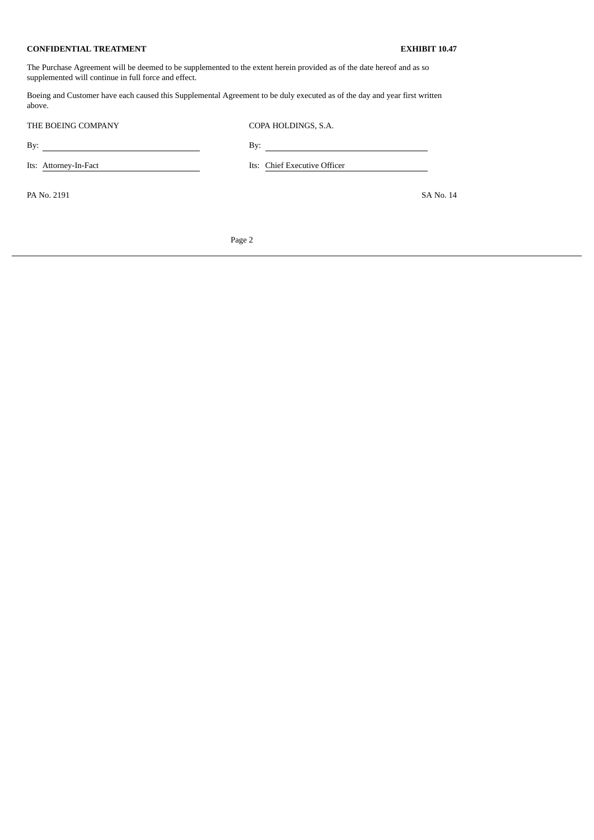The Purchase Agreement will be deemed to be supplemented to the extent herein provided as of the date hereof and as so supplemented will continue in full force and effect.

Boeing and Customer have each caused this Supplemental Agreement to be duly executed as of the day and year first written above.

| THE BOEING COMPANY    | COPA HOLDINGS, S.A.          |
|-----------------------|------------------------------|
| By:                   | By:                          |
| Its: Attorney-In-Fact | Its: Chief Executive Officer |
| PA No. 2191           | SA No. 14                    |
|                       |                              |

Page 2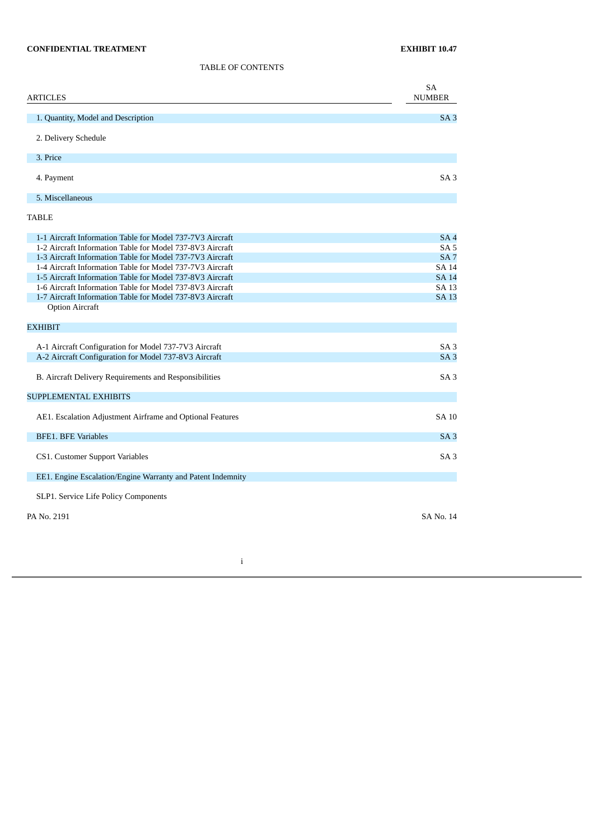TABLE OF CONTENTS

| ARTICLES                                                                                                               | SA<br><b>NUMBER</b>             |
|------------------------------------------------------------------------------------------------------------------------|---------------------------------|
| 1. Quantity, Model and Description                                                                                     | SA3                             |
| 2. Delivery Schedule                                                                                                   |                                 |
| 3. Price                                                                                                               |                                 |
| 4. Payment                                                                                                             | SA <sub>3</sub>                 |
| 5. Miscellaneous                                                                                                       |                                 |
| TABLE                                                                                                                  |                                 |
| 1-1 Aircraft Information Table for Model 737-7V3 Aircraft                                                              | SA <sub>4</sub>                 |
| 1-2 Aircraft Information Table for Model 737-8V3 Aircraft                                                              | SA <sub>5</sub>                 |
| 1-3 Aircraft Information Table for Model 737-7V3 Aircraft<br>1-4 Aircraft Information Table for Model 737-7V3 Aircraft | SA <sub>7</sub><br><b>SA 14</b> |
| 1-5 Aircraft Information Table for Model 737-8V3 Aircraft                                                              | <b>SA 14</b>                    |
| 1-6 Aircraft Information Table for Model 737-8V3 Aircraft                                                              | SA 13                           |
| 1-7 Aircraft Information Table for Model 737-8V3 Aircraft                                                              | <b>SA 13</b>                    |
| <b>Option Aircraft</b>                                                                                                 |                                 |
| <b>EXHIBIT</b>                                                                                                         |                                 |
| A-1 Aircraft Configuration for Model 737-7V3 Aircraft                                                                  | SA <sub>3</sub>                 |
| A-2 Aircraft Configuration for Model 737-8V3 Aircraft                                                                  | SA <sub>3</sub>                 |
| B. Aircraft Delivery Requirements and Responsibilities                                                                 | SA <sub>3</sub>                 |
| <b>SUPPLEMENTAL EXHIBITS</b>                                                                                           |                                 |
| AE1. Escalation Adjustment Airframe and Optional Features                                                              | <b>SA 10</b>                    |
| <b>BFE1. BFE Variables</b>                                                                                             | SA <sub>3</sub>                 |
| CS1. Customer Support Variables                                                                                        | SA3                             |
| EE1. Engine Escalation/Engine Warranty and Patent Indemnity                                                            |                                 |
| SLP1. Service Life Policy Components                                                                                   |                                 |
| PA No. 2191                                                                                                            | SA No. 14                       |
|                                                                                                                        |                                 |

i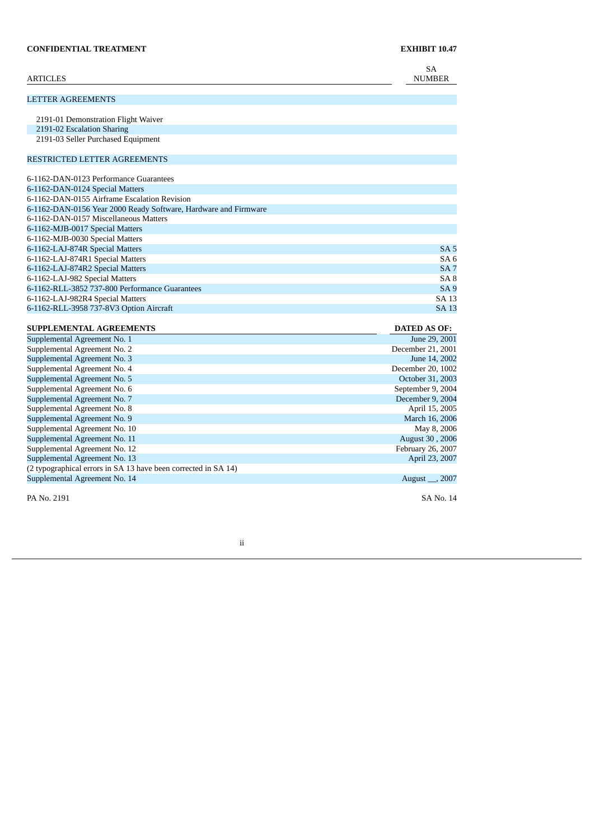| <b>ARTICLES</b>                                                 | <b>SA</b><br><b>NUMBER</b>         |
|-----------------------------------------------------------------|------------------------------------|
| <b>LETTER AGREEMENTS</b>                                        |                                    |
| 2191-01 Demonstration Flight Waiver                             |                                    |
| 2191-02 Escalation Sharing                                      |                                    |
| 2191-03 Seller Purchased Equipment                              |                                    |
|                                                                 |                                    |
| RESTRICTED LETTER AGREEMENTS                                    |                                    |
| 6-1162-DAN-0123 Performance Guarantees                          |                                    |
| 6-1162-DAN-0124 Special Matters                                 |                                    |
| 6-1162-DAN-0155 Airframe Escalation Revision                    |                                    |
| 6-1162-DAN-0156 Year 2000 Ready Software, Hardware and Firmware |                                    |
| 6-1162-DAN-0157 Miscellaneous Matters                           |                                    |
| 6-1162-MJB-0017 Special Matters                                 |                                    |
| 6-1162-MJB-0030 Special Matters                                 |                                    |
| 6-1162-LAJ-874R Special Matters                                 | SA <sub>5</sub>                    |
| 6-1162-LAJ-874R1 Special Matters                                | SA <sub>6</sub>                    |
| 6-1162-LAJ-874R2 Special Matters                                | SA <sub>7</sub>                    |
| 6-1162-LAJ-982 Special Matters                                  | SA <sub>8</sub>                    |
| 6-1162-RLL-3852 737-800 Performance Guarantees                  | <b>SA9</b>                         |
| 6-1162-LAJ-982R4 Special Matters                                | SA 13                              |
| 6-1162-RLL-3958 737-8V3 Option Aircraft                         | <b>SA 13</b>                       |
|                                                                 |                                    |
| <b>SUPPLEMENTAL AGREEMENTS</b>                                  | <b>DATED AS OF:</b>                |
| Supplemental Agreement No. 1                                    | June 29, 2001                      |
| Supplemental Agreement No. 2                                    | December 21, 2001                  |
| Supplemental Agreement No. 3                                    | June 14, 2002<br>December 20, 1002 |
| Supplemental Agreement No. 4                                    | October 31, 2003                   |
| Supplemental Agreement No. 5<br>Supplemental Agreement No. 6    | September 9, 2004                  |
| Supplemental Agreement No. 7                                    | December 9, 2004                   |
| Supplemental Agreement No. 8                                    | April 15, 2005                     |
| Supplemental Agreement No. 9                                    | March 16, 2006                     |
| Supplemental Agreement No. 10                                   | May 8, 2006                        |

ii

Supplemental Agreement No. 11 August 30 , 2006 Supplemental Agreement No. 12 February 26, 2007 Supplemental Agreement No. 13 April 23, 2007

Supplemental Agreement No. 14 August \_\_, 2007 PA No. 2191 SA No. 14

(2 typographical errors in SA 13 have been corrected in SA 14)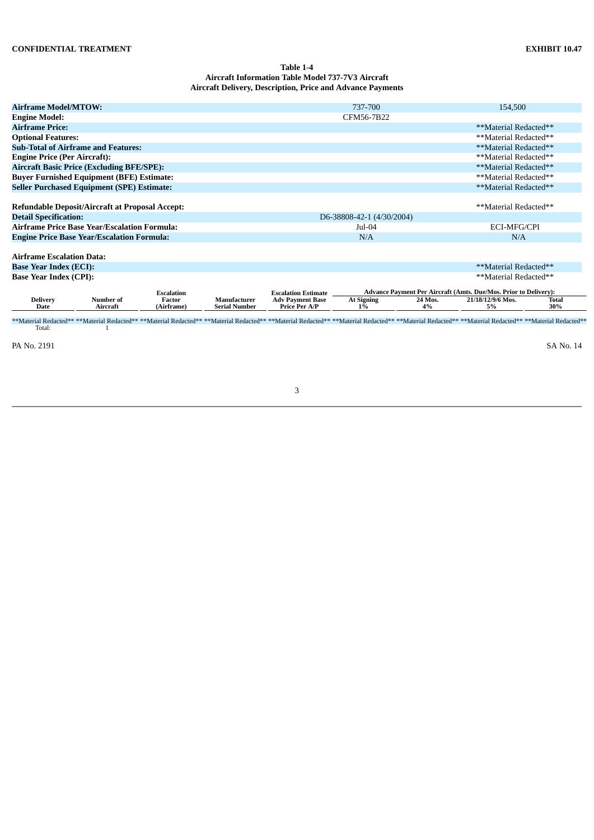# **Table 1-4 Aircraft Information Table Model 737-7V3 Aircraft Aircraft Delivery, Description, Price and Advance Payments**

| <b>Airframe Model/MTOW:</b>         |                                                                                                               |                      |                                      |                                                 | 737-700                             |               | 154,500                                                                                                                                                                                                                        |              |
|-------------------------------------|---------------------------------------------------------------------------------------------------------------|----------------------|--------------------------------------|-------------------------------------------------|-------------------------------------|---------------|--------------------------------------------------------------------------------------------------------------------------------------------------------------------------------------------------------------------------------|--------------|
| <b>Engine Model:</b>                |                                                                                                               |                      |                                      |                                                 | CFM56-7B22                          |               |                                                                                                                                                                                                                                |              |
| <b>Airframe Price:</b>              |                                                                                                               |                      |                                      |                                                 |                                     |               | **Material Redacted**                                                                                                                                                                                                          |              |
| <b>Optional Features:</b>           |                                                                                                               |                      |                                      |                                                 |                                     |               | **Material Redacted**                                                                                                                                                                                                          |              |
|                                     | <b>Sub-Total of Airframe and Features:</b>                                                                    |                      |                                      |                                                 |                                     |               | **Material Redacted**                                                                                                                                                                                                          |              |
| <b>Engine Price (Per Aircraft):</b> |                                                                                                               |                      |                                      |                                                 |                                     |               | **Material Redacted**                                                                                                                                                                                                          |              |
|                                     | <b>Aircraft Basic Price (Excluding BFE/SPE):</b>                                                              |                      |                                      |                                                 |                                     |               | **Material Redacted**                                                                                                                                                                                                          |              |
|                                     | <b>Buyer Furnished Equipment (BFE) Estimate:</b>                                                              |                      |                                      |                                                 |                                     |               | **Material Redacted**                                                                                                                                                                                                          |              |
|                                     | <b>Seller Purchased Equipment (SPE) Estimate:</b>                                                             |                      |                                      |                                                 |                                     |               | **Material Redacted**                                                                                                                                                                                                          |              |
| <b>Detail Specification:</b>        | <b>Refundable Deposit/Aircraft at Proposal Accept:</b><br><b>Airframe Price Base Year/Escalation Formula:</b> |                      |                                      |                                                 | D6-38808-42-1 (4/30/2004)<br>Jul-04 |               | **Material Redacted**<br>ECI-MFG/CPI                                                                                                                                                                                           |              |
|                                     | <b>Engine Price Base Year/Escalation Formula:</b>                                                             |                      |                                      |                                                 | N/A                                 | N/A           |                                                                                                                                                                                                                                |              |
| <b>Airframe Escalation Data:</b>    |                                                                                                               |                      |                                      |                                                 |                                     |               |                                                                                                                                                                                                                                |              |
| <b>Base Year Index (ECI):</b>       |                                                                                                               |                      |                                      |                                                 |                                     |               | **Material Redacted**                                                                                                                                                                                                          |              |
| <b>Base Year Index (CPI):</b>       |                                                                                                               |                      |                                      |                                                 |                                     |               | **Material Redacted**                                                                                                                                                                                                          |              |
|                                     |                                                                                                               | <b>Escalation</b>    |                                      | <b>Escalation Estimate</b>                      |                                     |               | <b>Advance Payment Per Aircraft (Amts. Due/Mos. Prior to Delivery):</b>                                                                                                                                                        |              |
| <b>Delivery</b><br>Date             | Number of<br>Aircraft                                                                                         | Factor<br>(Airframe) | Manufacturer<br><b>Serial Number</b> | <b>Adv Payment Base</b><br><b>Price Per A/P</b> | <b>At Signing</b><br>$1\%$          | 24 Mos.<br>4% | 21/18/12/9/6 Mos.<br>5%                                                                                                                                                                                                        | Total<br>30% |
|                                     |                                                                                                               |                      |                                      |                                                 |                                     |               | **Material Redacted*****Material Redacted*****Material Redacted*****Material Redacted*****Material Redacted*****Material Redacted*****Material Redacted*****Material Redacted****Material Redacted****Material Redacted****Mat |              |
| Total:                              |                                                                                                               |                      |                                      |                                                 |                                     |               |                                                                                                                                                                                                                                |              |

PA No. 2191 SA No. 14

3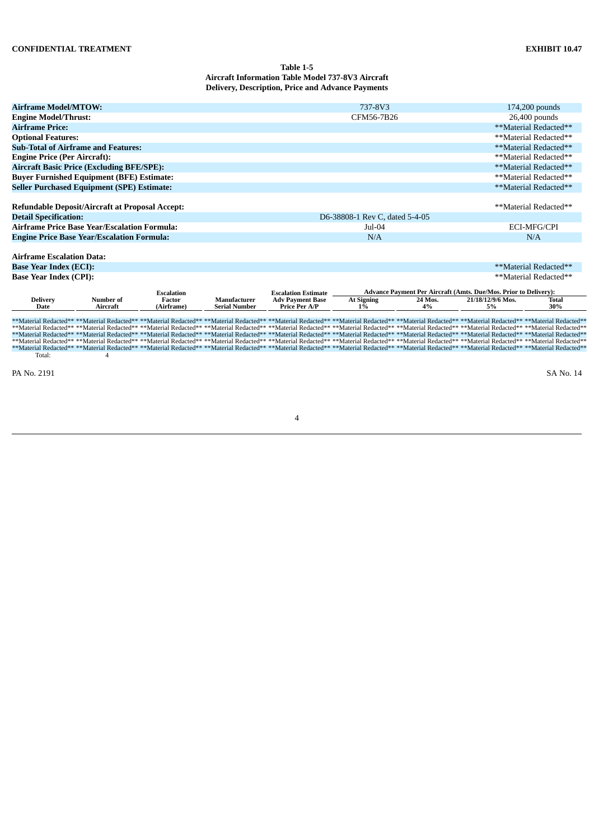# **Table 1-5 Aircraft Information Table Model 737-8V3 Aircraft Delivery, Description, Price and Advance Payments**

|                                     | <b>Airframe Model/MTOW:</b><br>737-8V3<br>$174,200$ pounds |                             |                      |                                                       |                                |         |                                                                                                                                                                                                                                                                                                                                                                                                                                                               |                       |  |  |
|-------------------------------------|------------------------------------------------------------|-----------------------------|----------------------|-------------------------------------------------------|--------------------------------|---------|---------------------------------------------------------------------------------------------------------------------------------------------------------------------------------------------------------------------------------------------------------------------------------------------------------------------------------------------------------------------------------------------------------------------------------------------------------------|-----------------------|--|--|
| <b>Engine Model/Thrust:</b>         |                                                            |                             |                      |                                                       | CFM56-7B26                     |         | 26,400 pounds                                                                                                                                                                                                                                                                                                                                                                                                                                                 |                       |  |  |
| <b>Airframe Price:</b>              |                                                            |                             |                      |                                                       |                                |         |                                                                                                                                                                                                                                                                                                                                                                                                                                                               | **Material Redacted** |  |  |
| <b>Optional Features:</b>           |                                                            |                             |                      |                                                       |                                |         |                                                                                                                                                                                                                                                                                                                                                                                                                                                               | **Material Redacted** |  |  |
|                                     | <b>Sub-Total of Airframe and Features:</b>                 |                             |                      |                                                       |                                |         |                                                                                                                                                                                                                                                                                                                                                                                                                                                               | **Material Redacted** |  |  |
| <b>Engine Price (Per Aircraft):</b> |                                                            |                             |                      |                                                       |                                |         |                                                                                                                                                                                                                                                                                                                                                                                                                                                               | **Material Redacted** |  |  |
|                                     | <b>Aircraft Basic Price (Excluding BFE/SPE):</b>           |                             |                      |                                                       |                                |         |                                                                                                                                                                                                                                                                                                                                                                                                                                                               | **Material Redacted** |  |  |
|                                     | <b>Buyer Furnished Equipment (BFE) Estimate:</b>           |                             |                      |                                                       |                                |         |                                                                                                                                                                                                                                                                                                                                                                                                                                                               | **Material Redacted** |  |  |
|                                     | <b>Seller Purchased Equipment (SPE) Estimate:</b>          |                             |                      |                                                       |                                |         |                                                                                                                                                                                                                                                                                                                                                                                                                                                               | **Material Redacted** |  |  |
|                                     |                                                            |                             |                      |                                                       |                                |         |                                                                                                                                                                                                                                                                                                                                                                                                                                                               |                       |  |  |
|                                     | <b>Refundable Deposit/Aircraft at Proposal Accept:</b>     |                             |                      |                                                       |                                |         |                                                                                                                                                                                                                                                                                                                                                                                                                                                               | **Material Redacted** |  |  |
| <b>Detail Specification:</b>        |                                                            |                             |                      |                                                       | D6-38808-1 Rev C, dated 5-4-05 |         |                                                                                                                                                                                                                                                                                                                                                                                                                                                               |                       |  |  |
|                                     | Airframe Price Base Year/Escalation Formula:               |                             |                      |                                                       | Jul-04                         |         | <b>ECI-MFG/CPI</b>                                                                                                                                                                                                                                                                                                                                                                                                                                            |                       |  |  |
|                                     | <b>Engine Price Base Year/Escalation Formula:</b>          |                             |                      |                                                       | N/A                            |         |                                                                                                                                                                                                                                                                                                                                                                                                                                                               | N/A                   |  |  |
|                                     |                                                            |                             |                      |                                                       |                                |         |                                                                                                                                                                                                                                                                                                                                                                                                                                                               |                       |  |  |
| <b>Airframe Escalation Data:</b>    |                                                            |                             |                      |                                                       |                                |         |                                                                                                                                                                                                                                                                                                                                                                                                                                                               |                       |  |  |
| <b>Base Year Index (ECI):</b>       |                                                            |                             |                      |                                                       |                                |         |                                                                                                                                                                                                                                                                                                                                                                                                                                                               | **Material Redacted** |  |  |
| <b>Base Year Index (CPI):</b>       |                                                            |                             |                      |                                                       |                                |         |                                                                                                                                                                                                                                                                                                                                                                                                                                                               | **Material Redacted** |  |  |
|                                     |                                                            |                             |                      |                                                       |                                |         |                                                                                                                                                                                                                                                                                                                                                                                                                                                               |                       |  |  |
| <b>Delivery</b>                     | Number of                                                  | <b>Escalation</b><br>Factor | Manufacturer         | <b>Escalation Estimate</b><br><b>Adv Payment Base</b> | <b>At Signing</b>              | 24 Mos. | <b>Advance Payment Per Aircraft (Amts. Due/Mos. Prior to Delivery):</b><br>21/18/12/9/6 Mos.                                                                                                                                                                                                                                                                                                                                                                  | Total                 |  |  |
| <b>Date</b>                         | Aircraft                                                   | (Airframe)                  | <b>Serial Number</b> | <b>Price Per A/P</b>                                  | $1\%$                          | 4%      | 5%                                                                                                                                                                                                                                                                                                                                                                                                                                                            | 30%                   |  |  |
|                                     |                                                            |                             |                      |                                                       |                                |         |                                                                                                                                                                                                                                                                                                                                                                                                                                                               |                       |  |  |
|                                     |                                                            |                             |                      |                                                       |                                |         | **Material Redacted** **Material Redacted** **Material Redacted** **Material Redacted** **Material Redacted** **Material Redacted** **Material Redacted** **Material Redacted** **Material Redacted** **Material Redacted** **                                                                                                                                                                                                                                |                       |  |  |
|                                     |                                                            |                             |                      |                                                       |                                |         | **Material Redacted** **Material Redacted** **Material Redacted** **Material Redacted** **Material Redacted** **Material Redacted** **Material Redacted** **Material Redacted** **Material Redacted** **Material Redacted**                                                                                                                                                                                                                                   |                       |  |  |
|                                     |                                                            |                             |                      |                                                       |                                |         | **Material Redacted** **Material Redacted** **Material Redacted** **Material Redacted** **Material Redacted** **Material Redacted** **Material Redacted** **Material Redacted** **Material Redacted** **Material Redacted**<br>**Material Redacted** **Material Redacted** **Material Redacted** **Material Redacted** **Material Redacted** **Material Redacted** **Material Redacted** **Material Redacted** **Material Redacted** **Material Redacted** ** |                       |  |  |
|                                     |                                                            |                             |                      |                                                       |                                |         | **Material Redacted** **Material Redacted** **Material Redacted** **Material Redacted** **Material Redacted** **Material Redacted** **Material Redacted** **Material Redacted** **Material Redacted** **Material Redacted** **                                                                                                                                                                                                                                |                       |  |  |
| Total:                              | 4                                                          |                             |                      |                                                       |                                |         |                                                                                                                                                                                                                                                                                                                                                                                                                                                               |                       |  |  |

PA No. 2191 SA No. 14

4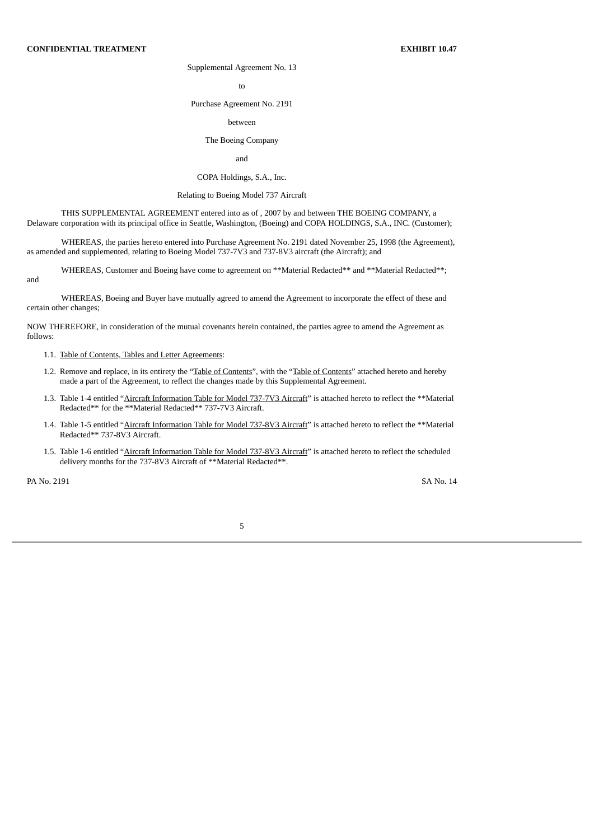# Supplemental Agreement No. 13

to

Purchase Agreement No. 2191

#### between

# The Boeing Company

and

### COPA Holdings, S.A., Inc.

### Relating to Boeing Model 737 Aircraft

THIS SUPPLEMENTAL AGREEMENT entered into as of , 2007 by and between THE BOEING COMPANY, a Delaware corporation with its principal office in Seattle, Washington, (Boeing) and COPA HOLDINGS, S.A., INC. (Customer);

WHEREAS, the parties hereto entered into Purchase Agreement No. 2191 dated November 25, 1998 (the Agreement), as amended and supplemented, relating to Boeing Model 737-7V3 and 737-8V3 aircraft (the Aircraft); and

WHEREAS, Customer and Boeing have come to agreement on \*\*Material Redacted\*\* and \*\*Material Redacted\*\*;

WHEREAS, Boeing and Buyer have mutually agreed to amend the Agreement to incorporate the effect of these and certain other changes;

NOW THEREFORE, in consideration of the mutual covenants herein contained, the parties agree to amend the Agreement as follows:

- 1.1. Table of Contents, Tables and Letter Agreements:
- 1.2. Remove and replace, in its entirety the "Table of Contents", with the "Table of Contents" attached hereto and hereby made a part of the Agreement, to reflect the changes made by this Supplemental Agreement.
- 1.3. Table 1-4 entitled "Aircraft Information Table for Model 737-7V3 Aircraft" is attached hereto to reflect the \*\*Material Redacted\*\* for the \*\*Material Redacted\*\* 737-7V3 Aircraft.
- 1.4. Table 1-5 entitled "Aircraft Information Table for Model 737-8V3 Aircraft" is attached hereto to reflect the \*\*Material Redacted\*\* 737-8V3 Aircraft.
- 1.5. Table 1-6 entitled "Aircraft Information Table for Model 737-8V3 Aircraft" is attached hereto to reflect the scheduled delivery months for the 737-8V3 Aircraft of \*\*Material Redacted\*\*.

PA No. 2191 SA No. 14

and

5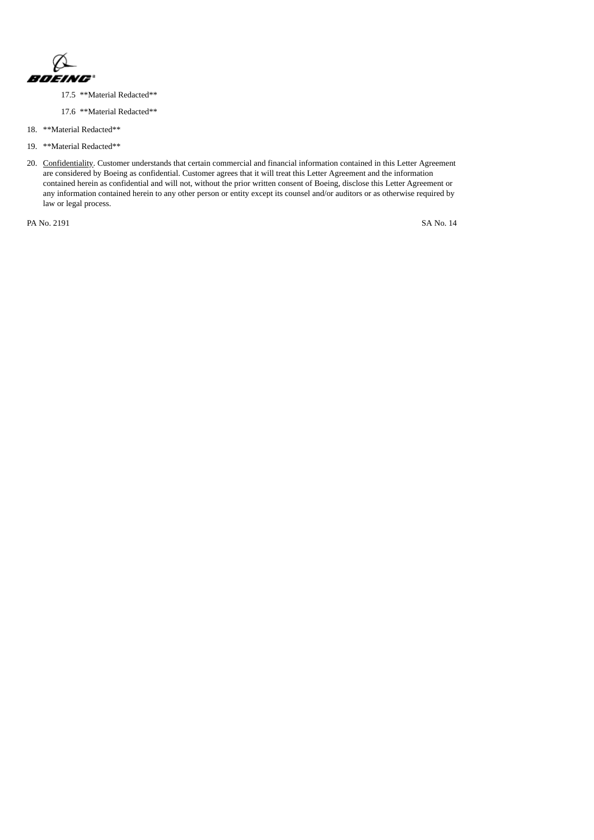

- 17.5 \*\*Material Redacted\*\*
- 17.6 \*\*Material Redacted\*\*
- 18. \*\*Material Redacted\*\*
- 19. \*\*Material Redacted\*\*
- 20. Confidentiality. Customer understands that certain commercial and financial information contained in this Letter Agreement are considered by Boeing as confidential. Customer agrees that it will treat this Letter Agreement and the information contained herein as confidential and will not, without the prior written consent of Boeing, disclose this Letter Agreement or any information contained herein to any other person or entity except its counsel and/or auditors or as otherwise required by law or legal process.

PA No. 2191 SA No. 14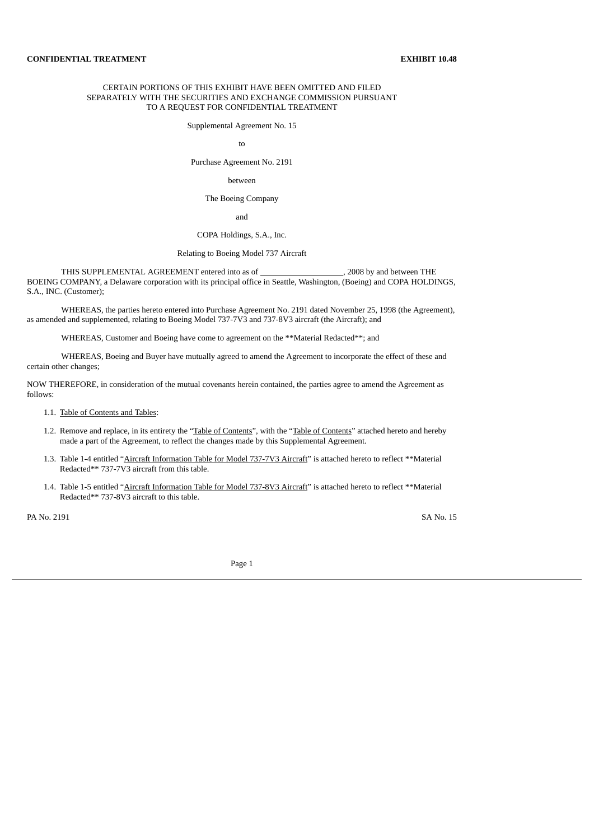# CERTAIN PORTIONS OF THIS EXHIBIT HAVE BEEN OMITTED AND FILED SEPARATELY WITH THE SECURITIES AND EXCHANGE COMMISSION PURSUANT TO A REQUEST FOR CONFIDENTIAL TREATMENT

Supplemental Agreement No. 15

to

Purchase Agreement No. 2191

### between

The Boeing Company

and

# COPA Holdings, S.A., Inc.

# Relating to Boeing Model 737 Aircraft

THIS SUPPLEMENTAL AGREEMENT entered into as of  $\qquad \qquad , 2008$  by and between THE BOEING COMPANY, a Delaware corporation with its principal office in Seattle, Washington, (Boeing) and COPA HOLDINGS, S.A., INC. (Customer);

WHEREAS, the parties hereto entered into Purchase Agreement No. 2191 dated November 25, 1998 (the Agreement), as amended and supplemented, relating to Boeing Model 737-7V3 and 737-8V3 aircraft (the Aircraft); and

WHEREAS, Customer and Boeing have come to agreement on the \*\*Material Redacted\*\*; and

WHEREAS, Boeing and Buyer have mutually agreed to amend the Agreement to incorporate the effect of these and certain other changes;

NOW THEREFORE, in consideration of the mutual covenants herein contained, the parties agree to amend the Agreement as follows:

1.1. Table of Contents and Tables:

- 1.2. Remove and replace, in its entirety the "Table of Contents", with the "Table of Contents" attached hereto and hereby made a part of the Agreement, to reflect the changes made by this Supplemental Agreement.
- 1.3. Table 1-4 entitled "Aircraft Information Table for Model 737-7V3 Aircraft" is attached hereto to reflect \*\*Material Redacted\*\* 737-7V3 aircraft from this table.
- 1.4. Table 1-5 entitled "Aircraft Information Table for Model 737-8V3 Aircraft" is attached hereto to reflect \*\*Material Redacted\*\* 737-8V3 aircraft to this table.

PA No. 2191 SA No. 15

Page 1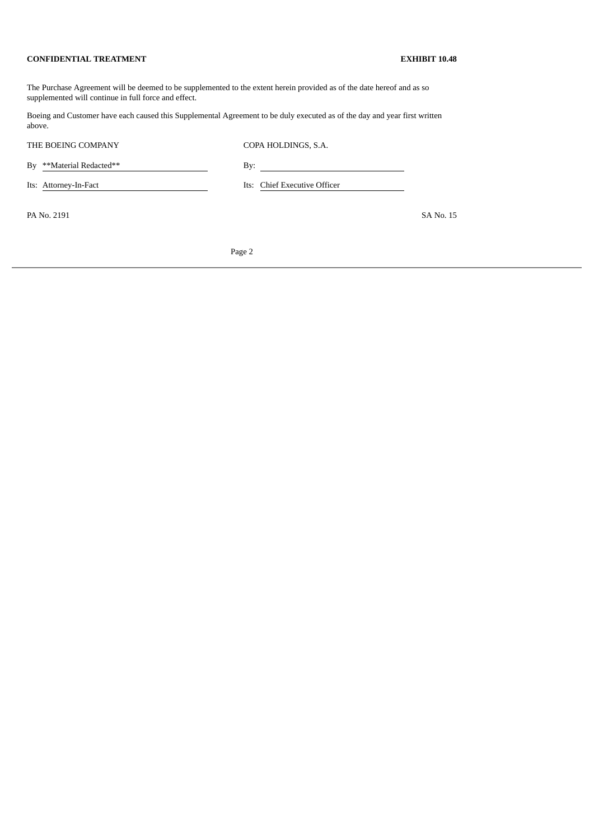The Purchase Agreement will be deemed to be supplemented to the extent herein provided as of the date hereof and as so supplemented will continue in full force and effect.

Boeing and Customer have each caused this Supplemental Agreement to be duly executed as of the day and year first written above.

| THE BOEING COMPANY       | COPA HOLDINGS, S.A.                                       |           |
|--------------------------|-----------------------------------------------------------|-----------|
| By **Material Redacted** | By:<br><u> 1989 - John Stein, Amerikaansk politiker (</u> |           |
| Its: Attorney-In-Fact    | Its: Chief Executive Officer                              |           |
| PA No. 2191              |                                                           | SA No. 15 |
|                          |                                                           |           |

Page 2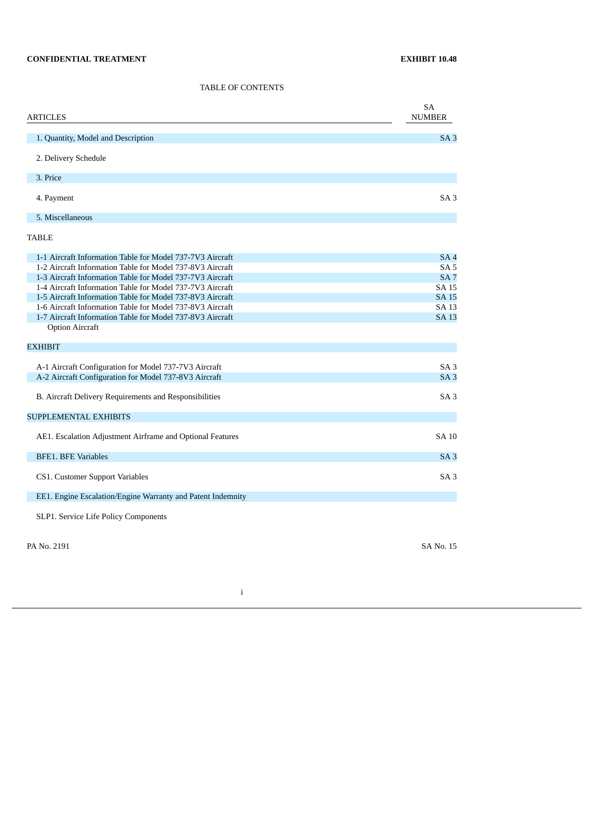TABLE OF CONTENTS

| <b>ARTICLES</b>                                                                                                        | SA<br><b>NUMBER</b>      |
|------------------------------------------------------------------------------------------------------------------------|--------------------------|
| 1. Quantity, Model and Description                                                                                     | SA <sub>3</sub>          |
| 2. Delivery Schedule                                                                                                   |                          |
| 3. Price                                                                                                               |                          |
| 4. Payment                                                                                                             | SA <sub>3</sub>          |
| 5. Miscellaneous                                                                                                       |                          |
| <b>TABLE</b>                                                                                                           |                          |
| 1-1 Aircraft Information Table for Model 737-7V3 Aircraft                                                              | SA <sub>4</sub>          |
| 1-2 Aircraft Information Table for Model 737-8V3 Aircraft                                                              | SA <sub>5</sub>          |
| 1-3 Aircraft Information Table for Model 737-7V3 Aircraft<br>1-4 Aircraft Information Table for Model 737-7V3 Aircraft | SA <sub>7</sub><br>SA 15 |
| 1-5 Aircraft Information Table for Model 737-8V3 Aircraft                                                              | <b>SA 15</b>             |
| 1-6 Aircraft Information Table for Model 737-8V3 Aircraft                                                              | SA 13                    |
| 1-7 Aircraft Information Table for Model 737-8V3 Aircraft                                                              | <b>SA 13</b>             |
| <b>Option Aircraft</b>                                                                                                 |                          |
| <b>EXHIBIT</b>                                                                                                         |                          |
| A-1 Aircraft Configuration for Model 737-7V3 Aircraft                                                                  | SA <sub>3</sub>          |
| A-2 Aircraft Configuration for Model 737-8V3 Aircraft                                                                  | SA <sub>3</sub>          |
| B. Aircraft Delivery Requirements and Responsibilities                                                                 | SA3                      |
| <b>SUPPLEMENTAL EXHIBITS</b>                                                                                           |                          |
| AE1. Escalation Adjustment Airframe and Optional Features                                                              | <b>SA 10</b>             |
| <b>BFE1. BFE Variables</b>                                                                                             | SA <sub>3</sub>          |
| CS1. Customer Support Variables                                                                                        | SA <sub>3</sub>          |
| EE1. Engine Escalation/Engine Warranty and Patent Indemnity                                                            |                          |
| SLP1. Service Life Policy Components                                                                                   |                          |
| PA No. 2191                                                                                                            | SA No. 15                |

i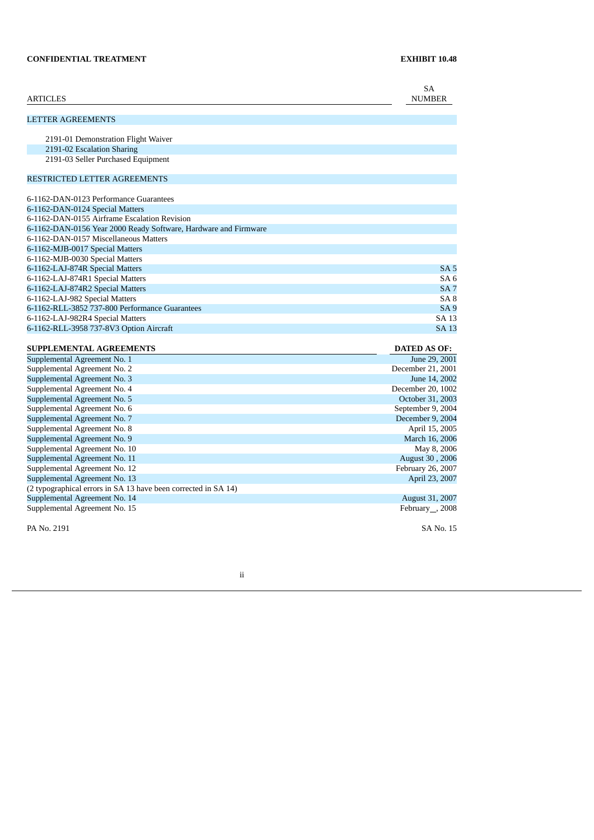| <b>ARTICLES</b>                                                   | <b>SA</b><br><b>NUMBER</b> |
|-------------------------------------------------------------------|----------------------------|
| <b>LETTER AGREEMENTS</b>                                          |                            |
|                                                                   |                            |
| 2191-01 Demonstration Flight Waiver<br>2191-02 Escalation Sharing |                            |
|                                                                   |                            |
| 2191-03 Seller Purchased Equipment                                |                            |
| RESTRICTED LETTER AGREEMENTS                                      |                            |
| 6-1162-DAN-0123 Performance Guarantees                            |                            |
| 6-1162-DAN-0124 Special Matters                                   |                            |
| 6-1162-DAN-0155 Airframe Escalation Revision                      |                            |
| 6-1162-DAN-0156 Year 2000 Ready Software, Hardware and Firmware   |                            |
| 6-1162-DAN-0157 Miscellaneous Matters                             |                            |
| 6-1162-MJB-0017 Special Matters                                   |                            |
| 6-1162-MJB-0030 Special Matters                                   |                            |
| 6-1162-LAJ-874R Special Matters                                   | SA <sub>5</sub>            |
| 6-1162-LAJ-874R1 Special Matters                                  | SA6                        |
| 6-1162-LAJ-874R2 Special Matters                                  | SA <sub>7</sub>            |
| 6-1162-LAJ-982 Special Matters                                    | SA <sub>8</sub>            |
| 6-1162-RLL-3852 737-800 Performance Guarantees                    | SA <sub>9</sub>            |
| 6-1162-LAJ-982R4 Special Matters                                  | SA 13                      |
| 6-1162-RLL-3958 737-8V3 Option Aircraft                           | <b>SA 13</b>               |
| <b>SUPPLEMENTAL AGREEMENTS</b>                                    | <b>DATED AS OF:</b>        |
| Supplemental Agreement No. 1                                      | June 29, 2001              |
| Supplemental Agreement No. 2                                      | December 21, 2001          |
| Supplemental Agreement No. 3                                      | June 14, 2002              |
| Supplemental Agreement No. 4                                      | December 20, 1002          |
| Supplemental Agreement No. 5                                      | October 31, 2003           |
| Supplemental Agreement No. 6                                      | September 9, 2004          |
| Supplemental Agreement No. 7                                      | December 9, 2004           |
| Supplemental Agreement No. 8                                      | April 15, 2005             |
| Supplemental Agreement No. 9                                      | March 16, 2006             |
| Supplemental Agreement No. 10                                     | May 8, 2006                |
| Supplemental Agreement No. 11                                     | August 30, 2006            |
| Supplemental Agreement No. 12                                     | February 26, 2007          |
| Supplemental Agreement No. 13                                     | April 23, 2007             |
| (2 typographical errors in SA 13 have been corrected in SA 14)    |                            |
| Supplemental Agreement No. 14                                     | <b>August 31, 2007</b>     |

PA No. 2191 SA No. 15

ii

Supplemental Agreement No. 15 February 1008 and the state of the state of the state of the state of the state of the state of the state of the state of the state of the state of the state of the state of the state of the s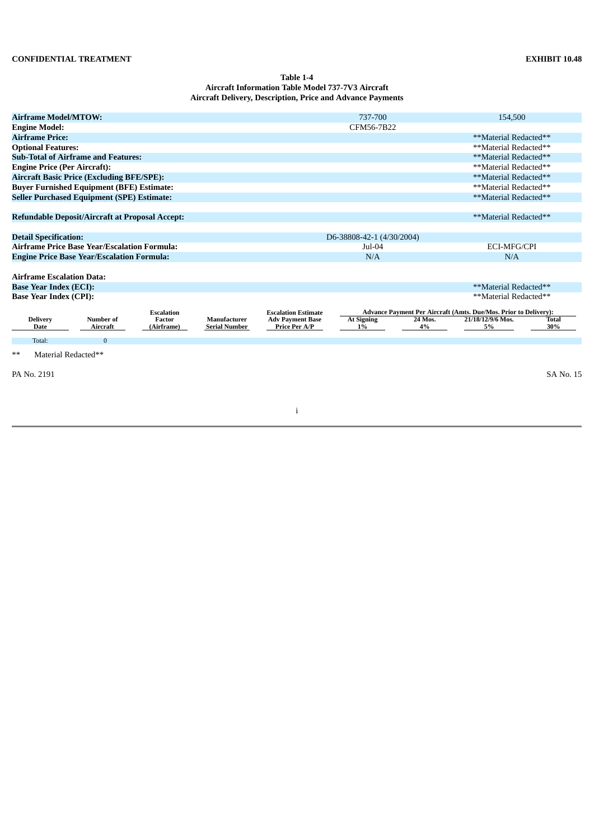## **Table 1-4 Aircraft Information Table Model 737-7V3 Aircraft Aircraft Delivery, Description, Price and Advance Payments**

| <b>Airframe Model/MTOW:</b>         |                                                        |                   |                      |                            | 737-700                   |         | 154,500                                                          |              |
|-------------------------------------|--------------------------------------------------------|-------------------|----------------------|----------------------------|---------------------------|---------|------------------------------------------------------------------|--------------|
| <b>Engine Model:</b>                |                                                        |                   |                      |                            | CFM56-7B22                |         |                                                                  |              |
| <b>Airframe Price:</b>              |                                                        |                   |                      |                            |                           |         | **Material Redacted**                                            |              |
| <b>Optional Features:</b>           |                                                        |                   |                      |                            |                           |         | **Material Redacted**                                            |              |
|                                     | <b>Sub-Total of Airframe and Features:</b>             |                   |                      |                            |                           |         | **Material Redacted**                                            |              |
| <b>Engine Price (Per Aircraft):</b> |                                                        |                   |                      |                            |                           |         | **Material Redacted**                                            |              |
|                                     | <b>Aircraft Basic Price (Excluding BFE/SPE):</b>       |                   |                      |                            |                           |         | **Material Redacted**                                            |              |
|                                     | <b>Buyer Furnished Equipment (BFE) Estimate:</b>       |                   |                      |                            |                           |         | **Material Redacted**                                            |              |
|                                     | <b>Seller Purchased Equipment (SPE) Estimate:</b>      |                   |                      |                            |                           |         | **Material Redacted**                                            |              |
|                                     |                                                        |                   |                      |                            |                           |         |                                                                  |              |
|                                     | <b>Refundable Deposit/Aircraft at Proposal Accept:</b> |                   |                      |                            |                           |         | **Material Redacted**                                            |              |
|                                     |                                                        |                   |                      |                            |                           |         |                                                                  |              |
| <b>Detail Specification:</b>        |                                                        |                   |                      |                            | D6-38808-42-1 (4/30/2004) |         |                                                                  |              |
|                                     | <b>Airframe Price Base Year/Escalation Formula:</b>    |                   |                      |                            | Jul-04                    |         | ECI-MFG/CPI                                                      |              |
|                                     | <b>Engine Price Base Year/Escalation Formula:</b>      |                   |                      |                            | N/A                       |         | N/A                                                              |              |
|                                     |                                                        |                   |                      |                            |                           |         |                                                                  |              |
| <b>Airframe Escalation Data:</b>    |                                                        |                   |                      |                            |                           |         |                                                                  |              |
| <b>Base Year Index (ECI):</b>       |                                                        |                   |                      |                            |                           |         | **Material Redacted**                                            |              |
| <b>Base Year Index (CPI):</b>       |                                                        |                   |                      |                            |                           |         | **Material Redacted**                                            |              |
|                                     |                                                        | <b>Escalation</b> |                      | <b>Escalation Estimate</b> |                           |         | Advance Payment Per Aircraft (Amts. Due/Mos. Prior to Delivery): |              |
| <b>Delivery</b>                     | Number of                                              | <b>Factor</b>     | Manufacturer         | <b>Adv Payment Base</b>    | <b>At Signing</b>         | 24 Mos. | 21/18/12/9/6 Mos.                                                | <b>Total</b> |
| Date                                | Aircraft                                               | (Airframe)        | <b>Serial Number</b> | Price Per A/P              | $1\%$                     | 4%      | 5%                                                               | 30%          |
| Total:                              | $\mathbf{0}$                                           |                   |                      |                            |                           |         |                                                                  |              |
| $**$<br>Material Redacted**         |                                                        |                   |                      |                            |                           |         |                                                                  |              |
|                                     |                                                        |                   |                      |                            |                           |         |                                                                  |              |
| PA No. 2191                         |                                                        |                   |                      |                            |                           |         |                                                                  | SA No. 15    |
|                                     |                                                        |                   |                      |                            |                           |         |                                                                  |              |
|                                     |                                                        |                   |                      |                            |                           |         |                                                                  |              |
|                                     |                                                        |                   |                      | j                          |                           |         |                                                                  |              |
|                                     |                                                        |                   |                      |                            |                           |         |                                                                  |              |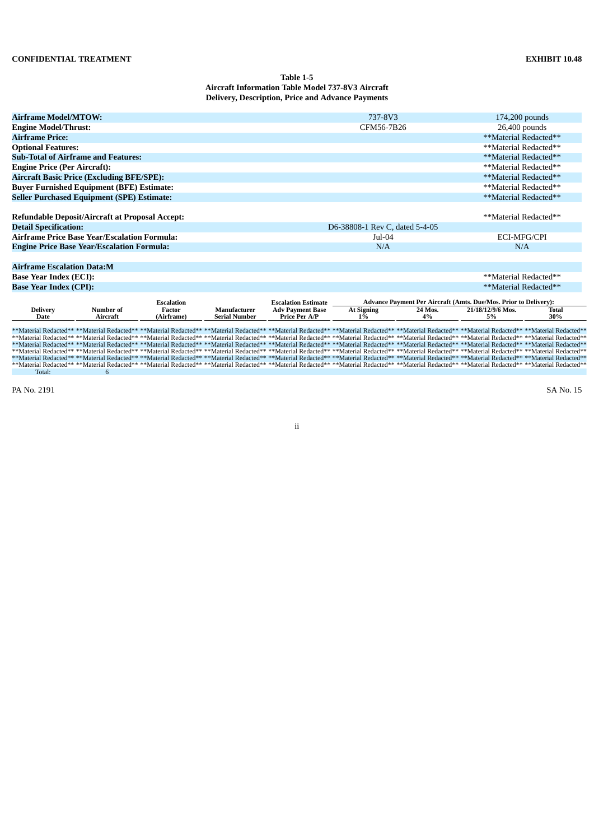# **Table 1-5 Aircraft Information Table Model 737-8V3 Aircraft Delivery, Description, Price and Advance Payments**

|                                     | <b>Airframe Model/MTOW:</b><br>737-8V3<br>174,200 pounds |                             |                                      |                                                                                                                                                                                                                                                                                                                                                                                                                                                               |                                |                                                                  |                         |                     |  |  |
|-------------------------------------|----------------------------------------------------------|-----------------------------|--------------------------------------|---------------------------------------------------------------------------------------------------------------------------------------------------------------------------------------------------------------------------------------------------------------------------------------------------------------------------------------------------------------------------------------------------------------------------------------------------------------|--------------------------------|------------------------------------------------------------------|-------------------------|---------------------|--|--|
| <b>Engine Model/Thrust:</b>         |                                                          |                             |                                      |                                                                                                                                                                                                                                                                                                                                                                                                                                                               |                                | CFM56-7B26<br>26,400 pounds                                      |                         |                     |  |  |
| <b>Airframe Price:</b>              |                                                          |                             |                                      |                                                                                                                                                                                                                                                                                                                                                                                                                                                               |                                |                                                                  | **Material Redacted**   |                     |  |  |
| <b>Optional Features:</b>           |                                                          |                             |                                      |                                                                                                                                                                                                                                                                                                                                                                                                                                                               |                                |                                                                  | **Material Redacted**   |                     |  |  |
|                                     | <b>Sub-Total of Airframe and Features:</b>               |                             |                                      |                                                                                                                                                                                                                                                                                                                                                                                                                                                               |                                |                                                                  | **Material Redacted**   |                     |  |  |
| <b>Engine Price (Per Aircraft):</b> |                                                          |                             |                                      |                                                                                                                                                                                                                                                                                                                                                                                                                                                               |                                |                                                                  | **Material Redacted**   |                     |  |  |
|                                     | <b>Aircraft Basic Price (Excluding BFE/SPE):</b>         |                             |                                      |                                                                                                                                                                                                                                                                                                                                                                                                                                                               |                                |                                                                  | **Material Redacted**   |                     |  |  |
|                                     | <b>Buyer Furnished Equipment (BFE) Estimate:</b>         |                             |                                      |                                                                                                                                                                                                                                                                                                                                                                                                                                                               |                                |                                                                  | **Material Redacted**   |                     |  |  |
|                                     | <b>Seller Purchased Equipment (SPE) Estimate:</b>        |                             |                                      |                                                                                                                                                                                                                                                                                                                                                                                                                                                               |                                |                                                                  | **Material Redacted**   |                     |  |  |
|                                     |                                                          |                             |                                      |                                                                                                                                                                                                                                                                                                                                                                                                                                                               |                                |                                                                  |                         |                     |  |  |
|                                     | <b>Refundable Deposit/Aircraft at Proposal Accept:</b>   |                             |                                      |                                                                                                                                                                                                                                                                                                                                                                                                                                                               |                                |                                                                  | **Material Redacted**   |                     |  |  |
| <b>Detail Specification:</b>        |                                                          |                             |                                      |                                                                                                                                                                                                                                                                                                                                                                                                                                                               | D6-38808-1 Rev C, dated 5-4-05 |                                                                  |                         |                     |  |  |
|                                     | <b>Airframe Price Base Year/Escalation Formula:</b>      |                             |                                      |                                                                                                                                                                                                                                                                                                                                                                                                                                                               | $Jul-04$                       |                                                                  | <b>ECI-MFG/CPI</b>      |                     |  |  |
|                                     | <b>Engine Price Base Year/Escalation Formula:</b>        |                             |                                      | N/A<br>N/A                                                                                                                                                                                                                                                                                                                                                                                                                                                    |                                |                                                                  |                         |                     |  |  |
|                                     |                                                          |                             |                                      |                                                                                                                                                                                                                                                                                                                                                                                                                                                               |                                |                                                                  |                         |                     |  |  |
| <b>Airframe Escalation Data:M</b>   |                                                          |                             |                                      |                                                                                                                                                                                                                                                                                                                                                                                                                                                               |                                |                                                                  |                         |                     |  |  |
| <b>Base Year Index (ECI):</b>       |                                                          |                             |                                      |                                                                                                                                                                                                                                                                                                                                                                                                                                                               |                                |                                                                  | **Material Redacted**   |                     |  |  |
| <b>Base Year Index (CPI):</b>       |                                                          |                             |                                      |                                                                                                                                                                                                                                                                                                                                                                                                                                                               |                                |                                                                  | **Material Redacted**   |                     |  |  |
|                                     |                                                          |                             |                                      |                                                                                                                                                                                                                                                                                                                                                                                                                                                               |                                |                                                                  |                         |                     |  |  |
|                                     |                                                          | <b>Escalation</b>           |                                      | <b>Escalation Estimate</b>                                                                                                                                                                                                                                                                                                                                                                                                                                    |                                | Advance Payment Per Aircraft (Amts. Due/Mos. Prior to Delivery): |                         |                     |  |  |
| <b>Delivery</b><br>Date             | Number of<br>Aircraft                                    | <b>Factor</b><br>(Airframe) | Manufacturer<br><b>Serial Number</b> | <b>Adv Payment Base</b><br><b>Price Per A/P</b>                                                                                                                                                                                                                                                                                                                                                                                                               | <b>At Signing</b><br>$1\%$     | 24 Mos.<br>4%                                                    | 21/18/12/9/6 Mos.<br>5% | <b>Total</b><br>30% |  |  |
|                                     |                                                          |                             |                                      |                                                                                                                                                                                                                                                                                                                                                                                                                                                               |                                |                                                                  |                         |                     |  |  |
|                                     |                                                          |                             |                                      | **Material Redacted** **Material Redacted** **Material Redacted** **Material Redacted** **Material Redacted** **Material Redacted** **Material Redacted** **Material Redacted** **Material Redacted** **Material Redacted** **                                                                                                                                                                                                                                |                                |                                                                  |                         |                     |  |  |
|                                     |                                                          |                             |                                      | **Material Redacted** **Material Redacted** **Material Redacted** **Material Redacted** **Material Redacted** **Material Redacted** **Material Redacted** **Material Redacted** **Material Redacted** **Material Redacted** **                                                                                                                                                                                                                                |                                |                                                                  |                         |                     |  |  |
|                                     |                                                          |                             |                                      | **Material Redacted** **Material Redacted** **Material Redacted** **Material Redacted** **Material Redacted** **Material Redacted** **Material Redacted** **Material Redacted** **Material Redacted** **Material Redacted** **                                                                                                                                                                                                                                |                                |                                                                  |                         |                     |  |  |
|                                     |                                                          |                             |                                      | **Material Redacted** **Material Redacted** **Material Redacted** **Material Redacted** **Material Redacted** **Material Redacted** **Material Redacted** **Material Redacted** **Material Redacted** **Material Redacted** **<br>**Material Redacted** **Material Redacted** **Material Redacted** **Material Redacted** **Material Redacted** **Material Redacted** **Material Redacted** **Material Redacted** **Material Redacted** **Material Redacted** |                                |                                                                  |                         |                     |  |  |
|                                     |                                                          |                             |                                      | **Material Redacted** **Material Redacted** **Material Redacted** **Material Redacted** **Material Redacted** **Material Redacted** **Material Redacted** **Material Redacted** **Material Redacted** **Material Redacted** **                                                                                                                                                                                                                                |                                |                                                                  |                         |                     |  |  |
| Total:                              | 6                                                        |                             |                                      |                                                                                                                                                                                                                                                                                                                                                                                                                                                               |                                |                                                                  |                         |                     |  |  |

PA No. 2191 SA No. 15

ii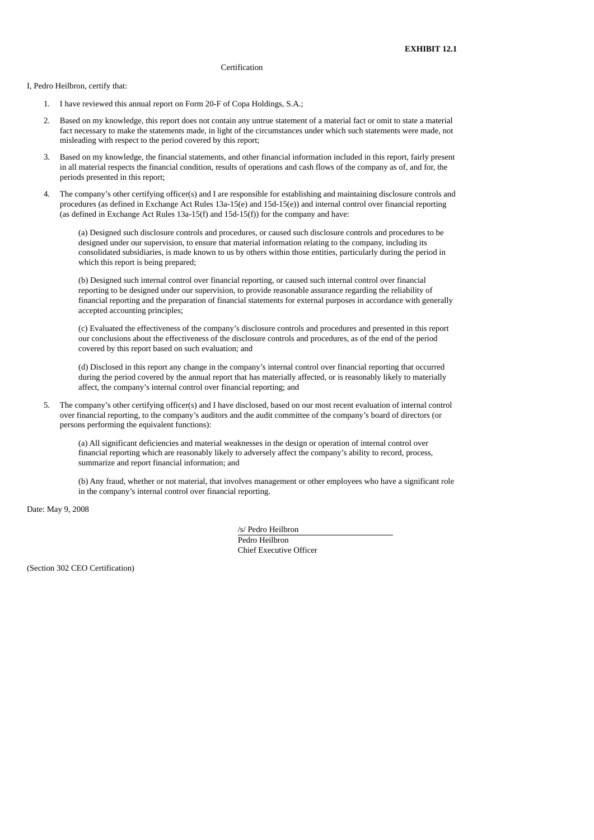#### Certification

I, Pedro Heilbron, certify that:

- 1. I have reviewed this annual report on Form 20-F of Copa Holdings, S.A.;
- 2. Based on my knowledge, this report does not contain any untrue statement of a material fact or omit to state a material fact necessary to make the statements made, in light of the circumstances under which such statements were made, not misleading with respect to the period covered by this report;
- 3. Based on my knowledge, the financial statements, and other financial information included in this report, fairly present in all material respects the financial condition, results of operations and cash flows of the company as of, and for, the periods presented in this report;
- 4. The company's other certifying officer(s) and I are responsible for establishing and maintaining disclosure controls and procedures (as defined in Exchange Act Rules 13a-15(e) and 15d-15(e)) and internal control over financial reporting (as defined in Exchange Act Rules 13a-15(f) and 15d-15(f)) for the company and have:

(a) Designed such disclosure controls and procedures, or caused such disclosure controls and procedures to be designed under our supervision, to ensure that material information relating to the company, including its consolidated subsidiaries, is made known to us by others within those entities, particularly during the period in which this report is being prepared;

(b) Designed such internal control over financial reporting, or caused such internal control over financial reporting to be designed under our supervision, to provide reasonable assurance regarding the reliability of financial reporting and the preparation of financial statements for external purposes in accordance with generally accepted accounting principles;

(c) Evaluated the effectiveness of the company's disclosure controls and procedures and presented in this report our conclusions about the effectiveness of the disclosure controls and procedures, as of the end of the period covered by this report based on such evaluation; and

(d) Disclosed in this report any change in the company's internal control over financial reporting that occurred during the period covered by the annual report that has materially affected, or is reasonably likely to materially affect, the company's internal control over financial reporting; and

5. The company's other certifying officer(s) and I have disclosed, based on our most recent evaluation of internal control over financial reporting, to the company's auditors and the audit committee of the company's board of directors (or persons performing the equivalent functions):

(a) All significant deficiencies and material weaknesses in the design or operation of internal control over financial reporting which are reasonably likely to adversely affect the company's ability to record, process, summarize and report financial information; and

(b) Any fraud, whether or not material, that involves management or other employees who have a significant role in the company's internal control over financial reporting.

Date: May 9, 2008

/s/ Pedro Heilbron Pedro Heilbron

Chief Executive Officer

(Section 302 CEO Certification)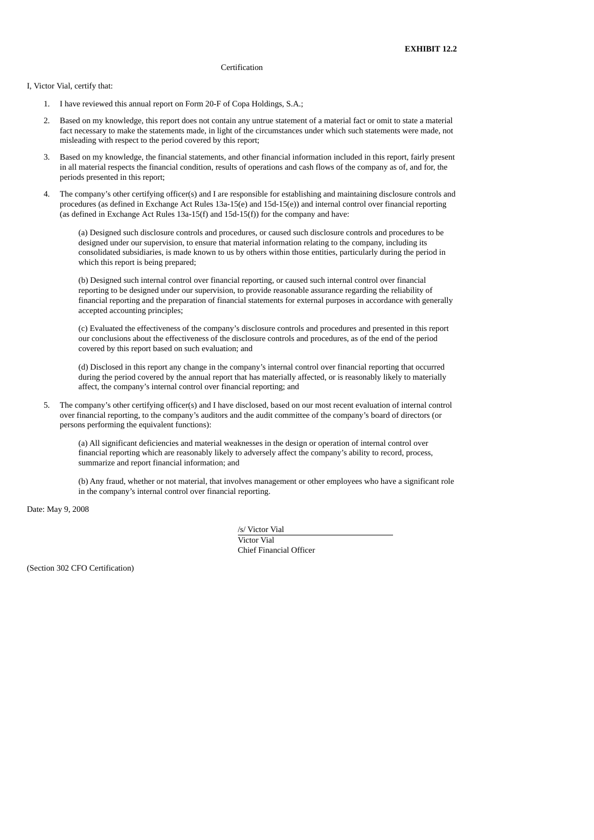#### Certification

I, Victor Vial, certify that:

- 1. I have reviewed this annual report on Form 20-F of Copa Holdings, S.A.;
- 2. Based on my knowledge, this report does not contain any untrue statement of a material fact or omit to state a material fact necessary to make the statements made, in light of the circumstances under which such statements were made, not misleading with respect to the period covered by this report;
- 3. Based on my knowledge, the financial statements, and other financial information included in this report, fairly present in all material respects the financial condition, results of operations and cash flows of the company as of, and for, the periods presented in this report;
- 4. The company's other certifying officer(s) and I are responsible for establishing and maintaining disclosure controls and procedures (as defined in Exchange Act Rules 13a-15(e) and 15d-15(e)) and internal control over financial reporting (as defined in Exchange Act Rules 13a-15(f) and 15d-15(f)) for the company and have:

(a) Designed such disclosure controls and procedures, or caused such disclosure controls and procedures to be designed under our supervision, to ensure that material information relating to the company, including its consolidated subsidiaries, is made known to us by others within those entities, particularly during the period in which this report is being prepared;

(b) Designed such internal control over financial reporting, or caused such internal control over financial reporting to be designed under our supervision, to provide reasonable assurance regarding the reliability of financial reporting and the preparation of financial statements for external purposes in accordance with generally accepted accounting principles;

(c) Evaluated the effectiveness of the company's disclosure controls and procedures and presented in this report our conclusions about the effectiveness of the disclosure controls and procedures, as of the end of the period covered by this report based on such evaluation; and

(d) Disclosed in this report any change in the company's internal control over financial reporting that occurred during the period covered by the annual report that has materially affected, or is reasonably likely to materially affect, the company's internal control over financial reporting; and

5. The company's other certifying officer(s) and I have disclosed, based on our most recent evaluation of internal control over financial reporting, to the company's auditors and the audit committee of the company's board of directors (or persons performing the equivalent functions):

(a) All significant deficiencies and material weaknesses in the design or operation of internal control over financial reporting which are reasonably likely to adversely affect the company's ability to record, process, summarize and report financial information; and

(b) Any fraud, whether or not material, that involves management or other employees who have a significant role in the company's internal control over financial reporting.

Date: May 9, 2008

/s/ Victor Vial

Victor Vial Chief Financial Officer

(Section 302 CFO Certification)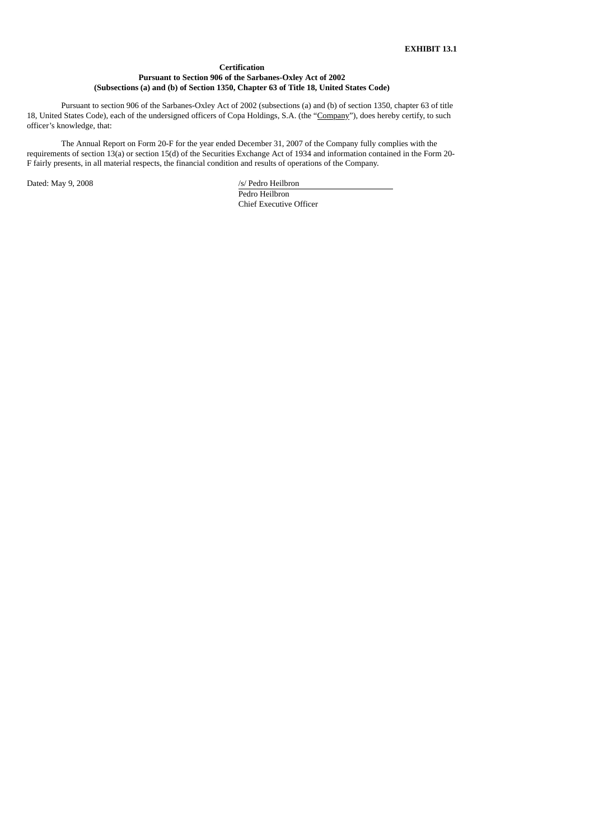# **Certification Pursuant to Section 906 of the Sarbanes-Oxley Act of 2002 (Subsections (a) and (b) of Section 1350, Chapter 63 of Title 18, United States Code)**

Pursuant to section 906 of the Sarbanes-Oxley Act of 2002 (subsections (a) and (b) of section 1350, chapter 63 of title 18, United States Code), each of the undersigned officers of Copa Holdings, S.A. (the "Company"), does hereby certify, to such officer's knowledge, that:

The Annual Report on Form 20-F for the year ended December 31, 2007 of the Company fully complies with the requirements of section 13(a) or section 15(d) of the Securities Exchange Act of 1934 and information contained in the Form 20- F fairly presents, in all material respects, the financial condition and results of operations of the Company.

Dated: May 9, 2008 /s/ Pedro Heilbron

Pedro Heilbron Chief Executive Officer